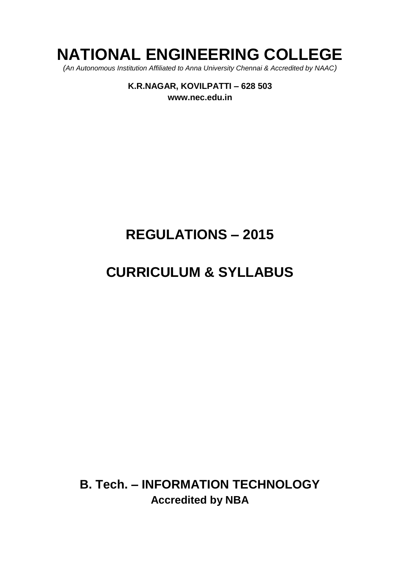# **NATIONAL ENGINEERING COLLEGE**

*(An Autonomous Institution Affiliated to Anna University Chennai & Accredited by NAAC)*

**K.R.NAGAR, KOVILPATTI – 628 503 [www.nec.edu.in](http://www.nec.edu.in/)**

# **REGULATIONS – 2015**

# **CURRICULUM & SYLLABUS**

**B. Tech. – INFORMATION TECHNOLOGY Accredited by NBA**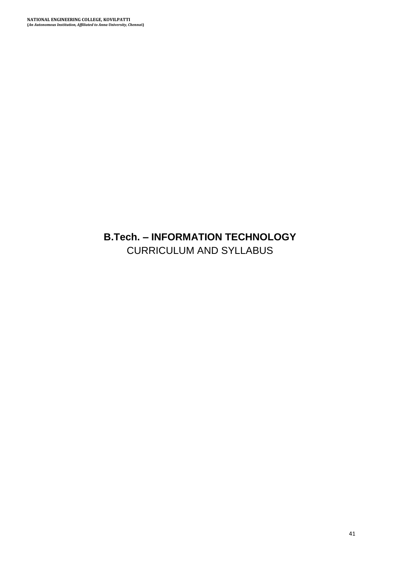# **B.Tech. – INFORMATION TECHNOLOGY** CURRICULUM AND SYLLABUS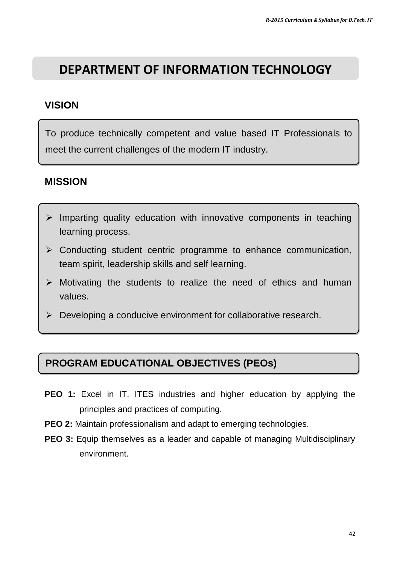# **DEPARTMENT OF INFORMATION TECHNOLOGY**

# **VISION**

To produce technically competent and value based IT Professionals to meet the current challenges of the modern IT industry.

# **MISSION**

- $\triangleright$  Imparting quality education with innovative components in teaching learning process.
- $\triangleright$  Conducting student centric programme to enhance communication, team spirit, leadership skills and self learning.
- $\triangleright$  Motivating the students to realize the need of ethics and human values.
- $\triangleright$  Developing a conducive environment for collaborative research.

# **PROGRAM EDUCATIONAL OBJECTIVES (PEOs)**

- **PEO 1:** Excel in IT, ITES industries and higher education by applying the principles and practices of computing.
- **PEO 2:** Maintain professionalism and adapt to emerging technologies.
- **PEO 3:** Equip themselves as a leader and capable of managing Multidisciplinary environment.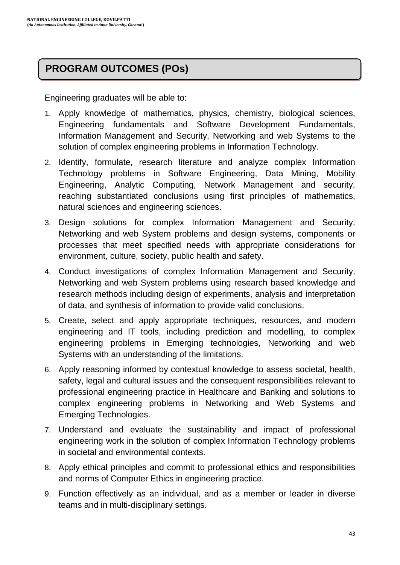# **PROGRAM OUTCOMES (POs)**

Engineering graduates will be able to:

- 1. Apply knowledge of mathematics, physics, chemistry, biological sciences, Engineering fundamentals and Software Development Fundamentals, Information Management and Security, Networking and web Systems to the solution of complex engineering problems in Information Technology.
- 2. Identify, formulate, research literature and analyze complex Information Technology problems in Software Engineering, Data Mining, Mobility Engineering, Analytic Computing, Network Management and security, reaching substantiated conclusions using first principles of mathematics, natural sciences and engineering sciences.
- 3. Design solutions for complex Information Management and Security, Networking and web System problems and design systems, components or processes that meet specified needs with appropriate considerations for environment, culture, society, public health and safety.
- 4. Conduct investigations of complex Information Management and Security, Networking and web System problems using research based knowledge and research methods including design of experiments, analysis and interpretation of data, and synthesis of information to provide valid conclusions.
- 5. Create, select and apply appropriate techniques, resources, and modern engineering and IT tools, including prediction and modelling, to complex engineering problems in Emerging technologies, Networking and web Systems with an understanding of the limitations.
- 6. Apply reasoning informed by contextual knowledge to assess societal, health, safety, legal and cultural issues and the consequent responsibilities relevant to professional engineering practice in Healthcare and Banking and solutions to complex engineering problems in Networking and Web Systems and Emerging Technologies.
- 7. Understand and evaluate the sustainability and impact of professional engineering work in the solution of complex Information Technology problems in societal and environmental contexts.
- 8. Apply ethical principles and commit to professional ethics and responsibilities and norms of Computer Ethics in engineering practice.
- 9. Function effectively as an individual, and as a member or leader in diverse teams and in multi-disciplinary settings.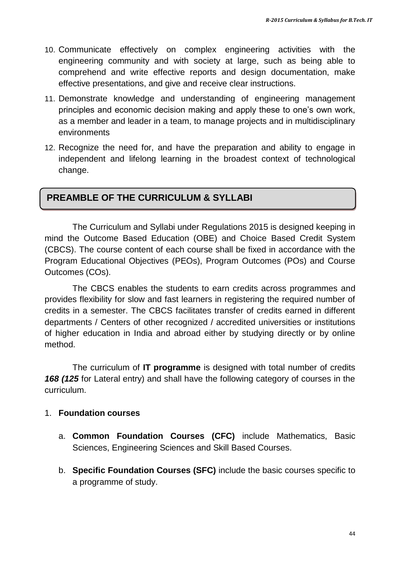- 10. Communicate effectively on complex engineering activities with the engineering community and with society at large, such as being able to comprehend and write effective reports and design documentation, make effective presentations, and give and receive clear instructions.
- 11. Demonstrate knowledge and understanding of engineering management principles and economic decision making and apply these to one"s own work, as a member and leader in a team, to manage projects and in multidisciplinary environments
- 12. Recognize the need for, and have the preparation and ability to engage in independent and lifelong learning in the broadest context of technological change.

# **PREAMBLE OF THE CURRICULUM & SYLLABI**

The Curriculum and Syllabi under Regulations 2015 is designed keeping in mind the Outcome Based Education (OBE) and Choice Based Credit System (CBCS). The course content of each course shall be fixed in accordance with the Program Educational Objectives (PEOs), Program Outcomes (POs) and Course Outcomes (COs).

The CBCS enables the students to earn credits across programmes and provides flexibility for slow and fast learners in registering the required number of credits in a semester. The CBCS facilitates transfer of credits earned in different departments / Centers of other recognized / accredited universities or institutions of higher education in India and abroad either by studying directly or by online method.

The curriculum of **IT programme** is designed with total number of credits *168 (125* for Lateral entry) and shall have the following category of courses in the curriculum.

### 1. **Foundation courses**

- a. **Common Foundation Courses (CFC)** include Mathematics, Basic Sciences, Engineering Sciences and Skill Based Courses.
- b. **Specific Foundation Courses (SFC)** include the basic courses specific to a programme of study.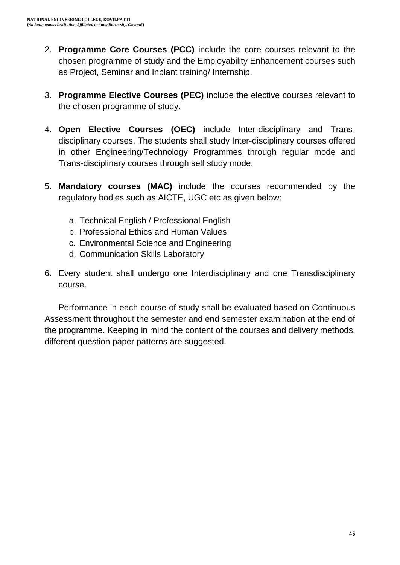- 2. **Programme Core Courses (PCC)** include the core courses relevant to the chosen programme of study and the Employability Enhancement courses such as Project, Seminar and Inplant training/ Internship.
- 3. **Programme Elective Courses (PEC)** include the elective courses relevant to the chosen programme of study.
- 4. **Open Elective Courses (OEC)** include Inter-disciplinary and Transdisciplinary courses. The students shall study Inter-disciplinary courses offered in other Engineering/Technology Programmes through regular mode and Trans-disciplinary courses through self study mode.
- 5. **Mandatory courses (MAC)** include the courses recommended by the regulatory bodies such as AICTE, UGC etc as given below:
	- a. Technical English / Professional English
	- b. Professional Ethics and Human Values
	- c. Environmental Science and Engineering
	- d. Communication Skills Laboratory
- 6. Every student shall undergo one Interdisciplinary and one Transdisciplinary course.

Performance in each course of study shall be evaluated based on Continuous Assessment throughout the semester and end semester examination at the end of the programme. Keeping in mind the content of the courses and delivery methods, different question paper patterns are suggested.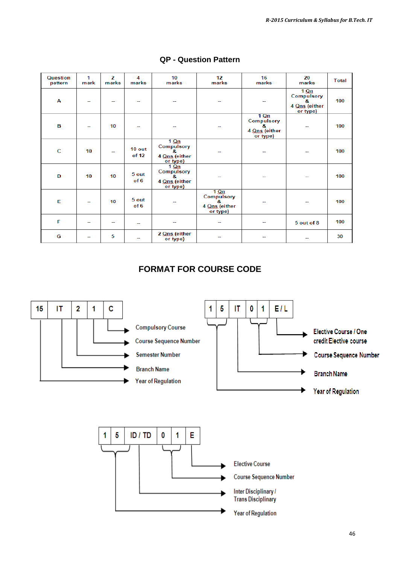| <b>Question</b><br>pattern | 1<br>mark | z<br>marks | 4<br>marks        | 10<br>marks                                                          | 12<br>marks                                                 | 16<br>marks                                             | 20<br>marks                                                 | <b>Total</b> |
|----------------------------|-----------|------------|-------------------|----------------------------------------------------------------------|-------------------------------------------------------------|---------------------------------------------------------|-------------------------------------------------------------|--------------|
| A                          | --        |            |                   |                                                                      | --                                                          |                                                         | $1 \Omega$<br>Compulsory<br>8.<br>4 Qns (either<br>or type) | 100          |
| в                          | --        | 10         | --                |                                                                      | --                                                          | $1$ Qn<br>Compulsory<br>8.<br>4 Qns (either<br>or type) |                                                             | 100          |
| $\mathbf C$                | 10        | -−         | $10$ out<br>of 12 | $1 \Omega n$<br>Compulsory<br>8.<br>4 Qns (either<br>or type)        |                                                             |                                                         |                                                             | 100          |
| D                          | 10        | 10         | 5 out<br>of 6     | $1 \Omega n$<br><b>Compulsory</b><br>я.<br>4 Qns (either<br>or type) | $-$                                                         | $-$                                                     | $-$                                                         | 100          |
| E                          | $\sim$    | 10         | 5 out<br>of 6     | --                                                                   | $1 \Omega$<br>Compulsory<br>8.<br>4 Qns (either<br>or type) | ۰.                                                      |                                                             | 100          |
| F                          | --        | --         | --                | --                                                                   | $\overline{a}$                                              | --                                                      | 5 out of 8                                                  | 100          |
| G                          | --        | 5          | --                | 2 Qns (either<br>or type)                                            |                                                             |                                                         |                                                             | 30           |

#### **QP - Question Pattern**

# **FORMAT FOR COURSE CODE**

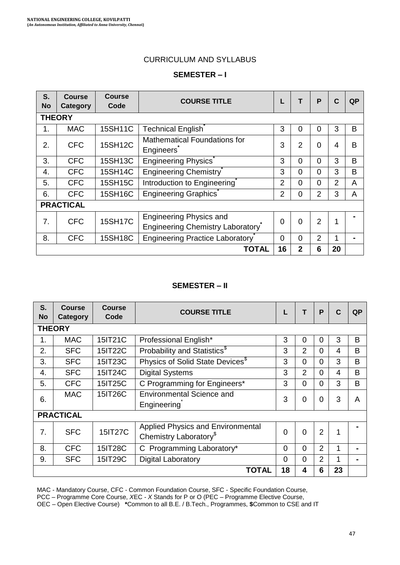#### CURRICULUM AND SYLLABUS

#### **SEMESTER – I**

| S.<br><b>No</b>  | <b>Course</b><br>Category | <b>Course</b><br>Code | <b>COURSE TITLE</b>                                                |                |              | P              | C  | QP |
|------------------|---------------------------|-----------------------|--------------------------------------------------------------------|----------------|--------------|----------------|----|----|
|                  | <b>THEORY</b>             |                       |                                                                    |                |              |                |    |    |
| 1.               | <b>MAC</b>                | 15SH11C               | <b>Technical English</b>                                           | 3              | 0            | 0              | 3  | B  |
| 2.               | <b>CFC</b>                | 15SH12C               | Mathematical Foundations for<br>Engineers                          | 3              | 2            | 0              | 4  | B  |
| 3.               | <b>CFC</b>                | 15SH13C               | Engineering Physics                                                | 3              | $\Omega$     | 0              | 3  | B  |
| 4.               | <b>CFC</b>                | 15SH14C               | Engineering Chemistry                                              | 3              | $\Omega$     | 0              | 3  | B  |
| 5.               | <b>CFC</b>                | 15SH15C               | Introduction to Engineering                                        | $\overline{2}$ | $\Omega$     | 0              | 2  | A  |
| 6.               | <b>CFC</b>                | 15SH16C               | <b>Engineering Graphics</b>                                        | $\overline{2}$ | 0            | $\overline{2}$ | 3  | A  |
|                  | <b>PRACTICAL</b>          |                       |                                                                    |                |              |                |    |    |
| $\overline{7}$ . | <b>CFC</b>                | <b>15SH17C</b>        | <b>Engineering Physics and</b><br>Engineering Chemistry Laboratory | $\Omega$       | $\Omega$     | $\mathbf{2}$   | 1  |    |
| 8.               | <b>CFC</b>                | <b>15SH18C</b>        | <b>Engineering Practice Laboratory</b>                             | 0              | $\Omega$     | 2              |    |    |
|                  |                           |                       | <b>TOTAL</b>                                                       | 16             | $\mathbf{2}$ | 6              | 20 |    |

#### **SEMESTER – II**

| S.<br><b>No</b> | <b>Course</b><br><b>Category</b> | <b>Course</b><br>Code | <b>COURSE TITLE</b>                                                     | L        | т              | P              | C  | QP |
|-----------------|----------------------------------|-----------------------|-------------------------------------------------------------------------|----------|----------------|----------------|----|----|
|                 | <b>THEORY</b>                    |                       |                                                                         |          |                |                |    |    |
| 1.              | <b>MAC</b>                       | 15IT21C               | Professional English*                                                   | 3        | 0              | 0              | 3  | B  |
| 2.              | <b>SFC</b>                       | 15IT22C               | Probability and Statistics <sup>\$</sup>                                | 3        | $\overline{2}$ | 0              | 4  | B  |
| 3.              | <b>SFC</b>                       | 15IT23C               | Physics of Solid State Devices <sup>\$</sup>                            | 3        | $\Omega$       | $\Omega$       | 3  | B  |
| 4.              | <b>SFC</b>                       | 15IT24C               | <b>Digital Systems</b>                                                  | 3        | 2              | $\Omega$       | 4  | B  |
| 5.              | <b>CFC</b>                       | 15IT25C               | C Programming for Engineers*                                            | 3        | $\Omega$       | $\Omega$       | 3  | B  |
| 6.              | <b>MAC</b>                       | 15IT26C               | Environmental Science and<br>Engineering                                | 3        | 0              | $\Omega$       | 3  | A  |
|                 | <b>PRACTICAL</b>                 |                       |                                                                         |          |                |                |    |    |
| 7.              | <b>SFC</b>                       | <b>15IT27C</b>        | Applied Physics and Environmental<br>Chemistry Laboratory <sup>\$</sup> | $\Omega$ | $\Omega$       | $\overline{2}$ | 1  |    |
| 8.              | <b>CFC</b>                       | 15IT28C               | C Programming Laboratory*                                               | $\Omega$ | $\Omega$       | 2              |    |    |
| 9.              | <b>SFC</b>                       | 15IT29C               | <b>Digital Laboratory</b>                                               | $\Omega$ | $\Omega$       | $\overline{2}$ |    |    |
|                 |                                  |                       | <b>TOTAL</b>                                                            | 18       | 4              | 6              | 23 |    |

MAC - Mandatory Course, CFC - Common Foundation Course, SFC - Specific Foundation Course,

PCC – Programme Core Course, *X*EC - *X* Stands for P or O (PEC – Programme Elective Course,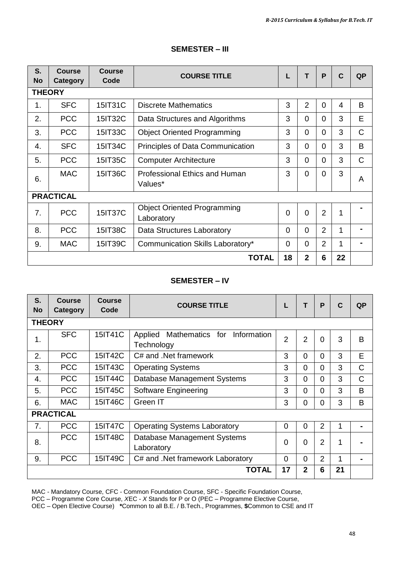| S.<br><b>No</b>  | Course<br>Category | Course<br>Code | <b>COURSE TITLE</b>                              | L        | т              | P              | C  | QP |
|------------------|--------------------|----------------|--------------------------------------------------|----------|----------------|----------------|----|----|
| <b>THEORY</b>    |                    |                |                                                  |          |                |                |    |    |
| 1.               | <b>SFC</b>         | 15IT31C        | Discrete Mathematics                             | 3        | $\overline{2}$ | $\Omega$       | 4  | B  |
| 2.               | <b>PCC</b>         | 15IT32C        | Data Structures and Algorithms                   | 3        | 0              | $\Omega$       | 3  | E  |
| 3.               | <b>PCC</b>         | 15IT33C        | <b>Object Oriented Programming</b>               | 3        | $\Omega$       | $\Omega$       | 3  | C  |
| 4.               | <b>SFC</b>         | 15IT34C        | Principles of Data Communication                 | 3        | 0              | 0              | 3  | B  |
| 5.               | <b>PCC</b>         | 15IT35C        | <b>Computer Architecture</b>                     | 3        | 0              | 0              | 3  | C  |
| 6.               | <b>MAC</b>         | 15IT36C        | Professional Ethics and Human<br>Values*         | 3        | $\Omega$       | $\Omega$       | 3  | A  |
|                  | <b>PRACTICAL</b>   |                |                                                  |          |                |                |    |    |
| $\overline{7}$ . | <b>PCC</b>         | <b>15IT37C</b> | <b>Object Oriented Programming</b><br>Laboratory | $\Omega$ | $\Omega$       | $\overline{2}$ | 1  |    |
| 8.               | <b>PCC</b>         | 15IT38C        | Data Structures Laboratory                       | $\Omega$ | $\Omega$       | $\mathcal{P}$  | 1  |    |
| 9.               | <b>MAC</b>         | 15IT39C        | Communication Skills Laboratory*                 | $\Omega$ | $\Omega$       | 2              | 1  |    |
|                  |                    |                | <b>TOTAL</b>                                     | 18       | $\mathbf{2}$   | 6              | 22 |    |

#### **SEMESTER – III**

#### **SEMESTER – IV**

| S.<br><b>No</b> | <b>Course</b><br>Category | Course<br>Code | <b>COURSE TITLE</b>                                  |                | т              | P              | $\mathbf C$ | QP |
|-----------------|---------------------------|----------------|------------------------------------------------------|----------------|----------------|----------------|-------------|----|
| <b>THEORY</b>   |                           |                |                                                      |                |                |                |             |    |
| $\mathbf 1$ .   | <b>SFC</b>                | 15IT41C        | Mathematics for Information<br>Applied<br>Technology | $\overline{2}$ | $\overline{2}$ | $\mathbf 0$    | 3           | B  |
| $\mathbf{2}$ .  | <b>PCC</b>                | 15IT42C        | C# and .Net framework                                | 3              | $\Omega$       | $\Omega$       | 3           | E  |
| 3.              | <b>PCC</b>                | 15IT43C        | <b>Operating Systems</b>                             | 3              | $\Omega$       | $\Omega$       | 3           | C  |
| 4.              | <b>PCC</b>                | 15IT44C        | Database Management Systems                          | 3              | $\Omega$       | $\Omega$       | 3           | C  |
| 5.              | <b>PCC</b>                | 15IT45C        | Software Engineering                                 | 3              | $\Omega$       | $\Omega$       | 3           | B  |
| 6.              | <b>MAC</b>                | 15IT46C        | Green IT                                             | 3              | $\Omega$       | $\Omega$       | 3           | B  |
|                 | <b>PRACTICAL</b>          |                |                                                      |                |                |                |             |    |
| 7.              | <b>PCC</b>                | 15IT47C        | <b>Operating Systems Laboratory</b>                  | $\Omega$       | $\Omega$       | $\overline{2}$ |             |    |
| 8.              | <b>PCC</b>                | 15IT48C        | Database Management Systems<br>Laboratory            | $\Omega$       | $\Omega$       | $\overline{2}$ | 1           |    |
| 9.              | <b>PCC</b>                | 15IT49C        | C# and .Net framework Laboratory                     | $\Omega$       | $\Omega$       | $\overline{2}$ | 1           |    |
|                 |                           |                | <b>TOTAL</b>                                         | 17             | $\mathbf{2}$   | 6              | 21          |    |

MAC - Mandatory Course, CFC - Common Foundation Course, SFC - Specific Foundation Course,

PCC – Programme Core Course, *X*EC - *X* Stands for P or O (PEC – Programme Elective Course,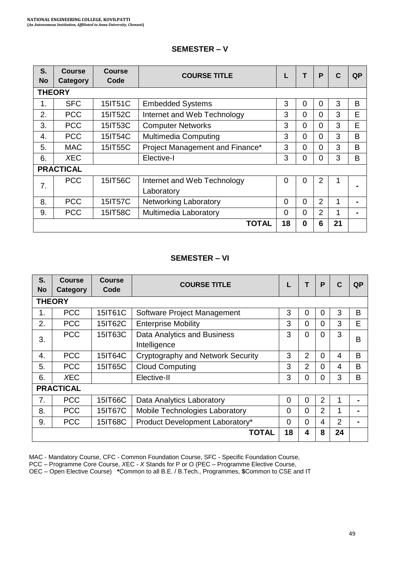| S.<br><b>No</b> | Course<br>Category | <b>Course</b><br>Code | <b>COURSE TITLE</b>                       |          | т        | P | C  | QP |
|-----------------|--------------------|-----------------------|-------------------------------------------|----------|----------|---|----|----|
|                 | <b>THEORY</b>      |                       |                                           |          |          |   |    |    |
| 1.              | <b>SFC</b>         | 15IT51C               | <b>Embedded Systems</b>                   | 3        | 0        | 0 | 3  | B  |
| $\mathbf{2}$ .  | <b>PCC</b>         | 15IT52C               | Internet and Web Technology               | 3        | $\Omega$ | 0 | 3  | E  |
| 3.              | <b>PCC</b>         | 15IT53C               | <b>Computer Networks</b>                  | 3        | $\Omega$ | 0 | 3  | E  |
| 4.              | <b>PCC</b>         | 15IT54C               | <b>Multimedia Computing</b>               | 3        | $\Omega$ | 0 | 3  | B  |
| 5.              | <b>MAC</b>         | 15IT55C               | Project Management and Finance*           | 3        | $\Omega$ | 0 | 3  | B  |
| 6.              | <b>XEC</b>         |                       | Elective-I                                | 3        | 0        | 0 | 3  | B  |
|                 | <b>PRACTICAL</b>   |                       |                                           |          |          |   |    |    |
| 7.              | PCC.               | 15IT56C               | Internet and Web Technology<br>Laboratory | $\Omega$ | 0        | 2 |    |    |
| 8.              | <b>PCC</b>         | 15IT57C               | <b>Networking Laboratory</b>              | 0        | $\Omega$ | 2 | 1  |    |
| 9.              | <b>PCC</b>         | 15IT58C               | Multimedia Laboratory                     | 0        | $\Omega$ | 2 |    |    |
|                 |                    |                       | <b>TOTAL</b>                              | 18       | 0        | 6 | 21 |    |

### **SEMESTER – V**

### **SEMESTER – VI**

| S.<br>No | Course<br>Category | <b>Course</b><br>Code | <b>COURSE TITLE</b>                         |          | т        | P | C  | QP |
|----------|--------------------|-----------------------|---------------------------------------------|----------|----------|---|----|----|
|          | <b>THEORY</b>      |                       |                                             |          |          |   |    |    |
| 1.       | <b>PCC</b>         | 15IT61C               | Software Project Management                 | 3        | $\Omega$ | 0 | 3  | B  |
| 2.       | <b>PCC</b>         | 15IT62C               | <b>Enterprise Mobility</b>                  | 3        | $\Omega$ | 0 | 3  | Е  |
| 3.       | <b>PCC</b>         | 15IT63C               | Data Analytics and Business<br>Intelligence | 3        | 0        | 0 | 3  | B  |
| 4.       | <b>PCC</b>         | 15IT64C               | Cryptography and Network Security           | 3        | 2        | 0 | 4  | B  |
| 5.       | <b>PCC</b>         | 15IT65C               | <b>Cloud Computing</b>                      | 3        | 2        | 0 | 4  | B  |
| 6.       | XEC                |                       | Elective-II                                 | 3        | $\Omega$ | 0 | 3  | B  |
|          | <b>PRACTICAL</b>   |                       |                                             |          |          |   |    |    |
| 7.       | <b>PCC</b>         | 15IT66C               | Data Analytics Laboratory                   | 0        | $\Omega$ | 2 |    |    |
| 8.       | <b>PCC</b>         | 15IT67C               | Mobile Technologies Laboratory              | 0        | $\Omega$ | 2 |    |    |
| 9.       | <b>PCC</b>         | 15IT68C               | Product Development Laboratory*             | $\Omega$ | $\Omega$ | 4 | 2  |    |
|          |                    |                       | TOTAL                                       | 18       | 4        | 8 | 24 |    |

MAC - Mandatory Course, CFC - Common Foundation Course, SFC - Specific Foundation Course,

PCC – Programme Core Course, *X*EC - *X* Stands for P or O (PEC – Programme Elective Course,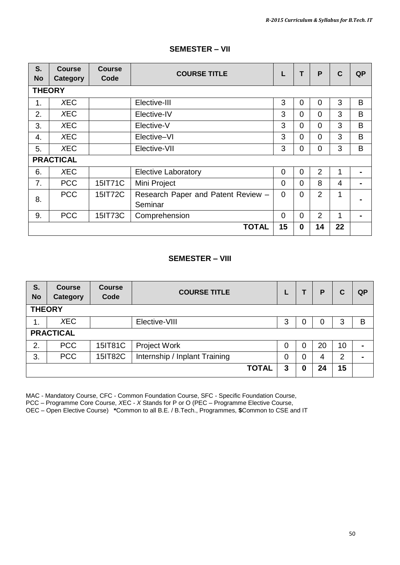| S.<br><b>No</b> | <b>Course</b><br>Category | <b>Course</b><br>Code | <b>COURSE TITLE</b>                           | L        | T        | P              | $\mathbf C$ | <b>QP</b> |
|-----------------|---------------------------|-----------------------|-----------------------------------------------|----------|----------|----------------|-------------|-----------|
| <b>THEORY</b>   |                           |                       |                                               |          |          |                |             |           |
| 1.              | <b>XEC</b>                |                       | Elective-III                                  | 3        | 0        | $\Omega$       | 3           | B         |
| 2.              | <b>XEC</b>                |                       | Elective-IV                                   | 3        | $\Omega$ | $\Omega$       | 3           | B         |
| 3.              | <b>XEC</b>                |                       | Elective-V                                    | 3        | $\Omega$ | $\Omega$       | 3           | B         |
| 4.              | <b>XEC</b>                |                       | Elective-VI                                   | 3        | $\Omega$ | $\Omega$       | 3           | B         |
| 5.              | <b>XEC</b>                |                       | Elective-VII                                  | 3        | 0        | 0              | 3           | B         |
|                 | <b>PRACTICAL</b>          |                       |                                               |          |          |                |             |           |
| 6.              | <b>XEC</b>                |                       | Elective Laboratory                           | $\Omega$ | 0        | $\overline{2}$ | 1           |           |
| 7 <sub>1</sub>  | <b>PCC</b>                | 15IT71C               | Mini Project                                  | $\Omega$ | 0        | 8              | 4           |           |
| 8.              | <b>PCC</b>                | 15IT72C               | Research Paper and Patent Review -<br>Seminar | $\Omega$ | 0        | $\overline{2}$ | 1           |           |
| 9.              | <b>PCC</b>                | 15IT73C               | Comprehension                                 | $\Omega$ | $\Omega$ | 2              | 1           |           |
|                 |                           |                       | <b>TOTAL</b>                                  | 15       | $\bf{0}$ | 14             | 22          |           |

#### **SEMESTER – VII**

#### **SEMESTER – VIII**

| S.<br><b>No</b> | <b>Course</b><br>Category | <b>Course</b><br>Code | <b>COURSE TITLE</b>           |   |   | P  | C  | <b>QP</b>      |
|-----------------|---------------------------|-----------------------|-------------------------------|---|---|----|----|----------------|
| <b>THEORY</b>   |                           |                       |                               |   |   |    |    |                |
| 1.              | <b>XEC</b>                |                       | Elective-VIII                 | 3 | U | O  | 3  | В              |
|                 | <b>PRACTICAL</b>          |                       |                               |   |   |    |    |                |
| 2.              | <b>PCC</b>                | 15IT81C               | Project Work                  | 0 | 0 | 20 | 10 | $\blacksquare$ |
| 3.              | <b>PCC</b>                | 15IT82C               | Internship / Inplant Training | 0 | 0 | 4  | 2  |                |
|                 |                           |                       | <b>TOTAL</b>                  | 3 | 0 | 24 | 15 |                |

MAC - Mandatory Course, CFC - Common Foundation Course, SFC - Specific Foundation Course,

PCC – Programme Core Course, *X*EC - *X* Stands for P or O (PEC – Programme Elective Course,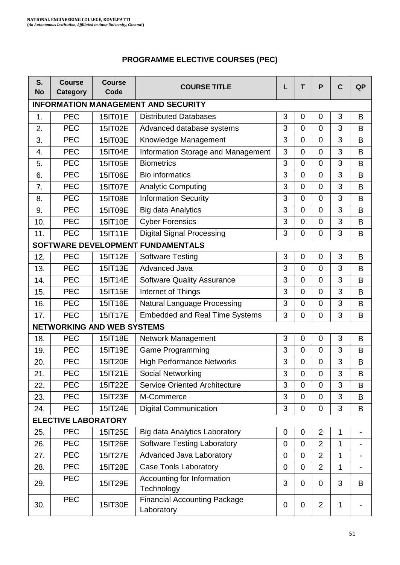| <b>PROGRAMME ELECTIVE COURSES (PEC)</b> |  |  |
|-----------------------------------------|--|--|
|-----------------------------------------|--|--|

| S.<br><b>No</b> | <b>Course</b><br><b>Category</b> | <b>Course</b><br>Code             | <b>COURSE TITLE</b>                               | L | T              | P              | $\mathbf c$  | <b>QP</b> |
|-----------------|----------------------------------|-----------------------------------|---------------------------------------------------|---|----------------|----------------|--------------|-----------|
|                 |                                  |                                   | <b>INFORMATION MANAGEMENT AND SECURITY</b>        |   |                |                |              |           |
| 1.              | <b>PEC</b>                       | 15IT01E                           | <b>Distributed Databases</b>                      | 3 | 0              | 0              | 3            | В         |
| 2.              | <b>PEC</b>                       | 15IT02E                           | Advanced database systems                         | 3 | $\Omega$       | $\mathbf 0$    | 3            | B         |
| 3.              | <b>PEC</b>                       | 15IT03E                           | Knowledge Management                              | 3 | 0              | 0              | 3            | В         |
| 4.              | PEC                              | 15IT04E                           | Information Storage and Management                | 3 | $\overline{0}$ | $\overline{0}$ | 3            | B         |
| 5.              | <b>PEC</b>                       | 15IT05E                           | <b>Biometrics</b>                                 | 3 | 0              | 0              | 3            | В         |
| 6.              | <b>PEC</b>                       | 15IT06E                           | <b>Bio informatics</b>                            | 3 | $\mathbf 0$    | $\overline{0}$ | 3            | B         |
| 7.              | <b>PEC</b>                       | 15IT07E                           | <b>Analytic Computing</b>                         | 3 | 0              | 0              | 3            | В         |
| 8.              | PEC                              | 15IT08E                           | <b>Information Security</b>                       | 3 | $\mathbf 0$    | $\overline{0}$ | 3            | B         |
| 9.              | <b>PEC</b>                       | 15IT09E                           | <b>Big data Analytics</b>                         | 3 | 0              | 0              | 3            | В         |
| 10.             | <b>PEC</b>                       | 15IT10E                           | <b>Cyber Forensics</b>                            | 3 | $\mathbf 0$    | $\overline{0}$ | 3            | B         |
| 11.             | <b>PEC</b>                       | 15IT11E                           | <b>Digital Signal Processing</b>                  | 3 | 0              | 0              | 3            | В         |
|                 |                                  |                                   | SOFTWARE DEVELOPMENT FUNDAMENTALS                 |   |                |                |              |           |
| 12.             | <b>PEC</b>                       | 15IT12E                           | <b>Software Testing</b>                           | 3 | 0              | 0              | 3            | В         |
| 13.             | <b>PEC</b>                       | 15IT13E                           | Advanced Java                                     | 3 | $\mathbf 0$    | $\mathbf 0$    | 3            | В         |
| 14.             | <b>PEC</b>                       | 15IT14E                           | <b>Software Quality Assurance</b>                 | 3 | 0              | 0              | 3            | В         |
| 15.             | PEC                              | 15IT15E                           | Internet of Things                                | 3 | $\overline{0}$ | $\overline{0}$ | 3            | B         |
| 16.             | <b>PEC</b>                       | 15IT16E                           | Natural Language Processing                       | 3 | 0              | 0              | 3            | В         |
| 17.             | <b>PEC</b>                       | 15IT17E                           | <b>Embedded and Real Time Systems</b>             | 3 | $\mathbf 0$    | $\mathbf 0$    | 3            | B         |
|                 |                                  | <b>NETWORKING AND WEB SYSTEMS</b> |                                                   |   |                |                |              |           |
| 18.             | <b>PEC</b>                       | 15IT18E                           | Network Management                                | 3 | $\mathbf 0$    | $\mathbf 0$    | 3            | B         |
| 19.             | <b>PEC</b>                       | 15IT19E                           | Game Programming                                  | 3 | 0              | 0              | 3            | В         |
| 20.             | PEC                              | 15IT20E                           | <b>High Performance Networks</b>                  | 3 | $\overline{0}$ | $\overline{0}$ | 3            | B         |
| 21.             | PEC                              | 15IT21E                           | Social Networking                                 | 3 | 0              | $\mathbf 0$    | 3            | B         |
| 22.             | PEC                              | 15IT22E                           | <b>Service Oriented Architecture</b>              | 3 | 0              | $\Omega$       | 3            | B         |
| 23.             | <b>PEC</b>                       | 15IT23E                           | M-Commerce                                        | 3 | 0              | 0              | 3            | В         |
| 24.             | <b>PEC</b>                       | 15IT24E                           | <b>Digital Communication</b>                      | 3 | 0              | 0              | 3            | В         |
|                 | <b>ELECTIVE LABORATORY</b>       |                                   |                                                   |   |                |                |              |           |
| 25.             | <b>PEC</b>                       | 15IT25E                           | <b>Big data Analytics Laboratory</b>              | 0 | 0              | $\overline{2}$ | 1            |           |
| 26.             | PEC                              | 15IT26E                           | Software Testing Laboratory                       | 0 | $\mathbf 0$    | $\overline{2}$ | 1            |           |
| 27.             | PEC                              | 15IT27E                           | Advanced Java Laboratory                          | 0 | 0              | $\overline{2}$ | $\mathbf{1}$ |           |
| 28.             | PEC                              | 15IT28E                           | Case Tools Laboratory                             | 0 | 0              | $\overline{2}$ | $\mathbf{1}$ |           |
| 29.             | PEC                              | 15IT29E                           | Accounting for Information<br>Technology          | 3 | 0              | 0              | 3            | B         |
| 30.             | PEC                              | 15IT30E                           | <b>Financial Accounting Package</b><br>Laboratory | 0 | 0              | $\overline{2}$ | 1            |           |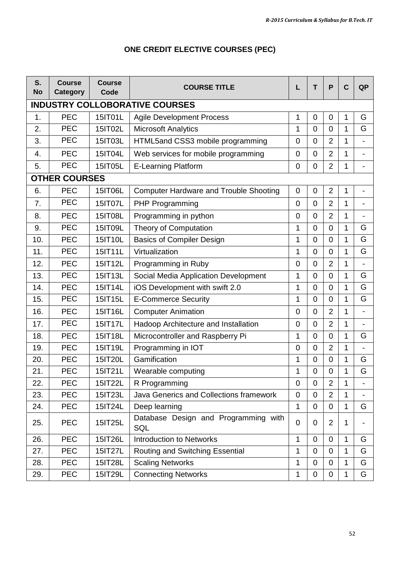| S.<br><b>No</b> | <b>Course</b><br>Category | <b>Course</b><br>Code | <b>COURSE TITLE</b>                           | L              | T                | P              | C | <b>QP</b>      |
|-----------------|---------------------------|-----------------------|-----------------------------------------------|----------------|------------------|----------------|---|----------------|
|                 |                           |                       | <b>INDUSTRY COLLOBORATIVE COURSES</b>         |                |                  |                |   |                |
| 1.              | <b>PEC</b>                | 15IT01L               | <b>Agile Development Process</b>              | 1              | 0                | 0              | 1 | G              |
| 2.              | PEC                       | 15IT02L               | <b>Microsoft Analytics</b>                    | 1              | $\Omega$         | $\Omega$       | 1 | G              |
| 3.              | <b>PEC</b>                | 15IT03L               | HTML5and CSS3 mobile programming              | 0              | $\overline{0}$   | $\overline{2}$ | 1 |                |
| 4.              | <b>PEC</b>                | 15IT04L               | Web services for mobile programming           | $\mathbf 0$    | $\mathbf 0$      | $\overline{2}$ | 1 |                |
| 5.              | <b>PEC</b>                | 15IT05L               | E-Learning Platform                           | 0              | $\mathbf 0$      | $\overline{2}$ | 1 | $\overline{a}$ |
|                 | <b>OTHER COURSES</b>      |                       |                                               |                |                  |                |   |                |
| 6.              | PEC                       | 15IT06L               | <b>Computer Hardware and Trouble Shooting</b> | 0              | 0                | 2              | 1 |                |
| 7.              | <b>PEC</b>                | 15IT07L               | PHP Programming                               | $\mathbf 0$    | $\mathbf 0$      | $\overline{2}$ | 1 |                |
| 8.              | PEC                       | 15IT08L               | Programming in python                         | $\mathbf 0$    | 0                | $\overline{2}$ | 1 |                |
| 9.              | <b>PEC</b>                | 15IT09L               | Theory of Computation                         | $\mathbf{1}$   | $\mathbf 0$      | $\Omega$       | 1 | G              |
| 10.             | <b>PEC</b>                | 15IT10L               | <b>Basics of Compiler Design</b>              | $\mathbf{1}$   | $\mathbf 0$      | $\mathbf 0$    | 1 | G              |
| 11.             | PEC                       | 15IT11L               | Virtualization                                | $\mathbf{1}$   | $\boldsymbol{0}$ | $\Omega$       | 1 | G              |
| 12.             | PEC                       | 15IT12L               | Programming in Ruby                           | $\mathbf 0$    | $\mathbf 0$      | $\overline{2}$ | 1 | $\overline{a}$ |
| 13.             | PEC                       | 15IT13L               | Social Media Application Development          | $\mathbf{1}$   | $\mathbf 0$      | $\mathbf 0$    | 1 | G              |
| 14.             | <b>PEC</b>                | 15IT14L               | iOS Development with swift 2.0                | 1              | 0                | $\Omega$       | 1 | G              |
| 15.             | <b>PEC</b>                | 15IT15L               | <b>E-Commerce Security</b>                    | $\mathbf{1}$   | 0                | $\Omega$       | 1 | G              |
| 16.             | <b>PEC</b>                | 15IT16L               | <b>Computer Animation</b>                     | $\mathbf 0$    | 0                | 2              | 1 |                |
| 17.             | <b>PEC</b>                | 15IT17L               | Hadoop Architecture and Installation          | $\overline{0}$ | $\mathbf 0$      | $\overline{2}$ | 1 |                |
| 18.             | <b>PEC</b>                | 15IT18L               | Microcontroller and Raspberry Pi              | 1              | 0                | $\Omega$       | 1 | G              |
| 19.             | <b>PEC</b>                | 15IT19L               | Programming in IOT                            | $\mathbf 0$    | $\mathbf 0$      | $\overline{2}$ | 1 | $\blacksquare$ |
| 20.             | PEC                       | 15IT20L               | Gamification                                  | 1              | 0                | 0              | 1 | G              |
| 21.             | PEC                       | 15IT21L               | Wearable computing                            | $\mathbf{1}$   | $\mathbf 0$      | $\mathbf 0$    | 1 | G              |
| 22.             | PEC                       | 15IT22L               | R Programming                                 | $\overline{0}$ | $\overline{0}$   | $\overline{2}$ | 1 | ÷,             |
| 23.             | <b>PEC</b>                | 15IT23L               | Java Generics and Collections framework       | $\mathbf 0$    | $\mathbf 0$      | $\overline{2}$ | 1 |                |
| 24.             | PEC                       | 15IT24L               | Deep learning                                 | $\mathbf{1}$   | $\mathbf 0$      | $\mathbf 0$    | 1 | G              |
| 25.             | PEC                       | 15IT25L               | Database Design and Programming with<br>SQL   | 0              | 0                | $\overline{2}$ | 1 | ÷,             |
| 26.             | <b>PEC</b>                | 15IT26L               | <b>Introduction to Networks</b>               | 1              | 0                | $\Omega$       | 1 | G              |
| 27.             | <b>PEC</b>                | 15IT27L               | Routing and Switching Essential               | 1              | 0                | 0              | 1 | G              |
| 28.             | PEC                       | 15IT28L               | <b>Scaling Networks</b>                       | 1              | 0                | 0              | 1 | G              |
| 29.             | <b>PEC</b>                | 15IT29L               | <b>Connecting Networks</b>                    | 1              | $\mathbf 0$      | 0              | 1 | G              |

# **ONE CREDIT ELECTIVE COURSES (PEC)**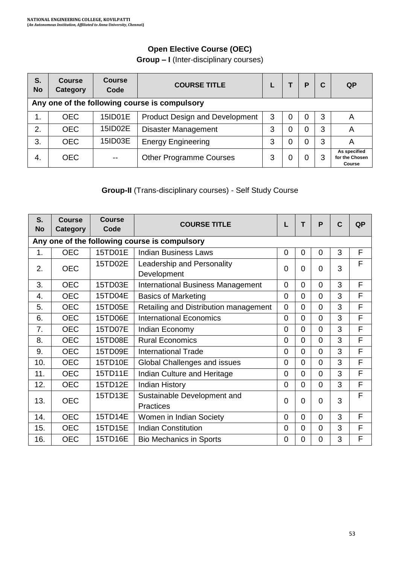# **Open Elective Course (OEC)**

**Group – I** (Inter-disciplinary courses)

| S.<br><b>No</b> | <b>Course</b><br>Category                     | <b>Course</b><br>Code | <b>COURSE TITLE</b>                   |   |   | P        | C | QP                                       |
|-----------------|-----------------------------------------------|-----------------------|---------------------------------------|---|---|----------|---|------------------------------------------|
|                 | Any one of the following course is compulsory |                       |                                       |   |   |          |   |                                          |
| 1.              | OEC.                                          | 15ID01E               | <b>Product Design and Development</b> | 3 |   | 0        | 3 | A                                        |
| 2.              | <b>OEC</b>                                    | 15ID02E               | <b>Disaster Management</b>            | 3 |   | $\Omega$ | 3 | Α                                        |
| 3.              | OEC.                                          | 15ID03E               | <b>Energy Engineering</b>             | 3 | 0 | $\Omega$ | 3 | Α                                        |
| -4.             | OEC.                                          |                       | <b>Other Programme Courses</b>        | 3 |   | 0        | 3 | As specified<br>for the Chosen<br>Course |

# **Group-II** (Trans-disciplinary courses) - Self Study Course

| S.<br><b>No</b> | Course<br>Category | <b>Course</b><br>Code | <b>COURSE TITLE</b>                           |   | т              | P              | $\mathbf{C}$ | <b>QP</b> |
|-----------------|--------------------|-----------------------|-----------------------------------------------|---|----------------|----------------|--------------|-----------|
|                 |                    |                       | Any one of the following course is compulsory |   |                |                |              |           |
| 1.              | <b>OEC</b>         | 15TD01E               | <b>Indian Business Laws</b>                   | 0 | $\Omega$       | $\Omega$       | 3            | F         |
| 2.              | <b>OEC</b>         | 15TD02E               | Leadership and Personality                    | 0 | 0              | $\Omega$       | 3            | F         |
|                 |                    |                       | Development                                   |   |                |                |              |           |
| 3.              | <b>OEC</b>         | 15TD03E               | <b>International Business Management</b>      | 0 | $\Omega$       | $\Omega$       | 3            | F         |
| 4.              | <b>OEC</b>         | 15TD04E               | <b>Basics of Marketing</b>                    | 0 | $\Omega$       | $\Omega$       | 3            | F         |
| 5.              | <b>OEC</b>         | 15TD05E               | Retailing and Distribution management         | 0 | $\Omega$       | $\Omega$       | 3            | F         |
| 6.              | <b>OEC</b>         | 15TD06E               | <b>International Economics</b>                | 0 | $\Omega$       | $\Omega$       | 3            | F         |
| 7.              | <b>OEC</b>         | 15TD07E               | Indian Economy                                | 0 | $\Omega$       | $\Omega$       | 3            | F         |
| 8.              | <b>OEC</b>         | 15TD08E               | <b>Rural Economics</b>                        | 0 | $\Omega$       | $\overline{0}$ | 3            | F         |
| 9.              | <b>OEC</b>         | 15TD09E               | <b>International Trade</b>                    | 0 | $\Omega$       | 0              | 3            | F         |
| 10.             | <b>OEC</b>         | 15TD10E               | Global Challenges and issues                  | 0 | $\overline{0}$ | 0              | 3            | F         |
| 11.             | <b>OEC</b>         | 15TD11E               | Indian Culture and Heritage                   | 0 | $\Omega$       | $\Omega$       | 3            | F         |
| 12.             | <b>OEC</b>         | 15TD12E               | <b>Indian History</b>                         | 0 | $\Omega$       | $\Omega$       | 3            | F         |
| 13.             | <b>OEC</b>         | 15TD13E               | Sustainable Development and                   | 0 | $\Omega$       | $\Omega$       | 3            | F         |
|                 |                    |                       | Practices                                     |   |                |                |              |           |
| 14.             | <b>OEC</b>         | 15TD14E               | Women in Indian Society                       | 0 | $\Omega$       | $\Omega$       | 3            | F         |
| 15.             | <b>OEC</b>         | 15TD15E               | <b>Indian Constitution</b>                    | 0 | 0              | $\Omega$       | 3            | F         |
| 16.             | <b>OEC</b>         | 15TD16E               | <b>Bio Mechanics in Sports</b>                | 0 | 0              | 0              | 3            | F         |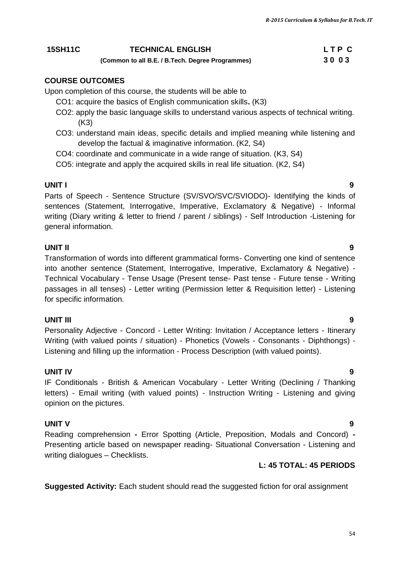*R-2015 Curriculum & Syllabus for B.Tech. IT*

#### **15SH11C TECHNICAL ENGLISH L T P C (Common to all B.E. / B.Tech. Degree Programmes) 3 0 0 3**

### **COURSE OUTCOMES**

Upon completion of this course, the students will be able to

- CO1: acquire the basics of English communication skills**.** (K3)
- CO2: apply the basic language skills to understand various aspects of technical writing. (K3)
- CO3: understand main ideas, specific details and implied meaning while listening and develop the factual & imaginative information. (K2, S4)
- CO4: coordinate and communicate in a wide range of situation. (K3, S4)
- CO5: integrate and apply the acquired skills in real life situation. (K2, S4)

#### **UNIT I 9**

Parts of Speech - Sentence Structure (SV/SVO/SVC/SVIODO)- Identifying the kinds of sentences (Statement, Interrogative, Imperative, Exclamatory & Negative) - Informal writing (Diary writing & letter to friend / parent / siblings) - Self Introduction -Listening for general information.

#### **UNIT II 9**

Transformation of words into different grammatical forms- Converting one kind of sentence into another sentence (Statement, Interrogative, Imperative, Exclamatory & Negative) - Technical Vocabulary - Tense Usage (Present tense- Past tense - Future tense - Writing passages in all tenses) - Letter writing (Permission letter & Requisition letter) - Listening for specific information.

#### **UNIT III 9**

Personality Adjective - Concord - Letter Writing: Invitation / Acceptance letters - Itinerary Writing (with valued points / situation) - Phonetics (Vowels - Consonants - Diphthongs) - Listening and filling up the information - Process Description (with valued points).

### **UNIT IV 9**

IF Conditionals - British & American Vocabulary - Letter Writing (Declining / Thanking letters) - Email writing (with valued points) - Instruction Writing - Listening and giving opinion on the pictures.

### **UNIT V 9**

Reading comprehension **-** Error Spotting (Article, Preposition, Modals and Concord) **-** Presenting article based on newspaper reading- Situational Conversation - Listening and writing dialogues – Checklists.

#### **L: 45 TOTAL: 45 PERIODS**

**Suggested Activity:** Each student should read the suggested fiction for oral assignment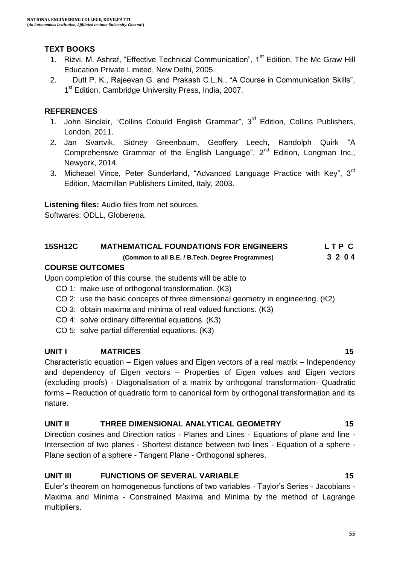## **TEXT BOOKS**

- 1. Rizvi. M. Ashraf, "Effective Technical Communication", 1<sup>st</sup> Edition, The Mc Graw Hill Education Private Limited, New Delhi, 2005.
- 2. Dutt P. K., Rajeevan G. and Prakash C.L.N., "A Course in Communication Skills", 1<sup>st</sup> Edition, Cambridge University Press, India, 2007.

### **REFERENCES**

- 1. John Sinclair, "Collins Cobuild English Grammar", 3<sup>rd</sup> Edition, Collins Publishers, London, 2011.
- 2. [Jan Svartvik,](https://www.google.co.in/search?biw=1024&bih=576&q=jan+svartvik&stick=H4sIAAAAAAAAAGOovnz8BQMDgwUHnxCXfq6-QV6SmUWxpRKYbVqem5xUpiWTnWyln5Sfn61fXpRZUpKaF1-eX5RtlVhakpFfpDedVfvFD4ETJcEfbsvvsX3qX_HuLQAx7IAcVQAAAA&sa=X&ei=dIYbVdvzPMSVuATNu4DIAg&ved=0CJYBEJsTKAEwEA) Sidney Greenbaum, Geoffery Leech, [Randolph Quirk](https://www.google.co.in/search?biw=1024&bih=576&q=randolph+quirk&stick=H4sIAAAAAAAAAGOovnz8BQMDgzkHnxCXfq6-QV6SmUWxpRIniG1cYlFUqCWTnWyln5Sfn61fXpRZUpKaF1-eX5RtlVhakpFfxB_W37_s6Y77f4pOrksIPb1Y-HuiEwCx_kweVAAAAA&sa=X&ei=dIYbVdvzPMSVuATNu4DIAg&ved=0CJgBEJsTKAMwEA) "A Comprehensive Grammar of the English Language",  $2<sup>nd</sup>$  Edition, Longman Inc., Newyork, 2014.
- 3. Micheael Vince, Peter Sunderland, "Advanced Language Practice with Key", 3<sup>rd</sup> Edition, Macmillan Publishers Limited, Italy, 2003.

**Listening files:** Audio files from net sources,

Softwares: ODLL, Globerena.

### **15SH12C MATHEMATICAL FOUNDATIONS FOR ENGINEERS L T P C**

### **(Common to all B.E. / B.Tech. Degree Programmes) 3 2 0 4**

#### **COURSE OUTCOMES**

Upon completion of this course, the students will be able to

- CO 1: make use of orthogonal transformation. (K3)
- CO 2: use the basic concepts of three dimensional geometry in engineering. (K2)
- CO 3: obtain maxima and minima of real valued functions. (K3)
- CO 4: solve ordinary differential equations. (K3)
- CO 5: solve partial differential equations. (K3)

### **UNIT I** MATRICES 15

Characteristic equation – Eigen values and Eigen vectors of a real matrix – Independency and dependency of Eigen vectors – Properties of Eigen values and Eigen vectors (excluding proofs) - Diagonalisation of a matrix by orthogonal transformation- Quadratic forms – Reduction of quadratic form to canonical form by orthogonal transformation and its nature.

### **UNIT II THREE DIMENSIONAL ANALYTICAL GEOMETRY 15**

Direction cosines and Direction ratios - Planes and Lines - Equations of plane and line - Intersection of two planes - Shortest distance between two lines - Equation of a sphere - Plane section of a sphere - Tangent Plane - Orthogonal spheres.

# UNIT III FUNCTIONS OF SEVERAL VARIABLE 15

Euler"s theorem on homogeneous functions of two variables - Taylor"s Series - Jacobians - Maxima and Minima - Constrained Maxima and Minima by the method of Lagrange multipliers.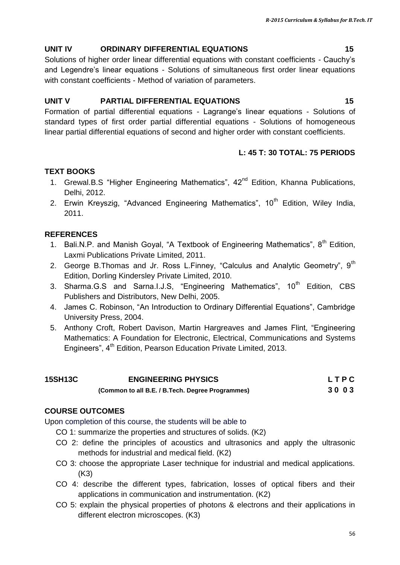# **UNIT IV ORDINARY DIFFERENTIAL EQUATIONS 15**

Solutions of higher order linear differential equations with constant coefficients - Cauchy"s and Legendre"s linear equations - Solutions of simultaneous first order linear equations with constant coefficients - Method of variation of parameters.

# **UNIT V PARTIAL DIFFERENTIAL EQUATIONS 15**

Formation of partial differential equations - Lagrange"s linear equations - Solutions of standard types of first order partial differential equations - Solutions of homogeneous linear partial differential equations of second and higher order with constant coefficients.

# **L: 45 T: 30 TOTAL: 75 PERIODS**

# **TEXT BOOKS**

- 1. Grewal.B.S "Higher Engineering Mathematics",  $42<sup>nd</sup>$  Edition, Khanna Publications, Delhi, 2012.
- 2. Erwin Kreyszig, "Advanced Engineering Mathematics",  $10<sup>th</sup>$  Edition, Wiley India, 2011.

# **REFERENCES**

- 1. Bali.N.P. and Manish Goyal, "A Textbook of Engineering Mathematics",  $8<sup>th</sup>$  Edition, Laxmi Publications Private Limited, 2011.
- 2. George B.Thomas and Jr. Ross L.Finney, "Calculus and Analytic Geometry", 9<sup>th</sup> Edition, Dorling Kindersley Private Limited, 2010.
- 3. Sharma.G.S and Sarna.I.J.S, "Engineering Mathematics", 10<sup>th</sup> Edition, CBS Publishers and Distributors, New Delhi, 2005.
- 4. James C. Robinson, "An Introduction to Ordinary Differential Equations", Cambridge University Press, 2004.
- 5. Anthony Croft, Robert Davison, Martin Hargreaves and James Flint, "Engineering Mathematics: A Foundation for Electronic, Electrical, Communications and Systems Engineers", 4<sup>th</sup> Edition, Pearson Education Private Limited, 2013.

| <b>15SH13C</b> | <b>ENGINEERING PHYSICS</b>                       | <b>LTPC</b> |
|----------------|--------------------------------------------------|-------------|
|                | (Common to all B.E. / B.Tech. Degree Programmes) | 3003        |

# **COURSE OUTCOMES**

Upon completion of this course, the students will be able to

- CO 1: summarize the properties and structures of solids. (K2)
- CO 2: define the principles of acoustics and ultrasonics and apply the ultrasonic methods for industrial and medical field. (K2)
- CO 3: choose the appropriate Laser technique for industrial and medical applications. (K3)
- CO 4: describe the different types, fabrication, losses of optical fibers and their applications in communication and instrumentation. (K2)
- CO 5: explain the physical properties of photons & electrons and their applications in different electron microscopes. (K3)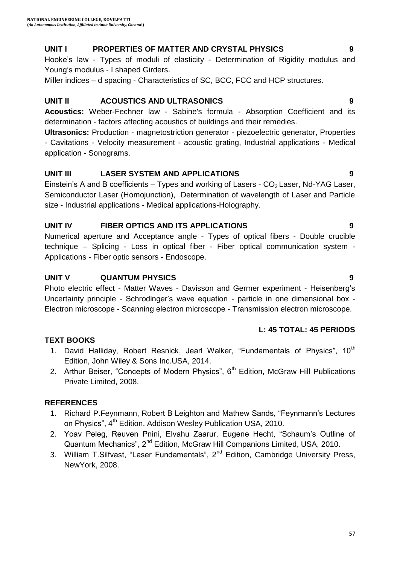# **UNIT I PROPERTIES OF MATTER AND CRYSTAL PHYSICS 9**

Hooke's law - Types of moduli of elasticity - Determination of Rigidity modulus and Young's modulus - I shaped Girders.

Miller indices – d spacing - Characteristics of SC, BCC, FCC and HCP structures.

# **UNIT II ACOUSTICS AND ULTRASONICS 9**

**Acoustics:** Weber-Fechner law - Sabine's formula - Absorption Coefficient and its determination - factors affecting acoustics of buildings and their remedies.

**Ultrasonics:** Production - magnetostriction generator - piezoelectric generator, Properties - Cavitations - Velocity measurement - acoustic grating, Industrial applications - Medical application - Sonograms.

# **UNIT III LASER SYSTEM AND APPLICATIONS 9**

Einstein's A and B coefficients – Types and working of Lasers -  $CO<sub>2</sub>$  Laser, Nd-YAG Laser, Semiconductor Laser (Homojunction), Determination of wavelength of Laser and Particle size - Industrial applications - Medical applications-Holography.

# **UNIT IV FIBER OPTICS AND ITS APPLICATIONS 9**

Numerical aperture and Acceptance angle - Types of optical fibers - Double crucible technique – Splicing - Loss in optical fiber - Fiber optical communication system - Applications - Fiber optic sensors - Endoscope.

# **UNIT V QUANTUM PHYSICS 9**

Photo electric effect - Matter Waves - Davisson and Germer experiment - Heisenberg"s Uncertainty principle - Schrodinger"s wave equation - particle in one dimensional box - Electron microscope - Scanning electron microscope - Transmission electron microscope.

# **L: 45 TOTAL: 45 PERIODS**

# **TEXT BOOKS**

- 1. David Halliday, Robert Resnick, Jearl Walker, "Fundamentals of Physics", 10<sup>th</sup> Edition, John Wiley & Sons Inc.USA, 2014.
- 2. Arthur Beiser, "Concepts of Modern Physics",  $6<sup>th</sup>$  Edition, McGraw Hill Publications Private Limited, 2008.

# **REFERENCES**

- 1. Richard P.Feynmann, Robert B Leighton and Mathew Sands, "Feynmann"s Lectures on Physics", 4<sup>th</sup> Edition, Addison Wesley Publication USA, 2010.
- 2. Yoav Peleg, Reuven Pnini, Elvahu Zaarur, Eugene Hecht, "Schaum"s Outline of Quantum Mechanics", 2<sup>nd</sup> Edition, McGraw Hill Companions Limited, USA, 2010.
- 3. William T. Silfvast, "Laser Fundamentals",  $2^{nd}$  Edition, Cambridge University Press, NewYork, 2008.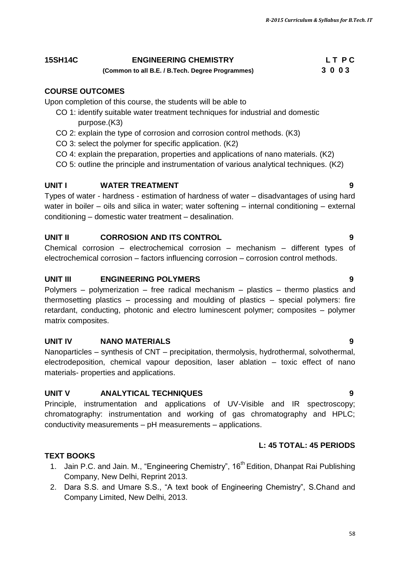### **15SH14C ENGINEERING CHEMISTRY L T P C**

#### **(Common to all B.E. / B.Tech. Degree Programmes) 3 0 0 3**

### **COURSE OUTCOMES**

Upon completion of this course, the students will be able to

- CO 1: identify suitable water treatment techniques for industrial and domestic purpose.(K3)
- CO 2: explain the type of corrosion and corrosion control methods. (K3)
- CO 3: select the polymer for specific application. (K2)
- CO 4: explain the preparation, properties and applications of nano materials. (K2)
- CO 5: outline the principle and instrumentation of various analytical techniques. (K2)

### **UNIT I** WATER TREATMENT **1** 9

Types of water - hardness - estimation of hardness of water – disadvantages of using hard water in boiler – oils and silica in water; water softening – internal conditioning – external conditioning – domestic water treatment – desalination.

#### **UNIT II CORROSION AND ITS CONTROL 9**

Chemical corrosion – electrochemical corrosion – mechanism – different types of electrochemical corrosion – factors influencing corrosion – corrosion control methods.

#### **UNIT III ENGINEERING POLYMERS 9**

Polymers – polymerization – free radical mechanism – plastics – thermo plastics and thermosetting plastics – processing and moulding of plastics – special polymers: fire retardant, conducting, photonic and electro luminescent polymer; composites – polymer matrix composites.

#### **UNIT IV NANO MATERIALS 9**

Nanoparticles – synthesis of CNT – precipitation, thermolysis, hydrothermal, solvothermal, electrodeposition, chemical vapour deposition, laser ablation – toxic effect of nano materials- properties and applications.

### **UNIT V ANALYTICAL TECHNIQUES 9**

Principle, instrumentation and applications of UV-Visible and IR spectroscopy; chromatography: instrumentation and working of gas chromatography and HPLC; conductivity measurements – pH measurements – applications.

#### **L: 45 TOTAL: 45 PERIODS**

#### **TEXT BOOKS**

- 1. Jain P.C. and Jain. M., "Engineering Chemistry", 16<sup>th</sup> Edition, Dhanpat Rai Publishing Company, New Delhi, Reprint 2013.
- 2. Dara S.S. and Umare S.S., "A text book of Engineering Chemistry", S.Chand and Company Limited, New Delhi, 2013.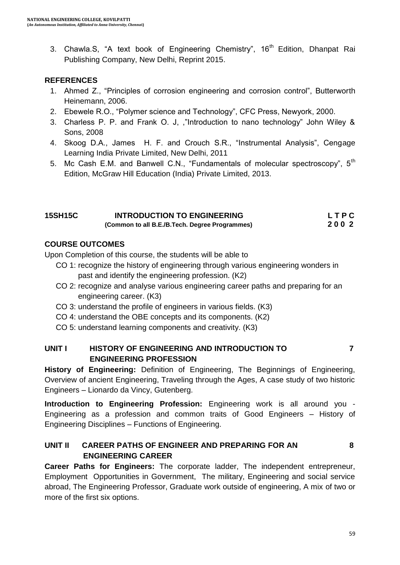3. Chawla.S, "A text book of Engineering Chemistry", 16<sup>th</sup> Edition, Dhanpat Rai Publishing Company, New Delhi, Reprint 2015.

## **REFERENCES**

- 1. Ahmed Z., "Principles of corrosion engineering and corrosion control", Butterworth Heinemann, 2006.
- 2. Ebewele R.O., "Polymer science and Technology", CFC Press, Newyork, 2000.
- 3. Charless P. P. and Frank O. J, ,"Introduction to nano technology" John Wiley & Sons, 2008
- 4. Skoog D.A., James H. F. and Crouch S.R., "Instrumental Analysis", Cengage Learning India Private Limited, New Delhi, 2011
- 5. Mc Cash E.M. and Banwell C.N., "Fundamentals of molecular spectroscopy", 5<sup>th</sup> Edition, McGraw Hill Education (India) Private Limited, 2013.

| <b>15SH15C</b> | <b>INTRODUCTION TO ENGINEERING</b>             | LTPC |
|----------------|------------------------------------------------|------|
|                | (Common to all B.E./B.Tech. Degree Programmes) | 2002 |

### **COURSE OUTCOMES**

Upon Completion of this course, the students will be able to

- CO 1: recognize the history of engineering through various engineering wonders in past and identify the engineering profession. (K2)
- CO 2: recognize and analyse various engineering career paths and preparing for an engineering career. (K3)
- CO 3: understand the profile of engineers in various fields. (K3)
- CO 4: understand the OBE concepts and its components. (K2)
- CO 5: understand learning components and creativity. (K3)

### **UNIT I HISTORY OF ENGINEERING AND INTRODUCTION TO 7 ENGINEERING PROFESSION**

**History of Engineering:** Definition of Engineering, The Beginnings of Engineering, Overview of ancient Engineering, Traveling through the Ages, A case study of two historic Engineers – Lionardo da Vincy, Gutenberg.

**Introduction to Engineering Profession:** Engineering work is all around you - Engineering as a profession and common traits of Good Engineers – History of Engineering Disciplines – Functions of Engineering.

# **UNIT II CAREER PATHS OF ENGINEER AND PREPARING FOR AN 8 ENGINEERING CAREER**

**Career Paths for Engineers:** The corporate ladder, The independent entrepreneur, Employment Opportunities in Government, The military, Engineering and social service abroad, The Engineering Professor, Graduate work outside of engineering, A mix of two or more of the first six options.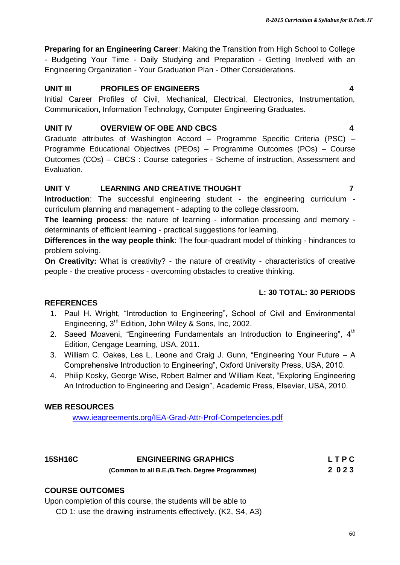**Preparing for an Engineering Career**: Making the Transition from High School to College - Budgeting Your Time - Daily Studying and Preparation - Getting Involved with an Engineering Organization - Your Graduation Plan - Other Considerations.

#### **UNIT III PROFILES OF ENGINEERS 4**

Initial Career Profiles of Civil, Mechanical, Electrical, Electronics, Instrumentation, Communication, Information Technology, Computer Engineering Graduates.

### **UNIT IV OVERVIEW OF OBE AND CBCS 4**

Graduate attributes of Washington Accord – Programme Specific Criteria (PSC) – Programme Educational Objectives (PEOs) – Programme Outcomes (POs) – Course Outcomes (COs) – CBCS : Course categories - Scheme of instruction, Assessment and Evaluation.

### **UNIT V LEARNING AND CREATIVE THOUGHT 7**

**Introduction**: The successful engineering student - the engineering curriculum curriculum planning and management - adapting to the college classroom.

**The learning process**: the nature of learning - information processing and memory determinants of efficient learning - practical suggestions for learning.

**Differences in the way people think**: The four-quadrant model of thinking - hindrances to problem solving.

**On Creativity:** What is creativity? - the nature of creativity - characteristics of creative people - the creative process - overcoming obstacles to creative thinking.

### **L: 30 TOTAL: 30 PERIODS**

### **REFERENCES**

- 1. Paul H. Wright, "Introduction to Engineering", School of Civil and Environmental Engineering, 3rd Edition, John Wiley & Sons, Inc, 2002.
- 2. Saeed Moaveni, "Engineering Fundamentals an Introduction to Engineering", 4<sup>th</sup> Edition, Cengage Learning, USA, 2011.
- 3. William C. Oakes, Les L. Leone and Craig J. Gunn, "Engineering Your Future A Comprehensive Introduction to Engineering", Oxford University Press, USA, 2010.
- 4. Philip Kosky, George Wise, Robert Balmer and William Keat, "Exploring Engineering An Introduction to Engineering and Design", Academic Press, Elsevier, USA, 2010.

### **WEB RESOURCES**

[www.ieagreements.org/IEA-Grad-Attr-Prof-Competencies.pdf](http://www.ieagreements.org/IEA-Grad-Attr-Prof-Competencies.pdf)

| <b>15SH16C</b> | <b>ENGINEERING GRAPHICS</b>                    | LTPC |
|----------------|------------------------------------------------|------|
|                | (Common to all B.E./B.Tech. Degree Programmes) | 2023 |

### **COURSE OUTCOMES**

Upon completion of this course, the students will be able to

CO 1: use the drawing instruments effectively. (K2, S4, A3)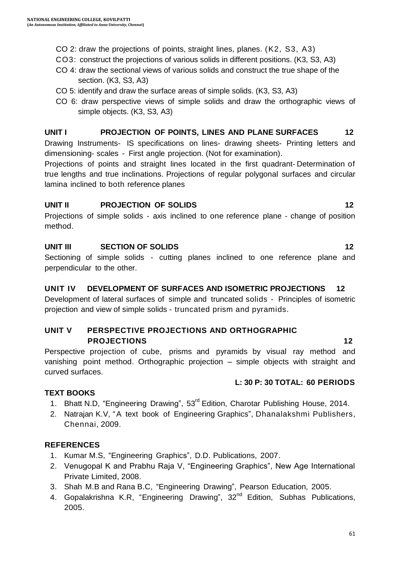- CO 2: draw the projections of points, straight lines, planes. (K2, S3, A3)
- CO3: construct the projections of various solids in different positions. (K3, S3, A3)
- CO 4: draw the sectional views of various solids and construct the true shape of the section. (K3, S3, A3)
- CO 5: identify and draw the surface areas of simple solids. (K3, S3, A3)
- CO 6: draw perspective views of simple solids and draw the orthographic views of simple objects. (K3, S3, A3)

#### **UNIT I PROJECTION OF POINTS, LINES AND PLANE SURFACES 12**

Drawing Instruments- IS specifications on lines- drawing sheets- Printing letters and dimensioning- scales - First angle projection. (Not for examination).

Projections of points and straight lines located in the first quadrant- Determination of true lengths and true inclinations. Projections of regular polygonal surfaces and circular lamina inclined to both reference planes

#### **UNIT II PROJECTION OF SOLIDS 12**

Projections of simple solids - axis inclined to one reference plane - change of position method.

### **UNIT III** SECTION OF SOLIDS 12

Sectioning of simple solids - cutting planes inclined to one reference plane and perpendicular to the other.

### **UNIT IV DEVELOPMENT OF SURFACES AND ISOMETRIC PROJECTIONS 12**

Development of lateral surfaces of simple and truncated solids - Principles of isometric projection and view of simple solids - truncated prism and pyramids.

#### **UNIT V PERSPECTIVE PROJECTIONS AND ORTHOGRAPHIC PROJECTIONS 12**

Perspective projection of cube, prisms and pyramids by visual ray method and vanishing point method. Orthographic projection – simple objects with straight and curved surfaces.

#### **L: 30 P: 30 TOTAL: 60 PERIODS**

### **TEXT BOOKS**

- 1. Bhatt N.D, "Engineering Drawing", 53<sup>rd</sup> Edition, Charotar Publishing House, 2014.
- 2. Natrajan K.V, "A text book of Engineering Graphics", Dhanalakshmi Publishers, Chennai, 2009.

### **REFERENCES**

- 1. Kumar M.S, "Engineering Graphics", D.D. Publications, 2007.
- 2. Venugopal K and Prabhu Raja V, "Engineering Graphics", New Age International Private Limited, 2008.
- 3. Shah M.B and Rana B.C, "Engineering Drawing", Pearson Education, 2005.
- 4. Gopalakrishna K.R, "Engineering Drawing", 32<sup>nd</sup> Edition, Subhas Publications, 2005.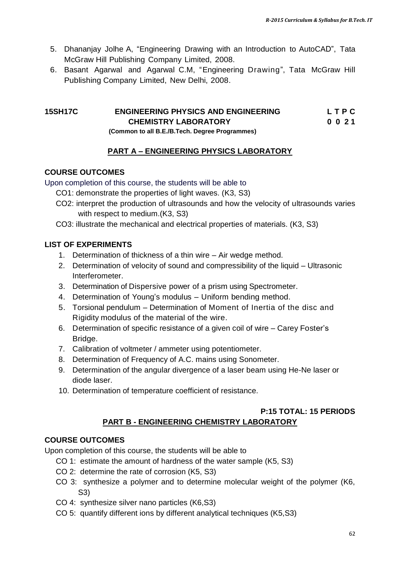- 5. Dhananjay Jolhe A, "Engineering Drawing with an Introduction to AutoCAD", Tata McGraw Hill Publishing Company Limited, 2008.
- 6. Basant Agarwal and Agarwal C.M, "Engineering Drawing", Tata McGraw Hill Publishing Company Limited, New Delhi, 2008.

#### **15SH17C ENGINEERING PHYSICS AND ENGINEERING L T P C CHEMISTRY LABORATORY 0 0 2 1**

 **(Common to all B.E./B.Tech. Degree Programmes)** 

### **PART A – ENGINEERING PHYSICS LABORATORY**

### **COURSE OUTCOMES**

Upon completion of this course, the students will be able to

- CO1: demonstrate the properties of light waves. (K3, S3)
- CO2: interpret the production of ultrasounds and how the velocity of ultrasounds varies with respect to medium.(K3, S3)
- CO3: illustrate the mechanical and electrical properties of materials. (K3, S3)

### **LIST OF EXPERIMENTS**

- 1. Determination of thickness of a thin wire Air wedge method.
- 2. Determination of velocity of sound and compressibility of the liquid Ultrasonic Interferometer.
- 3. Determination of Dispersive power of a prism using Spectrometer.
- 4. Determination of Young"s modulus Uniform bending method.
- 5. Torsional pendulum Determination of Moment of Inertia of the disc and Rigidity modulus of the material of the wire.
- 6. Determination of specific resistance of a given coil of wire Carey Foster"s Bridge.
- 7. Calibration of voltmeter / ammeter using potentiometer.
- 8. Determination of Frequency of A.C. mains using Sonometer.
- 9. Determination of the angular divergence of a laser beam using He-Ne laser or diode laser.
- 10. Determination of temperature coefficient of resistance.

#### **P:15 TOTAL: 15 PERIODS PART B - ENGINEERING CHEMISTRY LABORATORY**

### **COURSE OUTCOMES**

Upon completion of this course, the students will be able to

- CO 1: estimate the amount of hardness of the water sample (K5, S3)
- CO 2: determine the rate of corrosion (K5, S3)
- CO 3: synthesize a polymer and to determine molecular weight of the polymer (K6, S3)
- CO 4: synthesize silver nano particles (K6,S3)
- CO 5: quantify different ions by different analytical techniques (K5,S3)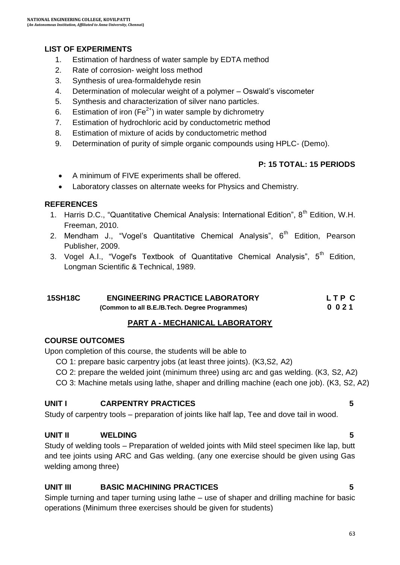### **LIST OF EXPERIMENTS**

- 1. Estimation of hardness of water sample by EDTA method
- 2. Rate of corrosion- weight loss method
- 3. Synthesis of urea-formaldehyde resin
- 4. Determination of molecular weight of a polymer Oswald"s viscometer
- 5. Synthesis and characterization of silver nano particles.
- 6. Estimation of iron ( $Fe<sup>2+</sup>$ ) in water sample by dichrometry
- 7. Estimation of hydrochloric acid by conductometric method
- 8. Estimation of mixture of acids by conductometric method
- 9. Determination of purity of simple organic compounds using HPLC- (Demo).

### **P: 15 TOTAL: 15 PERIODS**

- A minimum of FIVE experiments shall be offered.
- Laboratory classes on alternate weeks for Physics and Chemistry.

#### **REFERENCES**

- 1. Harris D.C., "Quantitative Chemical Analysis: International Edition", 8<sup>th</sup> Edition, W.H. Freeman, 2010.
- 2. Mendham J., "Vogel's Quantitative Chemical Analysis", 6<sup>th</sup> Edition, Pearson Publisher, 2009.
- 3. [Vogel](https://www.google.co.in/search?tbo=p&tbm=bks&q=inauthor:%22Arthur+Israel+Vogel%22) A.I., "Vogel's Textbook of Quantitative Chemical Analysis", 5<sup>th</sup> Edition, Longman Scientific & Technical, 1989.

| 15SH18C | <b>ENGINEERING PRACTICE LABORATORY</b>         | LTP C |
|---------|------------------------------------------------|-------|
|         | (Common to all B.E./B.Tech. Degree Programmes) | 0021  |

### **PART A - MECHANICAL LABORATORY**

#### **COURSE OUTCOMES**

Upon completion of this course, the students will be able to

CO 1: prepare basic carpentry jobs (at least three joints). (K3,S2, A2)

CO 2: prepare the welded joint (minimum three) using arc and gas welding. (K3, S2, A2)

CO 3: Machine metals using lathe, shaper and drilling machine (each one job). (K3, S2, A2)

#### **UNIT I CARPENTRY PRACTICES 5**

Study of carpentry tools – preparation of joints like half lap, Tee and dove tail in wood.

### **UNIT II WELDING 5**

Study of welding tools – Preparation of welded joints with Mild steel specimen like lap, butt and tee joints using ARC and Gas welding. (any one exercise should be given using Gas welding among three)

### **UNIT III BASIC MACHINING PRACTICES 5**

Simple turning and taper turning using lathe – use of shaper and drilling machine for basic operations (Minimum three exercises should be given for students)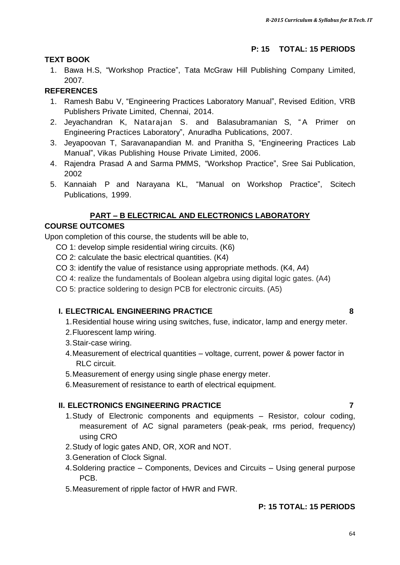### **P: 15 TOTAL: 15 PERIODS**

#### **TEXT BOOK**

1. Bawa H.S, "Workshop Practice", Tata McGraw Hill Publishing Company Limited, 2007.

## **REFERENCES**

- 1. Ramesh Babu V, "Engineering Practices Laboratory Manual", Revised Edition, VRB Publishers Private Limited, Chennai, 2014.
- 2. Jeyachandran K, Natarajan S. and Balasubramanian S, "A Primer on Engineering Practices Laboratory", Anuradha Publications, 2007.
- 3. Jeyapoovan T, Saravanapandian M. and Pranitha S, "Engineering Practices Lab Manual", Vikas Publishing House Private Limited, 2006.
- 4. Rajendra Prasad A and Sarma PMMS, "Workshop Practice", Sree Sai Publication, 2002
- 5. Kannaiah P and Narayana KL, "Manual on Workshop Practice", Scitech Publications, 1999.

# **PART – B ELECTRICAL AND ELECTRONICS LABORATORY**

### **COURSE OUTCOMES**

Upon completion of this course, the students will be able to,

- CO 1: develop simple residential wiring circuits. (K6)
- CO 2: calculate the basic electrical quantities. (K4)
- CO 3: identify the value of resistance using appropriate methods. (K4, A4)
- CO 4: realize the fundamentals of Boolean algebra using digital logic gates. (A4)
- CO 5: practice soldering to design PCB for electronic circuits. (A5)

### **I. ELECTRICAL ENGINEERING PRACTICE 8**

- 1.Residential house wiring using switches, fuse, indicator, lamp and energy meter.
- 2.Fluorescent lamp wiring.
- 3.Stair-case wiring.
- 4.Measurement of electrical quantities voltage, current, power & power factor in RLC circuit.
- 5.Measurement of energy using single phase energy meter.
- 6.Measurement of resistance to earth of electrical equipment.

### **II. ELECTRONICS ENGINEERING PRACTICE 7**

- 1.Study of Electronic components and equipments Resistor, colour coding, measurement of AC signal parameters (peak-peak, rms period, frequency) using CRO
- 2.Study of logic gates AND, OR, XOR and NOT.
- 3.Generation of Clock Signal.
- 4.Soldering practice Components, Devices and Circuits Using general purpose PCB.
- 5.Measurement of ripple factor of HWR and FWR.

# **P: 15 TOTAL: 15 PERIODS**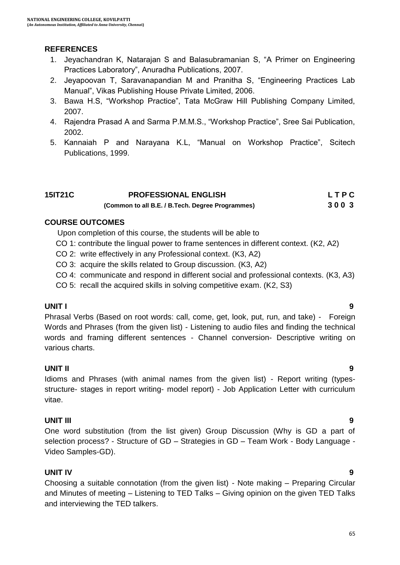### **REFERENCES**

- 1. Jeyachandran K, Natarajan S and Balasubramanian S, "A Primer on Engineering Practices Laboratory", Anuradha Publications, 2007.
- 2. Jeyapoovan T, Saravanapandian M and Pranitha S, "Engineering Practices Lab Manual", Vikas Publishing House Private Limited, 2006.
- 3. Bawa H.S, "Workshop Practice", Tata McGraw Hill Publishing Company Limited, 2007.
- 4. Rajendra Prasad A and Sarma P.M.M.S., "Workshop Practice", Sree Sai Publication, 2002.
- 5. Kannaiah P and Narayana K.L, "Manual on Workshop Practice", Scitech Publications, 1999.

| 15IT21C | <b>PROFESSIONAL ENGLISH</b>                      | LTPC |
|---------|--------------------------------------------------|------|
|         | (Common to all B.E. / B.Tech. Degree Programmes) | 3003 |

#### **COURSE OUTCOMES**

- Upon completion of this course, the students will be able to
- CO 1: contribute the lingual power to frame sentences in different context. (K2, A2)
- CO 2: write effectively in any Professional context. (K3, A2)
- CO 3: acquire the skills related to Group discussion. (K3, A2)
- CO 4: communicate and respond in different social and professional contexts. (K3, A3)
- CO 5: recall the acquired skills in solving competitive exam. (K2, S3)

#### **UNIT I 9**

Phrasal Verbs (Based on root words: call, come, get, look, put, run, and take) - Foreign Words and Phrases (from the given list) - Listening to audio files and finding the technical words and framing different sentences - Channel conversion- Descriptive writing on various charts.

### **UNIT II 9**

Idioms and Phrases (with animal names from the given list) - Report writing (typesstructure- stages in report writing- model report) - Job Application Letter with curriculum vitae.

#### **UNIT III 9**

One word substitution (from the list given) Group Discussion (Why is GD a part of selection process? - Structure of GD – Strategies in GD – Team Work - Body Language - Video Samples-GD).

### **UNIT IV 9**

Choosing a suitable connotation (from the given list) - Note making – Preparing Circular and Minutes of meeting – Listening to TED Talks – Giving opinion on the given TED Talks and interviewing the TED talkers.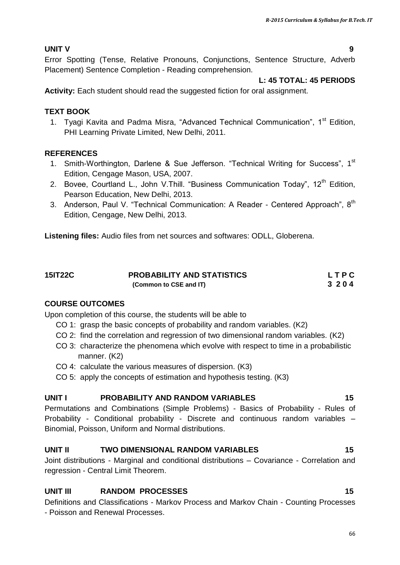### **UNIT V 9**

Error Spotting (Tense, Relative Pronouns, Conjunctions, Sentence Structure, Adverb Placement) Sentence Completion - Reading comprehension.

#### **L: 45 TOTAL: 45 PERIODS**

**Activity:** Each student should read the suggested fiction for oral assignment.

#### **TEXT BOOK**

1. Tyagi Kavita and Padma Misra, "Advanced Technical Communication", 1<sup>st</sup> Edition, PHI Learning Private Limited, New Delhi, 2011.

#### **REFERENCES**

- 1. Smith-Worthington, Darlene & Sue Jefferson. "Technical Writing for Success", 1<sup>st</sup> Edition, Cengage Mason, USA, 2007.
- 2. Bovee, Courtland L., John V. Thill. "Business Communication Today", 12<sup>th</sup> Edition, Pearson Education, New Delhi, 2013.
- 3. Anderson, Paul V. "Technical Communication: A Reader Centered Approach", 8<sup>th</sup> Edition, Cengage, New Delhi, 2013.

**Listening files:** Audio files from net sources and softwares: ODLL, Globerena.

| 15IT22C | <b>PROBABILITY AND STATISTICS</b> | LTPC |
|---------|-----------------------------------|------|
|         | (Common to CSE and IT)            | 3204 |

### **COURSE OUTCOMES**

Upon completion of this course, the students will be able to

- CO 1: grasp the basic concepts of probability and random variables. (K2)
- CO 2: find the correlation and regression of two dimensional random variables. (K2)
- CO 3: characterize the phenomena which evolve with respect to time in a probabilistic manner. (K2)
- CO 4: calculate the various measures of dispersion. (K3)
- CO 5: apply the concepts of estimation and hypothesis testing. (K3)

#### **UNIT I PROBABILITY AND RANDOM VARIABLES 15**

Permutations and Combinations (Simple Problems) - Basics of Probability - Rules of Probability - Conditional probability - Discrete and continuous random variables – Binomial, Poisson, Uniform and Normal distributions.

#### **UNIT II TWO DIMENSIONAL RANDOM VARIABLES 15**

Joint distributions - Marginal and conditional distributions – Covariance - Correlation and regression - Central Limit Theorem.

### **UNIT III** RANDOM PROCESSES 15

Definitions and Classifications - Markov Process and Markov Chain - Counting Processes - Poisson and Renewal Processes.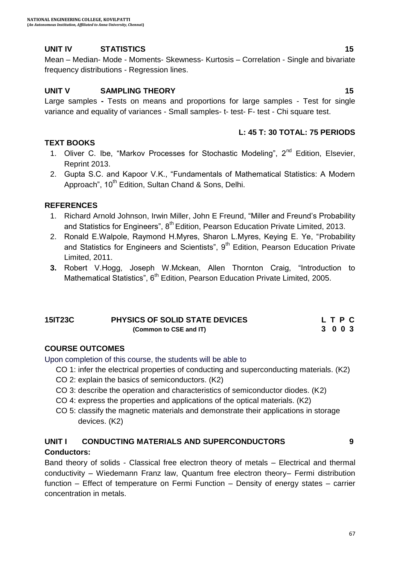### **UNIT IV STATISTICS 15**

Mean – Median- Mode - Moments- Skewness- Kurtosis – Correlation - Single and bivariate frequency distributions - Regression lines.

#### **UNIT V SAMPLING THEORY** 15

Large samples **-** Tests on means and proportions for large samples - Test for single variance and equality of variances - Small samples- t- test- F- test - Chi square test.

#### **L: 45 T: 30 TOTAL: 75 PERIODS**

- **TEXT BOOKS** 1. Oliver C. Ibe, "Markov Processes for Stochastic Modeling",  $2^{nd}$  Edition, Elsevier, Reprint 2013.
	- 2. Gupta S.C. and Kapoor V.K., "Fundamentals of Mathematical Statistics: A Modern Approach", 10<sup>th</sup> Edition, Sultan Chand & Sons, Delhi.

#### **REFERENCES**

- 1. [Richard Arnold Johnson,](https://www.google.co.in/search?tbm=bks&tbm=bks&q=inauthor:%22Richard+Arnold+Johnson%22&sa=X&ei=HhslVbXCD8OiugTVnICoBg&ved=0CCQQ9AgwAQ) [Irwin Miller,](https://www.google.co.in/search?tbm=bks&q=inauthor:%22Irwin+Miller%22&sa=X&ei=HhslVbXCD8OiugTVnICoBg&ved=0CCUQ9AgwAQ&biw=1366&bih=601&dpr=1) [John E Freund](https://www.google.co.in/search?tbm=bks&tbm=bks&q=inauthor:%22John+E+Freund%22&sa=X&ei=HhslVbXCD8OiugTVnICoBg&ved=0CCYQ9AgwAQ), "Miller and Freund"s Probability and Statistics for Engineers", 8<sup>th</sup> Edition, Pearson Education Private Limited, 2013.
- 2. Ronald E.Walpole, Raymond H.Myres, Sharon L.Myres, Keying E. Ye, "Probability and Statistics for Engineers and Scientists", 9<sup>th</sup> Edition, Pearson Education Private Limited, 2011.
- **3.** Robert V.Hogg, Joseph W.Mckean, Allen Thornton Craig, "Introduction to Mathematical Statistics", 6<sup>th</sup> Edition, Pearson Education Private Limited, 2005.

| <b>15IT23C</b> | <b>PHYSICS OF SOLID STATE DEVICES</b> | LTPC |
|----------------|---------------------------------------|------|
|                | (Common to CSE and IT)                | 3003 |

#### **COURSE OUTCOMES**

Upon completion of this course, the students will be able to

CO 1: infer the electrical properties of conducting and superconducting materials. (K2)

- CO 2: explain the basics of semiconductors. (K2)
- CO 3: describe the operation and characteristics of semiconductor diodes. (K2)
- CO 4: express the properties and applications of the optical materials. (K2)
- CO 5: classify the magnetic materials and demonstrate their applications in storage devices. (K2)

#### **UNIT I CONDUCTING MATERIALS AND SUPERCONDUCTORS 9**

#### **Conductors:**

Band theory of solids - Classical free electron theory of metals – Electrical and thermal conductivity – Wiedemann Franz law, Quantum free electron theory– Fermi distribution function – Effect of temperature on Fermi Function – Density of energy states – carrier concentration in metals.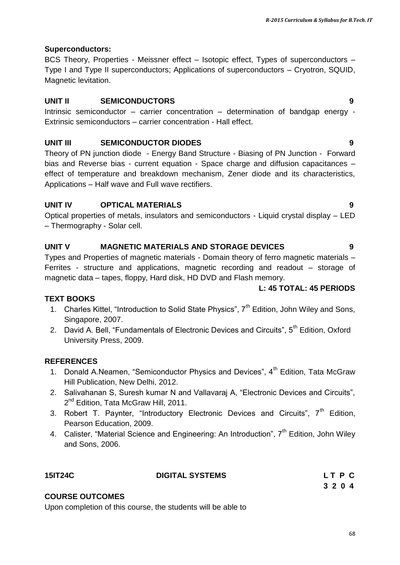#### **Superconductors:**

BCS Theory, Properties - Meissner effect – Isotopic effect, Types of superconductors – Type I and Type II superconductors; Applications of superconductors – Cryotron, SQUID, Magnetic levitation.

#### **UNIT II SEMICONDUCTORS 9**

Intrinsic semiconductor – carrier concentration – determination of bandgap energy - Extrinsic semiconductors – carrier concentration - Hall effect.

#### **UNIT III SEMICONDUCTOR DIODES 9**

Theory of PN junction diode - Energy Band Structure - Biasing of PN Junction - Forward bias and Reverse bias - current equation - Space charge and diffusion capacitances – effect of temperature and breakdown mechanism, Zener diode and its characteristics, Applications – Half wave and Full wave rectifiers.

### **UNIT IV OPTICAL MATERIALS 9**

Optical properties of metals, insulators and semiconductors - Liquid crystal display – LED – Thermography - Solar cell.

#### **UNIT V MAGNETIC MATERIALS AND STORAGE DEVICES 9**

Types and Properties of magnetic materials - Domain theory of ferro magnetic materials – Ferrites - structure and applications, magnetic recording and readout – storage of magnetic data – tapes, floppy, Hard disk, HD DVD and Flash memory.

#### **L: 45 TOTAL: 45 PERIODS**

#### **TEXT BOOKS**

- 1. Charles Kittel, "Introduction to Solid State Physics",  $7<sup>th</sup>$  Edition, John Wiley and Sons, Singapore, 2007.
- 2. David A. Bell, "Fundamentals of Electronic Devices and Circuits", 5<sup>th</sup> Edition. Oxford University Press, 2009.

### **REFERENCES**

- 1. Donald A.Neamen, "Semiconductor Physics and Devices",  $4^{th}$  Edition, Tata McGraw Hill Publication, New Delhi, 2012.
- 2. Salivahanan S, Suresh kumar N and Vallavaraj A, "Electronic Devices and Circuits", 2<sup>nd</sup> Edition, Tata McGraw Hill, 2011.
- 3. Robert T. Paynter, "Introductory Electronic Devices and Circuits",  $7<sup>th</sup>$  Edition. Pearson Education, 2009.
- 4. Calister, "Material Science and Engineering: An Introduction",  $7<sup>th</sup>$  Edition, John Wiley and Sons, 2006.

| <b>15IT24C</b> | <b>DIGITAL SYSTEMS</b> | LT P C  |
|----------------|------------------------|---------|
|                |                        | 3 2 0 4 |

#### **COURSE OUTCOMES**

Upon completion of this course, the students will be able to

# **L T P C**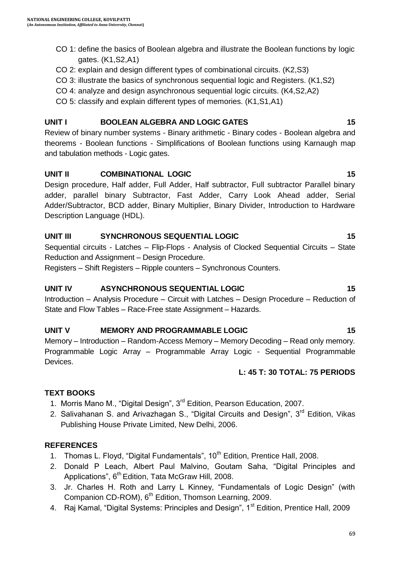- CO 1: define the basics of Boolean algebra and illustrate the Boolean functions by logic gates. (K1,S2,A1)
- CO 2: explain and design different types of combinational circuits. (K2,S3)
- CO 3: illustrate the basics of synchronous sequential logic and Registers. (K1,S2)
- CO 4: analyze and design asynchronous sequential logic circuits. (K4,S2,A2)
- CO 5: classify and explain different types of memories. (K1,S1,A1)

### **UNIT I BOOLEAN ALGEBRA AND LOGIC GATES 15**

Review of binary number systems - Binary arithmetic - Binary codes - Boolean algebra and theorems - Boolean functions - Simplifications of Boolean functions using Karnaugh map and tabulation methods - Logic gates.

### **UNIT II COMBINATIONAL LOGIC** 15

Design procedure, Half adder, Full Adder, Half subtractor, Full subtractor Parallel binary adder, parallel binary Subtractor, Fast Adder, Carry Look Ahead adder, Serial Adder/Subtractor, BCD adder, Binary Multiplier, Binary Divider, Introduction to Hardware Description Language (HDL).

### **UNIT III** SYNCHRONOUS SEQUENTIAL LOGIC 15

Sequential circuits - Latches – Flip-Flops - Analysis of Clocked Sequential Circuits – State Reduction and Assignment – Design Procedure.

Registers – Shift Registers – Ripple counters – Synchronous Counters.

### **UNIT IV ASYNCHRONOUS SEQUENTIAL LOGIC 15**

Introduction – Analysis Procedure – Circuit with Latches – Design Procedure – Reduction of State and Flow Tables – Race-Free state Assignment – Hazards.

# UNIT V MEMORY AND PROGRAMMABLE LOGIC 15

Memory – Introduction – Random-Access Memory – Memory Decoding – Read only memory. Programmable Logic Array – Programmable Array Logic - Sequential Programmable Devices.

### **L: 45 T: 30 TOTAL: 75 PERIODS**

# **TEXT BOOKS**

- 1. Morris Mano M., "Digital Design", 3<sup>rd</sup> Edition, Pearson Education, 2007.
- 2. Salivahanan S. and Arivazhagan S., "Digital Circuits and Design", 3<sup>rd</sup> Edition, Vikas Publishing House Private Limited, New Delhi, 2006.

### **REFERENCES**

- 1. Thomas L. Floyd, "Digital Fundamentals", 10<sup>th</sup> Edition, Prentice Hall, 2008.
- 2. Donald P Leach, Albert Paul Malvino, Goutam Saha, "Digital Principles and Applications", 6<sup>th</sup> Edition, Tata McGraw Hill, 2008.
- 3. Jr. Charles H. Roth and Larry L Kinney, "Fundamentals of Logic Design" (with Companion CD-ROM),  $6<sup>th</sup>$  Edition, Thomson Learning, 2009.
- 4. Raj Kamal, "Digital Systems: Principles and Design", 1<sup>st</sup> Edition, Prentice Hall, 2009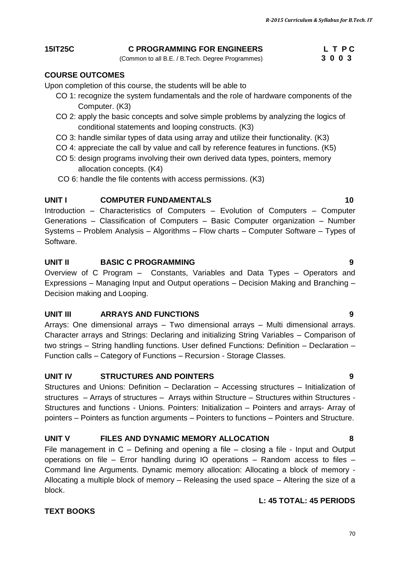### CO 2: apply the basic concepts and solve simple problems by analyzing the logics of

**COURSE OUTCOMES**

Computer. (K3)

- CO 3: handle similar types of data using array and utilize their functionality. (K3)
- CO 4: appreciate the call by value and call by reference features in functions. (K5)
- CO 5: design programs involving their own derived data types, pointers, memory allocation concepts. (K4)
- CO 6: handle the file contents with access permissions. (K3)

conditional statements and looping constructs. (K3)

Upon completion of this course, the students will be able to

#### **UNIT I** COMPUTER FUNDAMENTALS 10

Introduction – Characteristics of Computers – Evolution of Computers – Computer Generations – Classification of Computers – Basic Computer organization – Number Systems – Problem Analysis – Algorithms – Flow charts – Computer Software – Types of Software.

#### **UNIT II BASIC C PROGRAMMING 9**

Overview of C Program – Constants, Variables and Data Types – Operators and Expressions – Managing Input and Output operations – Decision Making and Branching – Decision making and Looping.

#### **UNIT III ARRAYS AND FUNCTIONS 9**

Arrays: One dimensional arrays – Two dimensional arrays – Multi dimensional arrays. Character arrays and Strings: Declaring and initializing String Variables – Comparison of two strings – String handling functions. User defined Functions: Definition – Declaration – Function calls – Category of Functions – Recursion - Storage Classes.

#### **UNIT IV STRUCTURES AND POINTERS 9**

Structures and Unions: Definition – Declaration – Accessing structures – Initialization of structures – Arrays of structures – Arrays within Structure – Structures within Structures - Structures and functions - Unions. Pointers: Initialization – Pointers and arrays- Array of pointers – Pointers as function arguments – Pointers to functions – Pointers and Structure.

### **UNIT V FILES AND DYNAMIC MEMORY ALLOCATION 8**

File management in C – Defining and opening a file – closing a file - Input and Output operations on file – Error handling during IO operations – Random access to files – Command line Arguments. Dynamic memory allocation: Allocating a block of memory - Allocating a multiple block of memory – Releasing the used space – Altering the size of a block.

#### **L: 45 TOTAL: 45 PERIODS**

#### **TEXT BOOKS**

#### 70

#### **15IT25C C PROGRAMMING FOR ENGINEERS L T P C**

CO 1: recognize the system fundamentals and the role of hardware components of the

(Common to all B.E. / B.Tech. Degree Programmes) **3 0 0 3**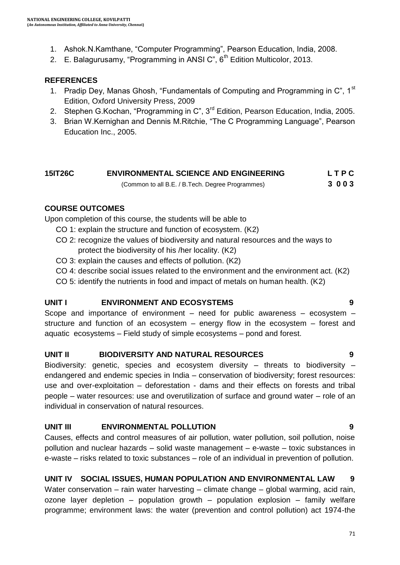- 1. Ashok.N.Kamthane, "Computer Programming", Pearson Education, India, 2008.
- 2. E. Balagurusamy, "Programming in ANSI C",  $6<sup>th</sup>$  Edition Multicolor, 2013.

### **REFERENCES**

- 1. Pradip Dey, Manas Ghosh, "Fundamentals of Computing and Programming in  $C^*$ , 1st Edition, Oxford University Press, 2009
- 2. Stephen G.Kochan, "Programming in C", 3<sup>rd</sup> Edition, Pearson Education, India, 2005.
- 3. Brian W.Kernighan and Dennis M.Ritchie, "The C Programming Language", Pearson Education Inc., 2005.

#### **15IT26C ENVIRONMENTAL SCIENCE AND ENGINEERING L T P C**  (Common to all B.E. / B.Tech. Degree Programmes) **3 0 0 3**

### **COURSE OUTCOMES**

Upon completion of this course, the students will be able to

- CO 1: explain the structure and function of ecosystem. (K2)
- CO 2: recognize the values of biodiversity and natural resources and the ways to protect the biodiversity of his /her locality. (K2)
- CO 3: explain the causes and effects of pollution. (K2)
- CO 4: describe social issues related to the environment and the environment act. (K2)
- CO 5: identify the nutrients in food and impact of metals on human health. (K2)

### **UNIT I ENVIRONMENT AND ECOSYSTEMS 9**

Scope and importance of environment – need for public awareness – ecosystem – structure and function of an ecosystem – energy flow in the ecosystem – forest and aquatic ecosystems – Field study of simple ecosystems – pond and forest.

### **UNIT II BIODIVERSITY AND NATURAL RESOURCES 9**

Biodiversity: genetic, species and ecosystem diversity – threats to biodiversity – endangered and endemic species in India – conservation of biodiversity; forest resources: use and over-exploitation – deforestation - dams and their effects on forests and tribal people – water resources: use and overutilization of surface and ground water – role of an individual in conservation of natural resources.

### **UNIT III ENVIRONMENTAL POLLUTION 9**

Causes, effects and control measures of air pollution, water pollution, soil pollution, noise pollution and nuclear hazards – solid waste management – e-waste – toxic substances in e-waste – risks related to toxic substances – role of an individual in prevention of pollution.

# **UNIT IV SOCIAL ISSUES, HUMAN POPULATION AND ENVIRONMENTAL LAW 9**

Water conservation – rain water harvesting – climate change – global warming, acid rain, ozone layer depletion – population growth – population explosion – family welfare programme; environment laws: the water (prevention and control pollution) act 1974-the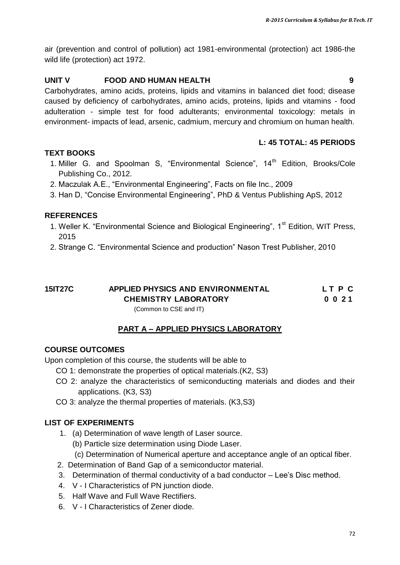air (prevention and control of pollution) act 1981-environmental (protection) act 1986-the wild life (protection) act 1972.

#### **UNIT V FOOD AND HUMAN HEALTH 9**

Carbohydrates, amino acids, proteins, lipids and vitamins in balanced diet food; disease caused by deficiency of carbohydrates, amino acids, proteins, lipids and vitamins - food adulteration - simple test for food adulterants; environmental toxicology: metals in environment- impacts of lead, arsenic, cadmium, mercury and chromium on human health.

#### **L: 45 TOTAL: 45 PERIODS**

#### **TEXT BOOKS**

- 1. Miller G. and Spoolman S, "Environmental Science", 14<sup>th</sup> Edition, Brooks/Cole Publishing Co., 2012.
- 2. Maczulak A.E., "Environmental Engineering", Facts on file Inc., 2009
- 3. Han D, "Concise Environmental Engineering", PhD & Ventus Publishing ApS, 2012

#### **REFERENCES**

- 1. Weller K. "Environmental Science and Biological Engineering", 1<sup>st</sup> Edition, WIT Press, 2015
- 2. Strange C. "Environmental Science and production" Nason Trest Publisher, 2010

# **15IT27C APPLIED PHYSICS AND ENVIRONMENTAL L T P C CHEMISTRY LABORATORY 0 0 2 1**

#### (Common to CSE and IT)

### **PART A – APPLIED PHYSICS LABORATORY**

#### **COURSE OUTCOMES**

Upon completion of this course, the students will be able to

- CO 1: demonstrate the properties of optical materials.(K2, S3)
- CO 2: analyze the characteristics of semiconducting materials and diodes and their applications. (K3, S3)
- CO 3: analyze the thermal properties of materials. (K3,S3)

#### **LIST OF EXPERIMENTS**

- 1. (a) Determination of wave length of Laser source.
	- (b) Particle size determination using Diode Laser.
	- (c) Determination of Numerical aperture and acceptance angle of an optical fiber.
- 2. Determination of Band Gap of a semiconductor material.
- 3. Determination of thermal conductivity of a bad conductor Lee"s Disc method.
- 4. V I Characteristics of PN junction diode.
- 5. Half Wave and Full Wave Rectifiers.
- 6. V I Characteristics of Zener diode.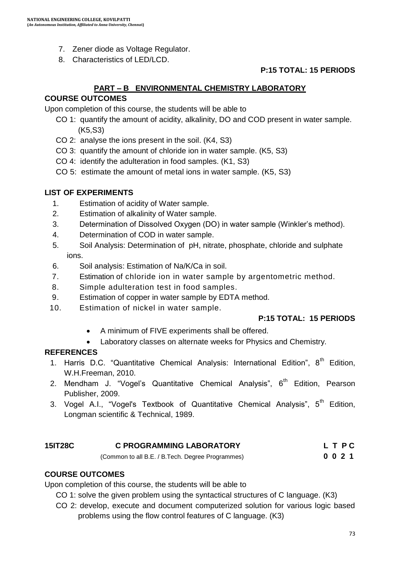- 7. Zener diode as Voltage Regulator.
- 8. Characteristics of LED/LCD.

### **P:15 TOTAL: 15 PERIODS**

### **PART – B ENVIRONMENTAL CHEMISTRY LABORATORY**

### **COURSE OUTCOMES**

Upon completion of this course, the students will be able to

- CO 1: quantify the amount of acidity, alkalinity, DO and COD present in water sample. (K5,S3)
- CO 2: analyse the ions present in the soil. (K4, S3)
- CO 3: quantify the amount of chloride ion in water sample. (K5, S3)
- CO 4: identify the adulteration in food samples. (K1, S3)
- CO 5: estimate the amount of metal ions in water sample. (K5, S3)

### **LIST OF EXPERIMENTS**

- 1. Estimation of acidity of Water sample.
- 2. Estimation of alkalinity of Water sample.
- 3. Determination of Dissolved Oxygen (DO) in water sample (Winkler"s method).
- 4. Determination of COD in water sample.
- 5. Soil Analysis: Determination of pH, nitrate, phosphate, chloride and sulphate ions.
- 6. Soil analysis: Estimation of Na/K/Ca in soil.
- 7. Estimation of chloride ion in water sample by argentometric method.
- 8. Simple adulteration test in food samples.
- 9. Estimation of copper in water sample by EDTA method.
- 10. Estimation of nickel in water sample.

### **P:15 TOTAL: 15 PERIODS**

- A minimum of FIVE experiments shall be offered.
- Laboratory classes on alternate weeks for Physics and Chemistry.

#### **REFERENCES**

- 1. Harris D.C. "Quantitative Chemical Analysis: International Edition",  $8<sup>th</sup>$  Edition, W.H.Freeman, 2010.
- 2. Mendham J. "Vogel's Quantitative Chemical Analysis", 6<sup>th</sup> Edition. Pearson Publisher, 2009.
- 3. Vogel A.I., "Vogel's Textbook of Quantitative Chemical Analysis", 5<sup>th</sup> Edition, Longman scientific & Technical, 1989.

# **15IT28C C PROGRAMMING LABORATORY L T P C**

(Common to all B.E. / B.Tech. Degree Programmes) **0 0 2 1**

### **COURSE OUTCOMES**

Upon completion of this course, the students will be able to

- CO 1: solve the given problem using the syntactical structures of C language. (K3)
- CO 2: develop, execute and document computerized solution for various logic based problems using the flow control features of C language. (K3)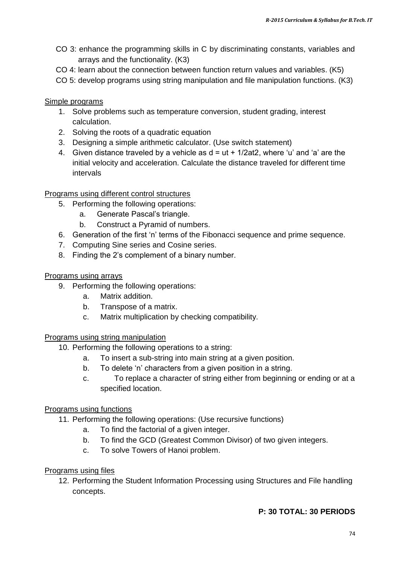- CO 3: enhance the programming skills in C by discriminating constants, variables and arrays and the functionality. (K3)
- CO 4: learn about the connection between function return values and variables. (K5)
- CO 5: develop programs using string manipulation and file manipulation functions. (K3)

#### Simple programs

- 1. Solve problems such as temperature conversion, student grading, interest calculation.
- 2. Solving the roots of a quadratic equation
- 3. Designing a simple arithmetic calculator. (Use switch statement)
- 4. Given distance traveled by a vehicle as  $d = ut + 1/2at2$ , where 'u' and 'a' are the initial velocity and acceleration. Calculate the distance traveled for different time intervals

#### Programs using different control structures

- 5. Performing the following operations:
	- a. Generate Pascal"s triangle.
	- b. Construct a Pyramid of numbers.
- 6. Generation of the first 'n' terms of the Fibonacci sequence and prime sequence.
- 7. Computing Sine series and Cosine series.
- 8. Finding the 2"s complement of a binary number.

#### Programs using arrays

- 9. Performing the following operations:
	- a. Matrix addition.
	- b. Transpose of a matrix.
	- c. Matrix multiplication by checking compatibility.

#### Programs using string manipulation

- 10. Performing the following operations to a string:
	- a. To insert a sub-string into main string at a given position.
	- b. To delete 'n' characters from a given position in a string.
	- c. To replace a character of string either from beginning or ending or at a specified location.

#### Programs using functions

- 11. Performing the following operations: (Use recursive functions)
	- a. To find the factorial of a given integer.
	- b. To find the GCD (Greatest Common Divisor) of two given integers.
	- c. To solve Towers of Hanoi problem.

#### Programs using files

12. Performing the Student Information Processing using Structures and File handling concepts.

### **P: 30 TOTAL: 30 PERIODS**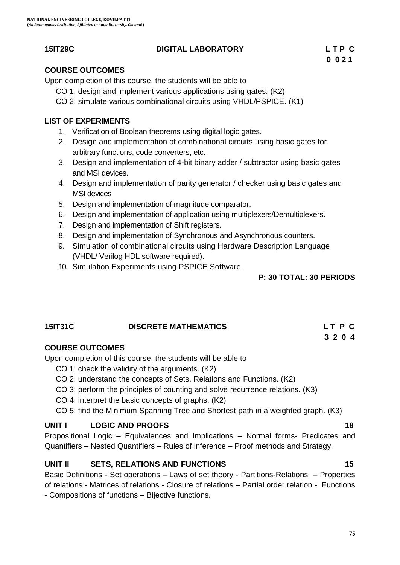### **15IT29C DIGITAL LABORATORY L T P C**

### **COURSE OUTCOMES**

Upon completion of this course, the students will be able to

- CO 1: design and implement various applications using gates. (K2)
- CO 2: simulate various combinational circuits using VHDL/PSPICE. (K1)

### **LIST OF EXPERIMENTS**

- 1. Verification of Boolean theorems using digital logic gates.
- 2. Design and implementation of combinational circuits using basic gates for arbitrary functions, code converters, etc.
- 3. Design and implementation of 4-bit binary adder / subtractor using basic gates and MSI devices.
- 4. Design and implementation of parity generator / checker using basic gates and MSI devices
- 5. Design and implementation of magnitude comparator.
- 6. Design and implementation of application using multiplexers/Demultiplexers.
- 7. Design and implementation of Shift registers.
- 8. Design and implementation of Synchronous and Asynchronous counters.
- 9. Simulation of combinational circuits using Hardware Description Language (VHDL/ Verilog HDL software required).
- 10. Simulation Experiments using PSPICE Software.

#### **P: 30 TOTAL: 30 PERIODS**

# **15IT31C DISCRETE MATHEMATICS L T P C**

### **COURSE OUTCOMES**

Upon completion of this course, the students will be able to

- CO 1: check the validity of the arguments. (K2)
- CO 2: understand the concepts of Sets, Relations and Functions. (K2)
- CO 3: perform the principles of counting and solve recurrence relations. (K3)
- CO 4: interpret the basic concepts of graphs. (K2)
- CO 5: find the Minimum Spanning Tree and Shortest path in a weighted graph. (K3)

### **UNIT I** LOGIC AND PROOFS 18

Propositional Logic – Equivalences and Implications – Normal forms- Predicates and Quantifiers – Nested Quantifiers – Rules of inference – Proof methods and Strategy.

### **UNIT II** SETS, RELATIONS AND FUNCTIONS 15

Basic Definitions - Set operations – Laws of set theory - Partitions-Relations – Properties of relations - Matrices of relations - Closure of relations – Partial order relation - Functions - Compositions of functions – Bijective functions.

 **3 2 0 4**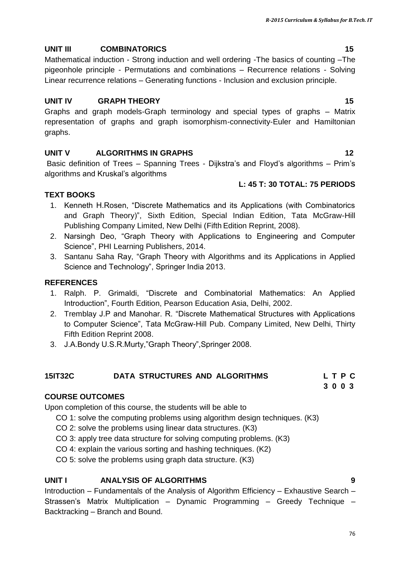## **UNIT III COMBINATORICS 15**

Mathematical induction - Strong induction and well ordering -The basics of counting –The pigeonhole principle - Permutations and combinations – Recurrence relations - Solving Linear recurrence relations – Generating functions - Inclusion and exclusion principle.

## **UNIT IV GRAPH THEORY 15**

Graphs and graph models-Graph terminology and special types of graphs – Matrix representation of graphs and graph isomorphism-connectivity-Euler and Hamiltonian graphs.

## **UNIT V ALGORITHMS IN GRAPHS 12**

Basic definition of Trees – Spanning Trees - Dijkstra's and Floyd's algorithms – Prim's algorithms and Kruskal"s algorithms

## **L: 45 T: 30 TOTAL: 75 PERIODS**

## **TEXT BOOKS**

- 1. Kenneth H.Rosen, "Discrete Mathematics and its Applications (with Combinatorics and Graph Theory)", Sixth Edition, Special Indian Edition, Tata McGraw-Hill Publishing Company Limited, New Delhi (Fifth Edition Reprint, 2008).
- 2. Narsingh Deo, "Graph Theory with Applications to Engineering and Computer Science", PHI Learning Publishers, 2014.
- 3. Santanu Saha Ray, "Graph Theory with Algorithms and its Applications in Applied Science and Technology", Springer India 2013.

## **REFERENCES**

- 1. Ralph. P. Grimaldi, "Discrete and Combinatorial Mathematics: An Applied Introduction", Fourth Edition, Pearson Education Asia, Delhi, 2002.
- 2. Tremblay J.P and Manohar. R. "Discrete Mathematical Structures with Applications to Computer Science", Tata McGraw-Hill Pub. Company Limited, New Delhi, Thirty Fifth Edition Reprint 2008.
- 3. J.A.Bondy U.S.R.Murty,"Graph Theory",Springer 2008.

## **15IT32C DATA STRUCTURES AND ALGORITHMS L T P C**

 **3 0 0 3**

## **COURSE OUTCOMES**

Upon completion of this course, the students will be able to

- CO 1: solve the computing problems using algorithm design techniques. (K3)
- CO 2: solve the problems using linear data structures. (K3)
- CO 3: apply tree data structure for solving computing problems. (K3)
- CO 4: explain the various sorting and hashing techniques. (K2)

CO 5: solve the problems using graph data structure. (K3)

## **UNIT I ANALYSIS OF ALGORITHMS 9**

Introduction – Fundamentals of the Analysis of Algorithm Efficiency – Exhaustive Search – Strassen's Matrix Multiplication – Dynamic Programming – Greedy Technique – Backtracking – Branch and Bound.

76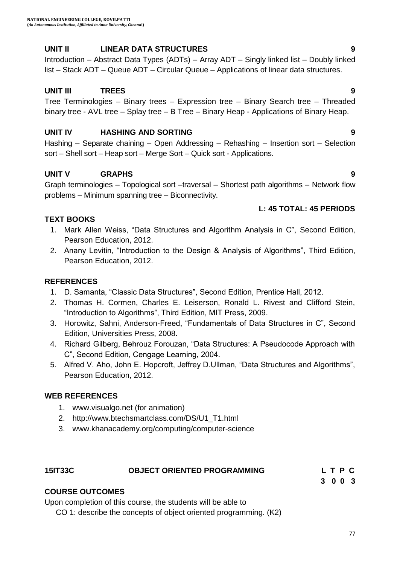## **UNIT II LINEAR DATA STRUCTURES 9**

Introduction – Abstract Data Types (ADTs) – Array ADT – Singly linked list – Doubly linked list – Stack ADT – Queue ADT – Circular Queue – Applications of linear data structures.

## **UNIT III TREES 9**

Tree Terminologies – Binary trees – Expression tree – Binary Search tree – Threaded binary tree - AVL tree – Splay tree – B Tree – Binary Heap - Applications of Binary Heap.

## **UNIT IV HASHING AND SORTING 9**

Hashing – Separate chaining – Open Addressing – Rehashing – Insertion sort – Selection sort – Shell sort – Heap sort – Merge Sort – Quick sort - Applications.

## **UNIT V GRAPHS 9**

Graph terminologies – Topological sort –traversal – Shortest path algorithms – Network flow problems – Minimum spanning tree – Biconnectivity.

## **L: 45 TOTAL: 45 PERIODS**

## **TEXT BOOKS**

- 1. Mark Allen Weiss, "Data Structures and Algorithm Analysis in C", Second Edition, Pearson Education, 2012.
- 2. Anany Levitin, "Introduction to the Design & Analysis of Algorithms", Third Edition, Pearson Education, 2012.

## **REFERENCES**

- 1. D. Samanta, "Classic Data Structures", Second Edition, Prentice Hall, 2012.
- 2. Thomas H. Cormen, Charles E. Leiserson, Ronald L. Rivest and Clifford Stein, "Introduction to Algorithms", Third Edition, MIT Press, 2009.
- 3. Horowitz, Sahni, Anderson-Freed, "Fundamentals of Data Structures in C", Second Edition, Universities Press, 2008.
- 4. Richard Gilberg, Behrouz Forouzan, "Data Structures: A Pseudocode Approach with C", Second Edition, Cengage Learning, 2004.
- 5. Alfred V. Aho, John E. Hopcroft, Jeffrey D.Ullman, "Data Structures and Algorithms", Pearson Education, 2012.

#### **WEB REFERENCES**

- 1. www.visualgo.net (for animation)
- 2. http://www.btechsmartclass.com/DS/U1\_T1.html
- 3. www.khanacademy.org/computing/computer-science

## **15IT33C OBJECT ORIENTED PROGRAMMING L T P C**

 **3 0 0 3**

## **COURSE OUTCOMES**

Upon completion of this course, the students will be able to

CO 1: describe the concepts of object oriented programming. (K2)

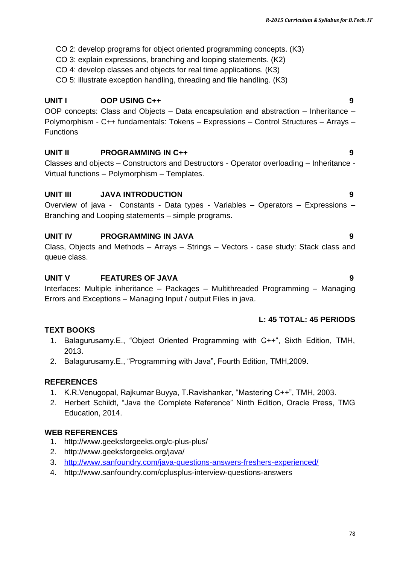- CO 2: develop programs for object oriented programming concepts. (K3)
- CO 3: explain expressions, branching and looping statements. (K2)
- CO 4: develop classes and objects for real time applications. (K3)
- CO 5: illustrate exception handling, threading and file handling. (K3)

## **UNIT I OOP USING C++ 9**

OOP concepts: Class and Objects – Data encapsulation and abstraction – Inheritance – Polymorphism - C++ fundamentals: Tokens – Expressions – Control Structures – Arrays – Functions

## **UNIT II PROGRAMMING IN C++ 9**

Classes and objects – Constructors and Destructors - Operator overloading – Inheritance - Virtual functions – Polymorphism – Templates.

## **UNIT III JAVA INTRODUCTION 9**

Overview of java - Constants - Data types - Variables – Operators – Expressions – Branching and Looping statements – simple programs.

## **UNIT IV PROGRAMMING IN JAVA 9**

Class, Objects and Methods – Arrays – Strings – Vectors - case study: Stack class and queue class.

## **UNIT V FEATURES OF JAVA 9**

Interfaces: Multiple inheritance – Packages – Multithreaded Programming – Managing Errors and Exceptions – Managing Input / output Files in java.

## **L: 45 TOTAL: 45 PERIODS**

## **TEXT BOOKS**

- 1. Balagurusamy.E., "Object Oriented Programming with C++", Sixth Edition, TMH, 2013.
- 2. Balagurusamy.E., "Programming with Java", Fourth Edition, TMH,2009.

## **REFERENCES**

- 1. K.R.Venugopal, Rajkumar Buyya, T.Ravishankar, "Mastering C++", TMH, 2003.
- 2. Herbert Schildt, "Java the Complete Reference" Ninth Edition, Oracle Press, TMG Education, 2014.

## **WEB REFERENCES**

- 1. http://www.geeksforgeeks.org/c-plus-plus/
- 2. http://www.geeksforgeeks.org/java/
- 3. <http://www.sanfoundry.com/java-questions-answers-freshers-experienced/>
- 4. http://www.sanfoundry.com/cplusplus-interview-questions-answers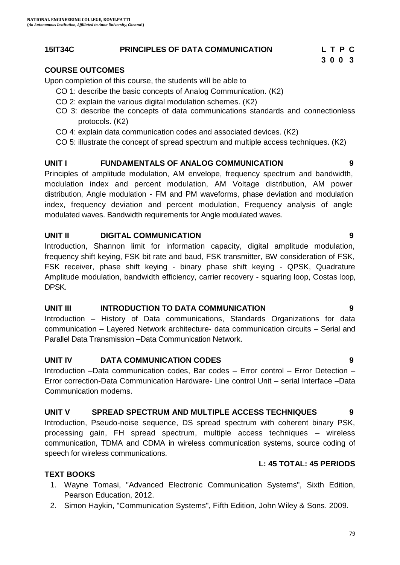## **15IT34C PRINCIPLES OF DATA COMMUNICATION L T P C**

79

 **3 0 0 3**

## **COURSE OUTCOMES**

Upon completion of this course, the students will be able to

- CO 1: describe the basic concepts of Analog Communication. (K2)
- CO 2: explain the various digital modulation schemes. (K2)
- CO 3: describe the concepts of data communications standards and connectionless protocols. (K2)
- CO 4: explain data communication codes and associated devices. (K2)
- CO 5: illustrate the concept of spread spectrum and multiple access techniques. (K2)

## **UNIT I FUNDAMENTALS OF ANALOG COMMUNICATION 9**

Principles of amplitude modulation, AM envelope, frequency spectrum and bandwidth, modulation index and percent modulation, AM Voltage distribution, AM power distribution, Angle modulation - FM and PM waveforms, phase deviation and modulation index, frequency deviation and percent modulation, Frequency analysis of angle modulated waves. Bandwidth requirements for Angle modulated waves.

## **UNIT II DIGITAL COMMUNICATION 9**

Introduction, Shannon limit for information capacity, digital amplitude modulation, frequency shift keying, FSK bit rate and baud, FSK transmitter, BW consideration of FSK, FSK receiver, phase shift keying - binary phase shift keying - QPSK, Quadrature Amplitude modulation, bandwidth efficiency, carrier recovery - squaring loop, Costas loop, DPSK.

#### **UNIT III INTRODUCTION TO DATA COMMUNICATION 9**

Introduction – History of Data communications, Standards Organizations for data communication – Layered Network architecture- data communication circuits – Serial and Parallel Data Transmission –Data Communication Network.

## **UNIT IV DATA COMMUNICATION CODES 9**

Introduction –Data communication codes, Bar codes – Error control – Error Detection – Error correction-Data Communication Hardware- Line control Unit – serial Interface –Data Communication modems.

#### **UNIT V SPREAD SPECTRUM AND MULTIPLE ACCESS TECHNIQUES 9**

Introduction, Pseudo-noise sequence, DS spread spectrum with coherent binary PSK, processing gain, FH spread spectrum, multiple access techniques – wireless communication, TDMA and CDMA in wireless communication systems, source coding of speech for wireless communications.

## **L: 45 TOTAL: 45 PERIODS**

## **TEXT BOOKS**

- 1. Wayne Tomasi, "Advanced Electronic Communication Systems", Sixth Edition, Pearson Education, 2012.
- 2. Simon Haykin, "Communication Systems", Fifth Edition, John Wiley & Sons. 2009.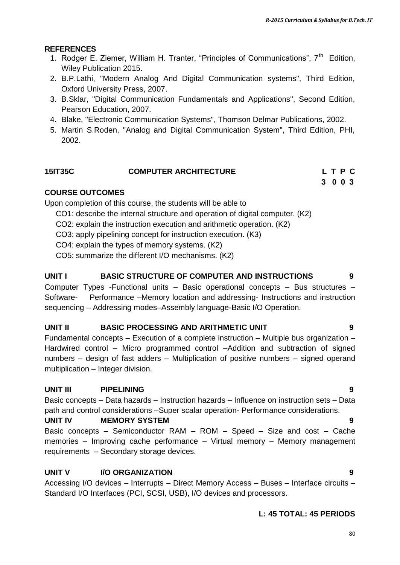## **REFERENCES**

- 1. Rodger E. Ziemer, William H. Tranter, "Principles of Communications", 7<sup>th</sup> Edition, Wiley Publication 2015.
- 2. B.P.Lathi, "Modern Analog And Digital Communication systems", Third Edition, Oxford University Press, 2007.
- 3. B.Sklar, "Digital Communication Fundamentals and Applications", Second Edition, Pearson Education, 2007.
- 4. Blake, "Electronic Communication Systems", Thomson Delmar Publications, 2002.
- 5. Martin S.Roden, "Analog and Digital Communication System", Third Edition, PHI, 2002.

## **15IT35C COMPUTER ARCHITECTURE L T P C**

**3 0 0 3 3 0 0 3** 

## **COURSE OUTCOMES**

Upon completion of this course, the students will be able to

- CO1: describe the internal structure and operation of digital computer. (K2)
- CO2: explain the instruction execution and arithmetic operation. (K2)
- CO3: apply pipelining concept for instruction execution. (K3)
- CO4: explain the types of memory systems. (K2)
- CO5: summarize the different I/O mechanisms. (K2)

## **UNIT I BASIC STRUCTURE OF COMPUTER AND INSTRUCTIONS 9**

Computer Types -Functional units – Basic operational concepts – Bus structures – Software- Performance –Memory location and addressing- Instructions and instruction sequencing – Addressing modes–Assembly language-Basic I/O Operation.

#### **UNIT II BASIC PROCESSING AND ARITHMETIC UNIT 9**

Fundamental concepts – Execution of a complete instruction – Multiple bus organization – Hardwired control – Micro programmed control –Addition and subtraction of signed numbers – design of fast adders – Multiplication of positive numbers – signed operand multiplication – Integer division.

## **UNIT III PIPELINING 9**

Basic concepts – Data hazards – Instruction hazards – Influence on instruction sets – Data path and control considerations –Super scalar operation- Performance considerations.

## **UNIT IV MEMORY SYSTEM 9**

Basic concepts – Semiconductor RAM – ROM – Speed – Size and cost – Cache memories – Improving cache performance – Virtual memory – Memory management requirements – Secondary storage devices.

## **UNIT V I/O ORGANIZATION 9**

Accessing I/O devices – Interrupts – Direct Memory Access – Buses – Interface circuits – Standard I/O Interfaces (PCI, SCSI, USB), I/O devices and processors.

## **L: 45 TOTAL: 45 PERIODS**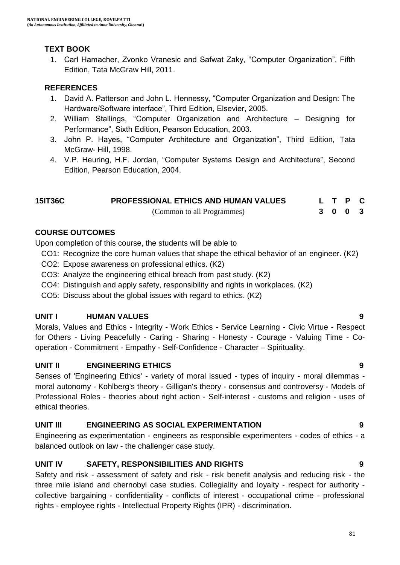## **TEXT BOOK**

1. Carl Hamacher, Zvonko Vranesic and Safwat Zaky, "Computer Organization", Fifth Edition, Tata McGraw Hill, 2011.

## **REFERENCES**

- 1. David A. Patterson and John L. Hennessy, "Computer Organization and Design: The Hardware/Software interface", Third Edition, Elsevier, 2005.
- 2. William Stallings, "Computer Organization and Architecture Designing for Performance", Sixth Edition, Pearson Education, 2003.
- 3. John P. Hayes, "Computer Architecture and Organization", Third Edition, Tata McGraw- Hill, 1998.
- 4. V.P. Heuring, H.F. Jordan, "Computer Systems Design and Architecture", Second Edition, Pearson Education, 2004.

| 15IT36C | <b>PROFESSIONAL ETHICS AND HUMAN VALUES</b> |  | L T P C |  |
|---------|---------------------------------------------|--|---------|--|
|         | (Common to all Programmes)                  |  | 3 0 0 3 |  |

## **COURSE OUTCOMES**

Upon completion of this course, the students will be able to

- CO1: Recognize the core human values that shape the ethical behavior of an engineer. (K2)
- CO2: Expose awareness on professional ethics. (K2)
- CO3: Analyze the engineering ethical breach from past study. (K2)
- CO4: Distinguish and apply safety, responsibility and rights in workplaces. (K2)
- CO5: Discuss about the global issues with regard to ethics. (K2)

## **UNIT I HUMAN VALUES 9**

Morals, Values and Ethics - Integrity - Work Ethics - Service Learning - Civic Virtue - Respect for Others - Living Peacefully - Caring - Sharing - Honesty - Courage - Valuing Time - Cooperation - Commitment - Empathy - Self-Confidence - Character – Spirituality.

## **UNIT II ENGINEERING ETHICS 9**

Senses of 'Engineering Ethics' - variety of moral issued - types of inquiry - moral dilemmas moral autonomy - Kohlberg's theory - Gilligan's theory - consensus and controversy - Models of Professional Roles - theories about right action - Self-interest - customs and religion - uses of ethical theories.

## **UNIT III ENGINEERING AS SOCIAL EXPERIMENTATION 9**

Engineering as experimentation - engineers as responsible experimenters - codes of ethics - a balanced outlook on law - the challenger case study.

## **UNIT IV SAFETY, RESPONSIBILITIES AND RIGHTS 9**

Safety and risk - assessment of safety and risk - risk benefit analysis and reducing risk - the three mile island and chernobyl case studies. Collegiality and loyalty - respect for authority collective bargaining - confidentiality - conflicts of interest - occupational crime - professional rights - employee rights - Intellectual Property Rights (IPR) - discrimination.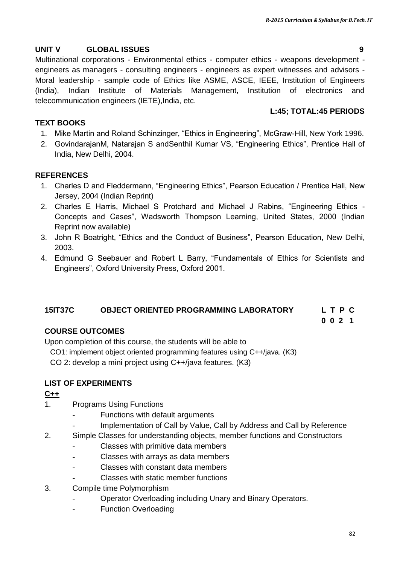## **UNIT V GLOBAL ISSUES 9**

Multinational corporations - Environmental ethics - computer ethics - weapons development engineers as managers - consulting engineers - engineers as expert witnesses and advisors - Moral leadership - sample code of Ethics like ASME, ASCE, IEEE, Institution of Engineers (India), Indian Institute of Materials Management, Institution of electronics and telecommunication engineers (IETE),India, etc.

## **L:45; TOTAL:45 PERIODS**

#### **TEXT BOOKS**

- 1. Mike Martin and Roland Schinzinger, "Ethics in Engineering", McGraw-Hill, New York 1996.
- 2. GovindarajanM, Natarajan S andSenthil Kumar VS, "Engineering Ethics", Prentice Hall of India, New Delhi, 2004.

## **REFERENCES**

- 1. Charles D and Fleddermann, "Engineering Ethics", Pearson Education / Prentice Hall, New Jersey, 2004 (Indian Reprint)
- 2. Charles E Harris, Michael S Protchard and Michael J Rabins, "Engineering Ethics Concepts and Cases", Wadsworth Thompson Learning, United States, 2000 (Indian Reprint now available)
- 3. John R Boatright, "Ethics and the Conduct of Business", Pearson Education, New Delhi, 2003.
- 4. Edmund G Seebauer and Robert L Barry, "Fundamentals of Ethics for Scientists and Engineers", Oxford University Press, Oxford 2001.

#### **15IT37C OBJECT ORIENTED PROGRAMMING LABORATORY L T P C**

 **0 0 2 1**

## **COURSE OUTCOMES**

Upon completion of this course, the students will be able to

CO1: implement object oriented programming features using C++/java. (K3)

CO 2: develop a mini project using C++/java features. (K3)

## **LIST OF EXPERIMENTS**

#### **C++**

- 1. Programs Using Functions
	- Functions with default arguments
	- Implementation of Call by Value, Call by Address and Call by Reference
- 2. Simple Classes for understanding objects, member functions and Constructors
	- Classes with primitive data members
	- Classes with arrays as data members
	- Classes with constant data members
	- Classes with static member functions
- 3. Compile time Polymorphism
	- Operator Overloading including Unary and Binary Operators.
	- Function Overloading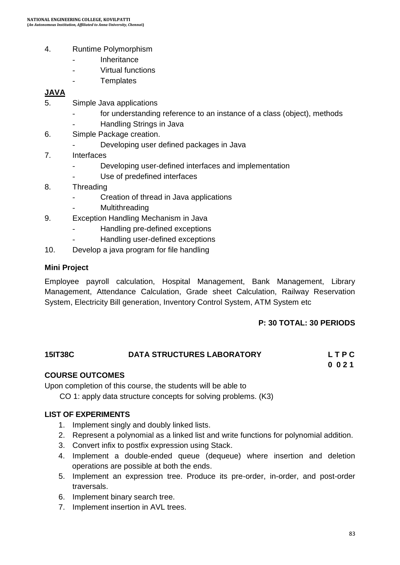- 4. Runtime Polymorphism
	- **Inheritance**
	- Virtual functions
	- **Templates**

#### **JAVA**

- 5. Simple Java applications
	- for understanding reference to an instance of a class (object), methods
	- Handling Strings in Java
- 6. Simple Package creation.
	- Developing user defined packages in Java
- 7. Interfaces
	- Developing user-defined interfaces and implementation
	- Use of predefined interfaces
- 8. Threading
	- Creation of thread in Java applications
	- **Multithreading**
- 9. Exception Handling Mechanism in Java
	- Handling pre-defined exceptions
	- Handling user-defined exceptions
- 10. Develop a java program for file handling

#### **Mini Project**

Employee payroll calculation, Hospital Management, Bank Management, Library Management, Attendance Calculation, Grade sheet Calculation, Railway Reservation System, Electricity Bill generation, Inventory Control System, ATM System etc

#### **P: 30 TOTAL: 30 PERIODS**

## **15IT38C DATA STRUCTURES LABORATORY L T P C 0 0 2 1**

#### **COURSE OUTCOMES**

Upon completion of this course, the students will be able to

CO 1: apply data structure concepts for solving problems. (K3)

#### **LIST OF EXPERIMENTS**

- 1. Implement singly and doubly linked lists.
- 2. Represent a polynomial as a linked list and write functions for polynomial addition.
- 3. Convert infix to postfix expression using Stack.
- 4. Implement a double-ended queue (dequeue) where insertion and deletion operations are possible at both the ends.
- 5. Implement an expression tree. Produce its pre-order, in-order, and post-order traversals.
- 6. Implement binary search tree.
- 7. Implement insertion in AVL trees.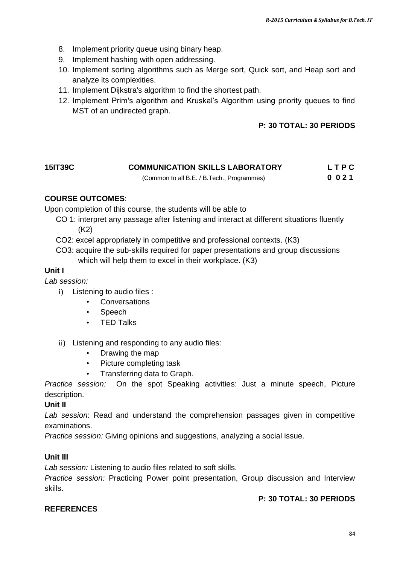- 8. Implement priority queue using binary heap.
- 9. Implement hashing with open addressing.
- 10. Implement sorting algorithms such as Merge sort, Quick sort, and Heap sort and analyze its complexities.
- 11. Implement Dijkstra's algorithm to find the shortest path.
- 12. Implement Prim's algorithm and Kruskal"s Algorithm using priority queues to find MST of an undirected graph.

## **P: 30 TOTAL: 30 PERIODS**

## **15IT39C COMMUNICATION SKILLS LABORATORY L T P C**

(Common to all B.E. / B.Tech., Programmes) **0 0 2 1**

## **COURSE OUTCOMES**:

Upon completion of this course, the students will be able to

- CO 1: interpret any passage after listening and interact at different situations fluently (K2)
- CO2: excel appropriately in competitive and professional contexts. (K3)
- CO3: acquire the sub-skills required for paper presentations and group discussions which will help them to excel in their workplace. (K3)

## **Unit I**

*Lab session:* 

- i) Listening to audio files :
	- **Conversations**
	- Speech
	- TED Talks
- ii) Listening and responding to any audio files:
	- Drawing the map
	- Picture completing task
	- Transferring data to Graph.

*Practice session:* On the spot Speaking activities: Just a minute speech, Picture description.

#### **Unit II**

*Lab session*: Read and understand the comprehension passages given in competitive examinations.

*Practice session:* Giving opinions and suggestions, analyzing a social issue.

#### **Unit III**

*Lab session:* Listening to audio files related to soft skills.

*Practice session:* Practicing Power point presentation, Group discussion and Interview skills.

## **P: 30 TOTAL: 30 PERIODS**

## **REFERENCES**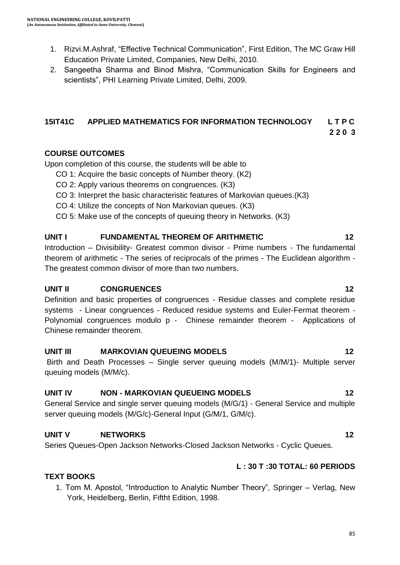- 1. Rizvi.M.Ashraf, "Effective Technical Communication", First Edition, The MC Graw Hill Education Private Limited, Companies, New Delhi, 2010.
- 2. Sangeetha Sharma and Binod Mishra, "Communication Skills for Engineers and scientists", PHI Learning Private Limited, Delhi, 2009.

## **15IT41C APPLIED MATHEMATICS FOR INFORMATION TECHNOLOGY L T P C 2 2 0 3**

## **COURSE OUTCOMES**

Upon completion of this course, the students will be able to

- CO 1: Acquire the basic concepts of Number theory. (K2)
- CO 2: Apply various theorems on congruences. (K3)
- CO 3: Interpret the basic characteristic features of Markovian queues.(K3)
- CO 4: Utilize the concepts of Non Markovian queues. (K3)
- CO 5: Make use of the concepts of queuing theory in Networks. (K3)

## **UNIT I FUNDAMENTAL THEOREM OF ARITHMETIC 12**

Introduction – Divisibility- Greatest common divisor - Prime numbers - The fundamental theorem of arithmetic - The series of reciprocals of the primes - The Euclidean algorithm - The greatest common divisor of more than two numbers.

## **UNIT II** CONGRUENCES 12

Definition and basic properties of congruences - Residue classes and complete residue systems - Linear congruences - Reduced residue systems and Euler-Fermat theorem - Polynomial congruences modulo p - Chinese remainder theorem - Applications of Chinese remainder theorem.

## **UNIT III MARKOVIAN QUEUEING MODELS 12**

Birth and Death Processes – Single server queuing models (M/M/1)- Multiple server queuing models (M/M/c).

#### **UNIT IV NON - MARKOVIAN QUEUEING MODELS 12**

General Service and single server queuing models (M/G/1) - General Service and multiple server queuing models (M/G/c)-General Input (G/M/1, G/M/c).

## **UNIT V NETWORKS 12**

Series Queues-Open Jackson Networks-Closed Jackson Networks - Cyclic Queues.

## **L : 30 T :30 TOTAL: 60 PERIODS**

## **TEXT BOOKS**

1. Tom M. Apostol, "Introduction to Analytic Number Theory", Springer – Verlag, New York, Heidelberg, Berlin, Fiftht Edition, 1998.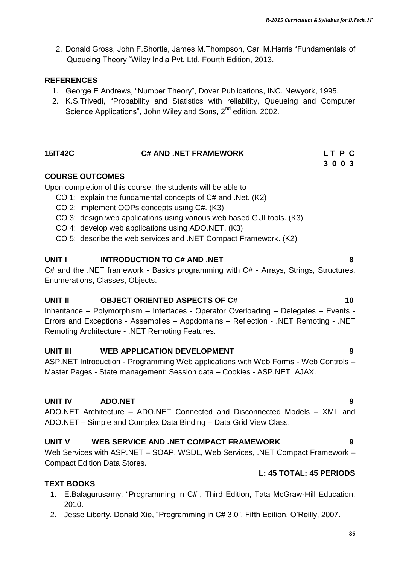2. Donald Gross, John F.Shortle, James M.Thompson, Carl M.Harris "Fundamentals of Queueing Theory "Wiley India Pvt. Ltd, Fourth Edition, 2013.

#### **REFERENCES**

- 1. George E Andrews, "Number Theory", Dover Publications, INC. Newyork, 1995.
- 2. K.S.Trivedi, "Probability and Statistics with reliability, Queueing and Computer Science Applications", John Wiley and Sons, 2<sup>nd</sup> edition, 2002.

**3 0 0 3 3 0 0 3** 

#### **COURSE OUTCOMES**

Upon completion of this course, the students will be able to

- CO 1: explain the fundamental concepts of C# and .Net. (K2)
- CO 2: implement OOPs concepts using C#. (K3)
- CO 3: design web applications using various web based GUI tools. (K3)
- CO 4: develop web applications using ADO.NET. (K3)
- CO 5: describe the web services and .NET Compact Framework. (K2)

## **UNIT I INTRODUCTION TO C# AND .NET 8**

C# and the .NET framework - Basics programming with C# - Arrays, Strings, Structures, Enumerations, Classes, Objects.

#### **UNIT II OBJECT ORIENTED ASPECTS OF C# 10**

Inheritance – Polymorphism – Interfaces - Operator Overloading – Delegates – Events - Errors and Exceptions - Assemblies – Appdomains – Reflection - .NET Remoting - .NET Remoting Architecture - .NET Remoting Features.

## **UNIT III WEB APPLICATION DEVELOPMENT 9**

ASP.NET Introduction - Programming Web applications with Web Forms - Web Controls – Master Pages - State management: Session data – Cookies - ASP.NET AJAX.

#### **UNIT IV ADO.NET 9**

ADO.NET Architecture – ADO.NET Connected and Disconnected Models – XML and ADO.NET – Simple and Complex Data Binding – Data Grid View Class.

#### **UNIT V WEB SERVICE AND .NET COMPACT FRAMEWORK 9**

Web Services with ASP.NET – SOAP, WSDL, Web Services, .NET Compact Framework – Compact Edition Data Stores.

## **L: 45 TOTAL: 45 PERIODS**

## **TEXT BOOKS**

- 1. E.Balagurusamy, "Programming in C#", Third Edition, Tata McGraw-Hill Education, 2010.
- 2. Jesse Liberty, Donald Xie, "Programming in C# 3.0", Fifth Edition, O"Reilly, 2007.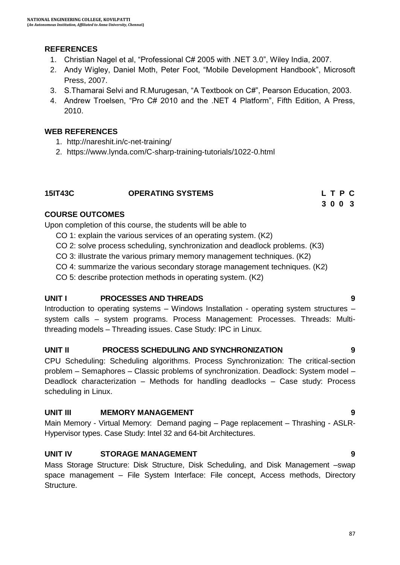## **REFERENCES**

- 1. Christian Nagel et al, "Professional C# 2005 with .NET 3.0", Wiley India, 2007.
- 2. Andy Wigley, Daniel Moth, Peter Foot, "Mobile Development Handbook", Microsoft Press, 2007.
- 3. S.Thamarai Selvi and R.Murugesan, "A Textbook on C#", Pearson Education, 2003.
- 4. Andrew Troelsen, "Pro C# 2010 and the .NET 4 Platform", Fifth Edition, A Press, 2010.

## **WEB REFERENCES**

- 1. http://nareshit.in/c-net-training/
- 2. https://www.lynda.com/C-sharp-training-tutorials/1022-0.html

## **15IT43C OPERATING SYSTEMS L T P C**

# **3 0 0 3**

## **COURSE OUTCOMES**

Upon completion of this course, the students will be able to

- CO 1: explain the various services of an operating system. (K2)
- CO 2: solve process scheduling, synchronization and deadlock problems. (K3)
- CO 3: illustrate the various primary memory management techniques. (K2)
- CO 4: summarize the various secondary storage management techniques. (K2)
- CO 5: describe protection methods in operating system. (K2)

## **UNIT I PROCESSES AND THREADS 9**

Introduction to operating systems – Windows Installation - operating system structures – system calls – system programs. Process Management: Processes. Threads: Multithreading models – Threading issues. Case Study: IPC in Linux.

## **UNIT II PROCESS SCHEDULING AND SYNCHRONIZATION 9**

CPU Scheduling: Scheduling algorithms. Process Synchronization: The critical-section problem – Semaphores – Classic problems of synchronization. Deadlock: System model – Deadlock characterization – Methods for handling deadlocks – Case study: Process scheduling in Linux.

## **UNIT III MEMORY MANAGEMENT 9**

Main Memory - Virtual Memory: Demand paging – Page replacement – Thrashing - ASLR-Hypervisor types. Case Study: Intel 32 and 64-bit Architectures.

## **UNIT IV STORAGE MANAGEMENT 9**

Mass Storage Structure: Disk Structure, Disk Scheduling, and Disk Management –swap space management – File System Interface: File concept, Access methods, Directory Structure.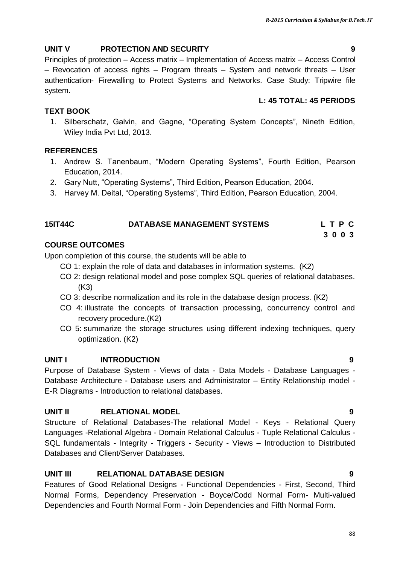## **UNIT V PROTECTION AND SECURITY 9**

Principles of protection – Access matrix – Implementation of Access matrix – Access Control – Revocation of access rights – Program threats – System and network threats – User authentication- Firewalling to Protect Systems and Networks. Case Study: Tripwire file system.

## **L: 45 TOTAL: 45 PERIODS**

## **TEXT BOOK**

1. Silberschatz, Galvin, and Gagne, "Operating System Concepts", Nineth Edition, Wiley India Pvt Ltd, 2013.

## **REFERENCES**

- 1. Andrew S. Tanenbaum, "Modern Operating Systems", Fourth Edition, Pearson Education, 2014.
- 2. Gary Nutt, "Operating Systems", Third Edition, Pearson Education, 2004.
- 3. Harvey M. Deital, "Operating Systems", Third Edition, Pearson Education, 2004.

## **15IT44C DATABASE MANAGEMENT SYSTEMS L T P C**

**3 0 0 3 3 0 0 3** 

## **COURSE OUTCOMES**

Upon completion of this course, the students will be able to

- CO 1: explain the role of data and databases in information systems. (K2)
- CO 2: design relational model and pose complex SQL queries of relational databases. (K3)
- CO 3: describe normalization and its role in the database design process. (K2)
- CO 4: illustrate the concepts of transaction processing, concurrency control and recovery procedure.(K2)
- CO 5: summarize the storage structures using different indexing techniques, query optimization. (K2)

## **UNIT I INTRODUCTION 9**

Purpose of Database System - Views of data - Data Models - Database Languages - Database Architecture - Database users and Administrator – Entity Relationship model - E-R Diagrams - Introduction to relational databases.

## **UNIT II RELATIONAL MODEL 9**

Structure of Relational Databases-The relational Model - Keys - Relational Query Languages -Relational Algebra - Domain Relational Calculus - Tuple Relational Calculus - SQL fundamentals - Integrity - Triggers - Security - Views – Introduction to Distributed Databases and Client/Server Databases.

## **UNIT III RELATIONAL DATABASE DESIGN 9**

Features of Good Relational Designs - Functional Dependencies - First, Second, Third Normal Forms, Dependency Preservation - Boyce/Codd Normal Form- Multi-valued Dependencies and Fourth Normal Form - Join Dependencies and Fifth Normal Form.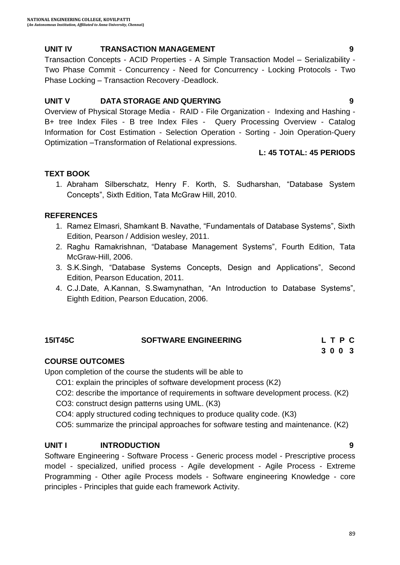## **UNIT IV TRANSACTION MANAGEMENT 9**

Transaction Concepts - ACID Properties - A Simple Transaction Model – Serializability - Two Phase Commit - Concurrency - Need for Concurrency - Locking Protocols - Two Phase Locking – Transaction Recovery -Deadlock.

## **UNIT V DATA STORAGE AND QUERYING 9**

Overview of Physical Storage Media - RAID - File Organization - Indexing and Hashing - B+ tree Index Files - B tree Index Files - Query Processing Overview - Catalog Information for Cost Estimation - Selection Operation - Sorting - Join Operation-Query Optimization –Transformation of Relational expressions.

## **L: 45 TOTAL: 45 PERIODS**

## **TEXT BOOK**

1. Abraham Silberschatz, Henry F. Korth, S. Sudharshan, "Database System Concepts", Sixth Edition, Tata McGraw Hill, 2010.

## **REFERENCES**

- 1. Ramez Elmasri, Shamkant B. Navathe, "Fundamentals of Database Systems", Sixth Edition, Pearson / Addision wesley, 2011.
- 2. Raghu Ramakrishnan, "Database Management Systems", Fourth Edition, Tata McGraw-Hill, 2006.
- 3. S.K.Singh, "Database Systems Concepts, Design and Applications", Second Edition, Pearson Education, 2011.
- 4. C.J.Date, A.Kannan, S.Swamynathan, "An Introduction to Database Systems", Eighth Edition, Pearson Education, 2006.

## **15IT45C SOFTWARE ENGINEERING**

| 15IT45C | <b>SOFTWARE ENGINEERING</b> | LTPC |
|---------|-----------------------------|------|
|         |                             | 3003 |

## **COURSE OUTCOMES**

Upon completion of the course the students will be able to

CO1: explain the principles of software development process (K2)

- CO2: describe the importance of requirements in software development process. (K2)
- CO3: construct design patterns using UML. (K3)
- CO4: apply structured coding techniques to produce quality code. (K3)
- CO5: summarize the principal approaches for software testing and maintenance. (K2)

#### **UNIT I INTRODUCTION 9**

Software Engineering - Software Process - Generic process model - Prescriptive process model - specialized, unified process - Agile development - Agile Process - Extreme Programming - Other agile Process models - Software engineering Knowledge - core principles - Principles that guide each framework Activity.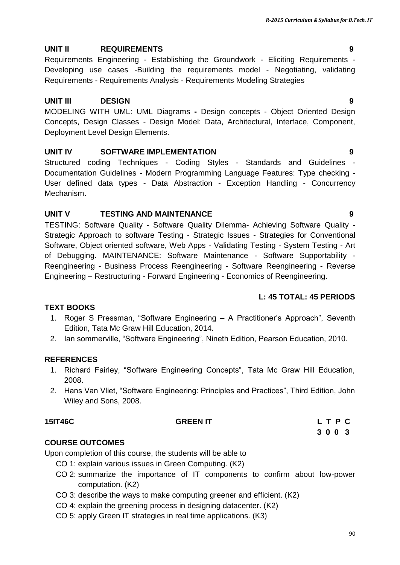## **UNIT II REQUIREMENTS 9**

Requirements Engineering - Establishing the Groundwork - Eliciting Requirements - Developing use cases -Building the requirements model - Negotiating, validating Requirements - Requirements Analysis - Requirements Modeling Strategies

## **UNIT III DESIGN 9**

MODELING WITH UML: UML Diagrams **-** Design concepts - Object Oriented Design Concepts, Design Classes - Design Model: Data, Architectural, Interface, Component, Deployment Level Design Elements.

## **UNIT IV SOFTWARE IMPLEMENTATION 9**

Structured coding Techniques - Coding Styles - Standards and Guidelines - Documentation Guidelines - Modern Programming Language Features: Type checking - User defined data types - Data Abstraction - Exception Handling - Concurrency Mechanism.

## **UNIT V TESTING AND MAINTENANCE 9**

TESTING: Software Quality - Software Quality Dilemma- Achieving Software Quality - Strategic Approach to software Testing - Strategic Issues - Strategies for Conventional Software, Object oriented software, Web Apps - Validating Testing - System Testing - Art of Debugging. MAINTENANCE: Software Maintenance - Software Supportability - Reengineering - Business Process Reengineering - Software Reengineering - Reverse Engineering – Restructuring - Forward Engineering - Economics of Reengineering.

## **L: 45 TOTAL: 45 PERIODS**

## **TEXT BOOKS**

- 1. Roger S Pressman, "Software Engineering A Practitioner"s Approach", Seventh Edition, Tata Mc Graw Hill Education, 2014.
- 2. Ian sommerville, "Software Engineering", Nineth Edition, Pearson Education, 2010.

## **REFERENCES**

- 1. Richard Fairley, "Software Engineering Concepts", Tata Mc Graw Hill Education, 2008.
- 2. Hans Van Vliet, "Software Engineering: Principles and Practices", Third Edition, John Wiley and Sons, 2008.

## **15IT46C GREEN IT L T P C**

 **3 0 0 3**

## **COURSE OUTCOMES**

Upon completion of this course, the students will be able to

- CO 1: explain various issues in Green Computing. (K2)
- CO 2: summarize the importance of IT components to confirm about low-power computation. (K2)
- CO 3: describe the ways to make computing greener and efficient. (K2)
- CO 4: explain the greening process in designing datacenter. (K2)
- CO 5: apply Green IT strategies in real time applications. (K3)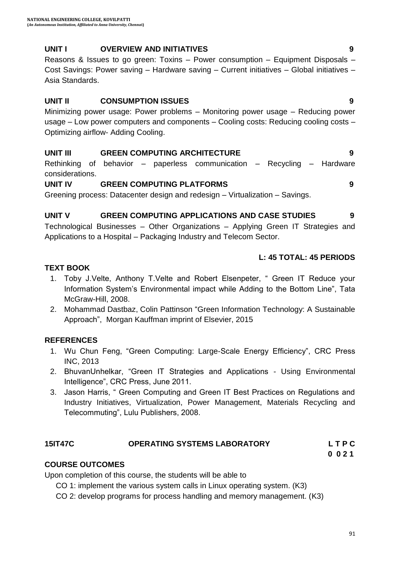## **UNIT I OVERVIEW AND INITIATIVES 9**

Reasons & Issues to go green: Toxins – Power consumption – Equipment Disposals – Cost Savings: Power saving – Hardware saving – Current initiatives – Global initiatives – Asia Standards.

## **UNIT II CONSUMPTION ISSUES 9**

Minimizing power usage: Power problems – Monitoring power usage – Reducing power usage – Low power computers and components – Cooling costs: Reducing cooling costs – Optimizing airflow- Adding Cooling.

## **UNIT III GREEN COMPUTING ARCHITECTURE 9**

Rethinking of behavior – paperless communication – Recycling – Hardware considerations.

## **UNIT IV GREEN COMPUTING PLATFORMS 9**

Greening process: Datacenter design and redesign – Virtualization – Savings.

## **UNIT V GREEN COMPUTING APPLICATIONS AND CASE STUDIES 9**

Technological Businesses – Other Organizations – Applying Green IT Strategies and Applications to a Hospital – Packaging Industry and Telecom Sector.

## **L: 45 TOTAL: 45 PERIODS**

## **TEXT BOOK**

- 1. Toby J.Velte, Anthony T.Velte and Robert Elsenpeter, " Green IT Reduce your Information System"s Environmental impact while Adding to the Bottom Line", Tata McGraw-Hill, 2008.
- 2. [Mohammad Dastbaz,](https://www.amazon.com/s/ref=rdr_ext_aut?_encoding=UTF8&index=books&field-author=Mohammad%20Dastbaz) [Colin Pattinson](https://www.amazon.com/s/ref=rdr_ext_aut?_encoding=UTF8&index=books&field-author=Colin%20Pattinson) "[Green Information Technology: A Sustainable](https://www.amazon.com/dp/0128013796/ref=rdr_ext_tmb)  [A](https://www.amazon.com/dp/0128013796/ref=rdr_ext_tmb)pproach", Morgan Kauffman imprint of Elsevier, 2015

## **REFERENCES**

- 1. Wu Chun Feng, "Green Computing: Large-Scale Energy Efficiency", CRC Press INC, 2013
- 2. BhuvanUnhelkar, "Green IT Strategies and Applications Using Environmental Intelligence", CRC Press, June 2011.
- 3. Jason Harris, " Green Computing and Green IT Best Practices on Regulations and Industry Initiatives, Virtualization, Power Management, Materials Recycling and Telecommuting", Lulu Publishers, 2008.

## **15IT47C OPERATING SYSTEMS LABORATORY L T P C**

 **0 0 2 1**

## **COURSE OUTCOMES**

Upon completion of this course, the students will be able to

CO 1: implement the various system calls in Linux operating system. (K3)

CO 2: develop programs for process handling and memory management. (K3)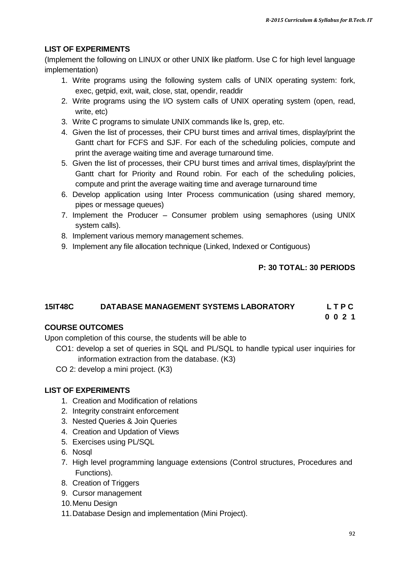## **LIST OF EXPERIMENTS**

(Implement the following on LINUX or other UNIX like platform. Use C for high level language implementation)

- 1. Write programs using the following system calls of UNIX operating system: fork, exec, getpid, exit, wait, close, stat, opendir, readdir
- 2. Write programs using the I/O system calls of UNIX operating system (open, read, write, etc)
- 3. Write C programs to simulate UNIX commands like ls, grep, etc.
- 4. Given the list of processes, their CPU burst times and arrival times, display/print the Gantt chart for FCFS and SJF. For each of the scheduling policies, compute and print the average waiting time and average turnaround time.
- 5. Given the list of processes, their CPU burst times and arrival times, display/print the Gantt chart for Priority and Round robin. For each of the scheduling policies, compute and print the average waiting time and average turnaround time
- 6. Develop application using Inter Process communication (using shared memory, pipes or message queues)
- 7. Implement the Producer Consumer problem using semaphores (using UNIX system calls).
- 8. Implement various memory management schemes.
- 9. Implement any file allocation technique (Linked, Indexed or Contiguous)

## **P: 30 TOTAL: 30 PERIODS**

## **15IT48C DATABASE MANAGEMENT SYSTEMS LABORATORY L T P C**

 **0 0 2 1**

## **COURSE OUTCOMES**

Upon completion of this course, the students will be able to

- CO1: develop a set of queries in SQL and PL/SQL to handle typical user inquiries for information extraction from the database. (K3)
- CO 2: develop a mini project. (K3)

#### **LIST OF EXPERIMENTS**

- 1. Creation and Modification of relations
- 2. Integrity constraint enforcement
- 3. Nested Queries & Join Queries
- 4. Creation and Updation of Views
- 5. Exercises using PL/SQL
- 6. Nosql
- 7. High level programming language extensions (Control structures, Procedures and Functions).
- 8. Creation of Triggers
- 9. Cursor management
- 10.Menu Design
- 11.Database Design and implementation (Mini Project).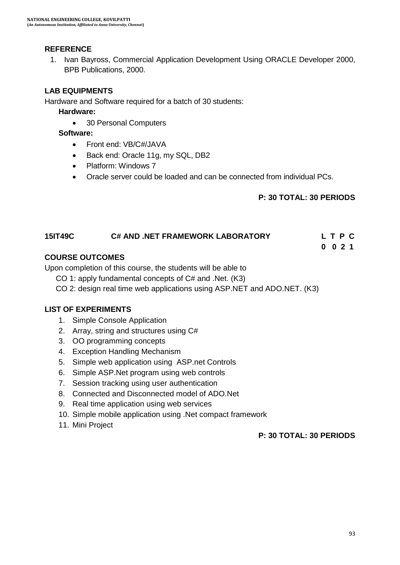## **REFERENCE**

1. Ivan Bayross, Commercial Application Development Using ORACLE Developer 2000, BPB Publications, 2000.

## **LAB EQUIPMENTS**

Hardware and Software required for a batch of 30 students:

**Hardware:** 

30 Personal Computers

**Software:** 

- Front end: VB/C#/JAVA
- Back end: Oracle 11g, my SQL, DB2
- Platform: Windows 7
- Oracle server could be loaded and can be connected from individual PCs.

## **P: 30 TOTAL: 30 PERIODS**

## **15IT49C C# AND .NET FRAMEWORK LABORATORY L T P C**

 **0 0 2 1**

## **COURSE OUTCOMES**

Upon completion of this course, the students will be able to

- CO 1: apply fundamental concepts of C# and .Net. (K3)
- CO 2: design real time web applications using ASP.NET and ADO.NET. (K3)

## **LIST OF EXPERIMENTS**

- 1. Simple Console Application
- 2. Array, string and structures using C#
- 3. OO programming concepts
- 4. Exception Handling Mechanism
- 5. Simple web application using ASP.net Controls
- 6. Simple ASP.Net program using web controls
- 7. Session tracking using user authentication
- 8. Connected and Disconnected model of ADO.Net
- 9. Real time application using web services
- 10. Simple mobile application using .Net compact framework
- 11. Mini Project

#### **P: 30 TOTAL: 30 PERIODS**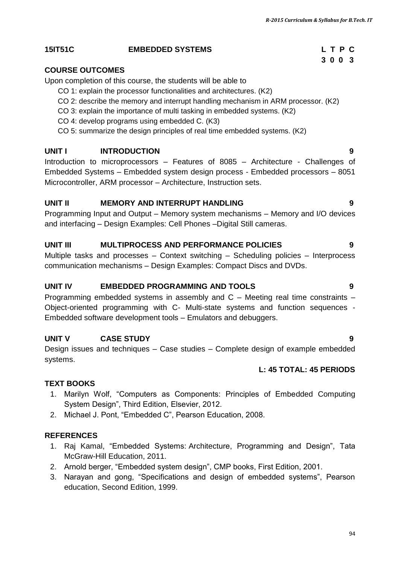## **15IT51C EMBEDDED SYSTEMS L T P C**

## **COURSE OUTCOMES**

Upon completion of this course, the students will be able to

- CO 1: explain the processor functionalities and architectures. (K2)
- CO 2: describe the memory and interrupt handling mechanism in ARM processor. (K2)
- CO 3: explain the importance of multi tasking in embedded systems. (K2)
- CO 4: develop programs using embedded C. (K3)
- CO 5: summarize the design principles of real time embedded systems. (K2)

## **UNIT I INTRODUCTION 9**

Introduction to microprocessors – Features of 8085 – Architecture - Challenges of Embedded Systems – Embedded system design process - Embedded processors – 8051 Microcontroller, ARM processor – Architecture, Instruction sets.

## **UNIT II MEMORY AND INTERRUPT HANDLING 9**

Programming Input and Output – Memory system mechanisms – Memory and I/O devices and interfacing – Design Examples: Cell Phones –Digital Still cameras.

## **UNIT III MULTIPROCESS AND PERFORMANCE POLICIES 9**

Multiple tasks and processes – Context switching – Scheduling policies – Interprocess communication mechanisms – Design Examples: Compact Discs and DVDs.

## **UNIT IV EMBEDDED PROGRAMMING AND TOOLS 9**

Programming embedded systems in assembly and C – Meeting real time constraints – Object-oriented programming with C- Multi-state systems and function sequences - Embedded software development tools – Emulators and debuggers.

## **UNIT V CASE STUDY 9**

Design issues and techniques – Case studies – Complete design of example embedded systems.

## **L: 45 TOTAL: 45 PERIODS**

## **TEXT BOOKS**

- 1. Marilyn Wolf, "Computers as Components: Principles of Embedded Computing System Design", Third Edition, Elsevier, 2012.
- 2. Michael J. Pont, "Embedded C", Pearson Education, 2008.

## **REFERENCES**

- 1. [Raj Kamal](https://www.google.co.in/search?tbo=p&tbm=bks&q=inauthor:%22Raj+Kamal%22), "Embedded Systems: Architecture, Programming and Design", Tata McGraw-Hill Education, 2011.
- 2. Arnold berger, "Embedded system design", CMP books, First Edition, 2001.
- 3. Narayan and gong, "Specifications and design of embedded systems", Pearson education, Second Edition, 1999.

# **3 0 0 3**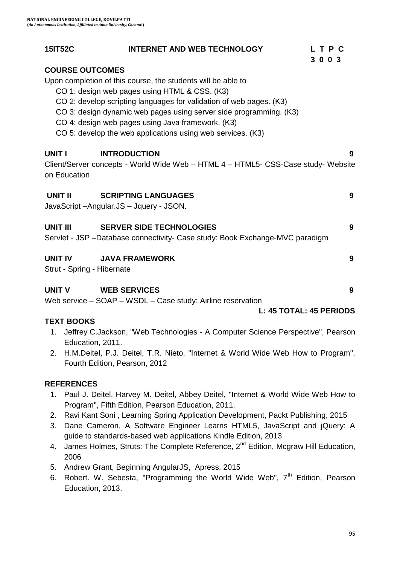| <b>15IT52C</b>                               | <b>INTERNET AND WEB TECHNOLOGY</b>                                                                                                                                                                                                                                                                                                                                             | LTPC<br>3 0 0 3              |
|----------------------------------------------|--------------------------------------------------------------------------------------------------------------------------------------------------------------------------------------------------------------------------------------------------------------------------------------------------------------------------------------------------------------------------------|------------------------------|
| <b>COURSE OUTCOMES</b>                       | Upon completion of this course, the students will be able to<br>CO 1: design web pages using HTML & CSS. (K3)<br>CO 2: develop scripting languages for validation of web pages. (K3)<br>CO 3: design dynamic web pages using server side programming. (K3)<br>CO 4: design web pages using Java framework. (K3)<br>CO 5: develop the web applications using web services. (K3) |                              |
| UNIT I<br>on Education                       | <b>INTRODUCTION</b><br>Client/Server concepts - World Wide Web - HTML 4 - HTML5- CSS-Case study- Website                                                                                                                                                                                                                                                                       | 9                            |
| <b>UNIT II</b>                               | <b>SCRIPTING LANGUAGES</b><br>JavaScript-Angular.JS-Jquery - JSON.                                                                                                                                                                                                                                                                                                             | 9                            |
| <b>UNIT III</b>                              | <b>SERVER SIDE TECHNOLOGIES</b><br>Servlet - JSP -Database connectivity- Case study: Book Exchange-MVC paradigm                                                                                                                                                                                                                                                                | 9                            |
| <b>UNIT IV</b><br>Strut - Spring - Hibernate | <b>JAVA FRAMEWORK</b>                                                                                                                                                                                                                                                                                                                                                          | 9                            |
| <b>UNIT V</b>                                | <b>WEB SERVICES</b><br>Web service - SOAP - WSDL - Case study: Airline reservation                                                                                                                                                                                                                                                                                             | 9<br>L: 45 TOTAL: 45 PERIODS |
| <b>TEXT BOOKS</b><br>1.                      | Jeffrey C.Jackson, "Web Technologies - A Computer Science Perspective", Pearson                                                                                                                                                                                                                                                                                                |                              |
| Education, 2011.<br>2.                       | H.M.Deitel, P.J. Deitel, T.R. Nieto, "Internet & World Wide Web How to Program",                                                                                                                                                                                                                                                                                               |                              |

Fourth Edition, Pearson, 2012

#### **REFERENCES**

- 1. Paul J. Deitel, Harvey M. Deitel, Abbey Deitel, "Internet & World Wide Web How to Program", Fifth Edition, Pearson Education, 2011.
- 2. Ravi Kant Soni , Learning Spring Application Development, Packt Publishing, 2015
- 3. Dane Cameron, A Software Engineer Learns HTML5, JavaScript and jQuery: A guide to standards-based web applications Kindle Edition, 2013
- 4. James Holmes, Struts: The Complete Reference, 2<sup>nd</sup> Edition, Mcgraw Hill Education, 2006
- 5. Andrew Grant, Beginning AngularJS, Apress, 2015
- 6. Robert. W. Sebesta, "Programming the World Wide Web",  $7<sup>th</sup>$  Edition, Pearson Education, 2013.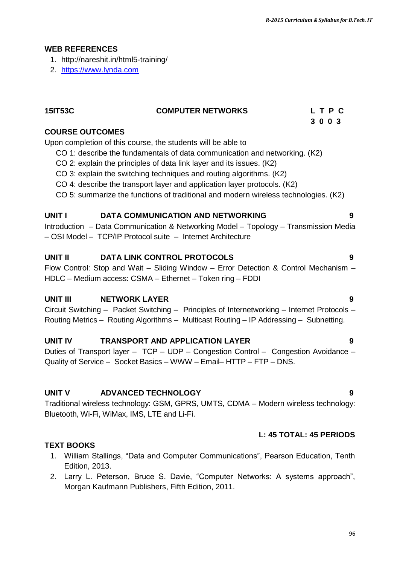## **WEB REFERENCES**

- 1. http://nareshit.in/html5-training/
- 2. [https://www.lynda.com](https://www.lynda.com/)

| <b>15IT53C</b>         | <b>COMPUTER NETWORKS</b> | L T P C |  |
|------------------------|--------------------------|---------|--|
|                        |                          | 3003    |  |
| <b>COURSE OUTCOMES</b> |                          |         |  |

Upon completion of this course, the students will be able to

- CO 1: describe the fundamentals of data communication and networking. (K2)
- CO 2: explain the principles of data link layer and its issues. (K2)
- CO 3: explain the switching techniques and routing algorithms. (K2)
- CO 4: describe the transport layer and application layer protocols. (K2)
- CO 5: summarize the functions of traditional and modern wireless technologies. (K2)

#### **UNIT I DATA COMMUNICATION AND NETWORKING 9**

Introduction – Data Communication & Networking Model – Topology – Transmission Media – OSI Model – TCP/IP Protocol suite – Internet Architecture

#### **UNIT II DATA LINK CONTROL PROTOCOLS 9**

Flow Control: Stop and Wait – Sliding Window – Error Detection & Control Mechanism – HDLC – Medium access: CSMA – Ethernet – Token ring – FDDI

#### **UNIT III NETWORK LAYER 9**

Circuit Switching – Packet Switching – Principles of Internetworking – Internet Protocols – Routing Metrics – Routing Algorithms – Multicast Routing – IP Addressing – Subnetting.

#### **UNIT IV TRANSPORT AND APPLICATION LAYER 9**

Duties of Transport layer – TCP – UDP – Congestion Control – Congestion Avoidance – Quality of Service – Socket Basics – WWW – Email– HTTP – FTP – DNS.

#### **UNIT V ADVANCED TECHNOLOGY 9**

Traditional wireless technology: GSM, GPRS, UMTS, CDMA – Modern wireless technology: Bluetooth, Wi-Fi, WiMax, IMS, LTE and Li-Fi.

#### **L: 45 TOTAL: 45 PERIODS**

#### **TEXT BOOKS**

- 1. William Stallings, "Data and Computer Communications", Pearson Education, Tenth Edition, 2013.
- 2. Larry L. Peterson, Bruce S. Davie, "Computer Networks: A systems approach", Morgan Kaufmann Publishers, Fifth Edition, 2011.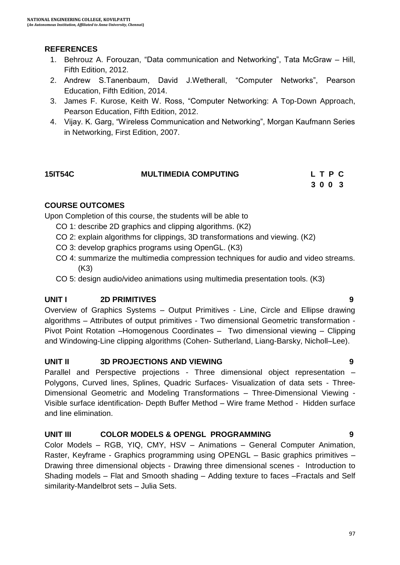## **REFERENCES**

- 1. Behrouz A. Forouzan, "Data communication and Networking", Tata McGraw Hill, Fifth Edition, 2012.
- 2. Andrew S.Tanenbaum, David J.Wetherall, "Computer Networks", Pearson Education, Fifth Edition, 2014.
- 3. James F. Kurose, Keith W. Ross, "Computer Networking: A Top-Down Approach, Pearson Education, Fifth Edition, 2012.
- 4. Vijay. K. Garg, "Wireless Communication and Networking", Morgan Kaufmann Series in Networking, First Edition, 2007.

|  | 3003 |
|--|------|

## **COURSE OUTCOMES**

Upon Completion of this course, the students will be able to

- CO 1: describe 2D graphics and clipping algorithms. (K2)
- CO 2: explain algorithms for clippings, 3D transformations and viewing. (K2)
- CO 3: develop graphics programs using OpenGL. (K3)
- CO 4: summarize the multimedia compression techniques for audio and video streams. (K3)
- CO 5: design audio/video animations using multimedia presentation tools. (K3)

## **UNIT I 2D PRIMITIVES 9**

Overview of Graphics Systems – Output Primitives - Line, Circle and Ellipse drawing algorithms – Attributes of output primitives - Two dimensional Geometric transformation - Pivot Point Rotation –Homogenous Coordinates – Two dimensional viewing – Clipping and Windowing-Line clipping algorithms (Cohen- Sutherland, Liang-Barsky, Nicholl–Lee).

## **UNIT II 3D PROJECTIONS AND VIEWING 9**

Parallel and Perspective projections - Three dimensional object representation – Polygons, Curved lines, Splines, Quadric Surfaces- Visualization of data sets - Three-Dimensional Geometric and Modeling Transformations – Three-Dimensional Viewing - Visible surface identification- Depth Buffer Method – Wire frame Method - Hidden surface and line elimination.

## **UNIT III COLOR MODELS & OPENGL PROGRAMMING 9**

Color Models – RGB, YIQ, CMY, HSV – Animations – General Computer Animation, Raster, Keyframe - Graphics programming using OPENGL – Basic graphics primitives – Drawing three dimensional objects - Drawing three dimensional scenes - Introduction to Shading models – Flat and Smooth shading – Adding texture to faces –Fractals and Self similarity-Mandelbrot sets – Julia Sets.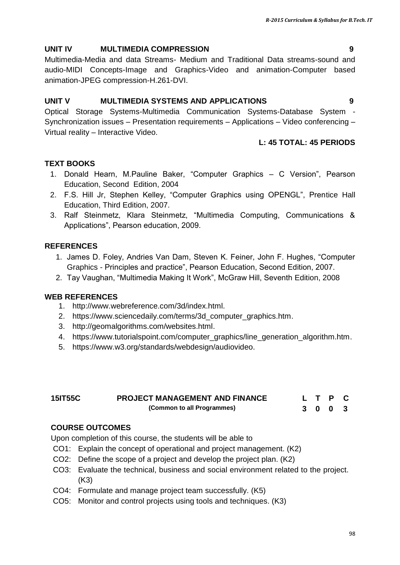## **UNIT IV MULTIMEDIA COMPRESSION 9**

Multimedia-Media and data Streams- Medium and Traditional Data streams-sound and audio-MIDI Concepts-Image and Graphics-Video and animation-Computer based animation-JPEG compression-H.261-DVI.

## **UNIT V MULTIMEDIA SYSTEMS AND APPLICATIONS 9**

Optical Storage Systems-Multimedia Communication Systems-Database System - Synchronization issues – Presentation requirements – Applications – Video conferencing – Virtual reality – Interactive Video.

## **L: 45 TOTAL: 45 PERIODS**

## **TEXT BOOKS**

- 1. Donald Hearn, M.Pauline Baker, "Computer Graphics C Version", Pearson Education, Second Edition, 2004
- 2. F.S. Hill Jr, Stephen Kelley, "Computer Graphics using OPENGL", Prentice Hall Education, Third Edition, 2007.
- 3. Ralf Steinmetz, Klara Steinmetz, "Multimedia Computing, Communications & Applications", Pearson education, 2009.

## **REFERENCES**

- 1. James D. Foley, Andries Van Dam, Steven K. Feiner, John F. Hughes, "Computer Graphics - Principles and practice", Pearson Education, Second Edition, 2007.
- 2. Tay Vaughan, "Multimedia Making It Work", McGraw Hill, Seventh Edition, 2008

## **WEB REFERENCES**

- 1. [http://www.webreference.com/3d/index.html.](http://www.webreference.com/3d/index.html)
- 2. [https://www.sciencedaily.com/terms/3d\\_computer\\_graphics.htm.](https://www.sciencedaily.com/terms/3d_computer_graphics.htm)
- 3. [http://geomalgorithms.com/websites.html.](http://geomalgorithms.com/websites.html)
- 4. [https://www.tutorialspoint.com/computer\\_graphics/line\\_generation\\_algorithm.htm.](https://www.tutorialspoint.com/computer_graphics/line_generation_algorithm.htm)
- 5. [https://www.w3.org/standards/webdesign/audiovideo.](https://www.w3.org/standards/webdesign/audiovideo)

| <b>15IT55C</b> | <b>PROJECT MANAGEMENT AND FINANCE</b> |  |  | L T P C |  |
|----------------|---------------------------------------|--|--|---------|--|
|                | (Common to all Programmes)            |  |  | 3 0 0 3 |  |

## **COURSE OUTCOMES**

Upon completion of this course, the students will be able to

- CO1: Explain the concept of operational and project management. (K2)
- CO2: Define the scope of a project and develop the project plan. (K2)
- CO3: Evaluate the technical, business and social environment related to the project. (K3)
- CO4: Formulate and manage project team successfully. (K5)
- CO5: Monitor and control projects using tools and techniques. (K3)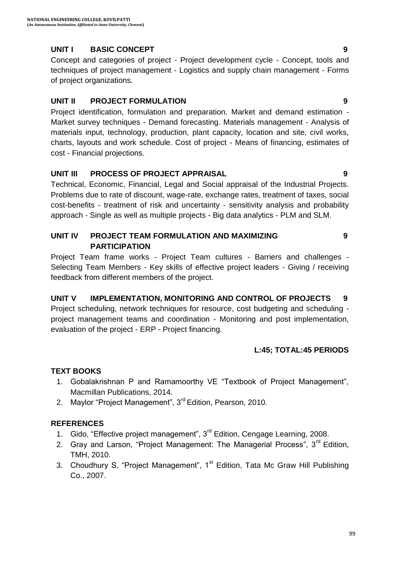## **UNIT I BASIC CONCEPT 9**

Concept and categories of project - Project development cycle - Concept, tools and techniques of project management - Logistics and supply chain management - Forms of project organizations.

## **UNIT II PROJECT FORMULATION 9**

Project identification, formulation and preparation. Market and demand estimation - Market survey techniques - Demand forecasting. Materials management - Analysis of materials input, technology, production, plant capacity, location and site, civil works, charts, layouts and work schedule. Cost of project - Means of financing, estimates of cost - Financial projections.

## **UNIT III PROCESS OF PROJECT APPRAISAL 9**

Technical, Economic, Financial, Legal and Social appraisal of the Industrial Projects. Problems due to rate of discount, wage-rate, exchange rates, treatment of taxes, social cost-benefits - treatment of risk and uncertainty - sensitivity analysis and probability approach - Single as well as multiple projects - Big data analytics - PLM and SLM.

### **UNIT IV PROJECT TEAM FORMULATION AND MAXIMIZING PARTICIPATION**

Project Team frame works - Project Team cultures - Barriers and challenges - Selecting Team Members - Key skills of effective project leaders - Giving / receiving feedback from different members of the project.

## **UNIT V IMPLEMENTATION, MONITORING AND CONTROL OF PROJECTS 9**

Project scheduling, network techniques for resource, cost budgeting and scheduling project management teams and coordination - Monitoring and post implementation, evaluation of the project - ERP - Project financing.

## **L:45; TOTAL:45 PERIODS**

## **TEXT BOOKS**

- 1. Gobalakrishnan P and Ramamoorthy VE "Textbook of Project Management", Macmillan Publications, 2014.
- 2. Maylor "Project Management", 3<sup>rd</sup> Edition, Pearson, 2010.

## **REFERENCES**

- 1. Gido, "Effective project management", 3<sup>rd</sup> Edition, Cengage Learning, 2008.
- 2. Gray and Larson, "Project Management: The Managerial Process", 3<sup>rd</sup> Edition. TMH, 2010.
- 3. Choudhury S, "Project Management", 1<sup>st</sup> Edition, Tata Mc Graw Hill Publishing Co., 2007.

**9**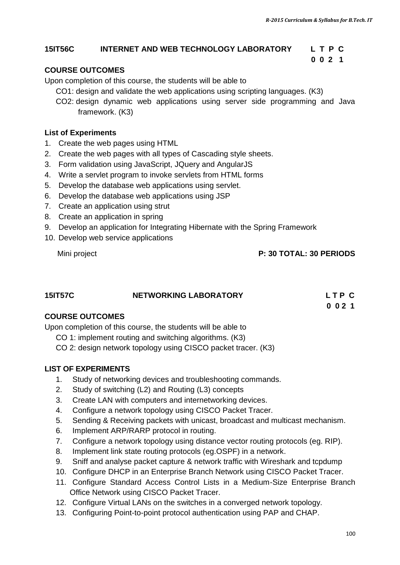## **15IT56C INTERNET AND WEB TECHNOLOGY LABORATORY L T P C**

## **COURSE OUTCOMES**

Upon completion of this course, the students will be able to

CO1: design and validate the web applications using scripting languages. (K3)

 **0 0 2 1**

CO2: design dynamic web applications using server side programming and Java framework. (K3)

#### **List of Experiments**

- 1. Create the web pages using HTML
- 2. Create the web pages with all types of Cascading style sheets.
- 3. Form validation using JavaScript, JQuery and AngularJS
- 4. Write a servlet program to invoke servlets from HTML forms
- 5. Develop the database web applications using servlet.
- 6. Develop the database web applications using JSP
- 7. Create an application using strut
- 8. Create an application in spring
- 9. Develop an application for Integrating Hibernate with the Spring Framework
- 10. Develop web service applications

#### Mini project **P: 30 TOTAL: 30 PERIODS**

| <b>15IT57C</b> | <b>NETWORKING LABORATORY</b> | LTP C |
|----------------|------------------------------|-------|
|                |                              | 0.021 |

## **COURSE OUTCOMES**

Upon completion of this course, the students will be able to

- CO 1: implement routing and switching algorithms. (K3)
- CO 2: design network topology using CISCO packet tracer. (K3)

#### **LIST OF EXPERIMENTS**

- 1. Study of networking devices and troubleshooting commands.
- 2. Study of switching (L2) and Routing (L3) concepts
- 3. Create LAN with computers and internetworking devices.
- 4. Configure a network topology using CISCO Packet Tracer.
- 5. Sending & Receiving packets with unicast, broadcast and multicast mechanism.
- 6. Implement ARP/RARP protocol in routing.
- 7. Configure a network topology using distance vector routing protocols (eg. RIP).
- 8. Implement link state routing protocols (eg.OSPF) in a network.
- 9. Sniff and analyse packet capture & network traffic with Wireshark and tcpdump
- 10. Configure DHCP in an Enterprise Branch Network using CISCO Packet Tracer.
- 11. Configure Standard Access Control Lists in a Medium-Size Enterprise Branch Office Network using CISCO Packet Tracer.
- 12. Configure Virtual LANs on the switches in a converged network topology.
- 13. Configuring Point-to-point protocol authentication using PAP and CHAP.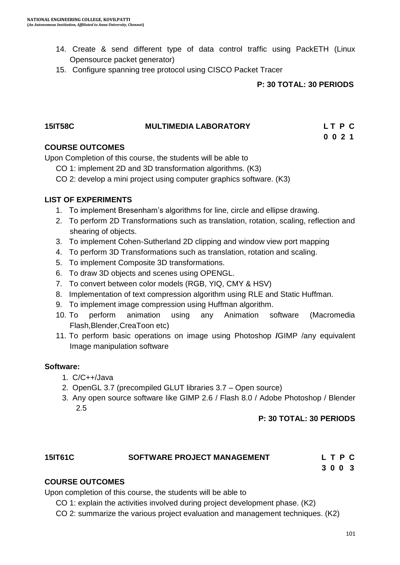- 14. Create & send different type of data control traffic using PackETH (Linux Opensource packet generator)
- 15. Configure spanning tree protocol using CISCO Packet Tracer

#### **P: 30 TOTAL: 30 PERIODS**

#### **15IT58C MULTIMEDIA LABORATORY L T P C 0 0 2 1**

#### **COURSE OUTCOMES**

Upon Completion of this course, the students will be able to

- CO 1: implement 2D and 3D transformation algorithms. (K3)
- CO 2: develop a mini project using computer graphics software. (K3)

#### **LIST OF EXPERIMENTS**

- 1. To implement Bresenham"s algorithms for line, circle and ellipse drawing.
- 2. To perform 2D Transformations such as translation, rotation, scaling, reflection and shearing of objects.
- 3. To implement Cohen-Sutherland 2D clipping and window view port mapping
- 4. To perform 3D Transformations such as translation, rotation and scaling.
- 5. To implement Composite 3D transformations.
- 6. To draw 3D objects and scenes using OPENGL.
- 7. To convert between color models (RGB, YIQ, CMY & HSV)
- 8. Implementation of text compression algorithm using RLE and Static Huffman.
- 9. To implement image compression using Huffman algorithm.
- 10. To perform animation using any Animation software (Macromedia Flash,Blender,CreaToon etc)
- 11. To perform basic operations on image using Photoshop **/**GIMP /any equivalent Image manipulation software

#### **Software:**

- 1. C/C++/Java
- 2. OpenGL 3.7 (precompiled GLUT libraries 3.7 Open source)
- 3. Any open source software like GIMP 2.6 / Flash 8.0 / Adobe Photoshop / Blender 2.5

#### **P: 30 TOTAL: 30 PERIODS**

| <b>15IT61C</b> | <b>SOFTWARE PROJECT MANAGEMENT</b> | LTPC |
|----------------|------------------------------------|------|
|----------------|------------------------------------|------|

 **3 0 0 3**

## **COURSE OUTCOMES**

Upon completion of this course, the students will be able to

CO 1: explain the activities involved during project development phase. (K2)

CO 2: summarize the various project evaluation and management techniques. (K2)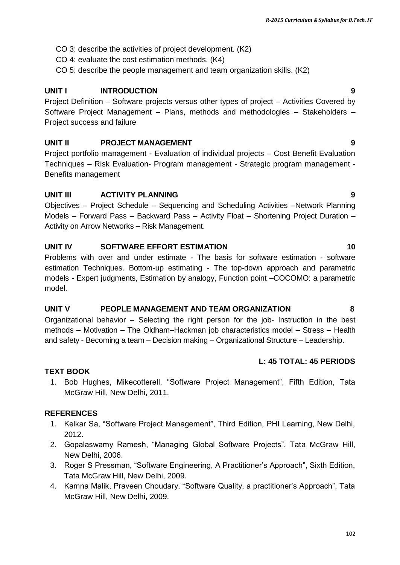- CO 3: describe the activities of project development. (K2)
- CO 4: evaluate the cost estimation methods. (K4)
- CO 5: describe the people management and team organization skills. (K2)

## **UNIT I INTRODUCTION 9**

Project Definition – Software projects versus other types of project – Activities Covered by Software Project Management – Plans, methods and methodologies – Stakeholders – Project success and failure

## **UNIT II PROJECT MANAGEMENT 9**

Project portfolio management - Evaluation of individual projects – Cost Benefit Evaluation Techniques – Risk Evaluation- Program management - Strategic program management - Benefits management

## **UNIT III ACTIVITY PLANNING 9**

Objectives – Project Schedule – Sequencing and Scheduling Activities –Network Planning Models – Forward Pass – Backward Pass – Activity Float – Shortening Project Duration – Activity on Arrow Networks – Risk Management.

## **UNIT IV SOFTWARE EFFORT ESTIMATION 10**

Problems with over and under estimate - The basis for software estimation - software estimation Techniques. Bottom-up estimating - The top-down approach and parametric models - Expert judgments, Estimation by analogy, Function point –COCOMO: a parametric model.

## **UNIT V PEOPLE MANAGEMENT AND TEAM ORGANIZATION 8**

Organizational behavior – Selecting the right person for the job- Instruction in the best methods – Motivation – The Oldham–Hackman job characteristics model – Stress – Health and safety - Becoming a team – Decision making – Organizational Structure – Leadership.

## **L: 45 TOTAL: 45 PERIODS**

## **TEXT BOOK**

1. Bob Hughes, Mikecotterell, "Software Project Management", Fifth Edition, Tata McGraw Hill, New Delhi, 2011.

## **REFERENCES**

- 1. Kelkar Sa, "Software Project Management", Third Edition, PHI Learning, New Delhi, 2012.
- 2. Gopalaswamy Ramesh, "Managing Global Software Projects", Tata McGraw Hill, New Delhi, 2006.
- 3. Roger S Pressman, "Software Engineering, A Practitioner"s Approach", Sixth Edition, Tata McGraw Hill, New Delhi, 2009.
- 4. Kamna Malik, Praveen Choudary, "Software Quality, a practitioner"s Approach", Tata McGraw Hill, New Delhi, 2009.

#### 102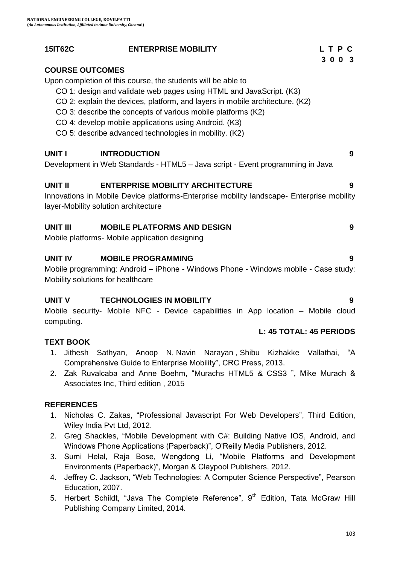## **15IT62C ENTERPRISE MOBILITY L T P C**

## **COURSE OUTCOMES**

Upon completion of this course, the students will be able to

- CO 1: design and validate web pages using HTML and JavaScript. (K3)
- CO 2: explain the devices, platform, and layers in mobile architecture. (K2)
- CO 3: describe the concepts of various mobile platforms (K2)
- CO 4: develop mobile applications using Android. (K3)
- CO 5: describe advanced technologies in mobility. (K2)

## **UNIT I INTRODUCTION 9**

Development in Web Standards - HTML5 – Java script - Event programming in Java

## **UNIT II ENTERPRISE MOBILITY ARCHITECTURE 9**

Innovations in Mobile Device platforms-Enterprise mobility landscape- Enterprise mobility layer-Mobility solution architecture

## **UNIT III MOBILE PLATFORMS AND DESIGN 9**

Mobile platforms- Mobile application designing

#### **UNIT IV MOBILE PROGRAMMING 9**

Mobile programming: Android – iPhone - Windows Phone - Windows mobile - Case study: Mobility solutions for healthcare

#### **UNIT V TECHNOLOGIES IN MOBILITY 9**

Mobile security- Mobile NFC - Device capabilities in App location – Mobile cloud computing.

#### **L: 45 TOTAL: 45 PERIODS**

## **TEXT BOOK**

- 1. Jithesh Sathyan, Anoop N, Navin Narayan , Shibu Kizhakke Vallathai, "A Comprehensive Guide to Enterprise Mobility", CRC Press, 2013.
- 2. Zak Ruvalcaba and Anne Boehm, "Murachs HTML5 & CSS3 ", Mike Murach & Associates Inc, Third edition , 2015

## **REFERENCES**

- 1. Nicholas C. Zakas, "Professional Javascript For Web Developers", Third Edition, Wiley India Pvt Ltd, 2012.
- 2. Greg Shackles, "Mobile Development with C#: Building Native IOS, Android, and Windows Phone Applications (Paperback)", O'Reilly Media Publishers, 2012.
- 3. Sumi Helal, Raja Bose, Wengdong Li, "Mobile Platforms and Development Environments (Paperback)", Morgan & Claypool Publishers, 2012.
- 4. Jeffrey C. Jackson, "Web Technologies: A Computer Science Perspective", Pearson Education, 2007.
- 5. Herbert Schildt, "Java The Complete Reference", 9<sup>th</sup> Edition, Tata McGraw Hill Publishing Company Limited, 2014.

 **3 0 0 3**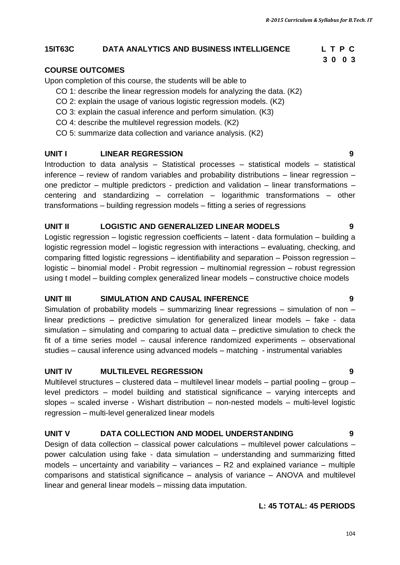#### **15IT63C DATA ANALYTICS AND BUSINESS INTELLIGENCE L T P C**

#### **COURSE OUTCOMES**

Upon completion of this course, the students will be able to

- CO 1: describe the linear regression models for analyzing the data. (K2)
- CO 2: explain the usage of various logistic regression models. (K2)
- CO 3: explain the casual inference and perform simulation. (K3)
- CO 4: describe the multilevel regression models. (K2)
- CO 5: summarize data collection and variance analysis. (K2)

#### **UNIT I LINEAR REGRESSION 9**

Introduction to data analysis – Statistical processes – statistical models – statistical inference – review of random variables and probability distributions – linear regression – one predictor – multiple predictors - prediction and validation – linear transformations – centering and standardizing – correlation – logarithmic transformations – other transformations – building regression models – fitting a series of regressions

#### **UNIT II LOGISTIC AND GENERALIZED LINEAR MODELS 9**

Logistic regression – logistic regression coefficients – latent - data formulation – building a logistic regression model – logistic regression with interactions – evaluating, checking, and comparing fitted logistic regressions – identifiability and separation – Poisson regression – logistic – binomial model - Probit regression – multinomial regression – robust regression using t model – building complex generalized linear models – constructive choice models

#### **UNIT III SIMULATION AND CAUSAL INFERENCE 9**

Simulation of probability models – summarizing linear regressions – simulation of non – linear predictions – predictive simulation for generalized linear models – fake - data simulation – simulating and comparing to actual data – predictive simulation to check the fit of a time series model – causal inference randomized experiments – observational studies – causal inference using advanced models – matching - instrumental variables

#### **UNIT IV MULTILEVEL REGRESSION 9**

Multilevel structures – clustered data – multilevel linear models – partial pooling – group – level predictors – model building and statistical significance – varying intercepts and slopes – scaled inverse - Wishart distribution – non-nested models – multi-level logistic regression – multi-level generalized linear models

#### **UNIT V DATA COLLECTION AND MODEL UNDERSTANDING 9**

Design of data collection – classical power calculations – multilevel power calculations – power calculation using fake - data simulation – understanding and summarizing fitted models – uncertainty and variability – variances –  $R2$  and explained variance – multiple comparisons and statistical significance – analysis of variance – ANOVA and multilevel linear and general linear models – missing data imputation.

#### **L: 45 TOTAL: 45 PERIODS**

## 104

# **3 0 0 3**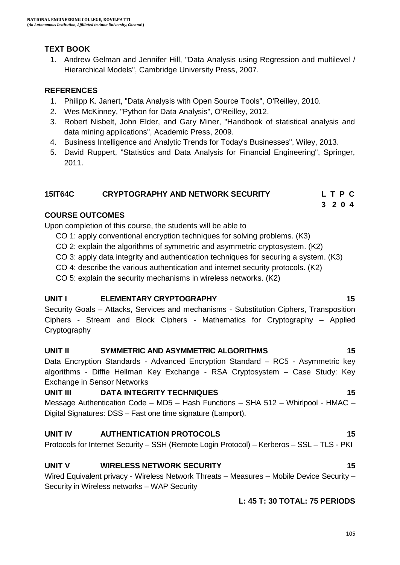## **TEXT BOOK**

1. Andrew Gelman and Jennifer Hill, "Data Analysis using Regression and multilevel / Hierarchical Models", Cambridge University Press, 2007.

## **REFERENCES**

- 1. Philipp K. Janert, "Data Analysis with Open Source Tools", O'Reilley, 2010.
- 2. Wes McKinney, "Python for Data Analysis", O'Reilley, 2012.
- 3. Robert Nisbelt, John Elder, and Gary Miner, "Handbook of statistical analysis and data mining applications", Academic Press, 2009.
- 4. Business Intelligence and Analytic Trends for Today's Businesses", Wiley, 2013.
- 5. David Ruppert, "Statistics and Data Analysis for Financial Engineering", Springer, 2011.

## **15IT64C CRYPTOGRAPHY AND NETWORK SECURITY L T P C**

## **3 2 0 4**

## **COURSE OUTCOMES**

Upon completion of this course, the students will be able to

- CO 1: apply conventional encryption techniques for solving problems. (K3)
- CO 2: explain the algorithms of symmetric and asymmetric cryptosystem. (K2)
- CO 3: apply data integrity and authentication techniques for securing a system. (K3)
- CO 4: describe the various authentication and internet security protocols. (K2)
- CO 5: explain the security mechanisms in wireless networks. (K2)

## **UNIT I ELEMENTARY CRYPTOGRAPHY** 15

Security Goals – Attacks, Services and mechanisms - Substitution Ciphers, Transposition Ciphers - Stream and Block Ciphers - Mathematics for Cryptography – Applied Cryptography

## **UNIT II SYMMETRIC AND ASYMMETRIC ALGORITHMS 15**

Data Encryption Standards - Advanced Encryption Standard – RC5 - Asymmetric key algorithms - Diffie Hellman Key Exchange - RSA Cryptosystem – Case Study: Key Exchange in Sensor Networks

## **UNIT III DATA INTEGRITY TECHNIQUES** 15

Message Authentication Code – MD5 – Hash Functions – SHA 512 – Whirlpool - HMAC – Digital Signatures: DSS – Fast one time signature (Lamport).

## **UNIT IV AUTHENTICATION PROTOCOLS 15**

Protocols for Internet Security – SSH (Remote Login Protocol) – Kerberos – SSL – TLS - PKI

## **UNIT V WIRELESS NETWORK SECURITY 15**

Wired Equivalent privacy - Wireless Network Threats – Measures – Mobile Device Security – Security in Wireless networks – WAP Security

## **L: 45 T: 30 TOTAL: 75 PERIODS**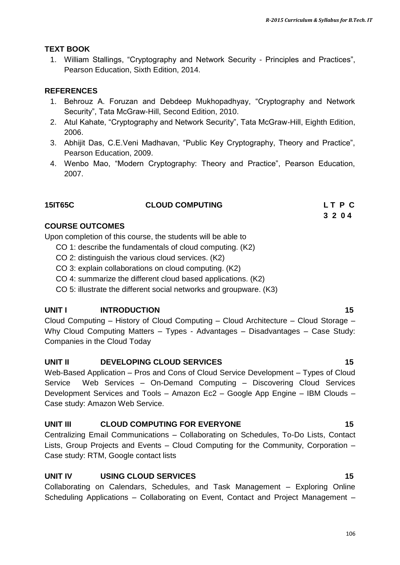## **TEXT BOOK**

1. William Stallings, "Cryptography and Network Security - Principles and Practices", Pearson Education, Sixth Edition, 2014.

## **REFERENCES**

- 1. Behrouz A. Foruzan and Debdeep Mukhopadhyay, "Cryptography and Network Security", Tata McGraw-Hill, Second Edition, 2010.
- 2. Atul Kahate, "Cryptography and Network Security", Tata McGraw-Hill, Eighth Edition, 2006.
- 3. Abhijit Das, C.E.Veni Madhavan, "Public Key Cryptography, Theory and Practice", Pearson Education, 2009.
- 4. Wenbo Mao, "Modern Cryptography: Theory and Practice", Pearson Education, 2007.

## **15IT65C CLOUD COMPUTING L T P C**

 **3 2 0 4**

## **COURSE OUTCOMES**

Upon completion of this course, the students will be able to

- CO 1: describe the fundamentals of cloud computing. (K2)
- CO 2: distinguish the various cloud services. (K2)
- CO 3: explain collaborations on cloud computing. (K2)
- CO 4: summarize the different cloud based applications. (K2)
- CO 5: illustrate the different social networks and groupware. (K3)

## **UNIT I** INTRODUCTION 15

Cloud Computing – History of Cloud Computing – Cloud Architecture – Cloud Storage – Why Cloud Computing Matters – Types - Advantages – Disadvantages – Case Study: Companies in the Cloud Today

## **UNIT II DEVELOPING CLOUD SERVICES** 15

Web-Based Application – Pros and Cons of Cloud Service Development – Types of Cloud Service Web Services – On-Demand Computing – Discovering Cloud Services Development Services and Tools – Amazon Ec2 – Google App Engine – IBM Clouds – Case study: Amazon Web Service.

## **UNIT III CLOUD COMPUTING FOR EVERYONE 15**

Centralizing Email Communications – Collaborating on Schedules, To-Do Lists, Contact Lists, Group Projects and Events – Cloud Computing for the Community, Corporation – Case study: RTM, Google contact lists

## **UNIT IV USING CLOUD SERVICES 15**

Collaborating on Calendars, Schedules, and Task Management – Exploring Online Scheduling Applications – Collaborating on Event, Contact and Project Management –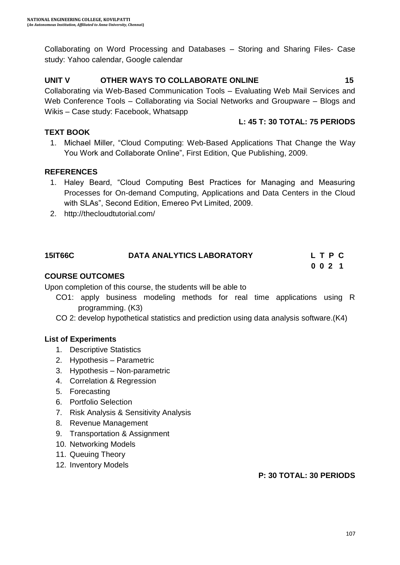Collaborating on Word Processing and Databases – Storing and Sharing Files- Case study: Yahoo calendar, Google calendar

## **UNIT V OTHER WAYS TO COLLABORATE ONLINE 15**

Collaborating via Web-Based Communication Tools – Evaluating Web Mail Services and Web Conference Tools – Collaborating via Social Networks and Groupware – Blogs and Wikis – Case study: Facebook, Whatsapp

## **L: 45 T: 30 TOTAL: 75 PERIODS**

## **TEXT BOOK**

1. Michael Miller, "Cloud Computing: Web-Based Applications That Change the Way You Work and Collaborate Online", First Edition, Que Publishing, 2009.

## **REFERENCES**

- 1. Haley Beard, "Cloud Computing Best Practices for Managing and Measuring Processes for On-demand Computing, Applications and Data Centers in the Cloud with SLAs", Second Edition, Emereo Pvt Limited, 2009.
- 2. <http://thecloudtutorial.com/>

## **15IT66C DATA ANALYTICS LABORATORY L T P C 0 0 2 1**

## **COURSE OUTCOMES**

Upon completion of this course, the students will be able to

- CO1: apply business modeling methods for real time applications using R programming. (K3)
- CO 2: develop hypothetical statistics and prediction using data analysis software.(K4)

## **List of Experiments**

- 1. Descriptive Statistics
- 2. Hypothesis Parametric
- 3. Hypothesis Non-parametric
- 4. Correlation & Regression
- 5. Forecasting
- 6. Portfolio Selection
- 7. Risk Analysis & Sensitivity Analysis
- 8. Revenue Management
- 9. Transportation & Assignment
- 10. Networking Models
- 11. Queuing Theory
- 12. Inventory Models

**P: 30 TOTAL: 30 PERIODS**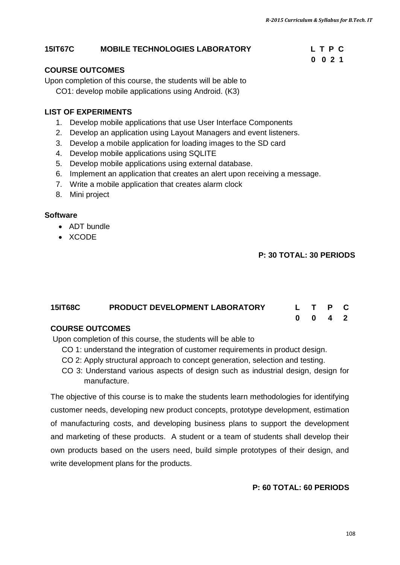#### **15IT67C MOBILE TECHNOLOGIES LABORATORY L T P C**

#### **COURSE OUTCOMES**

Upon completion of this course, the students will be able to CO1: develop mobile applications using Android. (K3)

#### **LIST OF EXPERIMENTS**

- 1. Develop mobile applications that use User Interface Components
- 2. Develop an application using Layout Managers and event listeners.
- 3. Develop a mobile application for loading images to the SD card
- 4. Develop mobile applications using SQLITE
- 5. Develop mobile applications using external database.
- 6. Implement an application that creates an alert upon receiving a message.

 **0 0 2 1**

- 7. Write a mobile application that creates alarm clock
- 8. Mini project

#### **Software**

- ADT bundle
- XCODE

### **P: 30 TOTAL: 30 PERIODS**

## **15IT68C PRODUCT DEVELOPMENT LABORATORY L T P C 0 0 4 2**

### **COURSE OUTCOMES**

Upon completion of this course, the students will be able to

- CO 1: understand the integration of customer requirements in product design.
- CO 2: Apply structural approach to concept generation, selection and testing.
- CO 3: Understand various aspects of design such as industrial design, design for manufacture.

The objective of this course is to make the students learn methodologies for identifying customer needs, developing new product concepts, prototype development, estimation of manufacturing costs, and developing business plans to support the development and marketing of these products. A student or a team of students shall develop their own products based on the users need, build simple prototypes of their design, and write development plans for the products.

#### **P: 60 TOTAL: 60 PERIODS**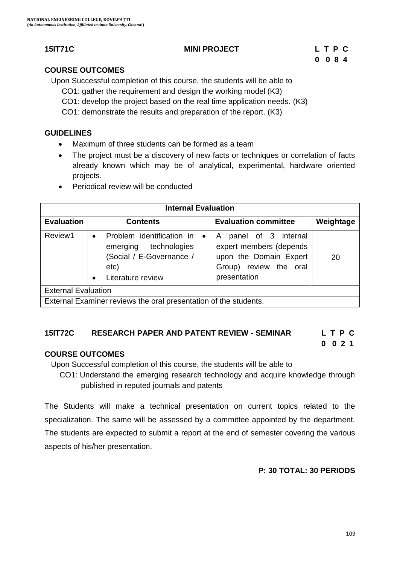## **15IT71C MINI PROJECT L T P C**

# **0 0 8 4**

## **COURSE OUTCOMES**

Upon Successful completion of this course, the students will be able to

- CO1: gather the requirement and design the working model (K3)
- CO1: develop the project based on the real time application needs. (K3)
- CO1: demonstrate the results and preparation of the report. (K3)

### **GUIDELINES**

- Maximum of three students can be formed as a team
- The project must be a discovery of new facts or techniques or correlation of facts already known which may be of analytical, experimental, hardware oriented projects.
- Periodical review will be conducted

| <b>Internal Evaluation</b>                                       |                                                                                                                               |                                                                                                                                      |           |  |  |
|------------------------------------------------------------------|-------------------------------------------------------------------------------------------------------------------------------|--------------------------------------------------------------------------------------------------------------------------------------|-----------|--|--|
| <b>Evaluation</b>                                                | <b>Contents</b>                                                                                                               | <b>Evaluation committee</b>                                                                                                          | Weightage |  |  |
| Review1                                                          | Problem identification in  <br>$\bullet$<br>technologies<br>emerging<br>(Social / E-Governance /<br>etc)<br>Literature review | panel of 3 internal<br>A<br>$\bullet$<br>expert members (depends<br>upon the Domain Expert<br>Group) review the oral<br>presentation | 20        |  |  |
| <b>External Evaluation</b>                                       |                                                                                                                               |                                                                                                                                      |           |  |  |
| External Examiner reviews the oral presentation of the students. |                                                                                                                               |                                                                                                                                      |           |  |  |

## **15IT72C RESEARCH PAPER AND PATENT REVIEW - SEMINAR L T P C**

 **0 0 2 1**

## **COURSE OUTCOMES**

Upon Successful completion of this course, the students will be able to

 CO1: Understand the emerging research technology and acquire knowledge through published in reputed journals and patents

The Students will make a technical presentation on current topics related to the specialization. The same will be assessed by a committee appointed by the department. The students are expected to submit a report at the end of semester covering the various aspects of his/her presentation.

## **P: 30 TOTAL: 30 PERIODS**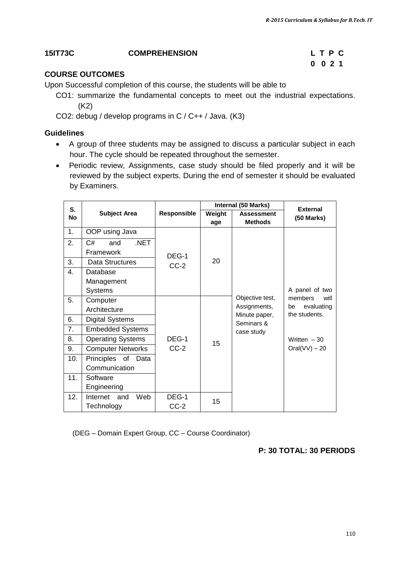## **15IT73C COMPREHENSION L T P C**

# **0 0 2 1**

## **COURSE OUTCOMES**

Upon Successful completion of this course, the students will be able to

- CO1: summarize the fundamental concepts to meet out the industrial expectations. (K2)
- CO2: debug / develop programs in C / C++ / Java. (K3)

#### **Guidelines**

- A group of three students may be assigned to discuss a particular subject in each hour. The cycle should be repeated throughout the semester.
- Periodic review, Assignments, case study should be filed properly and it will be reviewed by the subject experts. During the end of semester it should be evaluated by Examiners.

| S.             |                          |             | Internal (50 Marks) |                                     | <b>External</b>                   |
|----------------|--------------------------|-------------|---------------------|-------------------------------------|-----------------------------------|
| <b>No</b>      | <b>Subject Area</b>      | Responsible | Weight<br>age       | <b>Assessment</b><br><b>Methods</b> | $(50$ Marks)                      |
| 1.             | OOP using Java           |             |                     |                                     |                                   |
| 2.             | .NET<br>and<br>C#        |             |                     |                                     |                                   |
|                | Framework                | DEG-1       |                     |                                     |                                   |
| 3.             | Data Structures          | $CC-2$      | 20                  |                                     |                                   |
| $\mathbf{4}$ . | Database                 |             |                     |                                     |                                   |
|                | Management               |             |                     |                                     |                                   |
|                | <b>Systems</b>           |             |                     |                                     | A panel of two                    |
| 5.             | Computer                 |             |                     | Objective test,                     | members<br>will                   |
|                | Architecture             |             |                     | Assignments,                        | evaluating<br>be<br>the students. |
| 6.             | <b>Digital Systems</b>   |             |                     | Minute paper,<br>Seminars &         |                                   |
| 7.             | <b>Embedded Systems</b>  |             |                     | case study                          |                                   |
| 8.             | <b>Operating Systems</b> | DEG-1       | 15                  |                                     | Written $-30$                     |
| 9.             | <b>Computer Networks</b> | $CC-2$      |                     |                                     | $Oral(VV) - 20$                   |
| 10.            | Principles of Data       |             |                     |                                     |                                   |
|                | Communication            |             |                     |                                     |                                   |
| 11.            | Software                 |             |                     |                                     |                                   |
|                | Engineering              |             |                     |                                     |                                   |
| 12.            | Internet<br>and<br>Web   | DEG-1       | 15                  |                                     |                                   |
|                | Technology               | $CC-2$      |                     |                                     |                                   |

(DEG – Domain Expert Group, CC – Course Coordinator)

## **P: 30 TOTAL: 30 PERIODS**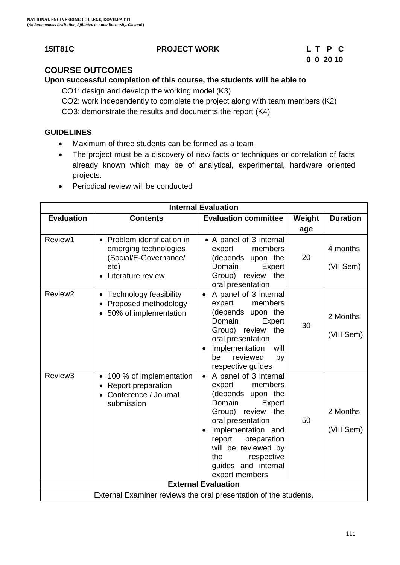## **15IT81C PROJECT WORK L T P C**

# **0 0 20 10**

## **COURSE OUTCOMES**

**Upon successful completion of this course, the students will be able to** 

CO1: design and develop the working model (K3)

CO2: work independently to complete the project along with team members (K2)

CO3: demonstrate the results and documents the report (K4)

## **GUIDELINES**

- Maximum of three students can be formed as a team
- The project must be a discovery of new facts or techniques or correlation of facts already known which may be of analytical, experimental, hardware oriented projects.
- Periodical review will be conducted

| <b>Internal Evaluation</b> |                                                                                                            |                                                                                                                                                                                                                                                                                   |        |                        |  |  |
|----------------------------|------------------------------------------------------------------------------------------------------------|-----------------------------------------------------------------------------------------------------------------------------------------------------------------------------------------------------------------------------------------------------------------------------------|--------|------------------------|--|--|
| <b>Evaluation</b>          | <b>Contents</b>                                                                                            | <b>Evaluation committee</b>                                                                                                                                                                                                                                                       | Weight | <b>Duration</b>        |  |  |
|                            |                                                                                                            |                                                                                                                                                                                                                                                                                   | age    |                        |  |  |
| Review1                    | • Problem identification in<br>emerging technologies<br>(Social/E-Governance/<br>etc)<br>Literature review | • A panel of 3 internal<br>expert<br>members<br>(depends upon the<br>Domain<br>Expert<br>Group) review<br>the<br>oral presentation                                                                                                                                                | 20     | 4 months<br>(VII Sem)  |  |  |
| Review <sub>2</sub>        | Technology feasibility<br>Proposed methodology<br>50% of implementation                                    | A panel of 3 internal<br>$\bullet$<br>expert<br>members<br>(depends upon the<br>Domain<br>Expert<br>Group) review<br>the<br>oral presentation<br>Implementation<br>will<br>$\bullet$<br>reviewed<br>by<br>be<br>respective guides                                                 | 30     | 2 Months<br>(VIII Sem) |  |  |
| Review3                    | 100 % of implementation<br><b>Report preparation</b><br>$\bullet$<br>Conference / Journal<br>submission    | A panel of 3 internal<br>$\bullet$<br>expert<br>members<br>(depends upon the<br>Domain<br>Expert<br>Group) review<br>the<br>oral presentation<br>Implementation and<br>report<br>preparation<br>will be reviewed by<br>respective<br>the<br>guides and internal<br>expert members | 50     | 2 Months<br>(VIII Sem) |  |  |
|                            |                                                                                                            | <b>External Evaluation</b>                                                                                                                                                                                                                                                        |        |                        |  |  |
|                            | External Examiner reviews the oral presentation of the students.                                           |                                                                                                                                                                                                                                                                                   |        |                        |  |  |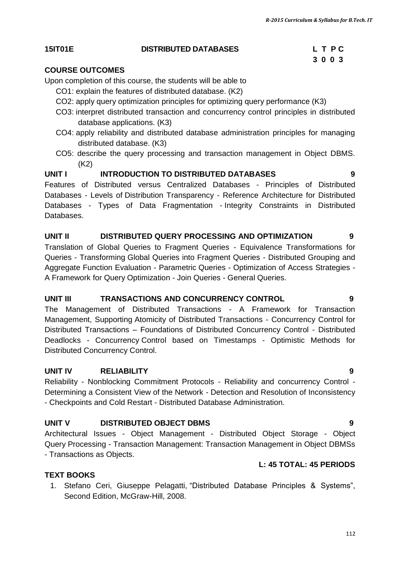#### **15IT01E DISTRIBUTED DATABASES L T P C**

#### **COURSE OUTCOMES**

Upon completion of this course, the students will be able to

- CO1: explain the features of distributed database. (K2)
- CO2: apply query optimization principles for optimizing query performance (K3)
- CO3: interpret distributed transaction and concurrency control principles in distributed database applications. (K3)
- CO4: apply reliability and distributed database administration principles for managing distributed database. (K3)
- CO5: describe the query processing and transaction management in Object DBMS. (K2)

#### **UNIT I INTRODUCTION TO DISTRIBUTED DATABASES 9**

Features of Distributed versus Centralized Databases - Principles of Distributed Databases - Levels of Distribution Transparency - Reference Architecture for Distributed Databases - Types of Data Fragmentation - Integrity Constraints in Distributed Databases.

#### **UNIT II DISTRIBUTED QUERY PROCESSING AND OPTIMIZATION 9**

Translation of Global Queries to Fragment Queries - Equivalence Transformations for Queries - Transforming Global Queries into Fragment Queries - Distributed Grouping and Aggregate Function Evaluation - Parametric Queries - Optimization of Access Strategies - A Framework for Query Optimization - Join Queries - General Queries.

#### **UNIT III TRANSACTIONS AND CONCURRENCY CONTROL 9**

The Management of Distributed Transactions - A Framework for Transaction Management, Supporting Atomicity of Distributed Transactions - Concurrency Control for Distributed Transactions – Foundations of Distributed Concurrency Control - Distributed Deadlocks - Concurrency Control based on Timestamps - Optimistic Methods for Distributed Concurrency Control.

#### **UNIT IV RELIABILITY 9**

Reliability - Nonblocking Commitment Protocols - Reliability and concurrency Control - Determining a Consistent View of the Network - Detection and Resolution of Inconsistency - Checkpoints and Cold Restart - Distributed Database Administration.

#### **UNIT V DISTRIBUTED OBJECT DBMS 9**

Architectural Issues - Object Management - Distributed Object Storage - Object Query Processing - Transaction Management: Transaction Management in Object DBMSs - Transactions as Objects.

#### **L: 45 TOTAL: 45 PERIODS**

#### **TEXT BOOKS**

1. Stefano Ceri, Giuseppe Pelagatti, "Distributed Database Principles & Systems", Second Edition, McGraw-Hill, 2008.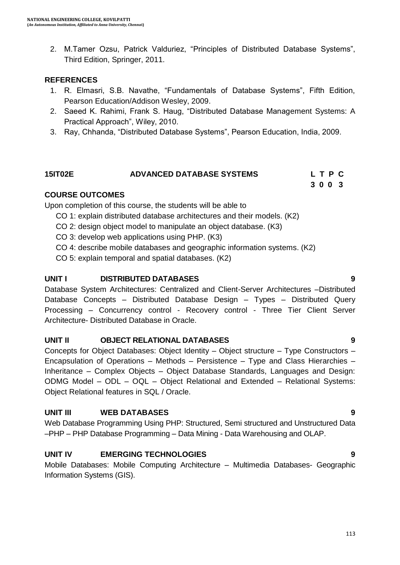2. M.Tamer Ozsu, Patrick Valduriez, "Principles of Distributed Database Systems", Third Edition, Springer, 2011.

#### **REFERENCES**

- 1. R. Elmasri, S.B. Navathe, "Fundamentals of Database Systems", Fifth Edition, Pearson Education/Addison Wesley, 2009.
- 2. Saeed K. Rahimi, Frank S. Haug, "Distributed Database Management Systems: A Practical Approach", Wiley, 2010.
- 3. Ray, Chhanda, "Distributed Database Systems", Pearson Education, India, 2009.

### **15IT02E ADVANCED DATABASE SYSTEMS L T P C 3 0 0 3**

### **COURSE OUTCOMES**

Upon completion of this course, the students will be able to

- CO 1: explain distributed database architectures and their models. (K2)
- CO 2: design object model to manipulate an object database. (K3)
- CO 3: develop web applications using PHP. (K3)
- CO 4: describe mobile databases and geographic information systems. (K2)
- CO 5: explain temporal and spatial databases. (K2)

### **UNIT I DISTRIBUTED DATABASES 9**

Database System Architectures: Centralized and Client-Server Architectures –Distributed Database Concepts – Distributed Database Design – Types – Distributed Query Processing – Concurrency control - Recovery control - Three Tier Client Server Architecture- Distributed Database in Oracle.

#### **UNIT II OBJECT RELATIONAL DATABASES 9**

Concepts for Object Databases: Object Identity – Object structure – Type Constructors – Encapsulation of Operations – Methods – Persistence – Type and Class Hierarchies – Inheritance – Complex Objects – Object Database Standards, Languages and Design: ODMG Model – ODL – OQL – Object Relational and Extended – Relational Systems: Object Relational features in SQL / Oracle.

#### **UNIT III WEB DATABASES 9**

Web Database Programming Using PHP: Structured, Semi structured and Unstructured Data –PHP – PHP Database Programming – Data Mining - Data Warehousing and OLAP.

## **UNIT IV EMERGING TECHNOLOGIES 9**

Mobile Databases: Mobile Computing Architecture – Multimedia Databases- Geographic Information Systems (GIS).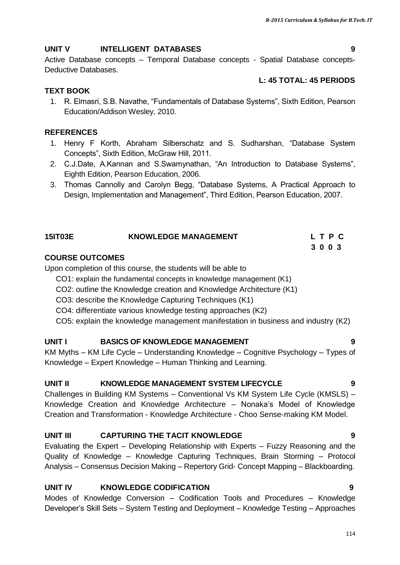## **UNIT V INTELLIGENT DATABASES 9**

Active Database concepts – Temporal Database concepts - Spatial Database concepts-Deductive Databases.

## **L: 45 TOTAL: 45 PERIODS**

## **TEXT BOOK**

1. R. Elmasri, S.B. Navathe, "Fundamentals of Database Systems", Sixth Edition, Pearson Education/Addison Wesley, 2010.

## **REFERENCES**

- 1. Henry F Korth, Abraham Silberschatz and S. Sudharshan, "Database System Concepts", Sixth Edition, McGraw Hill, 2011.
- 2. C.J.Date, A.Kannan and S.Swamynathan, "An Introduction to Database Systems", Eighth Edition, Pearson Education, 2006.
- 3. Thomas Cannolly and Carolyn Begg, "Database Systems, A Practical Approach to Design, Implementation and Management", Third Edition, Pearson Education, 2007.

| 15IT03E                | <b>KNOWLEDGE MANAGEMENT</b> | LTPC |
|------------------------|-----------------------------|------|
|                        |                             | 3003 |
| <b>COURSE OUTCOMES</b> |                             |      |

Upon completion of this course, the students will be able to

CO1: explain the fundamental concepts in knowledge management (K1)

CO2: outline the Knowledge creation and Knowledge Architecture (K1)

CO3: describe the Knowledge Capturing Techniques (K1)

CO4: differentiate various knowledge testing approaches (K2)

CO5: explain the knowledge management manifestation in business and industry (K2)

## **UNIT I BASICS OF KNOWLEDGE MANAGEMENT 9**

KM Myths – KM Life Cycle – Understanding Knowledge – Cognitive Psychology – Types of Knowledge – Expert Knowledge – Human Thinking and Learning.

## **UNIT II KNOWLEDGE MANAGEMENT SYSTEM LIFECYCLE 9**

Challenges in Building KM Systems – Conventional Vs KM System Life Cycle (KMSLS) – Knowledge Creation and Knowledge Architecture – Nonaka"s Model of Knowledge Creation and Transformation - Knowledge Architecture - Choo Sense-making KM Model.

## **UNIT III CAPTURING THE TACIT KNOWLEDGE 9**

Evaluating the Expert – Developing Relationship with Experts – Fuzzy Reasoning and the Quality of Knowledge – Knowledge Capturing Techniques, Brain Storming – Protocol Analysis – Consensus Decision Making – Repertory Grid- Concept Mapping – Blackboarding.

## **UNIT IV KNOWLEDGE CODIFICATION 9**

Modes of Knowledge Conversion – Codification Tools and Procedures – Knowledge Developer"s Skill Sets – System Testing and Deployment – Knowledge Testing – Approaches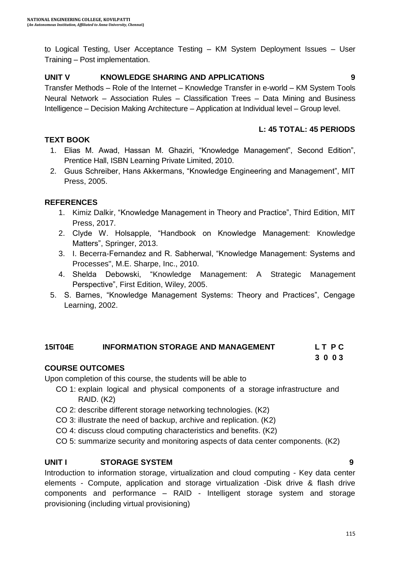to Logical Testing, User Acceptance Testing – KM System Deployment Issues – User Training – Post implementation.

#### **UNIT V KNOWLEDGE SHARING AND APPLICATIONS 9**

Transfer Methods – Role of the Internet – Knowledge Transfer in e-world – KM System Tools Neural Network – Association Rules – Classification Trees – Data Mining and Business Intelligence – Decision Making Architecture – Application at Individual level – Group level.

#### **L: 45 TOTAL: 45 PERIODS**

#### **TEXT BOOK**

- 1. Elias M. Awad, Hassan M. Ghaziri, "Knowledge Management", Second Edition", Prentice Hall, ISBN Learning Private Limited, 2010.
- 2. Guus Schreiber, Hans Akkermans, "Knowledge Engineering and Management", MIT Press, 2005.

#### **REFERENCES**

- 1. Kimiz Dalkir, "Knowledge Management in Theory and Practice", Third Edition, MIT Press, 2017.
- 2. Clyde W. Holsapple, "Handbook on Knowledge Management: Knowledge Matters", Springer, 2013.
- 3. I. Becerra-Fernandez and R. Sabherwal, "Knowledge Management: Systems and Processes", M.E. Sharpe, Inc., 2010.
- 4. Shelda Debowski, "Knowledge Management: A Strategic Management Perspective", First Edition, Wiley, 2005.
- 5. S. Barnes, "Knowledge Management Systems: Theory and Practices", Cengage Learning, 2002.

#### **15IT04E INFORMATION STORAGE AND MANAGEMENT L T P C**

 **3 0 0 3**

#### **COURSE OUTCOMES**

Upon completion of this course, the students will be able to

- CO 1: explain logical and physical components of a storage infrastructure and RAID. (K2)
- CO 2: describe different storage networking technologies. (K2)
- CO 3: illustrate the need of backup, archive and replication. (K2)
- CO 4: discuss cloud computing characteristics and benefits. (K2)
- CO 5: summarize security and monitoring aspects of data center components. (K2)

#### **UNIT I STORAGE SYSTEM 9**

Introduction to information storage, virtualization and cloud computing - Key data center elements - Compute, application and storage virtualization -Disk drive & flash drive components and performance – RAID - Intelligent storage system and storage provisioning (including virtual provisioning)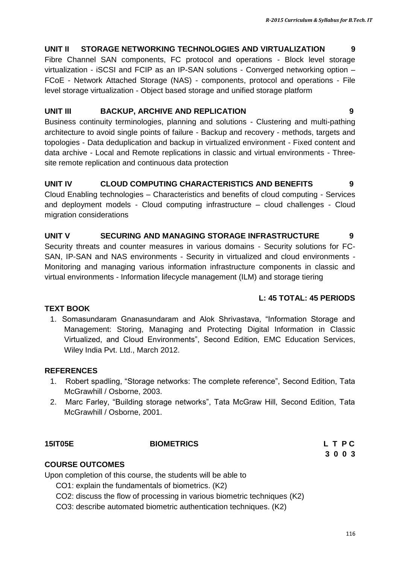## **UNIT II STORAGE NETWORKING TECHNOLOGIES AND VIRTUALIZATION 9**

Fibre Channel SAN components, FC protocol and operations - Block level storage virtualization - iSCSI and FCIP as an IP-SAN solutions - Converged networking option – FCoE - Network Attached Storage (NAS) - components, protocol and operations - File level storage virtualization - Object based storage and unified storage platform

## **UNIT III BACKUP, ARCHIVE AND REPLICATION 9**

Business continuity terminologies, planning and solutions - Clustering and multi-pathing architecture to avoid single points of failure - Backup and recovery - methods, targets and topologies - Data deduplication and backup in virtualized environment - Fixed content and data archive - Local and Remote replications in classic and virtual environments - Threesite remote replication and continuous data protection

## **UNIT IV CLOUD COMPUTING CHARACTERISTICS AND BENEFITS 9**

Cloud Enabling technologies – Characteristics and benefits of cloud computing - Services and deployment models - Cloud computing infrastructure – cloud challenges - Cloud migration considerations

## **UNIT V SECURING AND MANAGING STORAGE INFRASTRUCTURE 9**

Security threats and counter measures in various domains - Security solutions for FC-SAN, IP-SAN and NAS environments - Security in virtualized and cloud environments - Monitoring and managing various information infrastructure components in classic and virtual environments - Information lifecycle management (ILM) and storage tiering

## **L: 45 TOTAL: 45 PERIODS**

## **TEXT BOOK**

1. Somasundaram Gnanasundaram and Alok Shrivastava, "Information Storage and Management: Storing, Managing and Protecting Digital Information in Classic Virtualized, and Cloud Environments", Second Edition, [EMC Education Services,](http://as.wiley.com/WileyCDA/WileyTitle/productCd-1118094832.html) Wiley India Pvt. Ltd., March 2012.

## **REFERENCES**

- 1. Robert spadling, "Storage networks: The complete reference", Second Edition, Tata McGrawhill / Osborne, 2003.
- 2. Marc Farley, "Building storage networks", Tata McGraw Hill, Second Edition, Tata McGrawhill / Osborne, 2001.

## **15IT05E BIOMETRICS L T P C**

**3 0 0 3**

## **COURSE OUTCOMES**

Upon completion of this course, the students will be able to

CO1: explain the fundamentals of biometrics. (K2)

CO2: discuss the flow of processing in various biometric techniques (K2)

CO3: describe automated biometric authentication techniques. (K2)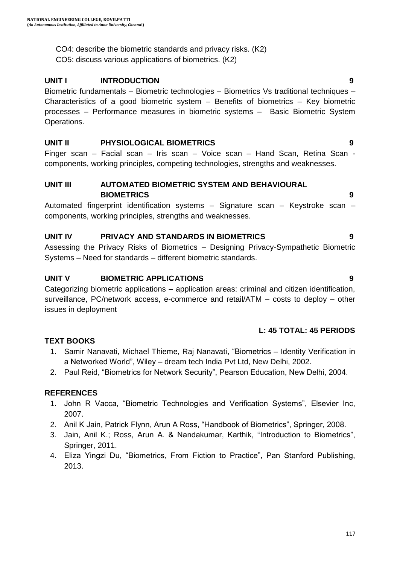CO4: describe the biometric standards and privacy risks. (K2)

CO5: discuss various applications of biometrics. (K2)

#### **UNIT I INTRODUCTION 9**

Biometric fundamentals – Biometric technologies – Biometrics Vs traditional techniques – Characteristics of a good biometric system – Benefits of biometrics – Key biometric processes – Performance measures in biometric systems – Basic Biometric System Operations.

#### **UNIT II PHYSIOLOGICAL BIOMETRICS 9**

Finger scan – Facial scan – Iris scan – Voice scan – Hand Scan, Retina Scan components, working principles, competing technologies, strengths and weaknesses.

### **UNIT III AUTOMATED BIOMETRIC SYSTEM AND BEHAVIOURAL BIOMETRICS 9**

Automated fingerprint identification systems – Signature scan – Keystroke scan – components, working principles, strengths and weaknesses.

#### **UNIT IV PRIVACY AND STANDARDS IN BIOMETRICS 9**

Assessing the Privacy Risks of Biometrics – Designing Privacy-Sympathetic Biometric Systems – Need for standards – different biometric standards.

#### **UNIT V BIOMETRIC APPLICATIONS 9**

Categorizing biometric applications – application areas: criminal and citizen identification, surveillance, PC/network access, e-commerce and retail/ATM – costs to deploy – other issues in deployment

#### **L: 45 TOTAL: 45 PERIODS**

### **TEXT BOOKS**

- 1. Samir Nanavati, Michael Thieme, Raj Nanavati, "Biometrics Identity Verification in a Networked World", Wiley – dream tech India Pvt Ltd, New Delhi, 2002.
- 2. Paul Reid, "Biometrics for Network Security", Pearson Education, New Delhi, 2004.

#### **REFERENCES**

- 1. John R Vacca, "Biometric Technologies and Verification Systems", Elsevier Inc, 2007.
- 2. Anil K Jain, Patrick Flynn, Arun A Ross, "Handbook of Biometrics", Springer, 2008.
- 3. Jain, Anil K.; Ross, Arun A. & Nandakumar, Karthik, "Introduction to Biometrics", Springer, 2011.
- 4. Eliza Yingzi Du, "Biometrics, From Fiction to Practice", Pan Stanford Publishing, 2013.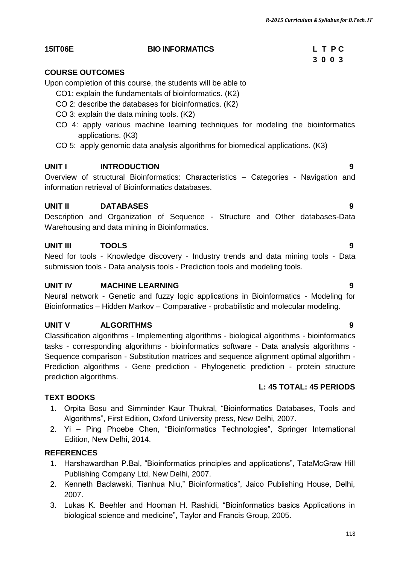## **15IT06E BIO INFORMATICS L T P C**

## **COURSE OUTCOMES**

Upon completion of this course, the students will be able to

- CO1: explain the fundamentals of bioinformatics. (K2)
- CO 2: describe the databases for bioinformatics. (K2)
- CO 3: explain the data mining tools. (K2)
- CO 4: apply various machine learning techniques for modeling the bioinformatics applications. (K3)
- CO 5: apply genomic data analysis algorithms for biomedical applications. (K3)

## **UNIT I INTRODUCTION 9**

Overview of structural Bioinformatics: Characteristics – Categories - Navigation and information retrieval of Bioinformatics databases.

## **UNIT II DATABASES 9**

Description and Organization of Sequence - Structure and Other databases-Data Warehousing and data mining in Bioinformatics.

## **UNIT III TOOLS 9**

Need for tools - Knowledge discovery - Industry trends and data mining tools - Data submission tools - Data analysis tools - Prediction tools and modeling tools.

## **UNIT IV MACHINE LEARNING 9**

Neural network - Genetic and fuzzy logic applications in Bioinformatics - Modeling for Bioinformatics – Hidden Markov – Comparative - probabilistic and molecular modeling.

## **UNIT V ALGORITHMS 9**

Classification algorithms - Implementing algorithms - biological algorithms - bioinformatics tasks - corresponding algorithms - bioinformatics software - Data analysis algorithms - Sequence comparison - Substitution matrices and sequence alignment optimal algorithm - Prediction algorithms - Gene prediction - Phylogenetic prediction - protein structure prediction algorithms.

## **TEXT BOOKS**

- 1. Orpita Bosu and Simminder Kaur Thukral, "Bioinformatics Databases, Tools and Algorithms", First Edition, Oxford University press, New Delhi, 2007.
- 2. Yi Ping Phoebe Chen, "Bioinformatics Technologies", Springer International Edition, New Delhi, 2014.

## **REFERENCES**

- 1. Harshawardhan P.Bal, "Bioinformatics principles and applications", TataMcGraw Hill Publishing Company Ltd, New Delhi, 2007.
- 2. Kenneth Baclawski, Tianhua Niu," Bioinformatics", Jaico Publishing House, Delhi, 2007.
- 3. Lukas K. Beehler and Hooman H. Rashidi, "Bioinformatics basics Applications in biological science and medicine", Taylor and Francis Group, 2005.

# **3 0 0 3**

**L: 45 TOTAL: 45 PERIODS**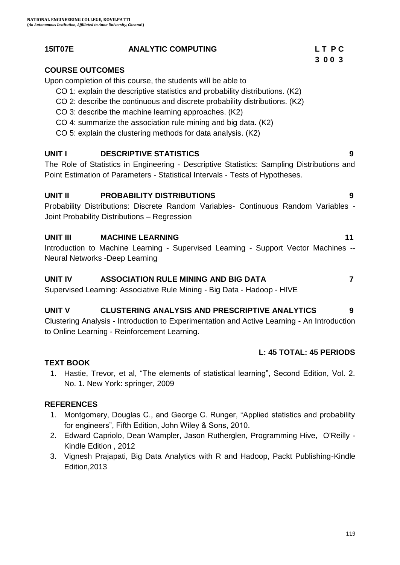#### **15IT07E ANALYTIC COMPUTING L T P C**

## **COURSE OUTCOMES**

Upon completion of this course, the students will be able to

- CO 1: explain the descriptive statistics and probability distributions. (K2)
- CO 2: describe the continuous and discrete probability distributions. (K2)
- CO 3: describe the machine learning approaches. (K2)
- CO 4: summarize the association rule mining and big data. (K2)
- CO 5: explain the clustering methods for data analysis. (K2)

## **UNIT I DESCRIPTIVE STATISTICS 9**

The Role of Statistics in Engineering - Descriptive Statistics: Sampling Distributions and Point Estimation of Parameters - Statistical Intervals - Tests of Hypotheses.

## **UNIT II PROBABILITY DISTRIBUTIONS 9**

Probability Distributions: Discrete Random Variables- Continuous Random Variables - Joint Probability Distributions – Regression

## **UNIT III MACHINE LEARNING 11**

Introduction to Machine Learning - Supervised Learning - Support Vector Machines -- Neural Networks -Deep Learning

## **UNIT IV ASSOCIATION RULE MINING AND BIG DATA 7**

Supervised Learning: Associative Rule Mining - Big Data - Hadoop - HIVE

## **UNIT V CLUSTERING ANALYSIS AND PRESCRIPTIVE ANALYTICS 9**

Clustering Analysis - Introduction to Experimentation and Active Learning - An Introduction to Online Learning - Reinforcement Learning.

## **L: 45 TOTAL: 45 PERIODS**

## **TEXT BOOK**

1. Hastie, Trevor, et al, "The elements of statistical learning", Second Edition, Vol. 2. No. 1. New York: springer, 2009

## **REFERENCES**

- 1. Montgomery, Douglas C., and George C. Runger, "Applied statistics and probability for engineers", Fifth Edition, John Wiley & Sons, 2010.
- 2. Edward Capriolo, Dean Wampler, Jason Rutherglen, Programming Hive, O'Reilly Kindle Edition , 2012
- 3. Vignesh Prajapati, Big Data Analytics with R and Hadoop, Packt Publishing-Kindle Edition,2013

 **3 0 0 3**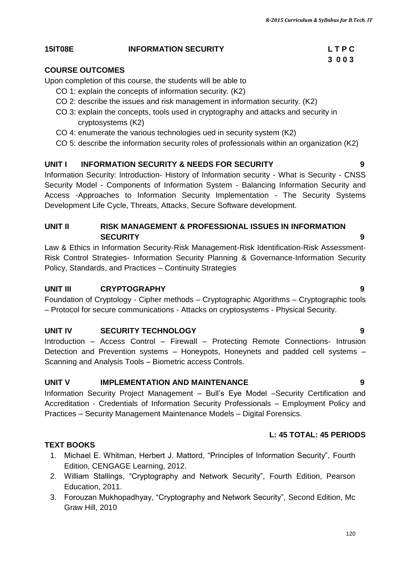## **15IT08E INFORMATION SECURITY L T P C**

## **COURSE OUTCOMES**

Upon completion of this course, the students will be able to

- CO 1: explain the concepts of information security. (K2)
- CO 2: describe the issues and risk management in information security. (K2)
- CO 3: explain the concepts, tools used in cryptography and attacks and security in cryptosystems (K2)
- CO 4: enumerate the various technologies ued in security system (K2)
- CO 5: describe the information security roles of professionals within an organization (K2)

## **UNIT I INFORMATION SECURITY & NEEDS FOR SECURITY 9**

Information Security: Introduction- History of Information security - What is Security - CNSS Security Model - Components of Information System - Balancing Information Security and Access -Approaches to Information Security Implementation - The Security Systems Development Life Cycle, Threats, Attacks, Secure Software development.

## **UNIT II RISK MANAGEMENT & PROFESSIONAL ISSUES IN INFORMATION SECURITY** 9

Law & Ethics in Information Security-Risk Management-Risk Identification-Risk Assessment-Risk Control Strategies- Information Security Planning & Governance-Information Security Policy, Standards, and Practices – Continuity Strategies

## **UNIT III CRYPTOGRAPHY 9**

Foundation of Cryptology - Cipher methods – Cryptographic Algorithms – Cryptographic tools – Protocol for secure communications - Attacks on cryptosystems - Physical Security.

## **UNIT IV SECURITY TECHNOLOGY 9**

Introduction – Access Control – Firewall – Protecting Remote Connections- Intrusion Detection and Prevention systems – Honeypots, Honeynets and padded cell systems – Scanning and Analysis Tools – Biometric access Controls.

## **UNIT V IMPLEMENTATION AND MAINTENANCE 9**

Information Security Project Management – Bull"s Eye Model –Security Certification and Accreditation - Credentials of Information Security Professionals – Employment Policy and Practices – Security Management Maintenance Models – Digital Forensics.

## **L: 45 TOTAL: 45 PERIODS**

## **TEXT BOOKS**

- 1. Michael E. Whitman, Herbert J. Mattord, "Principles of Information Security", Fourth Edition, CENGAGE Learning, 2012.
- 2. William Stallings, "Cryptography and Network Security", Fourth Edition, Pearson Education, 2011.
- 3. Forouzan Mukhopadhyay, "Cryptography and Network Security", Second Edition, Mc Graw Hill, 2010

# **3 0 0 3**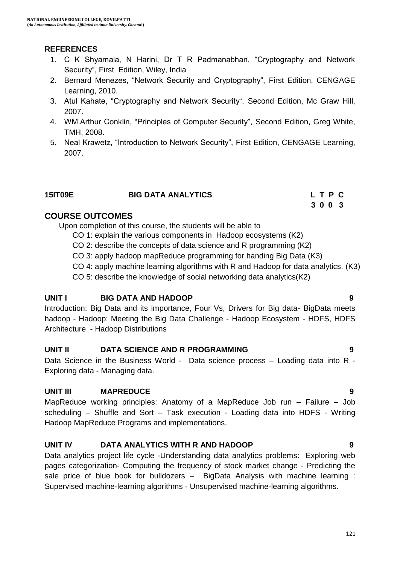### **REFERENCES**

- 1. C K Shyamala, N Harini, Dr T R Padmanabhan, "Cryptography and Network Security", First Edition, Wiley, India
- 2. Bernard Menezes, "Network Security and Cryptography", First Edition, CENGAGE Learning, 2010.
- 3. Atul Kahate, "Cryptography and Network Security", Second Edition, Mc Graw Hill, 2007.
- 4. WM.Arthur Conklin, "Principles of Computer Security", Second Edition, Greg White, TMH, 2008.
- 5. Neal Krawetz, "Introduction to Network Security", First Edition, CENGAGE Learning, 2007.

### **15IT09E BIG DATA ANALYTICS L T P C**

## **COURSE OUTCOMES**

Upon completion of this course, the students will be able to

- CO 1: explain the various components in Hadoop ecosystems (K2)
- CO 2: describe the concepts of data science and R programming (K2)

 **3 0 0 3**

- CO 3: apply hadoop mapReduce programming for handing Big Data (K3)
- CO 4: apply machine learning algorithms with R and Hadoop for data analytics. (K3)
- CO 5: describe the knowledge of social networking data analytics(K2)

#### **UNIT I BIG DATA AND HADOOP 9**

Introduction: Big Data and its importance, Four Vs, Drivers for Big data- BigData meets hadoop - Hadoop: Meeting the Big Data Challenge - Hadoop Ecosystem - HDFS, HDFS Architecture - Hadoop Distributions

#### **UNIT II DATA SCIENCE AND R PROGRAMMING 9**

Data Science in the Business World - Data science process – Loading data into R - Exploring data - Managing data.

#### **UNIT III MAPREDUCE 9**

MapReduce working principles: Anatomy of a MapReduce Job run – Failure – Job scheduling – Shuffle and Sort – Task execution - Loading data into HDFS - Writing Hadoop MapReduce Programs and implementations.

#### **UNIT IV DATA ANALYTICS WITH R AND HADOOP 9**

Data analytics project life cycle -Understanding data analytics problems: Exploring web pages categorization- Computing the frequency of stock market change - Predicting the sale price of blue book for bulldozers – BigData Analysis with machine learning : Supervised machine-learning algorithms - Unsupervised machine-learning algorithms.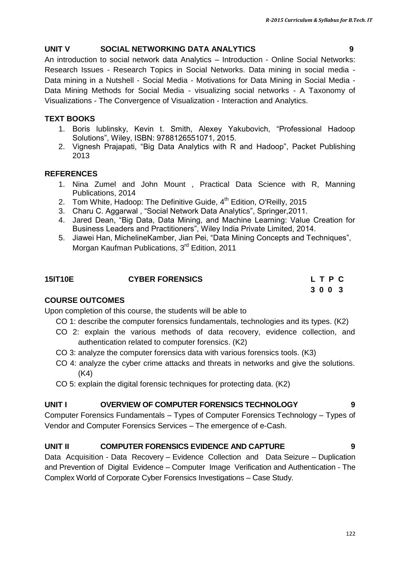## **UNIT V SOCIAL NETWORKING DATA ANALYTICS 9**

An introduction to social network data Analytics – Introduction - Online Social Networks: Research Issues - Research Topics in Social Networks. Data mining in social media - Data mining in a Nutshell - Social Media - Motivations for Data Mining in Social Media - Data Mining Methods for Social Media - visualizing social networks - A Taxonomy of Visualizations - The Convergence of Visualization - Interaction and Analytics.

## **TEXT BOOKS**

- 1. Boris lublinsky, Kevin t. Smith, Alexey Yakubovich, "Professional Hadoop Solutions", Wiley, ISBN: 9788126551071, 2015.
- 2. Vignesh Prajapati, "Big Data Analytics with R and Hadoop", Packet Publishing 2013

## **REFERENCES**

- 1. Nina Zumel and John Mount , Practical Data Science with R, Manning Publications, 2014
- 2. Tom White, Hadoop: The Definitive Guide,  $4<sup>th</sup>$  Edition, O'Reilly, 2015
- 3. Charu C. Aggarwal , "Social Network Data Analytics", Springer,2011.
- 4. Jared Dean, "Big Data, Data Mining, and Machine Learning: Value Creation for Business Leaders and Practitioners", Wiley India Private Limited, 2014.
- 5. Jiawei Han, MichelineKamber, Jian Pei, "Data Mining Concepts and Techniques", Morgan Kaufman Publications, 3<sup>rd</sup> Edition, 2011

| <b>15IT10E</b> | <b>CYBER FORENSICS</b> | LTPC |
|----------------|------------------------|------|
|                |                        | 3003 |

## **COURSE OUTCOMES**

Upon completion of this course, the students will be able to

- CO 1: describe the computer forensics fundamentals, technologies and its types. (K2)
- CO 2: explain the various methods of data recovery, evidence collection, and authentication related to computer forensics. (K2)
- CO 3: analyze the computer forensics data with various forensics tools. (K3)
- CO 4: analyze the cyber crime attacks and threats in networks and give the solutions. (K4)
- CO 5: explain the digital forensic techniques for protecting data. (K2)

## **UNIT I OVERVIEW OF COMPUTER FORENSICS TECHNOLOGY 9**

Computer Forensics Fundamentals – Types of Computer Forensics Technology – Types of Vendor and Computer Forensics Services – The emergence of e-Cash.

## **UNIT II COMPUTER FORENSICS EVIDENCE AND CAPTURE 9**

Data Acquisition - Data Recovery – Evidence Collection and Data Seizure – Duplication and Prevention of Digital Evidence – Computer Image Verification and Authentication - The Complex World of Corporate Cyber Forensics Investigations – Case Study.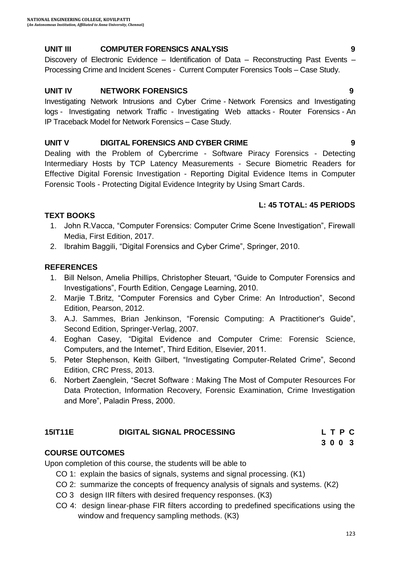#### **UNIT III COMPUTER FORENSICS ANALYSIS 9**

Discovery of Electronic Evidence – Identification of Data – Reconstructing Past Events – Processing Crime and Incident Scenes - Current Computer Forensics Tools – Case Study.

### **UNIT IV NETWORK FORENSICS 9**

Investigating Network Intrusions and Cyber Crime - Network Forensics and Investigating logs - Investigating network Traffic - Investigating Web attacks - Router Forensics - An IP Traceback Model for Network Forensics – Case Study.

### **UNIT V DIGITAL FORENSICS AND CYBER CRIME 9**

Dealing with the Problem of Cybercrime - Software Piracy Forensics - Detecting Intermediary Hosts by TCP Latency Measurements - Secure Biometric Readers for Effective Digital Forensic Investigation - Reporting Digital Evidence Items in Computer Forensic Tools - Protecting Digital Evidence Integrity by Using Smart Cards.

### **L: 45 TOTAL: 45 PERIODS**

#### **TEXT BOOKS**

- 1. John R.Vacca, "Computer Forensics: Computer Crime Scene Investigation", Firewall Media, First Edition, 2017.
- 2. Ibrahim Baggili, "Digital Forensics and Cyber Crime", Springer, 2010.

### **REFERENCES**

- 1. Bill Nelson, Amelia Phillips, Christopher Steuart, "Guide to Computer Forensics and Investigations", Fourth Edition, Cengage Learning, 2010.
- 2. Marjie T.Britz, "Computer Forensics and Cyber Crime: An Introduction", Second Edition, Pearson, 2012.
- 3. A.J. Sammes, Brian Jenkinson, "Forensic Computing: A Practitioner's Guide", Second Edition, Springer-Verlag, 2007.
- 4. Eoghan Casey, "Digital Evidence and Computer Crime: Forensic Science, Computers, and the Internet", Third Edition, Elsevier, 2011.
- 5. Peter Stephenson, Keith Gilbert, "Investigating Computer-Related Crime", Second Edition, CRC Press, 2013.
- 6. Norbert Zaenglein, "Secret Software : Making The Most of Computer Resources For Data Protection, Information Recovery, Forensic Examination, Crime Investigation and More", Paladin Press, 2000.

#### **15IT11E DIGITAL SIGNAL PROCESSING L T P C**

#### **COURSE OUTCOMES**

Upon completion of this course, the students will be able to

- CO 1: explain the basics of signals, systems and signal processing. (K1)
- CO 2: summarize the concepts of frequency analysis of signals and systems. (K2)

 **3 0 0 3**

- CO 3 design IIR filters with desired frequency responses. (K3)
- CO 4: design linear-phase FIR filters according to predefined specifications using the window and frequency sampling methods. (K3)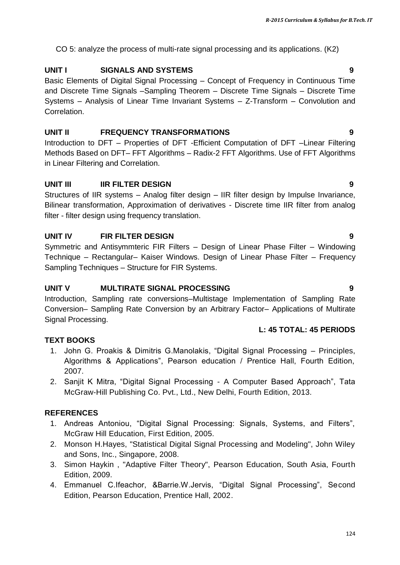CO 5: analyze the process of multi-rate signal processing and its applications. (K2)

## **UNIT I SIGNALS AND SYSTEMS 9**

Basic Elements of Digital Signal Processing – Concept of Frequency in Continuous Time and Discrete Time Signals –Sampling Theorem – Discrete Time Signals – Discrete Time Systems – Analysis of Linear Time Invariant Systems – Z-Transform – Convolution and Correlation.

## **UNIT II FREQUENCY TRANSFORMATIONS 9**

Introduction to DFT – Properties of DFT -Efficient Computation of DFT –Linear Filtering Methods Based on DFT– FFT Algorithms – Radix-2 FFT Algorithms. Use of FFT Algorithms in Linear Filtering and Correlation.

## **UNIT III IIR FILTER DESIGN 9**

Structures of IIR systems – Analog filter design – IIR filter design by Impulse Invariance, Bilinear transformation, Approximation of derivatives - Discrete time IIR filter from analog filter - filter design using frequency translation.

## **UNIT IV FIR FILTER DESIGN 9**

Symmetric and Antisymmteric FIR Filters – Design of Linear Phase Filter – Windowing Technique – Rectangular– Kaiser Windows. Design of Linear Phase Filter – Frequency Sampling Techniques – Structure for FIR Systems.

## **UNIT V MULTIRATE SIGNAL PROCESSING 9**

Introduction, Sampling rate conversions–Multistage Implementation of Sampling Rate Conversion– Sampling Rate Conversion by an Arbitrary Factor– Applications of Multirate Signal Processing.

## **L: 45 TOTAL: 45 PERIODS**

## **TEXT BOOKS**

- 1. John G. Proakis & Dimitris G.Manolakis, "Digital Signal Processing Principles, Algorithms & Applications", Pearson education / Prentice Hall, Fourth Edition, 2007.
- 2. Sanjit K Mitra, "Digital Signal Processing A Computer Based Approach", Tata McGraw-Hill Publishing Co. Pvt., Ltd., New Delhi, Fourth Edition, 2013.

## **REFERENCES**

- 1. Andreas Antoniou, "Digital Signal Processing: Signals, Systems, and Filters", McGraw Hill Education, First Edition, 2005.
- 2. Monson H.Hayes, "Statistical Digital Signal Processing and Modeling", John Wiley and Sons, Inc., Singapore, 2008.
- 3. Simon Haykin , "Adaptive Filter Theory", Pearson Education, South Asia, Fourth Edition, 2009.
- 4. Emmanuel C.Ifeachor, &Barrie.W.Jervis, "Digital Signal Processing", Second Edition, Pearson Education, Prentice Hall, 2002.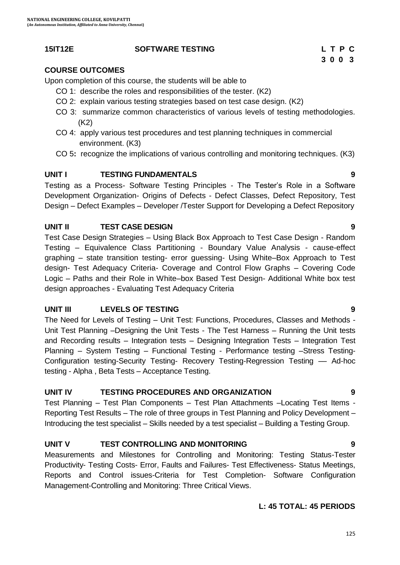#### **15IT12E SOFTWARE TESTING L T P C**

## **COURSE OUTCOMES**

Upon completion of this course, the students will be able to

- CO 1: describe the roles and responsibilities of the tester. (K2)
- CO 2: explain various testing strategies based on test case design. (K2)
- CO 3: summarize common characteristics of various levels of testing methodologies. (K2)
- CO 4: apply various test procedures and test planning techniques in commercial environment. (K3)
- CO 5**:** recognize the implications of various controlling and monitoring techniques. (K3)

### **UNIT I TESTING FUNDAMENTALS 9**

Testing as a Process- Software Testing Principles - The Tester"s Role in a Software Development Organization- Origins of Defects - Defect Classes, Defect Repository, Test Design – Defect Examples – Developer /Tester Support for Developing a Defect Repository

### **UNIT II TEST CASE DESIGN 9**

Test Case Design Strategies – Using Black Box Approach to Test Case Design - Random Testing – Equivalence Class Partitioning - Boundary Value Analysis - cause-effect graphing – state transition testing- error guessing- Using White–Box Approach to Test design- Test Adequacy Criteria- Coverage and Control Flow Graphs – Covering Code Logic – Paths and their Role in White–box Based Test Design- Additional White box test design approaches - Evaluating Test Adequacy Criteria

#### **UNIT III LEVELS OF TESTING 9**

The Need for Levels of Testing – Unit Test: Functions, Procedures, Classes and Methods - Unit Test Planning –Designing the Unit Tests - The Test Harness – Running the Unit tests and Recording results – Integration tests – Designing Integration Tests – Integration Test Planning – System Testing – Functional Testing - Performance testing –Stress Testing-Configuration testing-Security Testing- Recovery Testing-Regression Testing –– Ad-hoc testing - Alpha , Beta Tests – Acceptance Testing.

## **UNIT IV TESTING PROCEDURES AND ORGANIZATION 9**

Test Planning – Test Plan Components – Test Plan Attachments –Locating Test Items - Reporting Test Results – The role of three groups in Test Planning and Policy Development – Introducing the test specialist – Skills needed by a test specialist – Building a Testing Group.

## **UNIT V TEST CONTROLLING AND MONITORING 9**

Measurements and Milestones for Controlling and Monitoring: Testing Status-Tester Productivity- Testing Costs- Error, Faults and Failures- Test Effectiveness- Status Meetings, Reports and Control issues-Criteria for Test Completion- Software Configuration Management-Controlling and Monitoring: Three Critical Views.

#### **L: 45 TOTAL: 45 PERIODS**

# **3 0 0 3**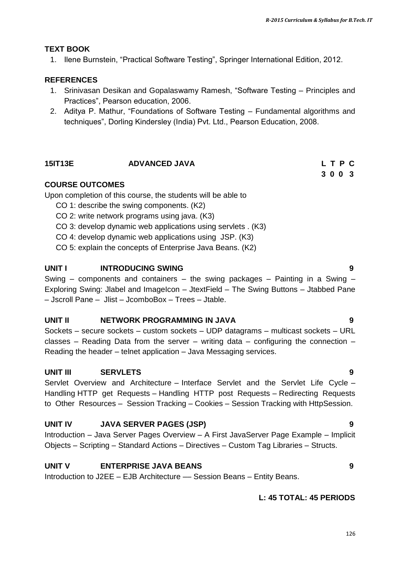#### **TEXT BOOK**

1. Ilene Burnstein, "Practical Software Testing", Springer International Edition, 2012.

### **REFERENCES**

- 1. Srinivasan Desikan and Gopalaswamy Ramesh, "Software Testing Principles and Practices", Pearson education, 2006.
- 2. Aditya P. Mathur, "Foundations of Software Testing Fundamental algorithms and techniques", Dorling Kindersley (India) Pvt. Ltd., Pearson Education, 2008.

### **15IT13E ADVANCED JAVA L T P C**

#### **COURSE OUTCOMES**

Upon completion of this course, the students will be able to

- CO 1: describe the swing components. (K2)
- CO 2: write network programs using java. (K3)
- CO 3: develop dynamic web applications using servlets . (K3)
- CO 4: develop dynamic web applications using JSP. (K3)
- CO 5: explain the concepts of Enterprise Java Beans. (K2)

#### **UNIT I INTRODUCING SWING 9**

Swing – components and containers – the swing packages – Painting in a Swing – Exploring Swing: Jlabel and ImageIcon – JtextField – The Swing Buttons – Jtabbed Pane – Jscroll Pane – Jlist – JcomboBox – Trees – Jtable.

#### **UNIT II NETWORK PROGRAMMING IN JAVA 9**

Sockets – secure sockets – custom sockets – UDP datagrams – multicast sockets – URL classes – Reading Data from the server – writing data – configuring the connection – Reading the header – telnet application – Java Messaging services.

#### **UNIT III SERVLETS 9**

Servlet Overview and Architecture – Interface Servlet and the Servlet Life Cycle – Handling HTTP get Requests – Handling HTTP post Requests – Redirecting Requests to Other Resources – Session Tracking – Cookies – Session Tracking with HttpSession.

## **UNIT IV JAVA SERVER PAGES (JSP) 9**

Introduction – Java Server Pages Overview – A First JavaServer Page Example – Implicit Objects – Scripting – Standard Actions – Directives – Custom Tag Libraries – Structs.

#### **UNIT V ENTERPRISE JAVA BEANS 9**

Introduction to J2EE – EJB Architecture –– Session Beans – Entity Beans.

#### **L: 45 TOTAL: 45 PERIODS**

# **3 0 0 3**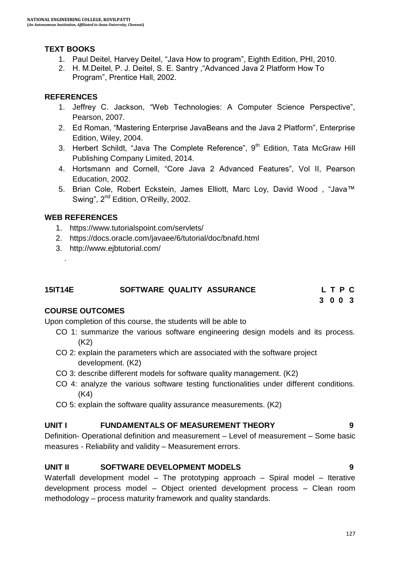## **TEXT BOOKS**

- 1. Paul Deitel, Harvey Deitel, "Java How to program", Eighth Edition, PHI, 2010.
- 2. H. M.Deitel, P. J. Deitel, S. E. Santry ,"Advanced Java 2 Platform How To Program", Prentice Hall, 2002.

## **REFERENCES**

- 1. Jeffrey C. Jackson, "Web Technologies: A Computer Science Perspective", Pearson, 2007.
- 2. Ed Roman, "Mastering Enterprise JavaBeans and the Java 2 Platform", Enterprise Edition, Wiley, 2004.
- 3. Herbert Schildt, "Java The Complete Reference",  $9<sup>th</sup>$  Edition, Tata McGraw Hill Publishing Company Limited, 2014.
- 4. Hortsmann and Cornell, "Core Java 2 Advanced Features", Vol II, Pearson Education, 2002.
- 5. Brian Cole, Robert Eckstein, James Elliott, Marc Loy, David Wood , "Java™ Swing", 2<sup>nd</sup> Edition, O'Reilly, 2002.

#### **WEB REFERENCES**

.

- 1. https://www.tutorialspoint.com/servlets/
- 2. https://docs.oracle.com/javaee/6/tutorial/doc/bnafd.html
- 3. http://www.ejbtutorial.com/

| <b>15IT14E</b> | SOFTWARE QUALITY ASSURANCE |  | LTPC |  |
|----------------|----------------------------|--|------|--|
|                |                            |  |      |  |

 **3 0 0 3**

#### **COURSE OUTCOMES**

Upon completion of this course, the students will be able to

- CO 1: summarize the various software engineering design models and its process.  $(K2)$
- CO 2: explain the parameters which are associated with the software project development. (K2)
- CO 3: describe different models for software quality management. (K2)
- CO 4: analyze the various software testing functionalities under different conditions. (K4)
- CO 5: explain the software quality assurance measurements. (K2)

#### **UNIT I FUNDAMENTALS OF MEASUREMENT THEORY 9**

Definition- Operational definition and measurement – Level of measurement – Some basic measures - Reliability and validity – Measurement errors.

#### **UNIT II SOFTWARE DEVELOPMENT MODELS 9**

Waterfall development model – The prototyping approach – Spiral model – Iterative development process model – Object oriented development process – Clean room methodology – process maturity framework and quality standards.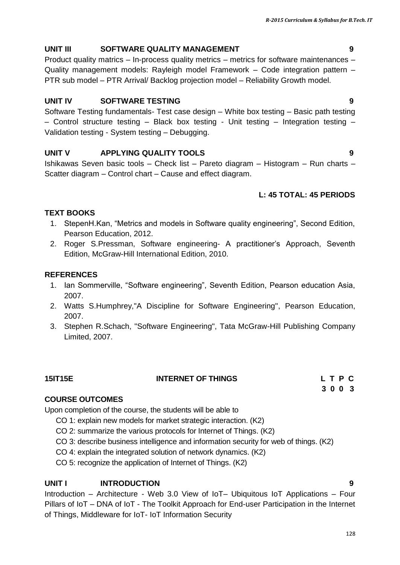## **UNIT III SOFTWARE QUALITY MANAGEMENT 9**

Product quality matrics – In-process quality metrics – metrics for software maintenances – Quality management models: Rayleigh model Framework – Code integration pattern – PTR sub model – PTR Arrival/ Backlog projection model – Reliability Growth model.

## **UNIT IV SOFTWARE TESTING 9**

Software Testing fundamentals- Test case design – White box testing – Basic path testing  $-$  Control structure testing  $-$  Black box testing - Unit testing  $-$  Integration testing  $-$ Validation testing - System testing – Debugging.

## **UNIT V APPLYING QUALITY TOOLS 9**

Ishikawas Seven basic tools – Check list – Pareto diagram – Histogram – Run charts – Scatter diagram – Control chart – Cause and effect diagram.

## **L: 45 TOTAL: 45 PERIODS**

#### **TEXT BOOKS**

- 1. StepenH.Kan, "Metrics and models in Software quality engineering", Second Edition, Pearson Education, 2012.
- 2. Roger S.Pressman, Software engineering- A practitioner"s Approach, Seventh Edition, McGraw-Hill International Edition, 2010.

### **REFERENCES**

- 1. Ian Sommerville, "Software engineering", Seventh Edition, Pearson education Asia, 2007.
- 2. Watts S.Humphrey,"A Discipline for Software Engineering", Pearson Education, 2007.
- 3. Stephen R.Schach, "Software Engineering", Tata McGraw-Hill Publishing Company Limited, 2007.

| <b>15IT15E</b> | <b>INTERNET OF THINGS</b> | LTPC |  |  |
|----------------|---------------------------|------|--|--|
|                |                           | 3003 |  |  |

#### **COURSE OUTCOMES**

Upon completion of the course, the students will be able to

- CO 1: explain new models for market strategic interaction. (K2)
- CO 2: summarize the various protocols for Internet of Things. (K2)
- CO 3: describe business intelligence and information security for web of things. (K2)
- CO 4: explain the integrated solution of network dynamics. (K2)
- CO 5: recognize the application of Internet of Things. (K2)

## **UNIT I INTRODUCTION 9**

Introduction – Architecture - Web 3.0 View of IoT– Ubiquitous IoT Applications – Four Pillars of IoT – DNA of IoT - The Toolkit Approach for End-user Participation in the Internet of Things, Middleware for IoT- IoT Information Security

#### 128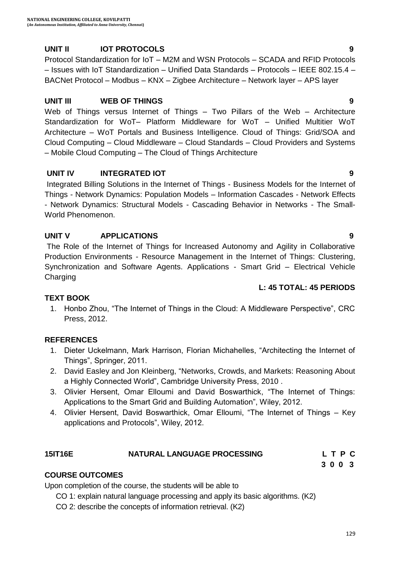## **UNIT II IOT PROTOCOLS 9**

Protocol Standardization for IoT – M2M and WSN Protocols – SCADA and RFID Protocols – Issues with IoT Standardization – Unified Data Standards – Protocols – IEEE 802.15.4 – BACNet Protocol – Modbus – KNX – Zigbee Architecture – Network layer – APS layer

### **UNIT III WEB OF THINGS 9**

Web of Things versus Internet of Things – Two Pillars of the Web – Architecture Standardization for WoT– Platform Middleware for WoT – Unified Multitier WoT Architecture – WoT Portals and Business Intelligence. Cloud of Things: Grid/SOA and Cloud Computing – Cloud Middleware – Cloud Standards – Cloud Providers and Systems – Mobile Cloud Computing – The Cloud of Things Architecture

### **UNIT IV INTEGRATED IOT 9**

Integrated Billing Solutions in the Internet of Things - Business Models for the Internet of Things - Network Dynamics: Population Models – Information Cascades - Network Effects - Network Dynamics: Structural Models - Cascading Behavior in Networks - The Small-World Phenomenon.

### **UNIT V APPLICATIONS 9**

The Role of the Internet of Things for Increased Autonomy and Agility in Collaborative Production Environments - Resource Management in the Internet of Things: Clustering, Synchronization and Software Agents. Applications - Smart Grid – Electrical Vehicle **Charging** 

#### **L: 45 TOTAL: 45 PERIODS**

#### **TEXT BOOK**

1. Honbo Zhou, "The Internet of Things in the Cloud: A Middleware Perspective", CRC Press, 2012.

#### **REFERENCES**

- 1. Dieter Uckelmann, Mark Harrison, Florian Michahelles, "Architecting the Internet of Things", Springer, 2011.
- 2. David Easley and Jon Kleinberg, "Networks, Crowds, and Markets: Reasoning About a Highly Connected World", Cambridge University Press, 2010 .
- 3. Olivier Hersent, Omar Elloumi and David Boswarthick, "The Internet of Things: Applications to the Smart Grid and Building Automation", Wiley, 2012.
- 4. Olivier Hersent, David Boswarthick, Omar Elloumi, "The Internet of Things Key applications and Protocols", Wiley, 2012.

#### **15IT16E NATURAL LANGUAGE PROCESSING L T P C**

 **3 0 0 3**

## **COURSE OUTCOMES**

Upon completion of the course, the students will be able to

CO 1: explain natural language processing and apply its basic algorithms. (K2)

CO 2: describe the concepts of information retrieval. (K2)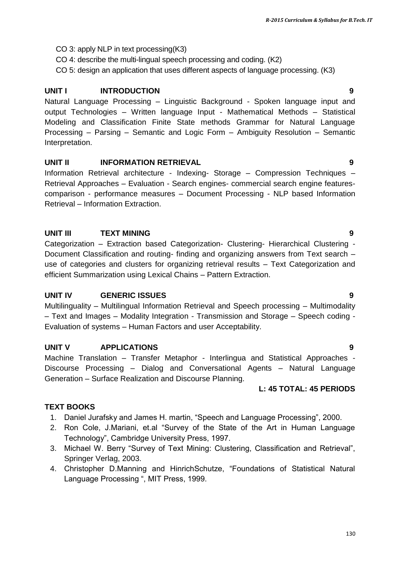- CO 3: apply NLP in text processing(K3)
- CO 4: describe the multi-lingual speech processing and coding. (K2)
- CO 5: design an application that uses different aspects of language processing. (K3)

## **UNIT I INTRODUCTION 9**

Natural Language Processing – Linguistic Background - Spoken language input and output Technologies – Written language Input - Mathematical Methods – Statistical Modeling and Classification Finite State methods Grammar for Natural Language Processing – Parsing – Semantic and Logic Form – Ambiguity Resolution – Semantic Interpretation.

#### **UNIT II INFORMATION RETRIEVAL 9**

Information Retrieval architecture - Indexing- Storage – Compression Techniques – Retrieval Approaches – Evaluation - Search engines- commercial search engine featurescomparison - performance measures – Document Processing - NLP based Information Retrieval – Information Extraction.

#### **UNIT III TEXT MINING 9**

Categorization – Extraction based Categorization- Clustering- Hierarchical Clustering - Document Classification and routing- finding and organizing answers from Text search – use of categories and clusters for organizing retrieval results – Text Categorization and efficient Summarization using Lexical Chains – Pattern Extraction.

#### **UNIT IV GENERIC ISSUES 9**

Multilinguality – Multilingual Information Retrieval and Speech processing – Multimodality – Text and Images – Modality Integration - Transmission and Storage – Speech coding - Evaluation of systems – Human Factors and user Acceptability.

#### **UNIT V APPLICATIONS 9**

Machine Translation – Transfer Metaphor - Interlingua and Statistical Approaches - Discourse Processing – Dialog and Conversational Agents – Natural Language Generation – Surface Realization and Discourse Planning.

#### **L: 45 TOTAL: 45 PERIODS**

#### **TEXT BOOKS**

- 1. Daniel Jurafsky and James H. martin, "Speech and Language Processing", 2000.
- 2. Ron Cole, J.Mariani, et.al "Survey of the State of the Art in Human Language Technology", Cambridge University Press, 1997.
- 3. Michael W. Berry "Survey of Text Mining: Clustering, Classification and Retrieval", Springer Verlag, 2003.
- 4. Christopher D.Manning and HinrichSchutze, "Foundations of Statistical Natural Language Processing ", MIT Press, 1999.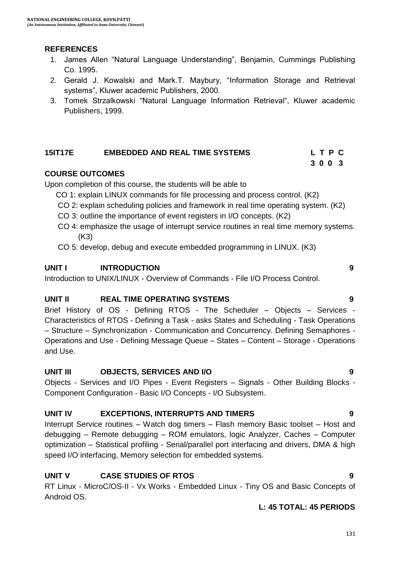### **REFERENCES**

- 1. James Allen "Natural Language Understanding", Benjamin, Cummings Publishing Co. 1995.
- 2. Gerald J. Kowalski and Mark.T. Maybury, "Information Storage and Retrieval systems", Kluwer academic Publishers, 2000.
- 3. Tomek Strzalkowski "Natural Language Information Retrieval", Kluwer academic Publishers, 1999.

#### **15IT17E EMBEDDED AND REAL TIME SYSTEMS L T P C 3 0 0 3**

#### **COURSE OUTCOMES**

Upon completion of this course, the students will be able to

- CO 1: explain LINUX commands for file processing and process control. (K2)
- CO 2: explain scheduling policies and framework in real time operating system. (K2)
- CO 3: outline the importance of event registers in I/O concepts. (K2)
- CO 4: emphasize the usage of interrupt service routines in real time memory systems. (K3)

CO 5: develop, debug and execute embedded programming in LINUX. (K3)

#### **UNIT I INTRODUCTION 9**

Introduction to UNIX/LINUX - Overview of Commands - File I/O Process Control.

#### **UNIT II REAL TIME OPERATING SYSTEMS 9**

Brief History of OS - Defining RTOS - The Scheduler – Objects – Services - Characteristics of RTOS - Defining a Task - asks States and Scheduling - Task Operations – Structure – Synchronization - Communication and Concurrency. Defining Semaphores - Operations and Use - Defining Message Queue – States – Content – Storage - Operations and Use.

#### **UNIT III OBJECTS, SERVICES AND I/O 9**

Objects - Services and I/O Pipes - Event Registers – Signals - Other Building Blocks - Component Configuration - Basic I/O Concepts - I/O Subsystem.

#### **UNIT IV EXCEPTIONS, INTERRUPTS AND TIMERS 9**

Interrupt Service routines – Watch dog timers – Flash memory Basic toolset – Host and debugging – Remote debugging – ROM emulators, logic Analyzer, Caches – Computer optimization – Statistical profiling - Serial/parallel port interfacing and drivers, DMA & high speed I/O interfacing, Memory selection for embedded systems.

#### **UNIT V CASE STUDIES OF RTOS 9**

RT Linux - MicroC/OS-II - Vx Works - Embedded Linux - Tiny OS and Basic Concepts of Android OS.

#### **L: 45 TOTAL: 45 PERIODS**

#### 131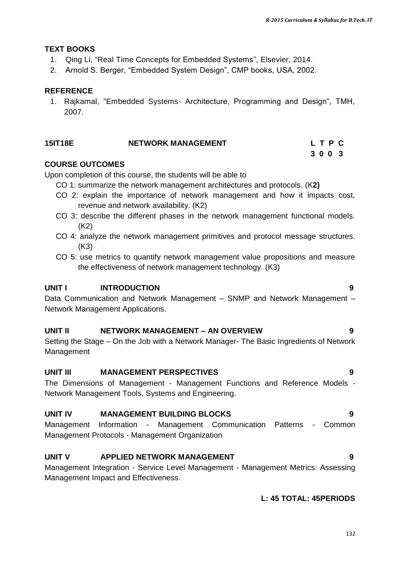#### **TEXT BOOKS**

- 1. Qing Li, "Real Time Concepts for Embedded Systems", Elsevier, 2014.
- 2. Arnold S. Berger, "Embedded System Design", CMP books, USA, 2002.

### **REFERENCE**

1. Rajkamal, "Embedded Systems- Architecture, Programming and Design", TMH, 2007.

| 15IT18E | <b>NETWORK MANAGEMENT</b> | LTPC |
|---------|---------------------------|------|
|         |                           | 3003 |

#### **COURSE OUTCOMES**

Upon completion of this course, the students will be able to

- CO 1: summarize the network management architectures and protocols. (K**2)**
- CO 2: explain the importance of network management and how it impacts cost, revenue and network availability. (K2)
- CO 3: describe the different phases in the network management functional models. (K2)
- CO 4: analyze the network management primitives and protocol message structures. (K3)
- CO 5: use metrics to quantify network management value propositions and measure the effectiveness of network management technology. (K3)

#### **UNIT I INTRODUCTION 9**

Data Communication and Network Management – SNMP and Network Management – Network Management Applications.

#### **UNIT II NETWORK MANAGEMENT – AN OVERVIEW 9**

Setting the Stage – On the Job with a Network Manager- The Basic Ingredients of Network Management

#### **UNIT III MANAGEMENT PERSPECTIVES 9**

The Dimensions of Management - Management Functions and Reference Models - Network Management Tools, Systems and Engineering.

#### **UNIT IV MANAGEMENT BUILDING BLOCKS 9**

Management Information - Management Communication Patterns - Common Management Protocols - Management Organization

#### **UNIT V APPLIED NETWORK MANAGEMENT 9**

Management Integration - Service Level Management - Management Metrics: Assessing Management Impact and Effectiveness.

#### **L: 45 TOTAL: 45PERIODS**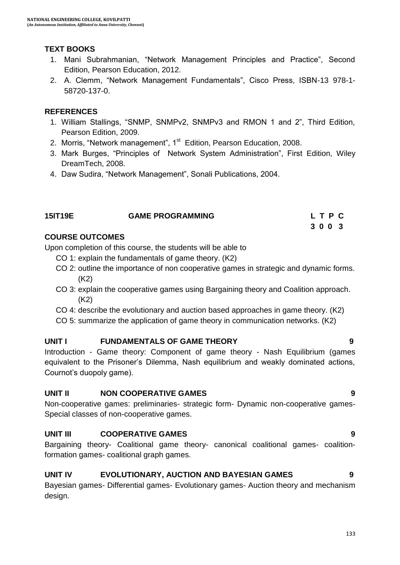## **TEXT BOOKS**

- 1. Mani Subrahmanian, "Network Management Principles and Practice", Second Edition, Pearson Education, 2012.
- 2. A. Clemm, "Network Management Fundamentals", Cisco Press, ISBN-13 978-1- 58720-137-0.

### **REFERENCES**

- 1. William Stallings, "SNMP, SNMPv2, SNMPv3 and RMON 1 and 2", Third Edition, Pearson Edition, 2009.
- 2. Morris, "Network management", 1<sup>st</sup> Edition, Pearson Education, 2008.
- 3. Mark Burges, "Principles of Network System Administration", First Edition, Wiley DreamTech, 2008.
- 4. Daw Sudira, "Network Management", Sonali Publications, 2004.

| <b>15IT19E</b> | <b>GAME PROGRAMMING</b> | LTPC |
|----------------|-------------------------|------|
|                |                         | 3003 |

### **COURSE OUTCOMES**

Upon completion of this course, the students will be able to

- CO 1: explain the fundamentals of game theory. (K2)
- CO 2: outline the importance of non cooperative games in strategic and dynamic forms. (K2)
- CO 3: explain the cooperative games using Bargaining theory and Coalition approach. (K2)
- CO 4: describe the evolutionary and auction based approaches in game theory. (K2)
- CO 5: summarize the application of game theory in communication networks. (K2)

## **UNIT I FUNDAMENTALS OF GAME THEORY 9**

Introduction - Game theory: Component of game theory - Nash Equilibrium (games equivalent to the Prisoner"s Dilemma, Nash equilibrium and weakly dominated actions, Cournot"s duopoly game).

#### **UNIT II NON COOPERATIVE GAMES 9**

Non-cooperative games: preliminaries- strategic form- Dynamic non-cooperative games-Special classes of non-cooperative games.

## **UNIT III COOPERATIVE GAMES 9**

Bargaining theory- Coalitional game theory- canonical coalitional games- coalitionformation games- coalitional graph games.

## **UNIT IV EVOLUTIONARY, AUCTION AND BAYESIAN GAMES 9**

Bayesian games- Differential games- Evolutionary games- Auction theory and mechanism design.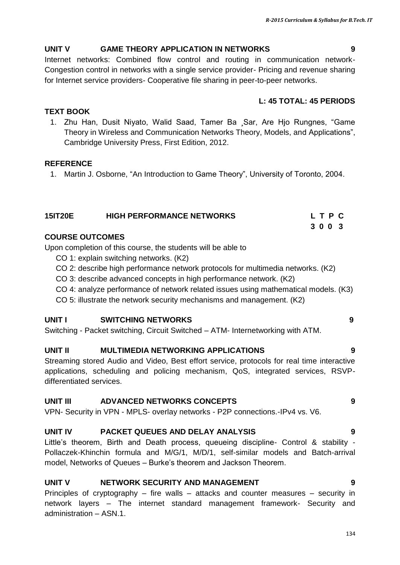#### **UNIT V GAME THEORY APPLICATION IN NETWORKS 9**

Internet networks: Combined flow control and routing in communication network-Congestion control in networks with a single service provider- Pricing and revenue sharing for Internet service providers- Cooperative file sharing in peer-to-peer networks.

#### **L: 45 TOTAL: 45 PERIODS**

1. Zhu Han, Dusit Niyato, Walid Saad, Tamer Ba ¸Sar, Are Hjo Rungnes, "Game Theory in Wireless and Communication Networks Theory, Models, and Applications", Cambridge University Press, First Edition, 2012.

#### **REFERENCE**

**TEXT BOOK**

1. Martin J. Osborne, "An Introduction to Game Theory", University of Toronto, 2004.

| <b>15IT20E</b> | <b>HIGH PERFORMANCE NETWORKS</b> |  | LTPC |  |
|----------------|----------------------------------|--|------|--|
|                |                                  |  | 3003 |  |

## **COURSE OUTCOMES**

Upon completion of this course, the students will be able to

- CO 1: explain switching networks. (K2)
- CO 2: describe high performance network protocols for multimedia networks. (K2)
- CO 3: describe advanced concepts in high performance network. (K2)
- CO 4: analyze performance of network related issues using mathematical models. (K3)
- CO 5: illustrate the network security mechanisms and management. (K2)

## **UNIT I SWITCHING NETWORKS 9**

Switching - Packet switching, Circuit Switched – ATM- Internetworking with ATM.

## **UNIT II MULTIMEDIA NETWORKING APPLICATIONS 9**

Streaming stored Audio and Video, Best effort service, protocols for real time interactive applications, scheduling and policing mechanism, QoS, integrated services, RSVPdifferentiated services.

## **UNIT III ADVANCED NETWORKS CONCEPTS 9**

VPN- Security in VPN - MPLS- overlay networks - P2P connections.-IPv4 vs. V6.

## **UNIT IV PACKET QUEUES AND DELAY ANALYSIS 9**

Little"s theorem, Birth and Death process, queueing discipline- Control & stability - Pollaczek-Khinchin formula and M/G/1, M/D/1, self-similar models and Batch-arrival model, Networks of Queues – Burke"s theorem and Jackson Theorem.

## **UNIT V NETWORK SECURITY AND MANAGEMENT 9**

Principles of cryptography – fire walls – attacks and counter measures – security in network layers – The internet standard management framework- Security and administration – ASN.1.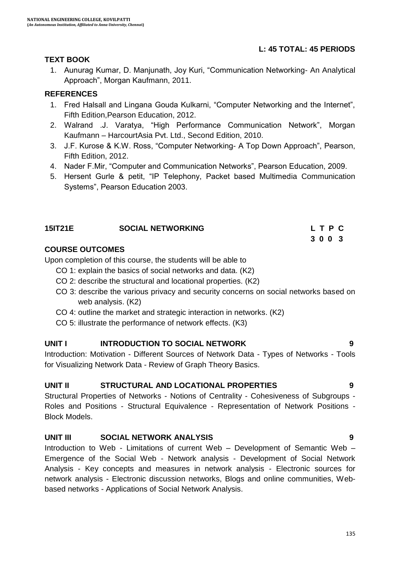### **L: 45 TOTAL: 45 PERIODS**

#### **TEXT BOOK**

1. Aunurag Kumar, D. Manjunath, Joy Kuri, "Communication Networking- An Analytical Approach", Morgan Kaufmann, 2011.

#### **REFERENCES**

- 1. Fred Halsall and Lingana Gouda Kulkarni, "Computer Networking and the Internet", Fifth Edition,Pearson Education, 2012.
- 2. Walrand .J. Varatya, "High Performance Communication Network", Morgan Kaufmann – HarcourtAsia Pvt. Ltd., Second Edition, 2010.
- 3. J.F. Kurose & K.W. Ross, "Computer Networking- A Top Down Approach", Pearson, Fifth Edition, 2012.
- 4. Nader F.Mir, "Computer and Communication Networks", Pearson Education, 2009.

**3 0 0 3 3 0 0 3** 

5. Hersent Gurle & petit, "IP Telephony, Packet based Multimedia Communication Systems", Pearson Education 2003.

#### **15IT21E SOCIAL NETWORKING L T P C**

#### **COURSE OUTCOMES**

Upon completion of this course, the students will be able to

- CO 1: explain the basics of social networks and data. (K2)
- CO 2: describe the structural and locational properties. (K2)
- CO 3: describe the various privacy and security concerns on social networks based on web analysis. (K2)
- CO 4: outline the market and strategic interaction in networks. (K2)
- CO 5: illustrate the performance of network effects. (K3)

#### **UNIT I INTRODUCTION TO SOCIAL NETWORK 9**

Introduction: Motivation - Different Sources of Network Data - Types of Networks - Tools for Visualizing Network Data - Review of Graph Theory Basics.

#### **UNIT II STRUCTURAL AND LOCATIONAL PROPERTIES 9**

Structural Properties of Networks - Notions of Centrality - Cohesiveness of Subgroups - Roles and Positions - Structural Equivalence - Representation of Network Positions - Block Models.

#### **UNIT III SOCIAL NETWORK ANALYSIS 9**

Introduction to Web - Limitations of current Web – Development of Semantic Web – Emergence of the Social Web - Network analysis - Development of Social Network Analysis - Key concepts and measures in network analysis - Electronic sources for network analysis - Electronic discussion networks, Blogs and online communities, Webbased networks - Applications of Social Network Analysis.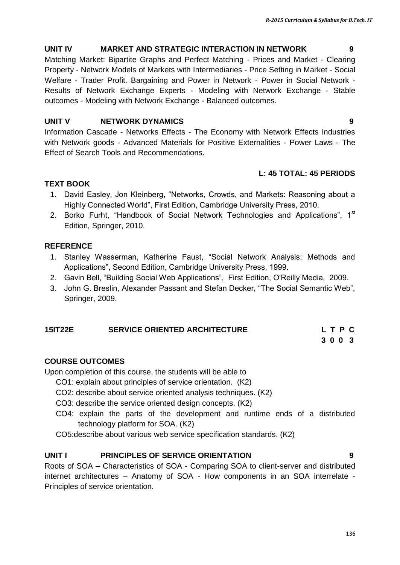136

#### **UNIT IV MARKET AND STRATEGIC INTERACTION IN NETWORK 9**

Matching Market: Bipartite Graphs and Perfect Matching - Prices and Market - Clearing Property - Network Models of Markets with Intermediaries - Price Setting in Market - Social Welfare - Trader Profit. Bargaining and Power in Network - Power in Social Network - Results of Network Exchange Experts - Modeling with Network Exchange - Stable outcomes - Modeling with Network Exchange - Balanced outcomes.

#### **UNIT V NETWORK DYNAMICS 9**

Information Cascade - Networks Effects - The Economy with Network Effects Industries with Network goods - Advanced Materials for Positive Externalities - Power Laws - The Effect of Search Tools and Recommendations.

#### **L: 45 TOTAL: 45 PERIODS**

#### **TEXT BOOK**

- 1. David Easley, Jon Kleinberg, "Networks, Crowds, and Markets: Reasoning about a Highly Connected World", First Edition, Cambridge University Press, 2010.
- 2. Borko Furht, "Handbook of Social Network Technologies and Applications", 1<sup>st</sup> Edition, Springer, 2010.

#### **REFERENCE**

- 1. Stanley Wasserman, Katherine Faust, "Social Network Analysis: Methods and Applications", Second Edition, Cambridge University Press, 1999.
- 2. Gavin Bell, "Building Social Web Applications", First Edition, O'Reilly Media, 2009.
- 3. John G. Breslin, Alexander Passant and Stefan Decker, "The Social Semantic Web", Springer, 2009.

## **15IT22E SERVICE ORIENTED ARCHITECTURE L T P C**

 **3 0 0 3**

## **COURSE OUTCOMES**

Upon completion of this course, the students will be able to

- CO1: explain about principles of service orientation. (K2)
- CO2: describe about service oriented analysis techniques. (K2)
- CO3: describe the service oriented design concepts. (K2)
- CO4: explain the parts of the development and runtime ends of a distributed technology platform for SOA. (K2)

CO5:describe about various web service specification standards. (K2)

## **UNIT I PRINCIPLES OF SERVICE ORIENTATION 9**

Roots of SOA – Characteristics of SOA - Comparing SOA to client-server and distributed internet architectures – Anatomy of SOA - How components in an SOA interrelate - Principles of service orientation.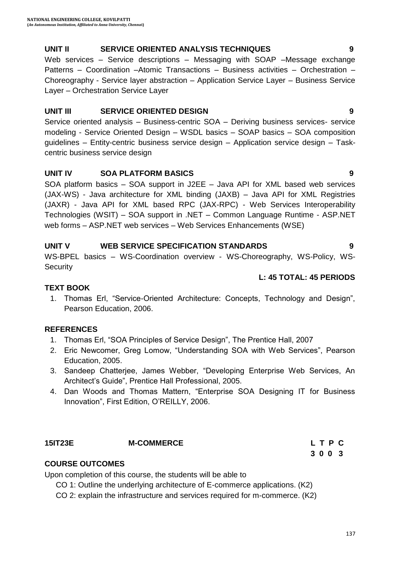### **UNIT II SERVICE ORIENTED ANALYSIS TECHNIQUES 9**

Web services – Service descriptions – Messaging with SOAP –Message exchange Patterns – Coordination –Atomic Transactions – Business activities – Orchestration – Choreography - Service layer abstraction – Application Service Layer – Business Service Layer – Orchestration Service Layer

#### **UNIT III SERVICE ORIENTED DESIGN 9**

Service oriented analysis – Business-centric SOA – Deriving business services- service modeling - Service Oriented Design – WSDL basics – SOAP basics – SOA composition guidelines – Entity-centric business service design – Application service design – Taskcentric business service design

### **UNIT IV SOA PLATFORM BASICS 9**

SOA platform basics – SOA support in J2EE – Java API for XML based web services (JAX-WS) - Java architecture for XML binding (JAXB) – Java API for XML Registries (JAXR) - Java API for XML based RPC (JAX-RPC) - Web Services Interoperability Technologies (WSIT) – SOA support in .NET – Common Language Runtime - ASP.NET web forms – ASP.NET web services – Web Services Enhancements (WSE)

#### **UNIT V WEB SERVICE SPECIFICATION STANDARDS 9**

WS-BPEL basics – WS-Coordination overview - WS-Choreography, WS-Policy, WS-**Security** 

#### **L: 45 TOTAL: 45 PERIODS**

#### **TEXT BOOK**

1. Thomas Erl, "Service-Oriented Architecture: Concepts, Technology and Design", Pearson Education, 2006.

#### **REFERENCES**

- 1. Thomas Erl, "SOA Principles of Service Design", The Prentice Hall, 2007
- 2. Eric Newcomer, Greg Lomow, "Understanding SOA with Web Services", Pearson Education, 2005.
- 3. Sandeep Chatterjee, James Webber, "Developing Enterprise Web Services, An Architect"s Guide", Prentice Hall Professional, 2005.
- 4. Dan Woods and Thomas Mattern, "Enterprise SOA Designing IT for Business Innovation", First Edition, O"REILLY, 2006.

#### **15IT23E M-COMMERCE L T P C**

### **COURSE OUTCOMES**

Upon completion of this course, the students will be able to

CO 1: Outline the underlying architecture of E-commerce applications. (K2)

CO 2: explain the infrastructure and services required for m-commerce. (K2)

 **3 0 0 3**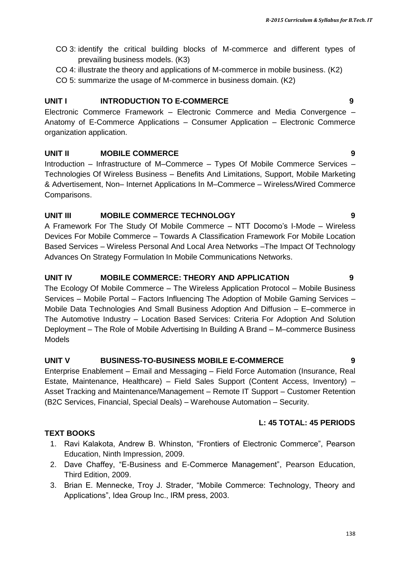- CO 3: identify the critical building blocks of M-commerce and different types of prevailing business models. (K3)
- CO 4: illustrate the theory and applications of M-commerce in mobile business. (K2)
- CO 5: summarize the usage of M-commerce in business domain. (K2)

#### **UNIT I INTRODUCTION TO E-COMMERCE 9**

Electronic Commerce Framework – Electronic Commerce and Media Convergence – Anatomy of E-Commerce Applications – Consumer Application – Electronic Commerce organization application.

#### **UNIT II MOBILE COMMERCE 9**

Introduction – Infrastructure of M–Commerce – Types Of Mobile Commerce Services – Technologies Of Wireless Business – Benefits And Limitations, Support, Mobile Marketing & Advertisement, Non– Internet Applications In M–Commerce – Wireless/Wired Commerce Comparisons.

#### **UNIT III MOBILE COMMERCE TECHNOLOGY 9**

A Framework For The Study Of Mobile Commerce – NTT Docomo"s I-Mode – Wireless Devices For Mobile Commerce – Towards A Classification Framework For Mobile Location Based Services – Wireless Personal And Local Area Networks –The Impact Of Technology Advances On Strategy Formulation In Mobile Communications Networks.

#### **UNIT IV MOBILE COMMERCE: THEORY AND APPLICATION 9**

The Ecology Of Mobile Commerce – The Wireless Application Protocol – Mobile Business Services – Mobile Portal – Factors Influencing The Adoption of Mobile Gaming Services – Mobile Data Technologies And Small Business Adoption And Diffusion – E–commerce in The Automotive Industry – Location Based Services: Criteria For Adoption And Solution Deployment – The Role of Mobile Advertising In Building A Brand – M–commerce Business Models

#### **UNIT V BUSINESS-TO-BUSINESS MOBILE E-COMMERCE 9**

Enterprise Enablement – Email and Messaging – Field Force Automation (Insurance, Real Estate, Maintenance, Healthcare) – Field Sales Support (Content Access, Inventory) – Asset Tracking and Maintenance/Management – Remote IT Support – Customer Retention (B2C Services, Financial, Special Deals) – Warehouse Automation – Security.

#### **L: 45 TOTAL: 45 PERIODS**

- **TEXT BOOKS**
	- 1. Ravi Kalakota, Andrew B. Whinston, "Frontiers of Electronic Commerce", Pearson Education, Ninth Impression, 2009.
	- 2. Dave Chaffey, "E-Business and E-Commerce Management", Pearson Education, Third Edition, 2009.
	- 3. Brian E. Mennecke, Troy J. Strader, "Mobile Commerce: Technology, Theory and Applications", Idea Group Inc., IRM press, 2003.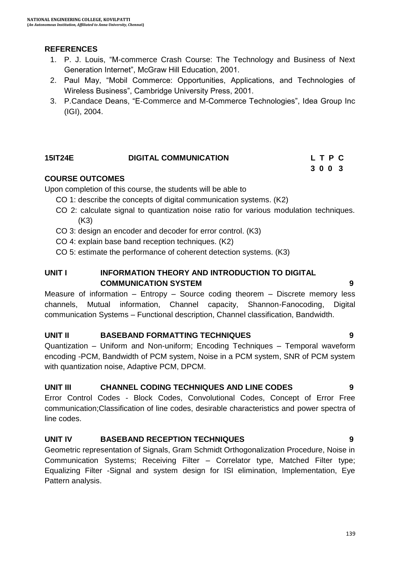### **REFERENCES**

- 1. P. J. Louis, "M-commerce Crash Course: The Technology and Business of Next Generation Internet", McGraw Hill Education, 2001.
- 2. Paul May, "Mobil Commerce: Opportunities, Applications, and Technologies of Wireless Business", Cambridge University Press, 2001.
- 3. P.Candace Deans, "E-Commerce and M-Commerce Technologies", Idea Group Inc (IGI), 2004.

#### **15IT24E DIGITAL COMMUNICATION L T P C**

#### **COURSE OUTCOMES**

Upon completion of this course, the students will be able to

- CO 1: describe the concepts of digital communication systems. (K2)
- CO 2: calculate signal to quantization noise ratio for various modulation techniques. (K3)

**3 0 0 3 3 0 0 3** 

- CO 3: design an encoder and decoder for error control. (K3)
- CO 4: explain base band reception techniques. (K2)
- CO 5: estimate the performance of coherent detection systems. (K3)

#### **UNIT I INFORMATION THEORY AND INTRODUCTION TO DIGITAL COMMUNICATION SYSTEM 9**

Measure of information – Entropy – Source coding theorem – Discrete memory less channels, Mutual information, Channel capacity, Shannon-Fanocoding, Digital communication Systems – Functional description, Channel classification, Bandwidth.

#### **UNIT II BASEBAND FORMATTING TECHNIQUES 9**

Quantization – Uniform and Non-uniform; Encoding Techniques – Temporal waveform encoding -PCM, Bandwidth of PCM system, Noise in a PCM system, SNR of PCM system with quantization noise, Adaptive PCM, DPCM.

#### **UNIT III CHANNEL CODING TECHNIQUES AND LINE CODES 9**

Error Control Codes - Block Codes, Convolutional Codes, Concept of Error Free communication;Classification of line codes, desirable characteristics and power spectra of line codes.

#### **UNIT IV BASEBAND RECEPTION TECHNIQUES 9**

Geometric representation of Signals, Gram Schmidt Orthogonalization Procedure, Noise in Communication Systems; Receiving Filter – Correlator type, Matched Filter type; Equalizing Filter -Signal and system design for ISI elimination, Implementation, Eye Pattern analysis.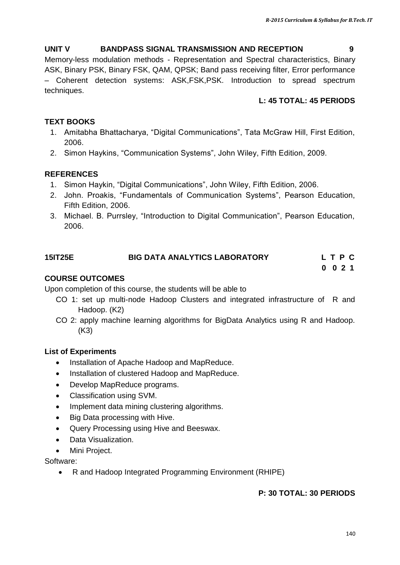#### **UNIT V BANDPASS SIGNAL TRANSMISSION AND RECEPTION 9**

Memory-less modulation methods - Representation and Spectral characteristics, Binary ASK, Binary PSK, Binary FSK, QAM, QPSK; Band pass receiving filter, Error performance – Coherent detection systems: ASK,FSK,PSK. Introduction to spread spectrum techniques.

### **L: 45 TOTAL: 45 PERIODS**

## **TEXT BOOKS**

- 1. Amitabha Bhattacharya, "Digital Communications", Tata McGraw Hill, First Edition, 2006.
- 2. Simon Haykins, "Communication Systems", John Wiley, Fifth Edition, 2009.

## **REFERENCES**

- 1. Simon Haykin, "Digital Communications", John Wiley, Fifth Edition, 2006.
- 2. John. Proakis, "Fundamentals of Communication Systems", Pearson Education, Fifth Edition, 2006.
- 3. Michael. B. Purrsley, "Introduction to Digital Communication", Pearson Education, 2006.

## **15IT25E BIG DATA ANALYTICS LABORATORY L T P C**

 **0 0 2 1**

### **COURSE OUTCOMES**

Upon completion of this course, the students will be able to

- CO 1: set up multi-node Hadoop Clusters and integrated infrastructure of R and Hadoop. (K2)
- CO 2: apply machine learning algorithms for BigData Analytics using R and Hadoop. (K3)

#### **List of Experiments**

- Installation of Apache Hadoop and MapReduce.
- Installation of clustered Hadoop and MapReduce.
- Develop MapReduce programs.
- Classification using SVM.
- Implement data mining clustering algorithms.
- Big Data processing with Hive.
- Query Processing using Hive and Beeswax.
- Data Visualization.
- Mini Project.

Software:

R and Hadoop Integrated Programming Environment (RHIPE)

#### **P: 30 TOTAL: 30 PERIODS**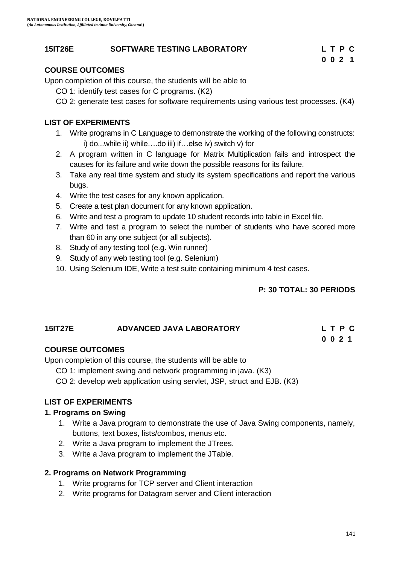#### **15IT26E SOFTWARE TESTING LABORATORY L T P C**

#### **COURSE OUTCOMES**

Upon completion of this course, the students will be able to

CO 1: identify test cases for C programs. (K2)

CO 2: generate test cases for software requirements using various test processes. (K4)

 **0 0 2 1**

#### **LIST OF EXPERIMENTS**

- 1. Write programs in C Language to demonstrate the working of the following constructs: i) do...while ii) while….do iii) if…else iv) switch v) for
- 2. A program written in C language for Matrix Multiplication fails and introspect the causes for its failure and write down the possible reasons for its failure.
- 3. Take any real time system and study its system specifications and report the various bugs.
- 4. Write the test cases for any known application.
- 5. Create a test plan document for any known application.
- 6. Write and test a program to update 10 student records into table in Excel file.
- 7. Write and test a program to select the number of students who have scored more than 60 in any one subject (or all subjects).
- 8. Study of any testing tool (e.g. Win runner)
- 9. Study of any web testing tool (e.g. Selenium)
- 10. Using Selenium IDE, Write a test suite containing minimum 4 test cases.

#### **P: 30 TOTAL: 30 PERIODS**

### **15IT27E ADVANCED JAVA LABORATORY L T P C 0 0 2 1**

#### **COURSE OUTCOMES**

Upon completion of this course, the students will be able to

- CO 1: implement swing and network programming in java. (K3)
- CO 2: develop web application using servlet, JSP, struct and EJB. (K3)

#### **LIST OF EXPERIMENTS**

#### **1. Programs on Swing**

- 1. Write a Java program to demonstrate the use of Java Swing components, namely, buttons, text boxes, lists/combos, menus etc.
- 2. Write a Java program to implement the JTrees.
- 3. Write a Java program to implement the JTable.

#### **2. Programs on Network Programming**

- 1. Write programs for TCP server and Client interaction
- 2. Write programs for Datagram server and Client interaction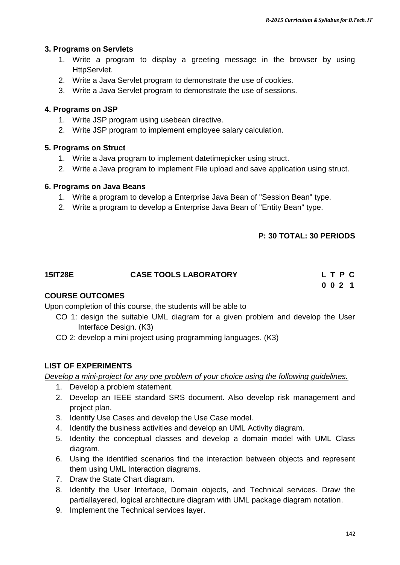#### **3. Programs on Servlets**

- 1. Write a program to display a greeting message in the browser by using HttpServlet.
- 2. Write a Java Servlet program to demonstrate the use of cookies.
- 3. Write a Java Servlet program to demonstrate the use of sessions.

#### **4. Programs on JSP**

- 1. Write JSP program using usebean directive.
- 2. Write JSP program to implement employee salary calculation.

#### **5. Programs on Struct**

- 1. Write a Java program to implement datetimepicker using struct.
- 2. Write a Java program to implement File upload and save application using struct.

#### **6. Programs on Java Beans**

- 1. Write a program to develop a Enterprise Java Bean of "Session Bean" type.
- 2. Write a program to develop a Enterprise Java Bean of "Entity Bean" type.

#### **P: 30 TOTAL: 30 PERIODS**

| <b>15IT28E</b> | <b>CASE TOOLS LABORATORY</b> | LTPC |
|----------------|------------------------------|------|
|                |                              | 0021 |

#### **COURSE OUTCOMES**

Upon completion of this course, the students will be able to

- CO 1: design the suitable UML diagram for a given problem and develop the User Interface Design. (K3)
- CO 2: develop a mini project using programming languages. (K3)

#### **LIST OF EXPERIMENTS**

*Develop a mini-project for any one problem of your choice using the following guidelines.*

- 1. Develop a problem statement.
- 2. Develop an IEEE standard SRS document. Also develop risk management and project plan.
- 3. Identify Use Cases and develop the Use Case model.
- 4. Identify the business activities and develop an UML Activity diagram.
- 5. Identity the conceptual classes and develop a domain model with UML Class diagram.
- 6. Using the identified scenarios find the interaction between objects and represent them using UML Interaction diagrams.
- 7. Draw the State Chart diagram.
- 8. Identify the User Interface, Domain objects, and Technical services. Draw the partiallayered, logical architecture diagram with UML package diagram notation.
- 9. Implement the Technical services layer.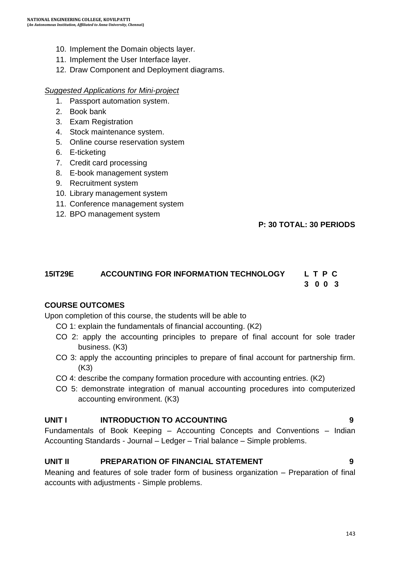- 10. Implement the Domain objects layer.
- 11. Implement the User Interface layer.
- 12. Draw Component and Deployment diagrams.

#### *Suggested Applications for Mini-project*

- 1. Passport automation system.
- 2. Book bank
- 3. Exam Registration
- 4. Stock maintenance system.
- 5. Online course reservation system
- 6. E-ticketing
- 7. Credit card processing
- 8. E-book management system
- 9. Recruitment system
- 10. Library management system
- 11. Conference management system
- 12. BPO management system

#### **P: 30 TOTAL: 30 PERIODS**

### **15IT29E ACCOUNTING FOR INFORMATION TECHNOLOGY L T P C 3 0 0 3**

#### **COURSE OUTCOMES**

Upon completion of this course, the students will be able to

- CO 1: explain the fundamentals of financial accounting. (K2)
- CO 2: apply the accounting principles to prepare of final account for sole trader business. (K3)
- CO 3: apply the accounting principles to prepare of final account for partnership firm. (K3)
- CO 4: describe the company formation procedure with accounting entries. (K2)
- CO 5: demonstrate integration of manual accounting procedures into computerized accounting environment. (K3)

#### **UNIT I INTRODUCTION TO ACCOUNTING 9**

Fundamentals of Book Keeping – Accounting Concepts and Conventions – Indian Accounting Standards - Journal – Ledger – Trial balance – Simple problems.

#### **UNIT II PREPARATION OF FINANCIAL STATEMENT 9**

Meaning and features of sole trader form of business organization – Preparation of final accounts with adjustments - Simple problems.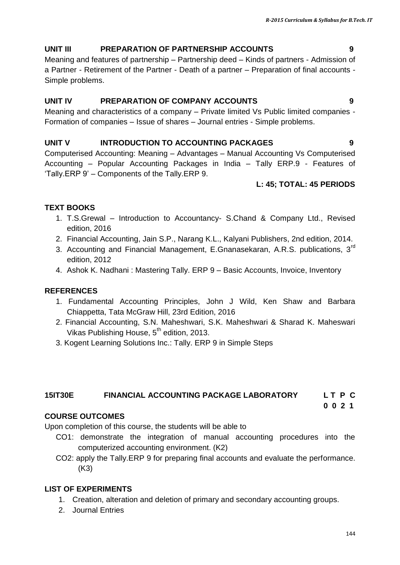## **UNIT III PREPARATION OF PARTNERSHIP ACCOUNTS 9**

Meaning and features of partnership – Partnership deed – Kinds of partners - Admission of a Partner - Retirement of the Partner - Death of a partner – Preparation of final accounts - Simple problems.

### **UNIT IV PREPARATION OF COMPANY ACCOUNTS 9**

Meaning and characteristics of a company – Private limited Vs Public limited companies - Formation of companies – Issue of shares – Journal entries - Simple problems.

#### **UNIT V INTRODUCTION TO ACCOUNTING PACKAGES 9**

Computerised Accounting: Meaning – Advantages – Manual Accounting Vs Computerised Accounting – Popular Accounting Packages in India – Tally ERP.9 - Features of "Tally.ERP 9" – Components of the Tally.ERP 9.

#### **L: 45; TOTAL: 45 PERIODS**

### **TEXT BOOKS**

- 1. T.S.Grewal Introduction to Accountancy- S.Chand & Company Ltd., Revised edition, 2016
- 2. Financial Accounting, Jain S.P., Narang K.L., Kalyani Publishers, 2nd edition, 2014.
- 3. Accounting and Financial Management, E.Gnanasekaran, A.R.S. publications, 3<sup>rd</sup> edition, 2012
- 4. Ashok K. Nadhani : Mastering Tally. ERP 9 Basic Accounts, Invoice, Inventory

## **REFERENCES**

- 1. Fundamental Accounting Principles, John J Wild, Ken Shaw and Barbara Chiappetta, Tata McGraw Hill, 23rd Edition, 2016
- 2. Financial Accounting, S.N. Maheshwari, S.K. Maheshwari & Sharad K. Maheswari Vikas Publishing House,  $5^{th}$  edition, 2013.
- 3. Kogent Learning Solutions Inc.: Tally. ERP 9 in Simple Steps

#### **15IT30E FINANCIAL ACCOUNTING PACKAGE LABORATORY L T P C**

**0 0 2 1**

#### **COURSE OUTCOMES**

Upon completion of this course, the students will be able to

- CO1: demonstrate the integration of manual accounting procedures into the computerized accounting environment. (K2)
- CO2: apply the Tally.ERP 9 for preparing final accounts and evaluate the performance. (K3)

#### **LIST OF EXPERIMENTS**

- 1. Creation, alteration and deletion of primary and secondary accounting groups.
- 2. Journal Entries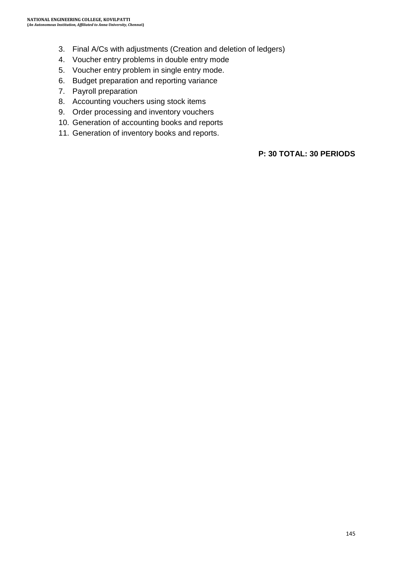- 3. Final A/Cs with adjustments (Creation and deletion of ledgers)
- 4. Voucher entry problems in double entry mode
- 5. Voucher entry problem in single entry mode.
- 6. Budget preparation and reporting variance
- 7. Payroll preparation
- 8. Accounting vouchers using stock items
- 9. Order processing and inventory vouchers
- 10. Generation of accounting books and reports
- 11. Generation of inventory books and reports.

**P: 30 TOTAL: 30 PERIODS**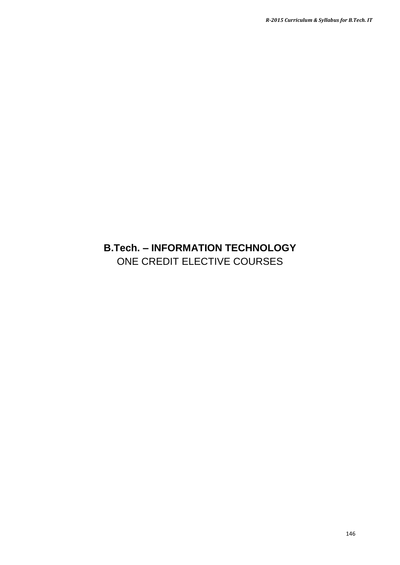## **B.Tech. – INFORMATION TECHNOLOGY** ONE CREDIT ELECTIVE COURSES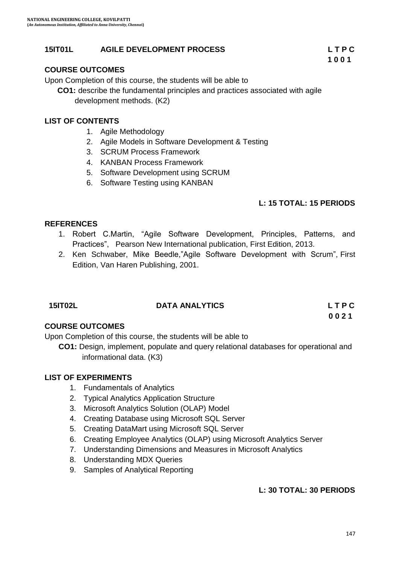#### **15IT01L AGILE DEVELOPMENT PROCESS L T P C**

### **COURSE OUTCOMES**

Upon Completion of this course, the students will be able to

 **CO1:** describe the fundamental principles and practices associated with agile development methods. (K2)

#### **LIST OF CONTENTS**

- 1. Agile Methodology
- 2. Agile Models in Software Development & Testing
- 3. SCRUM Process Framework
- 4. KANBAN Process Framework
- 5. Software Development using SCRUM
- 6. Software Testing using KANBAN

#### **L: 15 TOTAL: 15 PERIODS**

#### **REFERENCES**

- 1. Robert C.Martin, "Agile Software Development, Principles, Patterns, and Practices", Pearson New International publication, First Edition, 2013.
- 2. Ken Schwaber, Mike Beedle,"Agile Software Development with Scrum", First Edition, Van Haren Publishing, 2001.

| 15IT02L | <b>DATA ANALYTICS</b> | LTPC |
|---------|-----------------------|------|
|         |                       | 0021 |

#### **COURSE OUTCOMES**

Upon Completion of this course, the students will be able to

**CO1:** Design, implement, populate and query relational databases for operational and informational data. (K3)

#### **LIST OF EXPERIMENTS**

- 1. Fundamentals of Analytics
- 2. Typical Analytics Application Structure
- 3. Microsoft Analytics Solution (OLAP) Model
- 4. Creating Database using Microsoft SQL Server
- 5. Creating DataMart using Microsoft SQL Server
- 6. Creating Employee Analytics (OLAP) using Microsoft Analytics Server
- 7. Understanding Dimensions and Measures in Microsoft Analytics
- 8. Understanding MDX Queries
- 9. Samples of Analytical Reporting

#### **L: 30 TOTAL: 30 PERIODS**

**1 0 0 1**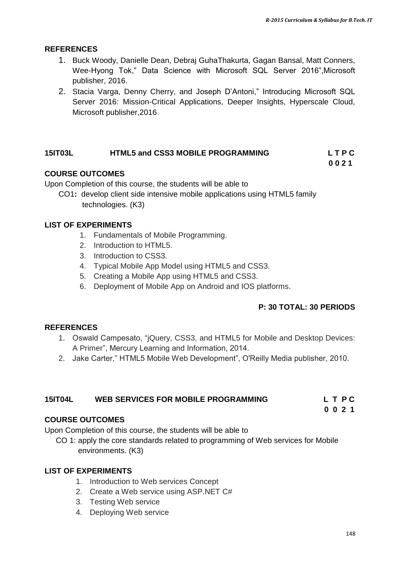#### **REFERENCES**

- 1. Buck Woody, Danielle Dean, Debraj GuhaThakurta, Gagan Bansal, Matt Conners, Wee-Hyong Tok," Data Science with Microsoft SQL Server 2016",Microsoft publisher, 2016.
- 2. Stacia Varga, Denny Cherry, and Joseph D"Antoni," Introducing Microsoft SQL Server 2016: Mission-Critical Applications, Deeper Insights, Hyperscale Cloud, Microsoft publisher,2016.

### **15IT03L HTML5 and CSS3 MOBILE PROGRAMMING L T P C**

 **0 0 2 1**

#### **COURSE OUTCOMES**

Upon Completion of this course, the students will be able to

CO1**:** develop client side intensive mobile applications using HTML5 family technologies. (K3)

#### **LIST OF EXPERIMENTS**

- 1. Fundamentals of Mobile Programming.
- 2. Introduction to HTML5.
- 3. Introduction to CSS3.
- 4. Typical Mobile App Model using HTML5 and CSS3.
- 5. Creating a Mobile App using HTML5 and CSS3.
- 6. Deployment of Mobile App on Android and IOS platforms.

#### **P: 30 TOTAL: 30 PERIODS**

#### **REFERENCES**

- 1. Oswald Campesato, "jQuery, CSS3, and HTML5 for Mobile and Desktop Devices: A Primer", Mercury Learning and Information, 2014.
- 2. Jake Carter," HTML5 Mobile Web Development", O'Reilly Media publisher, 2010.

## **15IT04L WEB SERVICES FOR MOBILE PROGRAMMING L T P C**

 **0 0 2 1**

#### **COURSE OUTCOMES**

Upon Completion of this course, the students will be able to

CO 1: apply the core standards related to programming of Web services for Mobile environments. (K3)

#### **LIST OF EXPERIMENTS**

- 1. Introduction to Web services Concept
- 2. Create a Web service using ASP.NET C#
- 3. Testing Web service
- 4. Deploying Web service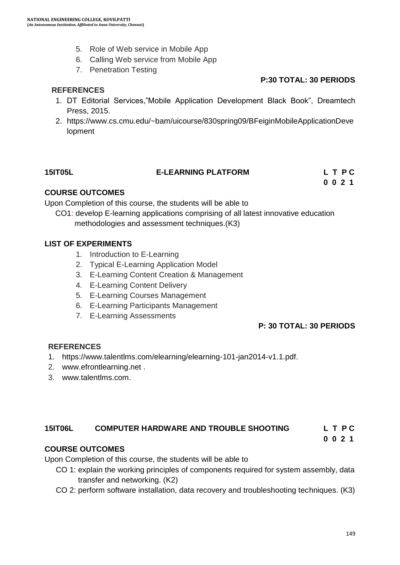- 5. Role of Web service in Mobile App
- 6. Calling Web service from Mobile App
- 7. Penetration Testing

#### **REFERENCES**

#### **P:30 TOTAL: 30 PERIODS**

- 1. DT Editorial Services,"Mobile Application Development Black Book", Dreamtech Press, 2015.
- 2. https://www.cs.cmu.edu/~bam/uicourse/830spring09/BFeiginMobileApplicationDeve lopment

#### **15IT05L E-LEARNING PLATFORM L T P C**

**0 0 2 1**

## **COURSE OUTCOMES**

Upon Completion of this course, the students will be able to

CO1: develop E-learning applications comprising of all latest innovative education methodologies and assessment techniques.(K3)

### **LIST OF EXPERIMENTS**

- 1. Introduction to E-Learning
- 2. Typical E-Learning Application Model
- 3. E-Learning Content Creation & Management
- 4. E-Learning Content Delivery
- 5. E-Learning Courses Management
- 6. E-Learning Participants Management
- 7. E-Learning Assessments

#### **P: 30 TOTAL: 30 PERIODS**

#### **REFERENCES**

- 1. [https://www.talentlms.com/elearning/elearning-101-jan2014-v1.1.pdf.](https://www.talentlms.com/elearning/elearning-101-jan2014-v1.1.pdf)
- 2. www.efrontlearning.net .
- 3. www.talentlms.com.

## **15IT06L COMPUTER HARDWARE AND TROUBLE SHOOTING L T P C**

 **0 0 2 1**

## **COURSE OUTCOMES**

Upon Completion of this course, the students will be able to

- CO 1: explain the working principles of components required for system assembly, data transfer and networking. (K2)
- CO 2: perform software installation, data recovery and troubleshooting techniques. (K3)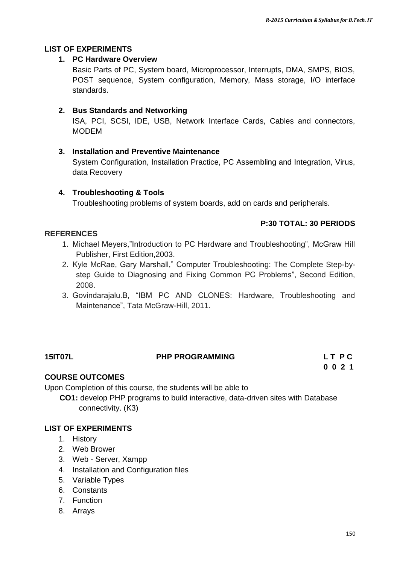#### **LIST OF EXPERIMENTS**

#### **1. PC Hardware Overview**

Basic Parts of PC, System board, Microprocessor, Interrupts, DMA, SMPS, BIOS, POST sequence, System configuration, Memory, Mass storage, I/O interface standards.

#### **2. Bus Standards and Networking**

ISA, PCI, SCSI, IDE, USB, Network Interface Cards, Cables and connectors, MODEM

#### **3. Installation and Preventive Maintenance**

System Configuration, Installation Practice, PC Assembling and Integration, Virus, data Recovery

#### **4. Troubleshooting & Tools**

Troubleshooting problems of system boards, add on cards and peripherals.

#### **P:30 TOTAL: 30 PERIODS**

#### **REFERENCES**

- 1. Michael Meyers,"Introduction to PC Hardware and Troubleshooting", McGraw Hill Publisher, First Edition,2003.
- 2. Kyle McRae, Gary Marshall," Computer Troubleshooting: The Complete Step-bystep Guide to Diagnosing and Fixing Common PC Problems", Second Edition, 2008.
- 3. Govindarajalu.B, "IBM PC AND CLONES: Hardware, Troubleshooting and Maintenance", Tata McGraw-Hill, 2011.

#### **15IT07L PHP PROGRAMMING L T P C**

**0 0 2 1**

#### **COURSE OUTCOMES**

Upon Completion of this course, the students will be able to

 **CO1:** develop PHP programs to build interactive, data-driven sites with Database connectivity. (K3)

#### **LIST OF EXPERIMENTS**

- 1. History
- 2. Web Brower
- 3. Web Server, Xampp
- 4. Installation and Configuration files
- 5. Variable Types
- 6. Constants
- 7. Function
- 8. Arrays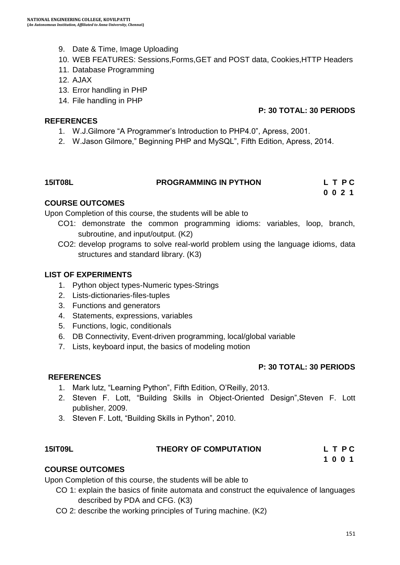- 9. Date & Time, Image Uploading
- 10. WEB FEATURES: Sessions,Forms,GET and POST data, Cookies,HTTP Headers
- 11. Database Programming
- 12. AJAX
- 13. Error handling in PHP
- 14. File handling in PHP

#### **REFERENCES**

#### **P: 30 TOTAL: 30 PERIODS**

- 1. W.J.Gilmore "A Programmer"s Introduction to PHP4.0", Apress, 2001.
- 2. W.Jason Gilmore," Beginning PHP and MySQL", Fifth Edition, Apress, 2014.

## **15IT08L PROGRAMMING IN PYTHON L T P C**

**0 0 2 1**

#### **COURSE OUTCOMES**

Upon Completion of this course, the students will be able to

- CO1: demonstrate the common programming idioms: variables, loop, branch, subroutine, and input/output. (K2)
- CO2: develop programs to solve real-world problem using the language idioms, data structures and standard library. (K3)

#### **LIST OF EXPERIMENTS**

- 1. Python object types-Numeric types-Strings
- 2. Lists-dictionaries-files-tuples
- 3. Functions and generators
- 4. Statements, expressions, variables
- 5. Functions, logic, conditionals
- 6. DB Connectivity, Event-driven programming, local/global variable
- 7. Lists, keyboard input, the basics of modeling motion

#### **P: 30 TOTAL: 30 PERIODS**

#### **REFERENCES**

- 1. Mark lutz, "Learning Python", Fifth Edition, O"Reilly, 2013.
- 2. Steven F. Lott, "Building Skills in Object-Oriented Design",Steven F. Lott publisher, 2009.
- 3. Steven F. Lott, "Building Skills in Python", 2010.

#### **15IT09L THEORY OF COMPUTATION L T P C**

**1 0 0 1**

#### **COURSE OUTCOMES**

Upon Completion of this course, the students will be able to

- CO 1: explain the basics of finite automata and construct the equivalence of languages described by PDA and CFG. (K3)
- CO 2: describe the working principles of Turing machine. (K2)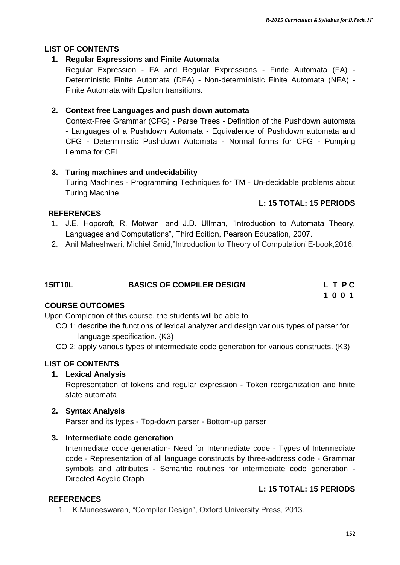#### **LIST OF CONTENTS**

#### **1. Regular Expressions and Finite Automata**

Regular Expression - FA and Regular Expressions - Finite Automata (FA) - Deterministic Finite Automata (DFA) - Non-deterministic Finite Automata (NFA) - Finite Automata with Epsilon transitions.

#### **2. Context free Languages and push down automata**

Context-Free Grammar (CFG) - Parse Trees - Definition of the Pushdown automata - Languages of a Pushdown Automata - Equivalence of Pushdown automata and CFG - Deterministic Pushdown Automata - Normal forms for CFG - Pumping Lemma for CFL

#### **3. Turing machines and undecidability**

Turing Machines - Programming Techniques for TM - Un-decidable problems about Turing Machine

#### **L: 15 TOTAL: 15 PERIODS**

#### **REFERENCES**

- 1. J.E. Hopcroft, R. Motwani and J.D. Ullman, "Introduction to Automata Theory, Languages and Computations", Third Edition, Pearson Education, 2007.
- 2. Anil Maheshwari, Michiel Smid,"Introduction to Theory of Computation"E-book,2016.

| <b>15IT10L</b> | <b>BASICS OF COMPILER DESIGN</b> | LTPC |
|----------------|----------------------------------|------|
|                |                                  | 1001 |

#### **COURSE OUTCOMES**

Upon Completion of this course, the students will be able to

- CO 1: describe the functions of lexical analyzer and design various types of parser for language specification. (K3)
- CO 2: apply various types of intermediate code generation for various constructs. (K3)

#### **LIST OF CONTENTS**

#### **1. Lexical Analysis**

Representation of tokens and regular expression - Token reorganization and finite state automata

#### **2. Syntax Analysis**

Parser and its types - Top-down parser - Bottom-up parser

#### **3. Intermediate code generation**

Intermediate code generation- Need for Intermediate code - Types of Intermediate code - Representation of all language constructs by three-address code - Grammar symbols and attributes - Semantic routines for intermediate code generation - Directed Acyclic Graph

#### **L: 15 TOTAL: 15 PERIODS**

#### **REFERENCES**

1. K.Muneeswaran, "Compiler Design", Oxford University Press, 2013.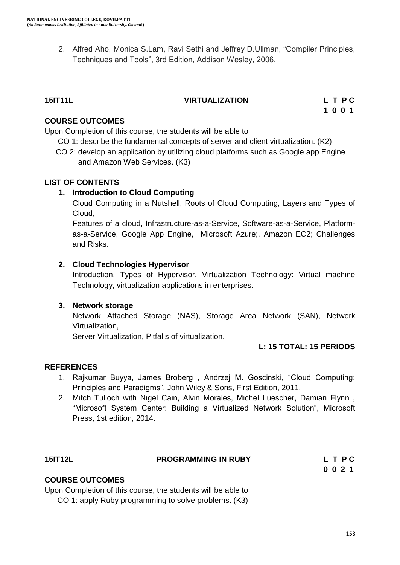2. Alfred Aho, Monica S.Lam, Ravi Sethi and Jeffrey D.Ullman, "Compiler Principles, Techniques and Tools", 3rd Edition, Addison Wesley, 2006.

#### **15IT11L VIRTUALIZATION L T P C**

 **1 0 0 1**

#### **COURSE OUTCOMES**

Upon Completion of this course, the students will be able to

CO 1: describe the fundamental concepts of server and client virtualization. (K2)

CO 2: develop an application by utilizing cloud platforms such as Google app Engine and Amazon Web Services. (K3)

#### **LIST OF CONTENTS**

#### **1. Introduction to Cloud Computing**

Cloud Computing in a Nutshell, Roots of Cloud Computing, Layers and Types of Cloud,

Features of a cloud, Infrastructure-as-a-Service, Software-as-a-Service, Platformas-a-Service, Google App Engine, Microsoft Azure;, Amazon EC2; Challenges and Risks.

### **2. Cloud Technologies Hypervisor**

Introduction, Types of Hypervisor. Virtualization Technology: Virtual machine Technology, virtualization applications in enterprises.

#### **3. Network storage**

Network Attached Storage (NAS), Storage Area Network (SAN), Network Virtualization,

Server Virtualization, Pitfalls of virtualization.

#### **L: 15 TOTAL: 15 PERIODS**

#### **REFERENCES**

- 1. Rajkumar Buyya, James Broberg , Andrzej M. Goscinski, "Cloud Computing: Principles and Paradigms", John Wiley & Sons, First Edition, 2011.
- 2. Mitch Tulloch with Nigel Cain, Alvin Morales, Michel Luescher, Damian Flynn , "Microsoft System Center: Building a Virtualized Network Solution", Microsoft Press, 1st edition, 2014.

| <b>15IT12L</b>         | <b>PROGRAMMING IN RUBY</b> | L T P C |
|------------------------|----------------------------|---------|
|                        |                            | 0021    |
| <b>COURSE OUTCOMES</b> |                            |         |

Upon Completion of this course, the students will be able to

CO 1: apply Ruby programming to solve problems. (K3)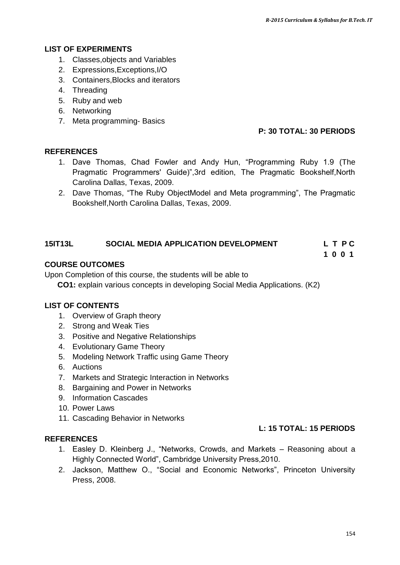#### **LIST OF EXPERIMENTS**

- 1. Classes,objects and Variables
- 2. Expressions,Exceptions,I/O
- 3. Containers,Blocks and iterators
- 4. Threading
- 5. Ruby and web
- 6. Networking
- 7. Meta programming- Basics

#### **P: 30 TOTAL: 30 PERIODS**

#### **REFERENCES**

- 1. Dave Thomas, Chad Fowler and Andy Hun, "Programming Ruby 1.9 (The Pragmatic Programmers' Guide)",3rd edition, The Pragmatic Bookshelf,North Carolina Dallas, Texas, 2009.
- 2. Dave Thomas, "The Ruby ObjectModel and Meta programming", The Pragmatic Bookshelf,North Carolina Dallas, Texas, 2009.

#### **15IT13L SOCIAL MEDIA APPLICATION DEVELOPMENT L T P C**

**1 0 0 1**

#### **COURSE OUTCOMES**

Upon Completion of this course, the students will be able to

 **CO1:** explain various concepts in developing Social Media Applications. (K2)

#### **LIST OF CONTENTS**

- 1. Overview of Graph theory
- 2. Strong and Weak Ties
- 3. Positive and Negative Relationships
- 4. Evolutionary Game Theory
- 5. Modeling Network Traffic using Game Theory
- 6. Auctions
- 7. Markets and Strategic Interaction in Networks
- 8. Bargaining and Power in Networks
- 9. Information Cascades
- 10. Power Laws
- 11. Cascading Behavior in Networks

### **L: 15 TOTAL: 15 PERIODS**

- **REFERENCES**
	- 1. Easley D. Kleinberg J., "Networks, Crowds, and Markets Reasoning about a Highly Connected World", Cambridge University Press,2010.
	- 2. Jackson, Matthew O., "Social and Economic Networks", Princeton University Press, 2008.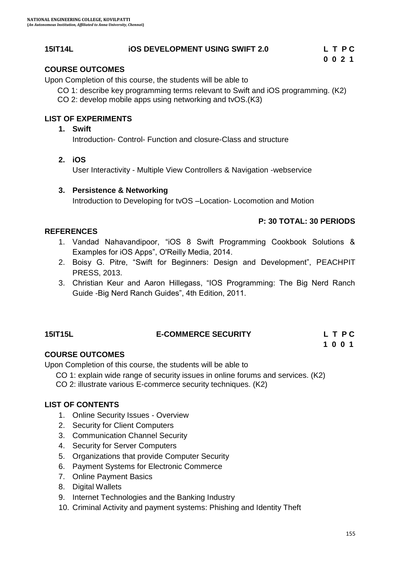#### **15IT14L iOS DEVELOPMENT USING SWIFT 2.0 L T P C**

### **COURSE OUTCOMES**

Upon Completion of this course, the students will be able to

CO 1: describe key programming terms relevant to Swift and iOS programming. (K2)

CO 2: develop mobile apps using networking and tvOS.(K3)

#### **LIST OF EXPERIMENTS**

#### **1. Swift**

Introduction- Control- Function and closure-Class and structure

**2. iOS**

User Interactivity - Multiple View Controllers & Navigation -webservice

#### **3. Persistence & Networking**

Introduction to Developing for tvOS –Location- Locomotion and Motion

#### **P: 30 TOTAL: 30 PERIODS**

#### **REFERENCES**

- 1. Vandad Nahavandipoor, "iOS 8 Swift Programming Cookbook Solutions & Examples for iOS Apps", O'Reilly Media, 2014.
- 2. Boisy G. Pitre, "Swift for Beginners: Design and Development", PEACHPIT PRESS, 2013.
- 3. Christian Keur and Aaron Hillegass, "IOS Programming: The Big Nerd Ranch Guide -Big Nerd Ranch Guides", 4th Edition, 2011.

## **15IT15L E-COMMERCE SECURITY L T P C**

## **1 0 0 1**

#### **COURSE OUTCOMES**

Upon Completion of this course, the students will be able to

CO 1: explain wide range of security issues in online forums and services. (K2)

CO 2: illustrate various E-commerce security techniques. (K2)

#### **LIST OF CONTENTS**

- 1. Online Security Issues Overview
- 2. Security for Client Computers
- 3. Communication Channel Security
- 4. Security for Server Computers
- 5. Organizations that provide Computer Security
- 6. Payment Systems for Electronic Commerce
- 7. Online Payment Basics
- 8. Digital Wallets
- 9. Internet Technologies and the Banking Industry
- 10. Criminal Activity and payment systems: Phishing and Identity Theft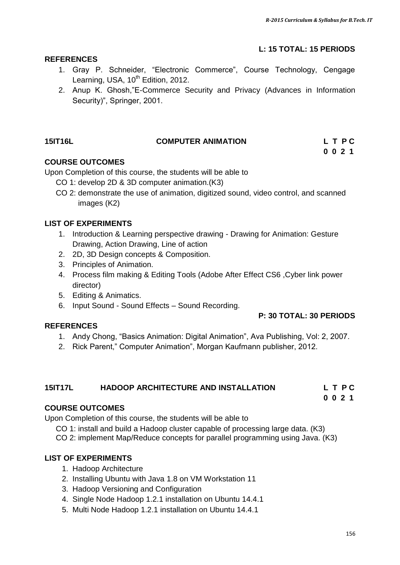**0 0 2 1**

## **L: 15 TOTAL: 15 PERIODS**

#### **REFERENCES**

- 1. Gray P. Schneider, "Electronic Commerce", Course Technology, Cengage Learning, USA,  $10^{th}$  Edition, 2012.
- 2. Anup K. Ghosh,"E-Commerce Security and Privacy (Advances in Information Security)", Springer, 2001.

## **15IT16L COMPUTER ANIMATION L T P C**

### **COURSE OUTCOMES**

Upon Completion of this course, the students will be able to

- CO 1: develop 2D & 3D computer animation.(K3)
- CO 2: demonstrate the use of animation, digitized sound, video control, and scanned images (K2)

### **LIST OF EXPERIMENTS**

- 1. Introduction & Learning perspective drawing Drawing for Animation: Gesture Drawing, Action Drawing, Line of action
- 2. 2D, 3D Design concepts & Composition.
- 3. Principles of Animation.
- 4. Process film making & Editing Tools (Adobe After Effect CS6 ,Cyber link power director)
- 5. Editing & Animatics.
- 6. Input Sound Sound Effects Sound Recording.

#### **P: 30 TOTAL: 30 PERIODS**

- 1. Andy Chong, "Basics Animation: Digital Animation", Ava Publishing, Vol: 2, 2007.
- 2. Rick Parent," Computer Animation", Morgan Kaufmann publisher, 2012.

#### **15IT17L HADOOP ARCHITECTURE AND INSTALLATION L T P C**

#### **0 0 2 1**

## **COURSE OUTCOMES**

**REFERENCES**

Upon Completion of this course, the students will be able to

- CO 1: install and build a Hadoop cluster capable of processing large data. (K3)
- CO 2: implement Map/Reduce concepts for parallel programming using Java. (K3)

## **LIST OF EXPERIMENTS**

- 1. Hadoop Architecture
- 2. Installing Ubuntu with Java 1.8 on VM Workstation 11
- 3. Hadoop Versioning and Configuration
- 4. Single Node Hadoop 1.2.1 installation on Ubuntu 14.4.1
- 5. Multi Node Hadoop 1.2.1 installation on Ubuntu 14.4.1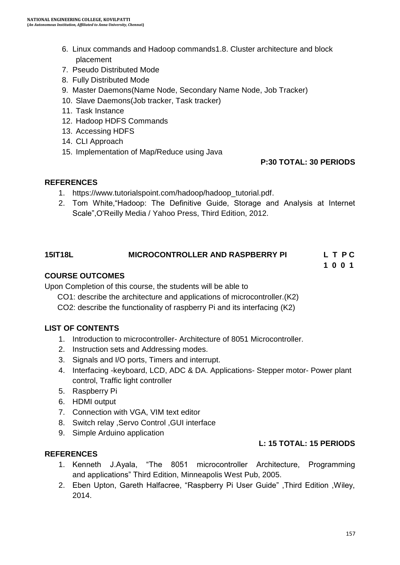- 6. Linux commands and Hadoop commands1.8. Cluster architecture and block placement
- 7. Pseudo Distributed Mode
- 8. Fully Distributed Mode
- 9. Master Daemons(Name Node, Secondary Name Node, Job Tracker)
- 10. Slave Daemons(Job tracker, Task tracker)
- 11. Task Instance
- 12. Hadoop HDFS Commands
- 13. Accessing HDFS
- 14. CLI Approach
- 15. Implementation of Map/Reduce using Java

#### **P:30 TOTAL: 30 PERIODS**

#### **REFERENCES**

- 1. [https://www.tutorialspoint.com/hadoop/hadoop\\_tutorial.pdf.](https://www.tutorialspoint.com/hadoop/hadoop_tutorial.pdf)
- 2. Tom White,"Hadoop: The Definitive Guide, Storage and Analysis at Internet Scale",O'Reilly Media / Yahoo Press, Third Edition, 2012.

#### **15IT18L MICROCONTROLLER AND RASPBERRY PI L T P C**

**1 0 0 1**

#### **COURSE OUTCOMES**

Upon Completion of this course, the students will be able to

CO1: describe the architecture and applications of microcontroller.(K2)

CO2: describe the functionality of raspberry Pi and its interfacing (K2)

#### **LIST OF CONTENTS**

- 1. Introduction to microcontroller- Architecture of 8051 Microcontroller.
- 2. Instruction sets and Addressing modes.
- 3. Signals and I/O ports, Timers and interrupt.
- 4. Interfacing -keyboard, LCD, ADC & DA. Applications- Stepper motor- Power plant control, Traffic light controller
- 5. Raspberry Pi
- 6. HDMI output
- 7. Connection with VGA, VIM text editor
- 8. Switch relay ,Servo Control ,GUI interface
- 9. Simple Arduino application

#### **REFERENCES**

#### **L: 15 TOTAL: 15 PERIODS**

- 1. Kenneth J.Ayala, "The 8051 microcontroller Architecture, Programming and applications" Third Edition, Minneapolis West Pub, 2005.
- 2. Eben Upton, Gareth Halfacree, "Raspberry Pi User Guide" ,Third Edition ,Wiley, 2014.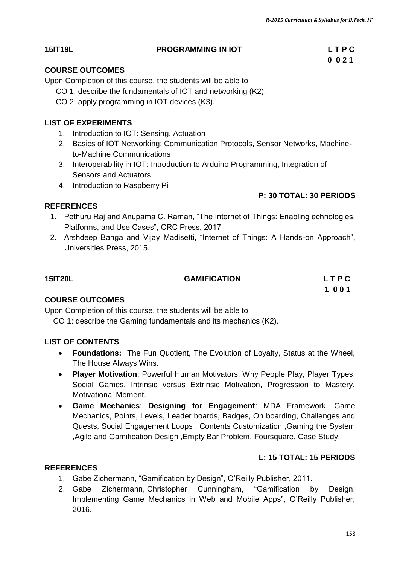## **15IT19L PROGRAMMING IN IOT L T P C**

## **COURSE OUTCOMES**

Upon Completion of this course, the students will be able to

- CO 1: describe the fundamentals of IOT and networking (K2).
- CO 2: apply programming in IOT devices (K3).

## **LIST OF EXPERIMENTS**

- 1. Introduction to IOT: Sensing, Actuation
- 2. Basics of IOT Networking: Communication Protocols, Sensor Networks, Machineto-Machine Communications
- 3. Interoperability in IOT: Introduction to Arduino Programming, Integration of Sensors and Actuators
- 4. Introduction to Raspberry Pi

## **P: 30 TOTAL: 30 PERIODS**

#### **REFERENCES**

- 1. Pethuru Raj and Anupama C. Raman, "The Internet of Things: Enabling echnologies, Platforms, and Use Cases", CRC Press, 2017
- 2. Arshdeep Bahga and Vijay Madisetti, "Internet of Things: A Hands-on Approach", Universities Press, 2015.

| <b>15IT20L</b> | <b>GAMIFICATION</b> | LTPC |
|----------------|---------------------|------|
|                |                     | 1001 |

## **COURSE OUTCOMES**

Upon Completion of this course, the students will be able to CO 1: describe the Gaming fundamentals and its mechanics (K2).

## **LIST OF CONTENTS**

- **Foundations:** The Fun Quotient, The Evolution of Loyalty, Status at the Wheel, The House Always Wins.
- **Player Motivation**: Powerful Human Motivators, Why People Play, Player Types, Social Games, Intrinsic versus Extrinsic Motivation, Progression to Mastery, Motivational Moment.
- **Game Mechanics**: **Designing for Engagement**: MDA Framework, Game Mechanics, Points, Levels, Leader boards, Badges, On boarding, Challenges and Quests, Social Engagement Loops , Contents Customization ,Gaming the System ,Agile and Gamification Design ,Empty Bar Problem, Foursquare, Case Study.

## **L: 15 TOTAL: 15 PERIODS**

## **REFERENCES**

- 1. Gabe Zichermann, "Gamification by Design", O"Reilly Publisher, 2011.
- 2. [Gabe Zichermann,](https://www.barnesandnoble.com/s/%22Gabe%20Zichermann%22;jsessionid=53181CCD02910E00B72C964BE8FA1019.prodny_store02-atgap04?Ntk=P_key_Contributor_List&Ns=P_Sales_Rank&Ntx=mode+matchall) Christopher Cunningham, "Gamification by Design: Implementing Game Mechanics in Web and Mobile Apps", O"Reilly Publisher, 2016.

# **0 0 2 1**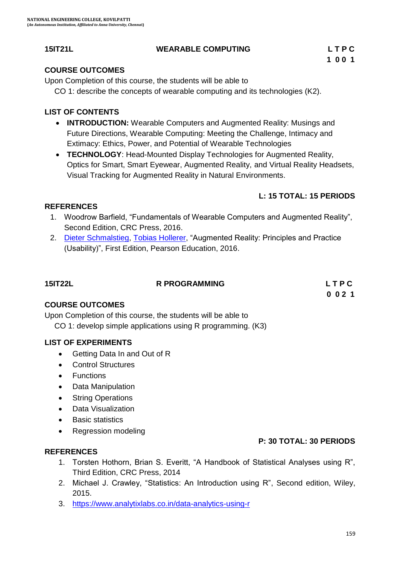### **15IT21L WEARABLE COMPUTING L T P C**

### **COURSE OUTCOMES**

Upon Completion of this course, the students will be able to CO 1: describe the concepts of wearable computing and its technologies (K2).

### **LIST OF CONTENTS**

- **INTRODUCTION:** Wearable Computers and Augmented Reality: Musings and Future Directions, Wearable Computing: Meeting the Challenge, Intimacy and Extimacy: Ethics, Power, and Potential of Wearable Technologies
- **TECHNOLOGY**: Head-Mounted Display Technologies for Augmented Reality, Optics for Smart, Smart Eyewear, Augmented Reality, and Virtual Reality Headsets, Visual Tracking for Augmented Reality in Natural Environments.

## **L: 15 TOTAL: 15 PERIODS**

### **REFERENCES**

- 1. Woodrow Barfield, "Fundamentals of Wearable Computers and Augmented Reality", Second Edition, CRC Press, 2016.
- 2. [Dieter Schmalstieg,](https://www.amazon.com/s/ref=dp_byline_sr_book_1?ie=UTF8&text=Dieter+Schmalstieg&search-alias=books&field-author=Dieter+Schmalstieg&sort=relevancerank) [Tobias Hollerer](https://www.amazon.com/s/ref=dp_byline_sr_book_2?ie=UTF8&text=Tobias+Hollerer&search-alias=books&field-author=Tobias+Hollerer&sort=relevancerank), "Augmented Reality: Principles and Practice (Usability)", First Edition, Pearson Education, 2016.

| <b>15IT22L</b> | <b>R PROGRAMMING</b> | LTPC |
|----------------|----------------------|------|
|                |                      | 0021 |

## **COURSE OUTCOMES**

Upon Completion of this course, the students will be able to CO 1: develop simple applications using R programming. (K3)

#### **LIST OF EXPERIMENTS**

- Getting Data In and Out of R
- Control Structures
- Functions
- Data Manipulation
- String Operations
- Data Visualization
- Basic statistics
- Regression modeling

#### **P: 30 TOTAL: 30 PERIODS**

#### **REFERENCES**

- 1. Torsten Hothorn, Brian S. Everitt, "A Handbook of Statistical Analyses using R", Third Edition, CRC Press, 2014
- 2. Michael J. Crawley, "Statistics: An Introduction using R", Second edition, Wiley, 2015.
- 3. <https://www.analytixlabs.co.in/data-analytics-using-r>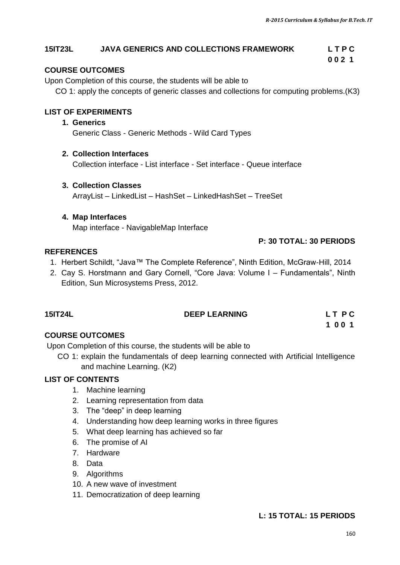#### **15IT23L JAVA GENERICS AND COLLECTIONS FRAMEWORK L T P C**

#### **COURSE OUTCOMES**

Upon Completion of this course, the students will be able to

CO 1: apply the concepts of generic classes and collections for computing problems.(K3)

 **0 0 2 1**

#### **LIST OF EXPERIMENTS**

#### **1. Generics**

Generic Class - Generic Methods - Wild Card Types

#### **2. Collection Interfaces**

Collection interface - List interface - Set interface - Queue interface

#### **3. Collection Classes**

ArrayList – LinkedList – HashSet – LinkedHashSet – TreeSet

#### **4. Map Interfaces**

Map interface - NavigableMap Interface

#### **P: 30 TOTAL: 30 PERIODS**

 **1 0 0 1**

#### **REFERENCES**

- 1. Herbert Schildt, "Java™ The Complete Reference", Ninth Edition, McGraw-Hill, 2014
- 2. Cay S. Horstmann and Gary Cornell, "Core Java: Volume I Fundamentals", Ninth Edition, Sun Microsystems Press, 2012.

| <b>15IT24L</b> | <b>DEEP LEARNING</b> | LT PC |  |
|----------------|----------------------|-------|--|
|                |                      |       |  |

#### **COURSE OUTCOMES**

Upon Completion of this course, the students will be able to

 CO 1: explain the fundamentals of deep learning connected with Artificial Intelligence and machine Learning. (K2)

#### **LIST OF CONTENTS**

- 1. Machine learning
- 2. Learning representation from data
- 3. The "deep" in deep learning
- 4. Understanding how deep learning works in three figures
- 5. What deep learning has achieved so far
- 6. The promise of AI
- 7. Hardware
- 8. Data
- 9. Algorithms
- 10. A new wave of investment
- 11. Democratization of deep learning

#### **L: 15 TOTAL: 15 PERIODS**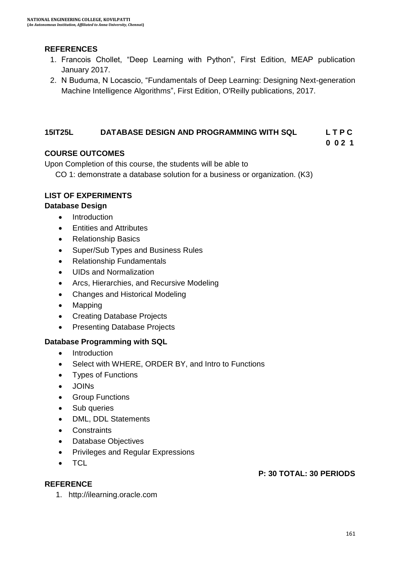#### **REFERENCES**

- 1. Francois Chollet, "Deep Learning with Python", First Edition, MEAP publication January 2017.
- 2. N Buduma, N Locascio, "[Fundamentals of Deep Learning: Designing Next-generation](https://books.google.co.in/books?hl=en&lr=&id=80glDwAAQBAJ&oi=fnd&pg=PP1&dq=Fundamentals+of+Deep+Learning:+Designing+Next-Generation+Machine+Intelligence+Algorithms&ots=vdnoHggW-a&sig=gCW8s3ZeUjLYeQcaDpYQFMwK9aM)  [Machine Intelligence Algorithms](https://books.google.co.in/books?hl=en&lr=&id=80glDwAAQBAJ&oi=fnd&pg=PP1&dq=Fundamentals+of+Deep+Learning:+Designing+Next-Generation+Machine+Intelligence+Algorithms&ots=vdnoHggW-a&sig=gCW8s3ZeUjLYeQcaDpYQFMwK9aM)", First Edition, O'Reilly publications, 2017.

#### **15IT25L DATABASE DESIGN AND PROGRAMMING WITH SQL L T P C**

#### **COURSE OUTCOMES**

Upon Completion of this course, the students will be able to

CO 1: demonstrate a database solution for a business or organization. (K3)

#### **LIST OF EXPERIMENTS**

#### **Database Design**

- Introduction
- **•** Entities and Attributes
- Relationship Basics
- Super/Sub Types and Business Rules
- Relationship Fundamentals
- UIDs and Normalization
- Arcs, Hierarchies, and Recursive Modeling
- Changes and Historical Modeling
- Mapping
- Creating Database Projects
- Presenting Database Projects

#### **Database Programming with SQL**

- Introduction
- Select with WHERE, ORDER BY, and Intro to Functions
- Types of Functions
- JOINs
- **•** Group Functions
- Sub queries
- DML, DDL Statements
- Constraints
- Database Objectives
- **•** Privileges and Regular Expressions
- TCL

**REFERENCE**

#### **P: 30 TOTAL: 30 PERIODS**

1. http://ilearning.oracle.com

 **0 0 2 1**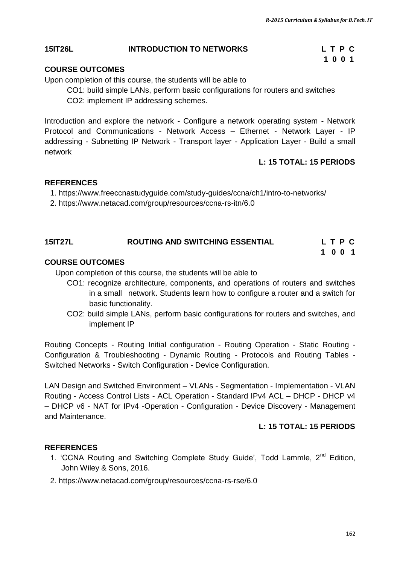#### **15IT26L INTRODUCTION TO NETWORKS L T P C**

#### **COURSE OUTCOMES**

Upon completion of this course, the students will be able to

CO1: build simple LANs, perform basic configurations for routers and switches CO2: implement IP addressing schemes.

 **1 0 0 1**

Introduction and explore the network - Configure a network operating system - Network Protocol and Communications - Network Access – Ethernet - Network Layer - IP addressing - Subnetting IP Network - Transport layer - Application Layer - Build a small network

#### **L: 15 TOTAL: 15 PERIODS**

#### **REFERENCES**

- 1. https://www.freeccnastudyguide.com/study-guides/ccna/ch1/intro-to-networks/
- 2. https://www.netacad.com/group/resources/ccna-rs-itn/6.0

#### **15IT27L ROUTING AND SWITCHING ESSENTIAL L T P C 1 0 0 1**

#### **COURSE OUTCOMES**

Upon completion of this course, the students will be able to

- CO1: recognize architecture, components, and operations of routers and switches in a small network. Students learn how to configure a router and a switch for basic functionality.
- CO2: build simple LANs, perform basic configurations for routers and switches, and implement IP

Routing Concepts - Routing Initial configuration - Routing Operation - Static Routing - Configuration & Troubleshooting - Dynamic Routing - Protocols and Routing Tables - Switched Networks - Switch Configuration - Device Configuration.

LAN Design and Switched Environment – VLANs - Segmentation - Implementation - VLAN Routing - Access Control Lists - ACL Operation - Standard IPv4 ACL – DHCP - DHCP v4 – DHCP v6 - NAT for IPv4 -Operation - Configuration - Device Discovery - Management and Maintenance.

#### **L: 15 TOTAL: 15 PERIODS**

#### **REFERENCES**

- 1. 'CCNA Routing and Switching Complete Study Guide', Todd Lammle, 2<sup>nd</sup> Edition. John Wiley & Sons, 2016.
- 2. https://www.netacad.com/group/resources/ccna-rs-rse/6.0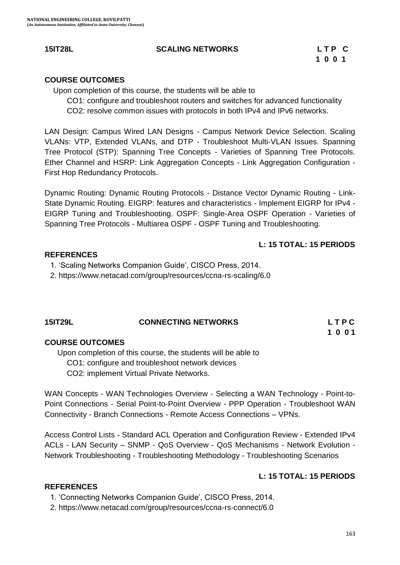#### **15IT28L SCALING NETWORKS L T P C**

#### **COURSE OUTCOMES**

Upon completion of this course, the students will be able to

CO1: configure and troubleshoot routers and switches for advanced functionality CO2: resolve common issues with protocols in both IPv4 and IPv6 networks.

LAN Design: Campus Wired LAN Designs - Campus Network Device Selection. Scaling VLANs: VTP, Extended VLANs, and DTP - Troubleshoot Multi-VLAN Issues. Spanning Tree Protocol (STP): Spanning Tree Concepts - Varieties of Spanning Tree Protocols. Ether Channel and HSRP: Link Aggregation Concepts - Link Aggregation Configuration - First Hop Redundancy Protocols.

Dynamic Routing: Dynamic Routing Protocols - Distance Vector Dynamic Routing - Link-State Dynamic Routing. EIGRP: features and characteristics - Implement EIGRP for IPv4 - EIGRP Tuning and Troubleshooting. OSPF: Single-Area OSPF Operation - Varieties of Spanning Tree Protocols - Multiarea OSPF - OSPF Tuning and Troubleshooting.

#### **L: 15 TOTAL: 15 PERIODS**

#### **REFERENCES**

1. "Scaling Networks Companion Guide", CISCO Press, 2014.

2. https://www.netacad.com/group/resources/ccna-rs-scaling/6.0

| <b>15IT29L</b> | <b>CONNECTING NETWORKS</b> | LTPC |
|----------------|----------------------------|------|
|                |                            | 1001 |

#### **COURSE OUTCOMES**

 Upon completion of this course, the students will be able to CO1: configure and troubleshoot network devices CO2: implement Virtual Private Networks.

WAN Concepts - WAN Technologies Overview - Selecting a WAN Technology - Point-to-Point Connections - Serial Point-to-Point Overview - PPP Operation - Troubleshoot WAN Connectivity - Branch Connections - Remote Access Connections – VPNs.

Access Control Lists - Standard ACL Operation and Configuration Review - Extended IPv4 ACLs - LAN Security – SNMP - QoS Overview - QoS Mechanisms - Network Evolution - Network Troubleshooting - Troubleshooting Methodology - Troubleshooting Scenarios

#### **L: 15 TOTAL: 15 PERIODS**

#### **REFERENCES**

1. "Connecting Networks Companion Guide", CISCO Press, 2014.

2. https://www.netacad.com/group/resources/ccna-rs-connect/6.0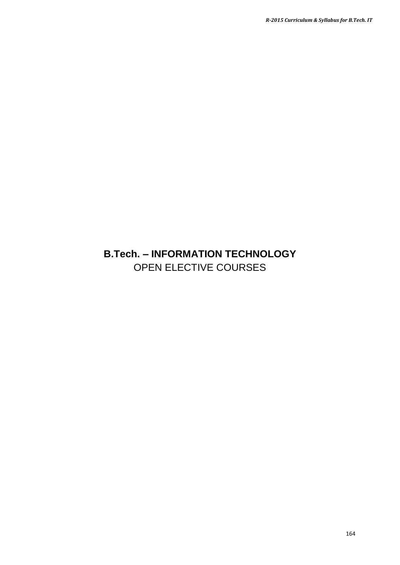## **B.Tech. – INFORMATION TECHNOLOGY** OPEN ELECTIVE COURSES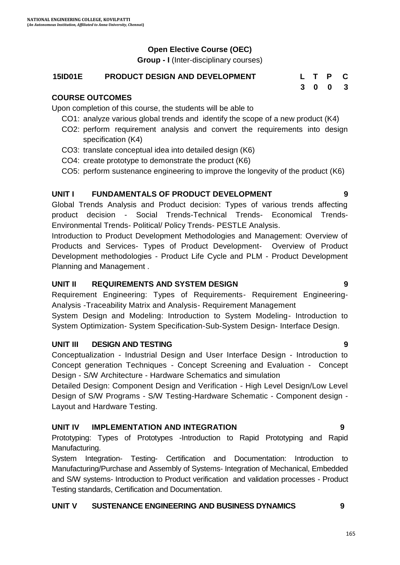## **Open Elective Course (OEC)**

**Group - I** (Inter-disciplinary courses)

## **15ID01E PRODUCT DESIGN AND DEVELOPMENT L T P C**

## **COURSE OUTCOMES**

Upon completion of this course, the students will be able to

- CO1: analyze various global trends and identify the scope of a new product (K4)
- CO2: perform requirement analysis and convert the requirements into design specification (K4)
- CO3: translate conceptual idea into detailed design (K6)
- CO4: create prototype to demonstrate the product (K6)
- CO5: perform sustenance engineering to improve the longevity of the product (K6)

## **UNIT I FUNDAMENTALS OF PRODUCT DEVELOPMENT 9**

Global Trends Analysis and Product decision: Types of various trends affecting product decision - Social Trends-Technical Trends- Economical Trends-Environmental Trends- Political/ Policy Trends- PESTLE Analysis.

Introduction to Product Development Methodologies and Management: Overview of Products and Services- Types of Product Development- Overview of Product Development methodologies - Product Life Cycle and PLM - Product Development Planning and Management .

## **UNIT II REQUIREMENTS AND SYSTEM DESIGN 9**

Requirement Engineering: Types of Requirements- Requirement Engineering-Analysis -Traceability Matrix and Analysis- Requirement Management

System Design and Modeling: Introduction to System Modeling- Introduction to System Optimization- System Specification-Sub-System Design- Interface Design.

## **UNIT III DESIGN AND TESTING 9**

Conceptualization - Industrial Design and User Interface Design - Introduction to Concept generation Techniques - Concept Screening and Evaluation - Concept Design - S/W Architecture - Hardware Schematics and simulation

Detailed Design: Component Design and Verification - High Level Design/Low Level Design of S/W Programs - S/W Testing-Hardware Schematic - Component design - Layout and Hardware Testing.

## **UNIT IV IMPLEMENTATION AND INTEGRATION 9**

Prototyping: Types of Prototypes -Introduction to Rapid Prototyping and Rapid Manufacturing.

System Integration- Testing- Certification and Documentation: Introduction to Manufacturing/Purchase and Assembly of Systems- Integration of Mechanical, Embedded and S/W systems- Introduction to Product verification and validation processes - Product Testing standards, Certification and Documentation.

## **UNIT V SUSTENANCE ENGINEERING AND BUSINESS DYNAMICS 9**

**3 0 0 3**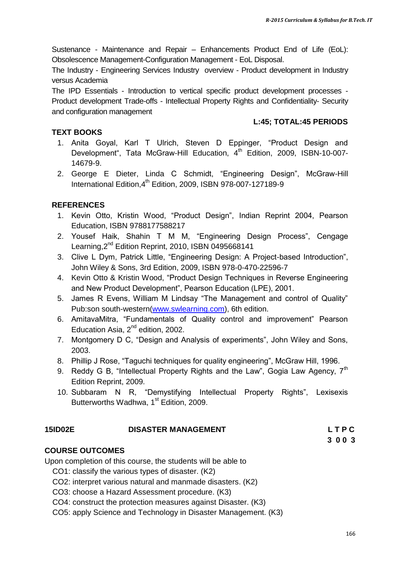Sustenance - Maintenance and Repair – Enhancements Product End of Life (EoL): Obsolescence Management-Configuration Management - EoL Disposal.

The Industry - Engineering Services Industry overview - Product development in Industry versus Academia

The IPD Essentials - Introduction to vertical specific product development processes - Product development Trade-offs - Intellectual Property Rights and Confidentiality- Security and configuration management

#### **L:45; TOTAL:45 PERIODS**

#### **TEXT BOOKS**

- 1. Anita Goyal, Karl T Ulrich, Steven D Eppinger, "Product Design and Development", Tata McGraw-Hill Education, 4<sup>th</sup> Edition, 2009, ISBN-10-007-14679-9.
- 2. George E Dieter, Linda C Schmidt, "Engineering Design", McGraw-Hill International Edition, 4<sup>th</sup> Edition, 2009, ISBN 978-007-127189-9

### **REFERENCES**

- 1. Kevin Otto, Kristin Wood, "Product Design", Indian Reprint 2004, Pearson Education, ISBN 9788177588217
- 2. Yousef Haik, Shahin T M M, "Engineering Design Process", Cengage Learning, 2<sup>nd</sup> Edition Reprint, 2010, ISBN 0495668141
- 3. Clive L Dym, Patrick Little, "Engineering Design: A Project-based Introduction", John Wiley & Sons, 3rd Edition, 2009, ISBN 978-0-470-22596-7
- 4. Kevin Otto & Kristin Wood, "Product Design Techniques in Reverse Engineering and New Product Development", Pearson Education (LPE), 2001.
- 5. James R Evens, William M Lindsay "The Management and control of Quality" Pub:son south-western[\(www.swlearning.com\)](http://www.swlearning.com/), 6th edition.
- 6. AmitavaMitra, "Fundamentals of Quality control and improvement" Pearson Education Asia,  $2^{nd}$  edition, 2002.
- 7. Montgomery D C, "Design and Analysis of experiments", John Wiley and Sons, 2003.
- 8. Phillip J Rose, "Taguchi techniques for quality engineering", McGraw Hill, 1996.
- 9. Reddy G B, "Intellectual Property Rights and the Law", Gogia Law Agency.  $7<sup>th</sup>$ Edition Reprint, 2009.
- 10. Subbaram N R, "Demystifying Intellectual Property Rights", Lexisexis Butterworths Wadhwa, 1<sup>st</sup> Edition, 2009.

#### **15ID02E DISASTER MANAGEMENT L T P C**

#### **COURSE OUTCOMES**

Upon completion of this course, the students will be able to

- CO1: classify the various types of disaster. (K2)
- CO2: interpret various natural and manmade disasters. (K2)
- CO3: choose a Hazard Assessment procedure. (K3)
- CO4: construct the protection measures against Disaster. (K3)
- CO5: apply Science and Technology in Disaster Management. (K3)

**3 0 0 3**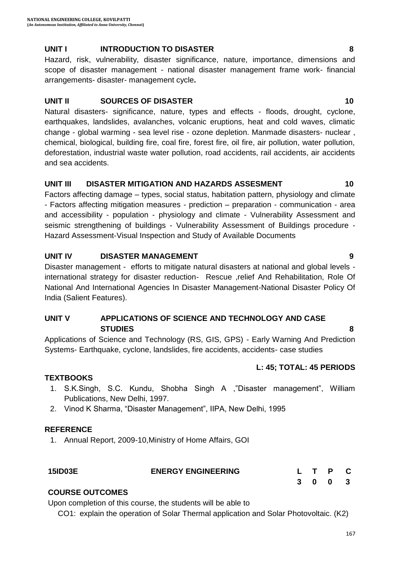#### **UNIT I INTRODUCTION TO DISASTER 8**

Hazard, risk, vulnerability, disaster significance, nature, importance, dimensions and scope of disaster management - national disaster management frame work- financial arrangements- disaster- management cycle**.**

#### **UNIT II** SOURCES OF DISASTER **10**

Natural disasters- significance, nature, types and effects - floods, drought, cyclone, earthquakes, landslides, avalanches, volcanic eruptions, heat and cold waves, climatic change - global warming - sea level rise - ozone depletion. Manmade disasters- nuclear , chemical, biological, building fire, coal fire, forest fire, oil fire, air pollution, water pollution, deforestation, industrial waste water pollution, road accidents, rail accidents, air accidents and sea accidents.

#### **UNIT III DISASTER MITIGATION AND HAZARDS ASSESMENT 10**

Factors affecting damage – types, social status, habitation pattern, physiology and climate - Factors affecting mitigation measures - prediction – preparation - communication - area and accessibility - population - physiology and climate - Vulnerability Assessment and seismic strengthening of buildings - Vulnerability Assessment of Buildings procedure - Hazard Assessment-Visual Inspection and Study of Available Documents

#### **UNIT IV DISASTER MANAGEMENT 9**

Disaster management - efforts to mitigate natural disasters at national and global levels international strategy for disaster reduction- Rescue ,relief And Rehabilitation, Role Of National And International Agencies In Disaster Management-National Disaster Policy Of India (Salient Features).

#### **UNIT V APPLICATIONS OF SCIENCE AND TECHNOLOGY AND CASE STUDIES 8**

Applications of Science and Technology (RS, GIS, GPS) - Early Warning And Prediction Systems- Earthquake, cyclone, landslides, fire accidents, accidents- case studies

## **L: 45; TOTAL: 45 PERIODS**

#### **TEXTBOOKS**

- 1. S.K.Singh, S.C. Kundu, Shobha Singh A ,"Disaster management", William Publications, New Delhi, 1997.
- 2. Vinod K Sharma, "Disaster Management", IIPA, New Delhi, 1995

## **REFERENCE**

1. Annual Report, 2009-10,Ministry of Home Affairs, GOI

| <b>15ID03E</b> | <b>ENERGY ENGINEERING</b> |  | L T P C |  |
|----------------|---------------------------|--|---------|--|
|                |                           |  | 3 0 0 3 |  |

## **COURSE OUTCOMES**

Upon completion of this course, the students will be able to

CO1: explain the operation of Solar Thermal application and Solar Photovoltaic. (K2)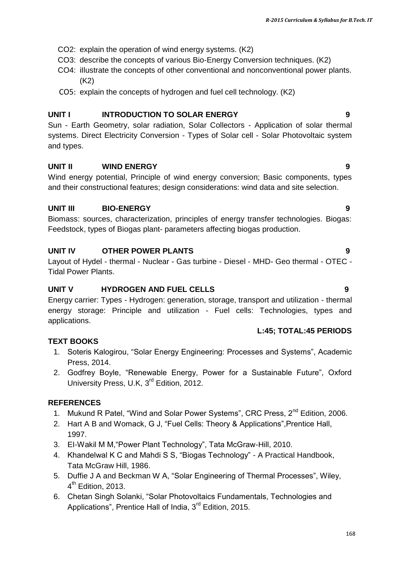- CO2: explain the operation of wind energy systems. (K2)
- CO3: describe the concepts of various Bio-Energy Conversion techniques. (K2)
- CO4: iIlustrate the concepts of other conventional and nonconventional power plants. (K2)
- CO5: explain the concepts of hydrogen and fuel cell technology. (K2)

## **UNIT I INTRODUCTION TO SOLAR ENERGY 9**

Sun - Earth Geometry, solar radiation, Solar Collectors - Application of solar thermal systems. Direct Electricity Conversion - Types of Solar cell - Solar Photovoltaic system and types.

## **UNIT II WIND ENERGY 9**

Wind energy potential, Principle of wind energy conversion; Basic components, types and their constructional features; design considerations: wind data and site selection.

## **UNIT III BIO-ENERGY 9**

Biomass: sources, characterization, principles of energy transfer technologies. Biogas: Feedstock, types of Biogas plant- parameters affecting biogas production.

## **UNIT IV OTHER POWER PLANTS 9**

Layout of Hydel - thermal - Nuclear - Gas turbine - Diesel - MHD- Geo thermal - OTEC - Tidal Power Plants.

## **UNIT V HYDROGEN AND FUEL CELLS 9**

Energy carrier: Types - Hydrogen: generation, storage, transport and utilization - thermal energy storage: Principle and utilization - Fuel cells: Technologies, types and applications.

## **L:45; TOTAL:45 PERIODS**

## **TEXT BOOKS**

- 1. Soteris Kalogirou, "Solar Energy Engineering: Processes and Systems", Academic Press, 2014.
- 2. Godfrey Boyle, "Renewable Energy, Power for a Sustainable Future", Oxford University Press, U.K, 3<sup>rd</sup> Edition, 2012.

## **REFERENCES**

- 1. Mukund R Patel, "Wind and Solar Power Systems", CRC Press, 2<sup>nd</sup> Edition, 2006.
- 2. Hart A B and Womack, G J, "Fuel Cells: Theory & Applications",Prentice Hall, 1997.
- 3. EI-Wakil M M,"Power Plant Technology", Tata McGraw-Hill, 2010.
- 4. Khandelwal K C and Mahdi S S, "Biogas Technology" A Practical Handbook, Tata McGraw Hill, 1986.
- 5. Duffie J A and Beckman W A, "Solar Engineering of Thermal Processes", Wiley, 4<sup>th</sup> Edition, 2013.
- 6. Chetan Singh Solanki, "Solar Photovoltaics Fundamentals, Technologies and Applications", Prentice Hall of India,  $3<sup>rd</sup>$  Edition, 2015.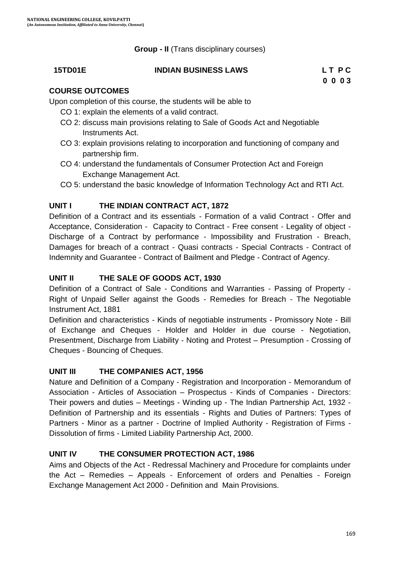**Group - II** (Trans disciplinary courses)

#### **15TD01E INDIAN BUSINESS LAWS L T P C**

**0 0 0 3**

#### **COURSE OUTCOMES**

Upon completion of this course, the students will be able to

- CO 1: explain the elements of a valid contract.
- CO 2: discuss main provisions relating to Sale of Goods Act and Negotiable Instruments Act.
- CO 3: explain provisions relating to incorporation and functioning of company and partnership firm.
- CO 4: understand the fundamentals of Consumer Protection Act and Foreign Exchange Management Act.
- CO 5: understand the basic knowledge of Information Technology Act and RTI Act.

#### **UNIT I THE INDIAN CONTRACT ACT, 1872**

Definition of a Contract and its essentials - Formation of a valid Contract - Offer and Acceptance, Consideration - Capacity to Contract - Free consent - Legality of object - Discharge of a Contract by performance - Impossibility and Frustration - Breach, Damages for breach of a contract - Quasi contracts - Special Contracts - Contract of Indemnity and Guarantee - Contract of Bailment and Pledge - Contract of Agency.

### **UNIT II THE SALE OF GOODS ACT, 1930**

Definition of a Contract of Sale - Conditions and Warranties - Passing of Property - Right of Unpaid Seller against the Goods - Remedies for Breach - The Negotiable Instrument Act, 1881

Definition and characteristics - Kinds of negotiable instruments - Promissory Note - Bill of Exchange and Cheques - Holder and Holder in due course - Negotiation, Presentment, Discharge from Liability - Noting and Protest – Presumption - Crossing of Cheques - Bouncing of Cheques.

#### **UNIT III THE COMPANIES ACT, 1956**

Nature and Definition of a Company - Registration and Incorporation - Memorandum of Association - Articles of Association – Prospectus - Kinds of Companies - Directors: Their powers and duties – Meetings - Winding up - The Indian Partnership Act, 1932 - Definition of Partnership and its essentials - Rights and Duties of Partners: Types of Partners - Minor as a partner - Doctrine of Implied Authority - Registration of Firms - Dissolution of firms - Limited Liability Partnership Act, 2000.

#### **UNIT IV THE CONSUMER PROTECTION ACT, 1986**

Aims and Objects of the Act - Redressal Machinery and Procedure for complaints under the Act – Remedies – Appeals - Enforcement of orders and Penalties - Foreign Exchange Management Act 2000 - Definition and Main Provisions.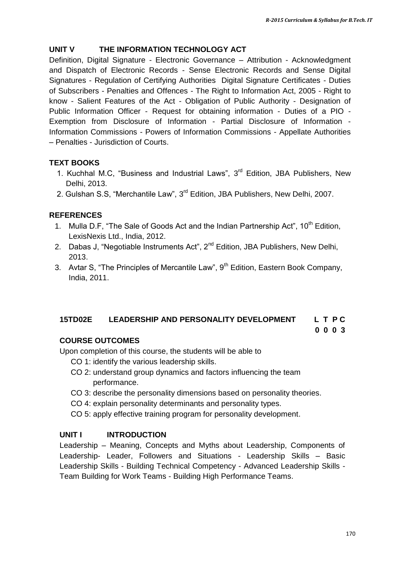### **UNIT V THE INFORMATION TECHNOLOGY ACT**

Definition, Digital Signature - Electronic Governance – Attribution - Acknowledgment and Dispatch of Electronic Records - Sense Electronic Records and Sense Digital Signatures - Regulation of Certifying Authorities Digital Signature Certificates - Duties of Subscribers - Penalties and Offences - The Right to Information Act, 2005 - Right to know - Salient Features of the Act - Obligation of Public Authority - Designation of Public Information Officer - Request for obtaining information - Duties of a PIO - Exemption from Disclosure of Information - Partial Disclosure of Information - Information Commissions - Powers of Information Commissions - Appellate Authorities – Penalties - Jurisdiction of Courts.

#### **TEXT BOOKS**

- 1. Kuchhal M.C, "Business and Industrial Laws", 3<sup>rd</sup> Edition, JBA Publishers, New Delhi, 2013.
- 2. Gulshan S.S, "Merchantile Law", 3<sup>rd</sup> Edition, JBA Publishers, New Delhi, 2007.

#### **REFERENCES**

- 1. Mulla D.F, "The Sale of Goods Act and the Indian Partnership Act", 10<sup>th</sup> Edition, LexisNexis Ltd., India, 2012.
- 2. Dabas J, "Negotiable Instruments Act",  $2^{nd}$  Edition, JBA Publishers, New Delhi, 2013.
- 3. Avtar S, "The Principles of Mercantile Law",  $9<sup>th</sup>$  Edition, Eastern Book Company, India, 2011.

## **15TD02E LEADERSHIP AND PERSONALITY DEVELOPMENT L T P C**

#### **COURSE OUTCOMES**

Upon completion of this course, the students will be able to

- CO 1: identify the various leadership skills.
- CO 2: understand group dynamics and factors influencing the team performance.
- CO 3: describe the personality dimensions based on personality theories.
- CO 4: explain personality determinants and personality types.
- CO 5: apply effective training program for personality development.

#### **UNIT I INTRODUCTION**

Leadership – Meaning, Concepts and Myths about Leadership, Components of Leadership- Leader, Followers and Situations - Leadership Skills – Basic Leadership Skills - Building Technical Competency - Advanced Leadership Skills - Team Building for Work Teams - Building High Performance Teams.

**0 0 0 3**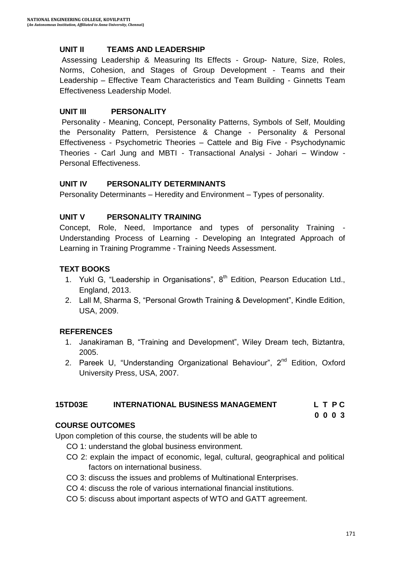#### **UNIT II TEAMS AND LEADERSHIP**

Assessing Leadership & Measuring Its Effects - Group- Nature, Size, Roles, Norms, Cohesion, and Stages of Group Development - Teams and their Leadership – Effective Team Characteristics and Team Building - Ginnetts Team Effectiveness Leadership Model.

#### **UNIT III PERSONALITY**

Personality - Meaning, Concept, Personality Patterns, Symbols of Self, Moulding the Personality Pattern, Persistence & Change - Personality & Personal Effectiveness - Psychometric Theories – Cattele and Big Five - Psychodynamic Theories - Carl Jung and MBTI - Transactional Analysi - Johari – Window - Personal Effectiveness.

#### **UNIT IV PERSONALITY DETERMINANTS**

Personality Determinants – Heredity and Environment – Types of personality.

#### **UNIT V PERSONALITY TRAINING**

Concept, Role, Need, Importance and types of personality Training - Understanding Process of Learning - Developing an Integrated Approach of Learning in Training Programme - Training Needs Assessment.

#### **TEXT BOOKS**

- 1. Yukl G, "Leadership in Organisations",  $8<sup>th</sup>$  Edition, Pearson Education Ltd., England, 2013.
- 2. Lall M, Sharma S, "Personal Growth Training & Development", Kindle Edition, USA, 2009.

#### **REFERENCES**

- 1. Janakiraman B, "Training and Development", Wiley Dream tech, Biztantra, 2005.
- 2. Pareek U, "Understanding Organizational Behaviour",  $2^{nd}$  Edition, Oxford University Press, USA, 2007.

#### **15TD03E INTERNATIONAL BUSINESS MANAGEMENT L T P C**

#### **0 0 0 3**

#### **COURSE OUTCOMES**

Upon completion of this course, the students will be able to

- CO 1: understand the global business environment.
- CO 2: explain the impact of economic, legal, cultural, geographical and political factors on international business.
- CO 3: discuss the issues and problems of Multinational Enterprises.
- CO 4: discuss the role of various international financial institutions.
- CO 5: discuss about important aspects of WTO and GATT agreement.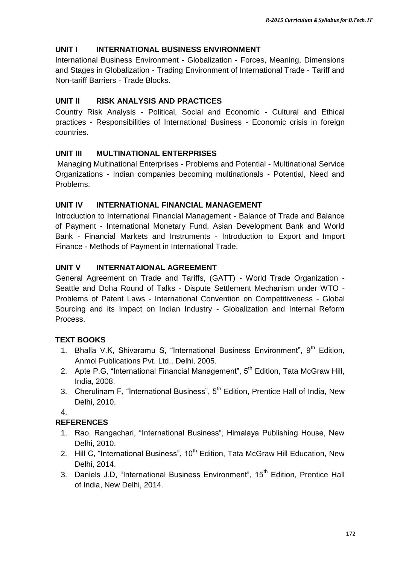### **UNIT I INTERNATIONAL BUSINESS ENVIRONMENT**

International Business Environment - Globalization - Forces, Meaning, Dimensions and Stages in Globalization - Trading Environment of International Trade - Tariff and Non-tariff Barriers - Trade Blocks.

#### **UNIT II RISK ANALYSIS AND PRACTICES**

Country Risk Analysis - Political, Social and Economic - Cultural and Ethical practices - Responsibilities of International Business - Economic crisis in foreign countries.

#### **UNIT III MULTINATIONAL ENTERPRISES**

Managing Multinational Enterprises - Problems and Potential - Multinational Service Organizations - Indian companies becoming multinationals - Potential, Need and Problems.

#### **UNIT IV INTERNATIONAL FINANCIAL MANAGEMENT**

Introduction to International Financial Management - Balance of Trade and Balance of Payment - International Monetary Fund, Asian Development Bank and World Bank - Financial Markets and Instruments - Introduction to Export and Import Finance - Methods of Payment in International Trade.

#### **UNIT V INTERNATAIONAL AGREEMENT**

General Agreement on Trade and Tariffs, (GATT) - World Trade Organization - Seattle and Doha Round of Talks - Dispute Settlement Mechanism under WTO - Problems of Patent Laws - International Convention on Competitiveness - Global Sourcing and its Impact on Indian Industry - Globalization and Internal Reform Process.

#### **TEXT BOOKS**

- 1. Bhalla V.K, Shivaramu S, "International Business Environment", 9<sup>th</sup> Edition, Anmol Publications Pvt. Ltd., Delhi, 2005.
- 2. Apte P.G, "International Financial Management", 5<sup>th</sup> Edition, Tata McGraw Hill, India, 2008.
- 3. Cherulinam F, "International Business",  $5<sup>th</sup>$  Edition, Prentice Hall of India, New Delhi, 2010.

4.

#### **REFERENCES**

- 1. Rao, Rangachari, "International Business", Himalaya Publishing House, New Delhi, 2010.
- 2. Hill C, "International Business",  $10<sup>th</sup>$  Edition, Tata McGraw Hill Education. New Delhi, 2014.
- 3. Daniels J.D, "International Business Environment", 15<sup>th</sup> Edition, Prentice Hall of India, New Delhi, 2014.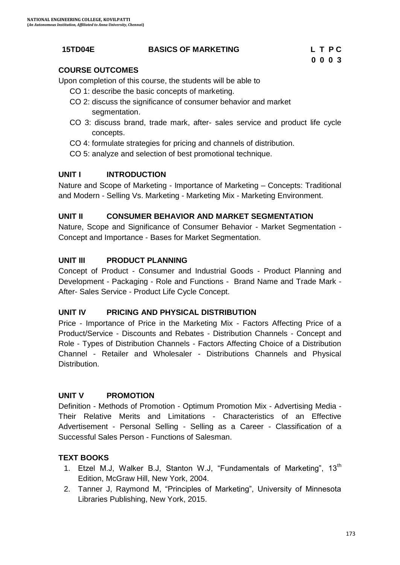#### **15TD04E BASICS OF MARKETING L T P C**

## **COURSE OUTCOMES**

Upon completion of this course, the students will be able to

- CO 1: describe the basic concepts of marketing.
- CO 2: discuss the significance of consumer behavior and market segmentation.
- CO 3: discuss brand, trade mark, after- sales service and product life cycle concepts.
- CO 4: formulate strategies for pricing and channels of distribution.
- CO 5: analyze and selection of best promotional technique.

## **UNIT I INTRODUCTION**

Nature and Scope of Marketing - Importance of Marketing – Concepts: Traditional and Modern - Selling Vs. Marketing - Marketing Mix - Marketing Environment.

## **UNIT II CONSUMER BEHAVIOR AND MARKET SEGMENTATION**

Nature, Scope and Significance of Consumer Behavior - Market Segmentation - Concept and Importance - Bases for Market Segmentation.

## **UNIT III PRODUCT PLANNING**

Concept of Product - Consumer and Industrial Goods - Product Planning and Development - Packaging - Role and Functions - Brand Name and Trade Mark - After- Sales Service - Product Life Cycle Concept.

## **UNIT IV PRICING AND PHYSICAL DISTRIBUTION**

Price - Importance of Price in the Marketing Mix - Factors Affecting Price of a Product/Service - Discounts and Rebates - Distribution Channels - Concept and Role - Types of Distribution Channels - Factors Affecting Choice of a Distribution Channel - Retailer and Wholesaler - Distributions Channels and Physical Distribution.

## **UNIT V PROMOTION**

Definition - Methods of Promotion - Optimum Promotion Mix - Advertising Media - Their Relative Merits and Limitations - Characteristics of an Effective Advertisement - Personal Selling - Selling as a Career - Classification of a Successful Sales Person - Functions of Salesman.

## **TEXT BOOKS**

- 1. Etzel M.J, Walker B.J, Stanton W.J, "Fundamentals of Marketing", 13<sup>th</sup> Edition, McGraw Hill, New York, 2004.
- 2. Tanner J, Raymond M, "Principles of Marketing", University of Minnesota Libraries Publishing, New York, 2015.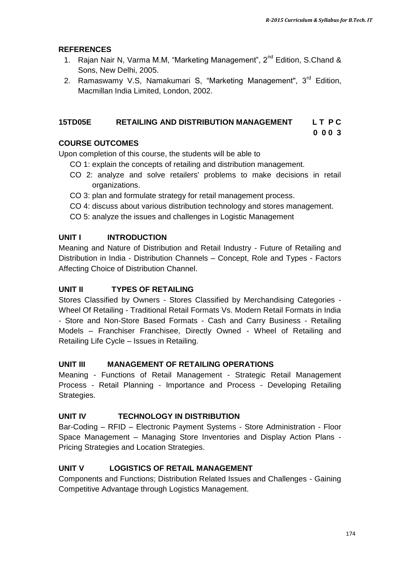#### **REFERENCES**

- 1. [Rajan Nair N, Varma](https://www.google.co.in/search?tbo=p&tbm=bks&q=inauthor:%22N+RAJAN+NAIR+%26+MM+VARMA%22&source=gbs_metadata_r&cad=3) M.M, "Marketing Management", 2<sup>nd</sup> Edition, S.Chand & Sons, New Delhi, 2005.
- 2. [Ramaswamy](https://www.google.co.in/search?tbo=p&tbm=bks&q=inauthor:%22V.+S.+Ramaswamy%22&source=gbs_metadata_r&cad=3) V.S. [Namakumari](https://www.google.co.in/search?tbo=p&tbm=bks&q=inauthor:%22S.+Namakumari%22&source=gbs_metadata_r&cad=3) S, "Marketing Management", 3<sup>rd</sup> Edition, Macmillan India Limited, London, 2002.

#### **15TD05E RETAILING AND DISTRIBUTION MANAGEMENT L T P C**

**0 0 0 3**

#### **COURSE OUTCOMES**

Upon completion of this course, the students will be able to

- CO 1: explain the concepts of retailing and distribution management.
- CO 2: analyze and solve retailers' problems to make decisions in retail organizations.
- CO 3: plan and formulate strategy for retail management process.
- CO 4: discuss about various distribution technology and stores management.
- CO 5: analyze the issues and challenges in Logistic Management

#### **UNIT I INTRODUCTION**

Meaning and Nature of Distribution and Retail Industry - Future of Retailing and Distribution in India - Distribution Channels – Concept, Role and Types - Factors Affecting Choice of Distribution Channel.

#### **UNIT II TYPES OF RETAILING**

Stores Classified by Owners - Stores Classified by Merchandising Categories - Wheel Of Retailing - Traditional Retail Formats Vs. Modern Retail Formats in India - Store and Non-Store Based Formats - Cash and Carry Business - Retailing Models – Franchiser Franchisee, Directly Owned - Wheel of Retailing and Retailing Life Cycle – Issues in Retailing.

#### **UNIT III MANAGEMENT OF RETAILING OPERATIONS**

Meaning - Functions of Retail Management - Strategic Retail Management Process - Retail Planning - Importance and Process - Developing Retailing Strategies.

#### **UNIT IV TECHNOLOGY IN DISTRIBUTION**

Bar-Coding – RFID – Electronic Payment Systems - Store Administration - Floor Space Management – Managing Store Inventories and Display Action Plans - Pricing Strategies and Location Strategies.

### **UNIT V LOGISTICS OF RETAIL MANAGEMENT**

Components and Functions; Distribution Related Issues and Challenges - Gaining Competitive Advantage through Logistics Management.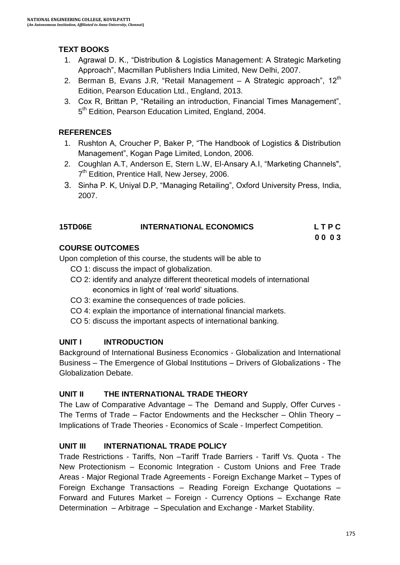## **TEXT BOOKS**

- 1. Agrawal D. K., "Distribution & Logistics Management: A Strategic Marketing Approach", Macmillan Publishers India Limited, New Delhi, 2007.
- 2. [Berman](http://www.amazon.com/s/ref=dp_byline_sr_book_1?ie=UTF8&text=Barry+R.+Berman&search-alias=books&field-author=Barry+R.+Berman&sort=relevancerank) B, [Evans](http://www.amazon.com/Joel-R.-Evans/e/B001ILMBZW/ref=dp_byline_cont_book_2) J.R, "Retail Management  $-$  A Strategic approach", 12 $<sup>th</sup>$ </sup> Edition, Pearson Education Ltd., England, 2013.
- 3. Cox R, Brittan P, "Retailing an introduction, Financial Times Management", 5<sup>th</sup> Edition, Pearson Education Limited, England, 2004.

### **REFERENCES**

- 1. Rushton A, Croucher P, Baker P, "The Handbook of Logistics & Distribution Management", Kogan Page Limited, London, 2006.
- 2. Coughlan A.T, Anderson E, Stern L.W, El-Ansary A.I, "Marketing Channels", 7<sup>th</sup> Edition, Prentice Hall, New Jersey, 2006.
- 3. Sinha P. K, Uniyal D.P, "Managing Retailing", Oxford University Press, India, 2007.

| <b>15TD06E</b> | <b>INTERNATIONAL ECONOMICS</b> | LTPC |
|----------------|--------------------------------|------|
|                |                                | 0003 |

#### **COURSE OUTCOMES**

Upon completion of this course, the students will be able to

- CO 1: discuss the impact of globalization.
- CO 2: identify and analyze different theoretical models of international economics in light of 'real world' situations.
- CO 3: examine the consequences of trade policies.
- CO 4: explain the importance of international financial markets.
- CO 5: discuss the important aspects of international banking.

## **UNIT I INTRODUCTION**

Background of International Business Economics - Globalization and International Business – The Emergence of Global Institutions – Drivers of Globalizations - The Globalization Debate.

## **UNIT II THE INTERNATIONAL TRADE THEORY**

The Law of Comparative Advantage – The Demand and Supply, Offer Curves - The Terms of Trade – Factor Endowments and the Heckscher – Ohlin Theory – Implications of Trade Theories - Economics of Scale - Imperfect Competition.

## **UNIT III INTERNATIONAL TRADE POLICY**

Trade Restrictions - Tariffs, Non –Tariff Trade Barriers - Tariff Vs. Quota - The New Protectionism – Economic Integration - Custom Unions and Free Trade Areas - Major Regional Trade Agreements - Foreign Exchange Market – Types of Foreign Exchange Transactions – Reading Foreign Exchange Quotations – Forward and Futures Market – Foreign - Currency Options – Exchange Rate Determination – Arbitrage – Speculation and Exchange - Market Stability.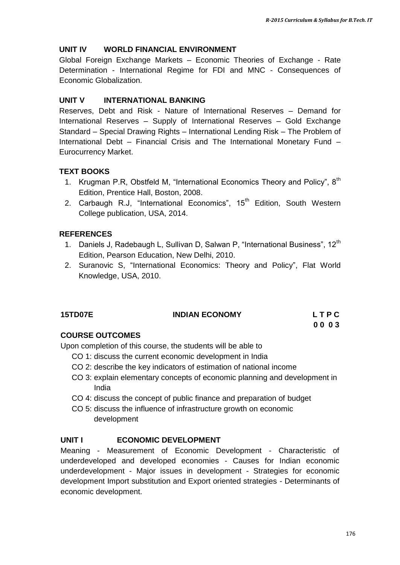#### **UNIT IV WORLD FINANCIAL ENVIRONMENT**

Global Foreign Exchange Markets – Economic Theories of Exchange - Rate Determination - International Regime for FDI and MNC - Consequences of Economic Globalization.

#### **UNIT V INTERNATIONAL BANKING**

Reserves, Debt and Risk - Nature of International Reserves – Demand for International Reserves – Supply of International Reserves – Gold Exchange Standard – Special Drawing Rights – International Lending Risk – The Problem of International Debt – Financial Crisis and The International Monetary Fund – Eurocurrency Market.

#### **TEXT BOOKS**

- 1. Krugman P.R, Obstfeld M, "International Economics Theory and Policy", 8<sup>th</sup> Edition, Prentice Hall, Boston, 2008.
- 2. Carbaugh R.J, "International Economics", 15<sup>th</sup> Edition, South Western College publication, USA, 2014.

#### **REFERENCES**

- 1. Daniels J, Radebaugh L, Sullivan D, Salwan P, "International Business", 12<sup>th</sup> Edition, Pearson Education, New Delhi, 2010.
- 2. Suranovic S, "International Economics: Theory and Policy", Flat World Knowledge, USA, 2010.

| <b>15TD07E</b> | <b>INDIAN ECONOMY</b> | LTPC |
|----------------|-----------------------|------|
|                |                       | 0003 |

#### **COURSE OUTCOMES**

Upon completion of this course, the students will be able to

- CO 1: discuss the current economic development in India
- CO 2: describe the key indicators of estimation of national income
- CO 3: explain elementary concepts of economic planning and development in India
- CO 4: discuss the concept of public finance and preparation of budget
- CO 5: discuss the influence of infrastructure growth on economic development

#### **UNIT I ECONOMIC DEVELOPMENT**

Meaning - Measurement of Economic Development - Characteristic of underdeveloped and developed economies - Causes for Indian economic underdevelopment - Major issues in development - Strategies for economic development Import substitution and Export oriented strategies - Determinants of economic development.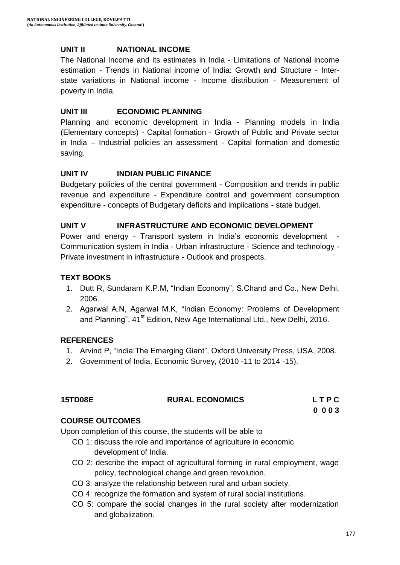#### **UNIT II NATIONAL INCOME**

The National Income and its estimates in India - Limitations of National income estimation - Trends in National income of India: Growth and Structure - Interstate variations in National income - Income distribution - Measurement of poverty in India.

#### **UNIT III ECONOMIC PLANNING**

Planning and economic development in India - Planning models in India (Elementary concepts) - Capital formation - Growth of Public and Private sector in India – Industrial policies an assessment - Capital formation and domestic saving.

#### **UNIT IV INDIAN PUBLIC FINANCE**

Budgetary policies of the central government - Composition and trends in public revenue and expenditure - Expenditure control and government consumption expenditure - concepts of Budgetary deficits and implications - state budget.

#### **UNIT V INFRASTRUCTURE AND ECONOMIC DEVELOPMENT**

Power and energy - Transport system in India's economic development -Communication system in India - Urban infrastructure - Science and technology - Private investment in infrastructure - Outlook and prospects.

#### **TEXT BOOKS**

- 1. Dutt R, Sundaram K.P.M, "Indian Economy", S.Chand and Co., New Delhi, 2006.
- 2. Agarwal A.N, Agarwal M.K, "Indian Economy: Problems of Development and Planning", 41<sup>st</sup> Edition, New Age International Ltd., New Delhi, 2016.

#### **REFERENCES**

- 1. Arvind P, "India:The Emerging Giant", Oxford University Press, USA, 2008.
- 2. Government of India, Economic Survey, (2010 -11 to 2014 -15).

| <b>15TD08E</b> | <b>RURAL ECONOMICS</b> | LTPC |
|----------------|------------------------|------|
|                |                        | 0003 |

#### **COURSE OUTCOMES**

Upon completion of this course, the students will be able to

- CO 1: discuss the role and importance of agriculture in economic development of India.
- CO 2: describe the impact of agricultural forming in rural employment, wage policy, technological change and green revolution.
- CO 3: analyze the relationship between rural and urban society.
- CO 4: recognize the formation and system of rural social institutions.
- CO 5: compare the social changes in the rural society after modernization and globalization.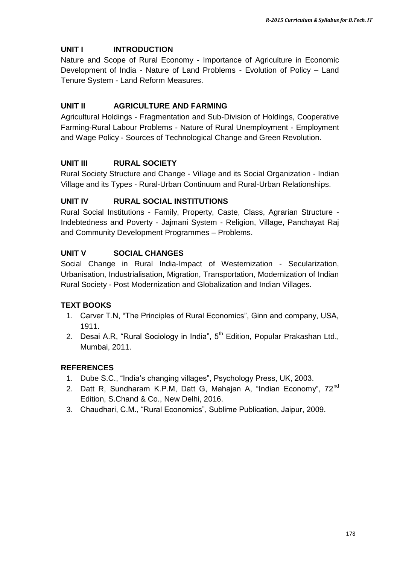### **UNIT I INTRODUCTION**

Nature and Scope of Rural Economy - Importance of Agriculture in Economic Development of India - Nature of Land Problems - Evolution of Policy – Land Tenure System - Land Reform Measures.

### **UNIT II AGRICULTURE AND FARMING**

Agricultural Holdings - Fragmentation and Sub-Division of Holdings, Cooperative Farming-Rural Labour Problems - Nature of Rural Unemployment - Employment and Wage Policy - Sources of Technological Change and Green Revolution.

## **UNIT III RURAL SOCIETY**

Rural Society Structure and Change - Village and its Social Organization - Indian Village and its Types - Rural-Urban Continuum and Rural-Urban Relationships.

#### **UNIT IV RURAL SOCIAL INSTITUTIONS**

Rural Social Institutions - Family, Property, Caste, Class, Agrarian Structure - Indebtedness and Poverty - Jajmani System - Religion, Village, Panchayat Raj and Community Development Programmes – Problems.

### **UNIT V SOCIAL CHANGES**

Social Change in Rural India-Impact of Westernization - Secularization, Urbanisation, Industrialisation, Migration, Transportation, Modernization of Indian Rural Society - Post Modernization and Globalization and Indian Villages.

#### **TEXT BOOKS**

- 1. Carver T.N, "The Principles of Rural Economics", Ginn and company, USA, 1911.
- 2. Desai A.R, "Rural Sociology in India", 5<sup>th</sup> Edition, Popular Prakashan Ltd., Mumbai, 2011.

#### **REFERENCES**

- 1. Dube S.C., "India"s changing villages", Psychology Press, UK, 2003.
- 2. [Datt R](https://www.google.co.in/search?tbo=p&tbm=bks&q=inauthor:%22Datt+Ruddar%22), Sundharam K.P.M, Datt G, Mahajan A, "Indian Economy", 72<sup>nd</sup> Edition, S.Chand & Co., New Delhi, 2016.
- 3. Chaudhari, C.M., "Rural Economics", Sublime Publication, Jaipur, 2009.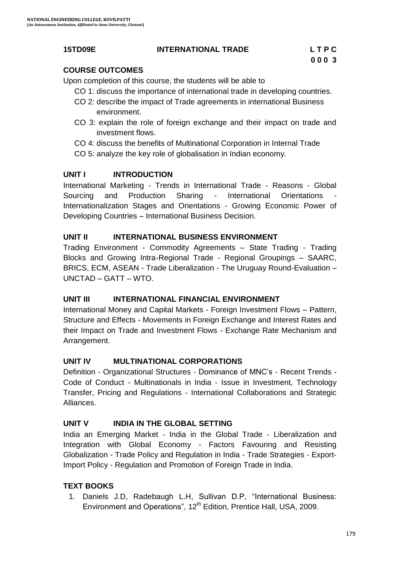#### **15TD09E INTERNATIONAL TRADE L T P C**

#### **COURSE OUTCOMES**

Upon completion of this course, the students will be able to

- CO 1: discuss the importance of international trade in developing countries.
- CO 2: describe the impact of Trade agreements in international Business environment.
- CO 3: explain the role of foreign exchange and their impact on trade and investment flows.
- CO 4: discuss the benefits of Multinational Corporation in Internal Trade
- CO 5: analyze the key role of globalisation in Indian economy.

#### **UNIT I INTRODUCTION**

International Marketing - Trends in International Trade - Reasons - Global Sourcing and Production Sharing - International Orientations Internationalization Stages and Orientations - Growing Economic Power of Developing Countries – International Business Decision.

#### **UNIT II INTERNATIONAL BUSINESS ENVIRONMENT**

Trading Environment - Commodity Agreements – State Trading - Trading Blocks and Growing Intra-Regional Trade - Regional Groupings – SAARC, BRICS, ECM, ASEAN - Trade Liberalization - The Uruguay Round-Evaluation – UNCTAD – GATT – WTO.

#### **UNIT III INTERNATIONAL FINANCIAL ENVIRONMENT**

International Money and Capital Markets - Foreign Investment Flows – Pattern, Structure and Effects - Movements in Foreign Exchange and Interest Rates and their Impact on Trade and Investment Flows - Exchange Rate Mechanism and Arrangement.

#### **UNIT IV MULTINATIONAL CORPORATIONS**

Definition - Organizational Structures - Dominance of MNC"s - Recent Trends - Code of Conduct - Multinationals in India - Issue in Investment, Technology Transfer, Pricing and Regulations - International Collaborations and Strategic Alliances.

#### **UNIT V INDIA IN THE GLOBAL SETTING**

India an Emerging Market - India in the Global Trade - Liberalization and Integration with Global Economy - Factors Favouring and Resisting Globalization - Trade Policy and Regulation in India - Trade Strategies - Export-Import Policy - Regulation and Promotion of Foreign Trade in India.

#### **TEXT BOOKS**

1. Daniels J.D, Radebaugh L.H, Sullivan D.P, "International Business: Environment and Operations", 12<sup>th</sup> Edition, Prentice Hall, USA, 2009.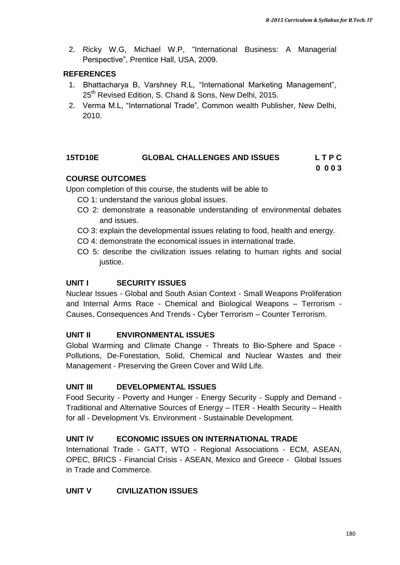2. Ricky W.G, Michael W.P, "International Business: A Managerial Perspective", Prentice Hall, USA, 2009.

#### **REFERENCES**

- 1. Bhattacharya B, Varshney R.L, "International Marketing Management", 25<sup>th</sup> Revised Edition, S. Chand & Sons, New Delhi, 2015.
- 2. Verma M.L, "International Trade", Common wealth Publisher, New Delhi, 2010.

#### **15TD10E GLOBAL CHALLENGES AND ISSUES L T P C 0 0 0 3**

### **COURSE OUTCOMES**

Upon completion of this course, the students will be able to

- CO 1: understand the various global issues.
- CO 2: demonstrate a reasonable understanding of environmental debates and issues.
- CO 3: explain the developmental issues relating to food, health and energy.
- CO 4: demonstrate the economical issues in international trade.
- CO 5: describe the civilization issues relating to human rights and social justice.

#### **UNIT I SECURITY ISSUES**

Nuclear Issues - Global and South Asian Context - Small Weapons Proliferation and Internal Arms Race - Chemical and Biological Weapons – Terrorism - Causes, Consequences And Trends - Cyber Terrorism – Counter Terrorism.

#### **UNIT II ENVIRONMENTAL ISSUES**

Global Warming and Climate Change - Threats to Bio-Sphere and Space - Pollutions, De-Forestation, Solid, Chemical and Nuclear Wastes and their Management - Preserving the Green Cover and Wild Life.

#### **UNIT III DEVELOPMENTAL ISSUES**

Food Security - Poverty and Hunger - Energy Security - Supply and Demand - Traditional and Alternative Sources of Energy – ITER - Health Security – Health for all - Development Vs. Environment - Sustainable Development.

#### **UNIT IV ECONOMIC ISSUES ON INTERNATIONAL TRADE**

International Trade - GATT, WTO - Regional Associations - ECM, ASEAN, OPEC, BRICS - Financial Crisis - ASEAN, Mexico and Greece - Global Issues in Trade and Commerce.

### **UNIT V CIVILIZATION ISSUES**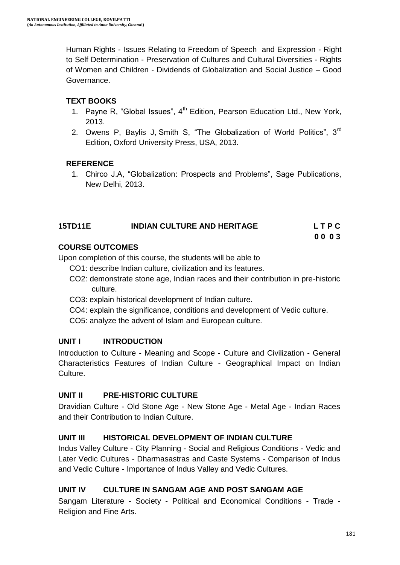Human Rights - Issues Relating to Freedom of Speech and Expression - Right to Self Determination - Preservation of Cultures and Cultural Diversities - Rights of Women and Children - Dividends of Globalization and Social Justice – Good Governance.

## **TEXT BOOKS**

- 1. Payne R, "Global Issues", 4<sup>th</sup> Edition, Pearson Education Ltd., New York, 2013.
- 2. Owens P, Baylis J, Smith S, "The Globalization of World Politics", 3<sup>rd</sup> Edition, Oxford University Press, USA, 2013.

#### **REFERENCE**

1. Chirco J.A, "Globalization: Prospects and Problems", Sage Publications, New Delhi, 2013.

## **15TD11E INDIAN CULTURE AND HERITAGE L T P C**

**0 0 0 3**

### **COURSE OUTCOMES**

Upon completion of this course, the students will be able to

- CO1: describe Indian culture, civilization and its features.
- CO2: demonstrate stone age, Indian races and their contribution in pre-historic culture.
- CO3: explain historical development of Indian culture.
- CO4: explain the significance, conditions and development of Vedic culture.

CO5: analyze the advent of Islam and European culture.

#### **UNIT I INTRODUCTION**

Introduction to Culture - Meaning and Scope - Culture and Civilization - General Characteristics Features of Indian Culture - Geographical Impact on Indian Culture.

#### **UNIT II PRE-HISTORIC CULTURE**

Dravidian Culture - Old Stone Age - New Stone Age - Metal Age - Indian Races and their Contribution to Indian Culture.

#### **UNIT III HISTORICAL DEVELOPMENT OF INDIAN CULTURE**

Indus Valley Culture - City Planning - Social and Religious Conditions - Vedic and Later Vedic Cultures - Dharmasastras and Caste Systems - Comparison of Indus and Vedic Culture - Importance of Indus Valley and Vedic Cultures.

## **UNIT IV CULTURE IN SANGAM AGE AND POST SANGAM AGE**

Sangam Literature - Society - Political and Economical Conditions - Trade - Religion and Fine Arts.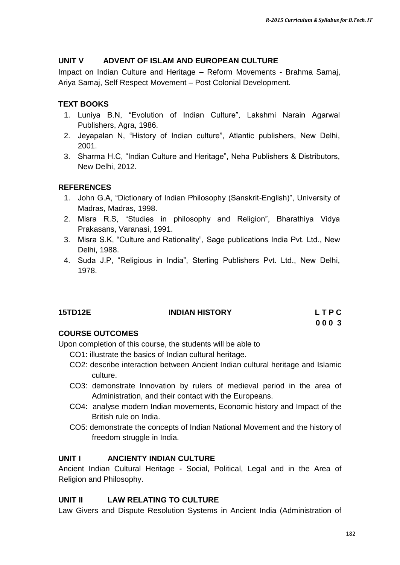#### **UNIT V ADVENT OF ISLAM AND EUROPEAN CULTURE**

Impact on Indian Culture and Heritage – Reform Movements - Brahma Samaj, Ariya Samaj, Self Respect Movement – Post Colonial Development.

#### **TEXT BOOKS**

- 1. Luniya B.N, "Evolution of Indian Culture", Lakshmi Narain Agarwal Publishers, Agra, 1986.
- 2. Jeyapalan N, "History of Indian culture", Atlantic publishers, New Delhi, 2001.
- 3. Sharma H.C, "Indian Culture and Heritage", Neha Publishers & Distributors, New Delhi, 2012.

#### **REFERENCES**

- 1. John G.A, "Dictionary of Indian Philosophy (Sanskrit-English)", University of Madras, Madras, 1998.
- 2. Misra R.S, "Studies in philosophy and Religion", Bharathiya Vidya Prakasans, Varanasi, 1991.
- 3. Misra S.K, "Culture and Rationality", Sage publications India Pvt. Ltd., New Delhi, 1988.
- 4. Suda J.P, "Religious in India", Sterling Publishers Pvt. Ltd., New Delhi, 1978.

| <b>15TD12E</b> | <b>INDIAN HISTORY</b> | LTPC  |
|----------------|-----------------------|-------|
|                |                       | 000 3 |

#### **COURSE OUTCOMES**

Upon completion of this course, the students will be able to

- CO1: illustrate the basics of Indian cultural heritage.
- CO2: describe interaction between Ancient Indian cultural heritage and Islamic culture.
- CO3: demonstrate Innovation by rulers of medieval period in the area of Administration, and their contact with the Europeans.
- CO4: analyse modern Indian movements, Economic history and Impact of the British rule on India.
- CO5: demonstrate the concepts of Indian National Movement and the history of freedom struggle in India.

#### **UNIT I ANCIENTY INDIAN CULTURE**

Ancient Indian Cultural Heritage - Social, Political, Legal and in the Area of Religion and Philosophy.

#### **UNIT II LAW RELATING TO CULTURE**

Law Givers and Dispute Resolution Systems in Ancient India (Administration of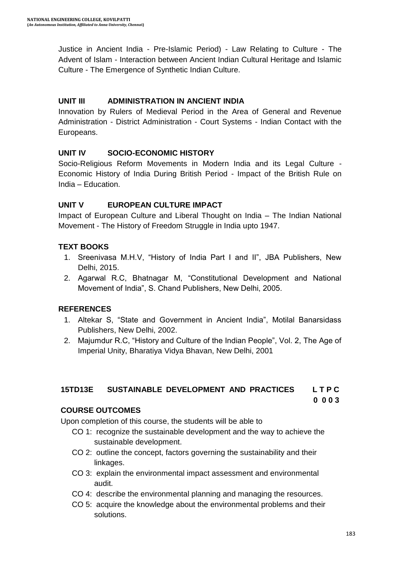Justice in Ancient India - Pre-Islamic Period) - Law Relating to Culture - The Advent of Islam - Interaction between Ancient Indian Cultural Heritage and Islamic Culture - The Emergence of Synthetic Indian Culture.

#### **UNIT III ADMINISTRATION IN ANCIENT INDIA**

Innovation by Rulers of Medieval Period in the Area of General and Revenue Administration - District Administration - Court Systems - Indian Contact with the Europeans.

#### **UNIT IV SOCIO-ECONOMIC HISTORY**

Socio-Religious Reform Movements in Modern India and its Legal Culture - Economic History of India During British Period - Impact of the British Rule on India – Education.

#### **UNIT V EUROPEAN CULTURE IMPACT**

Impact of European Culture and Liberal Thought on India – The Indian National Movement - The History of Freedom Struggle in India upto 1947.

#### **TEXT BOOKS**

- 1. Sreenivasa M.H.V, "History of India Part I and II", JBA Publishers, New Delhi, 2015.
- 2. Agarwal R.C, Bhatnagar M, "Constitutional Development and National Movement of India", S. Chand Publishers, New Delhi, 2005.

#### **REFERENCES**

- 1. Altekar S, "State and Government in Ancient India", Motilal Banarsidass Publishers, New Delhi, 2002.
- 2. Majumdur R.C, "History and Culture of the Indian People", Vol. 2, The Age of Imperial Unity, Bharatiya Vidya Bhavan, New Delhi, 2001

#### **15TD13E SUSTAINABLE DEVELOPMENT AND PRACTICES L T P C**

#### **0 0 0 3**

#### **COURSE OUTCOMES**

Upon completion of this course, the students will be able to

- CO 1: recognize the sustainable development and the way to achieve the sustainable development.
- CO 2: outline the concept, factors governing the sustainability and their linkages.
- CO 3: explain the environmental impact assessment and environmental audit.
- CO 4: describe the environmental planning and managing the resources.
- CO 5: acquire the knowledge about the environmental problems and their solutions.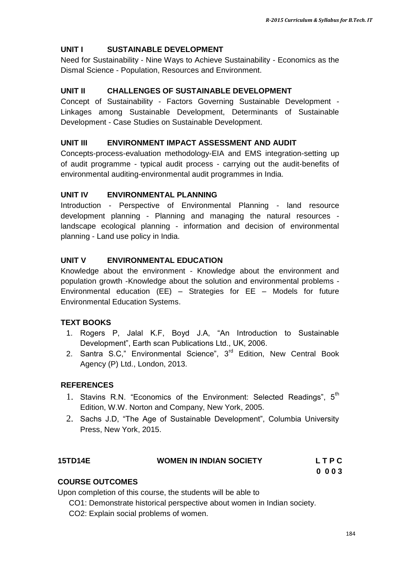# **UNIT I SUSTAINABLE DEVELOPMENT**

Need for Sustainability - Nine Ways to Achieve Sustainability - Economics as the Dismal Science - Population, Resources and Environment.

# **UNIT II CHALLENGES OF SUSTAINABLE DEVELOPMENT**

Concept of Sustainability - Factors Governing Sustainable Development - Linkages among Sustainable Development, Determinants of Sustainable Development - Case Studies on Sustainable Development.

# **UNIT III ENVIRONMENT IMPACT ASSESSMENT AND AUDIT**

Concepts-process-evaluation methodology-EIA and EMS integration-setting up of audit programme - typical audit process - carrying out the audit-benefits of environmental auditing-environmental audit programmes in India.

#### **UNIT IV ENVIRONMENTAL PLANNING**

Introduction - Perspective of Environmental Planning - land resource development planning - Planning and managing the natural resources landscape ecological planning - information and decision of environmental planning - Land use policy in India.

# **UNIT V ENVIRONMENTAL EDUCATION**

Knowledge about the environment - Knowledge about the environment and population growth -Knowledge about the solution and environmental problems - Environmental education (EE) – Strategies for EE – Models for future Environmental Education Systems.

# **TEXT BOOKS**

- 1. Rogers P, Jalal K.F, Boyd J.A, "An Introduction to Sustainable Development", Earth scan Publications Ltd., UK, 2006.
- 2. Santra S.C," Environmental Science", 3<sup>rd</sup> Edition, New Central Book Agency (P) Ltd., London, 2013.

# **REFERENCES**

- 1. Stavins R.N. "Economics of the Environment: Selected Readings", 5<sup>th</sup> Edition, W.W. Norton and Company, New York, 2005.
- 2. Sachs J.D, "The Age of Sustainable Development", Columbia University Press, New York, 2015.

| <b>15TD14E</b> | <b>WOMEN IN INDIAN SOCIETY</b> | <b>LTPC</b> |
|----------------|--------------------------------|-------------|
|                |                                | 0003        |

#### **COURSE OUTCOMES**

Upon completion of this course, the students will be able to

CO1: Demonstrate historical perspective about women in Indian society.

CO2: Explain social problems of women.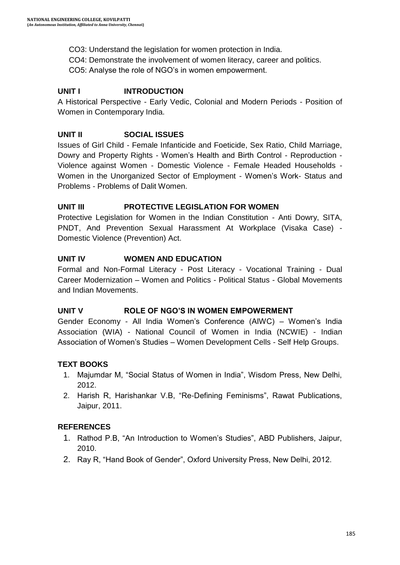CO3: Understand the legislation for women protection in India.

CO4: Demonstrate the involvement of women literacy, career and politics.

CO5: Analyse the role of NGO"s in women empowerment.

# **UNIT I INTRODUCTION**

A Historical Perspective - Early Vedic, Colonial and Modern Periods - Position of Women in Contemporary India.

# **UNIT II SOCIAL ISSUES**

Issues of Girl Child - Female Infanticide and Foeticide, Sex Ratio, Child Marriage, Dowry and Property Rights - Women"s Health and Birth Control - Reproduction - Violence against Women - Domestic Violence - Female Headed Households - Women in the Unorganized Sector of Employment - Women"s Work- Status and Problems - Problems of Dalit Women.

# **UNIT III PROTECTIVE LEGISLATION FOR WOMEN**

Protective Legislation for Women in the Indian Constitution - Anti Dowry, SITA, PNDT, And Prevention Sexual Harassment At Workplace (Visaka Case) - Domestic Violence (Prevention) Act.

# **UNIT IV WOMEN AND EDUCATION**

Formal and Non-Formal Literacy - Post Literacy - Vocational Training - Dual Career Modernization – Women and Politics - Political Status - Global Movements and Indian Movements.

# **UNIT V ROLE OF NGO'S IN WOMEN EMPOWERMENT**

Gender Economy - All India Women"s Conference (AIWC) – Women"s India Association (WIA) - National Council of Women in India (NCWIE) - Indian Association of Women"s Studies – Women Development Cells - Self Help Groups.

# **TEXT BOOKS**

- 1. Majumdar M, "Social Status of Women in India", Wisdom Press, New Delhi, 2012.
- 2. Harish R, Harishankar V.B, "Re-Defining Feminisms", Rawat Publications, Jaipur, 2011.

# **REFERENCES**

- 1. Rathod P.B, "An Introduction to Women"s Studies", ABD Publishers, Jaipur, 2010.
- 2. Ray R, "Hand Book of Gender", Oxford University Press, New Delhi, 2012.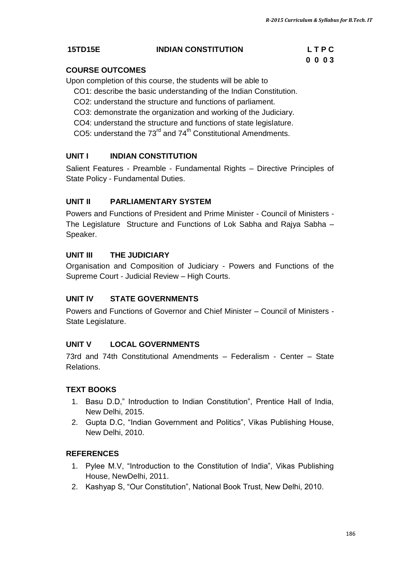# **15TD15E INDIAN CONSTITUTION L T P C**

# **0 0 0 3**

# **COURSE OUTCOMES**

Upon completion of this course, the students will be able to

- CO1: describe the basic understanding of the Indian Constitution.
- CO2: understand the structure and functions of parliament.
- CO3: demonstrate the organization and working of the Judiciary.
- CO4: understand the structure and functions of state legislature.
- CO5: understand the  $73<sup>rd</sup>$  and  $74<sup>th</sup>$  Constitutional Amendments.

# **UNIT I INDIAN CONSTITUTION**

Salient Features - Preamble - Fundamental Rights – Directive Principles of State Policy - Fundamental Duties.

# **UNIT II PARLIAMENTARY SYSTEM**

Powers and Functions of President and Prime Minister - Council of Ministers - The Legislature Structure and Functions of Lok Sabha and Rajya Sabha – Speaker.

# **UNIT III THE JUDICIARY**

Organisation and Composition of Judiciary - Powers and Functions of the Supreme Court - Judicial Review – High Courts.

# **UNIT IV STATE GOVERNMENTS**

Powers and Functions of Governor and Chief Minister – Council of Ministers - State Legislature.

# **UNIT V LOCAL GOVERNMENTS**

73rd and 74th Constitutional Amendments – Federalism - Center – State Relations.

# **TEXT BOOKS**

- 1. Basu D.D," Introduction to Indian Constitution", Prentice Hall of India, New Delhi, 2015.
- 2. Gupta D.C, "Indian Government and Politics", Vikas Publishing House, New Delhi, 2010.

# **REFERENCES**

- 1. Pylee M.V, "Introduction to the Constitution of India", Vikas Publishing House, NewDelhi, 2011.
- 2. Kashyap S, "Our Constitution", National Book Trust, New Delhi, 2010.